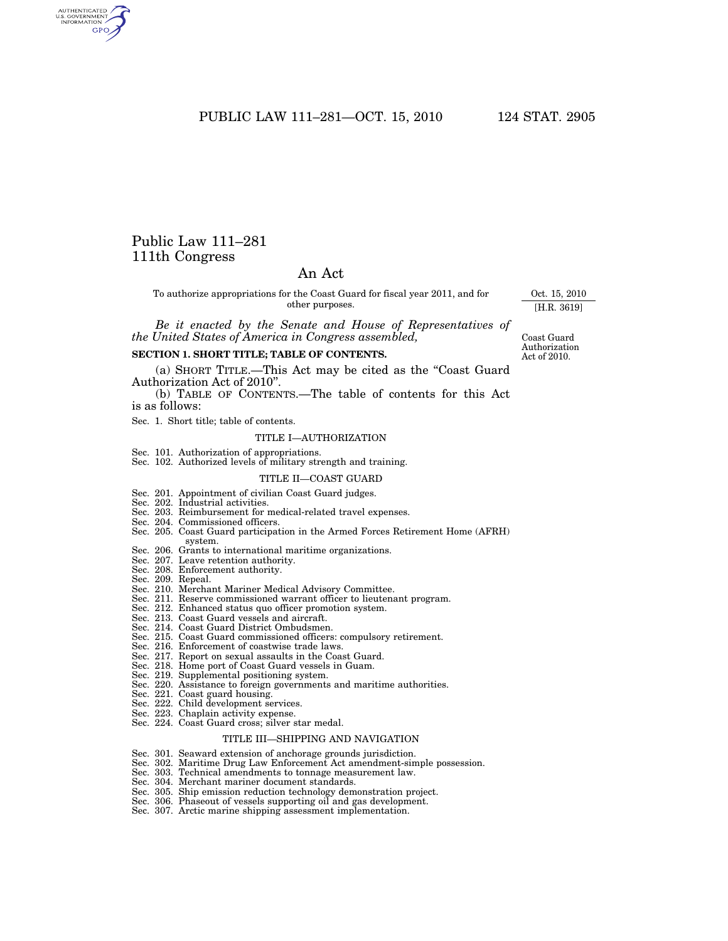# PUBLIC LAW 111–281—OCT. 15, 2010 124 STAT. 2905

# Public Law 111–281 111th Congress

# An Act

To authorize appropriations for the Coast Guard for fiscal year 2011, and for other purposes.

*Be it enacted by the Senate and House of Representatives of the United States of America in Congress assembled,* 

## **SECTION 1. SHORT TITLE; TABLE OF CONTENTS.**

(a) SHORT TITLE.—This Act may be cited as the ''Coast Guard Authorization Act of 2010''.

(b) TABLE OF CONTENTS.—The table of contents for this Act is as follows:

Sec. 1. Short title; table of contents.

#### TITLE I—AUTHORIZATION

- Sec. 101. Authorization of appropriations.
- Sec. 102. Authorized levels of military strength and training.

#### TITLE II—COAST GUARD

- Sec. 201. Appointment of civilian Coast Guard judges.
- Sec. 202. Industrial activities.
- Sec. 203. Reimbursement for medical-related travel expenses.
- Sec. 204. Commissioned officers.
- Sec. 205. Coast Guard participation in the Armed Forces Retirement Home (AFRH) system.
- Sec. 206. Grants to international maritime organizations.
- Sec. 207. Leave retention authority.
- Sec. 208. Enforcement authority.
- Sec. 209. Repeal.
- Sec. 210. Merchant Mariner Medical Advisory Committee.
- Sec. 211. Reserve commissioned warrant officer to lieutenant program.
- Sec. 212. Enhanced status quo officer promotion system.
- Sec. 213. Coast Guard vessels and aircraft.
- Sec. 214. Coast Guard District Ombudsmen.
- Sec. 215. Coast Guard commissioned officers: compulsory retirement.
- Sec. 216. Enforcement of coastwise trade laws.
- Sec. 217. Report on sexual assaults in the Coast Guard.
- Sec. 218. Home port of Coast Guard vessels in Guam.
- Sec. 219. Supplemental positioning system.
- Sec. 220. Assistance to foreign governments and maritime authorities.
- Sec. 221. Coast guard housing.
- Sec. 222. Child development services.
- Sec. 223. Chaplain activity expense.
- Sec. 224. Coast Guard cross; silver star medal.

## TITLE III—SHIPPING AND NAVIGATION

- Sec. 301. Seaward extension of anchorage grounds jurisdiction.
- Sec. 302. Maritime Drug Law Enforcement Act amendment-simple possession.
- Sec. 303. Technical amendments to tonnage measurement law.
- Sec. 304. Merchant mariner document standards.
- Sec. 305. Ship emission reduction technology demonstration project.
- Sec. 306. Phaseout of vessels supporting oil and gas development.
- Sec. 307. Arctic marine shipping assessment implementation.

Coast Guard Authorization Act of 2010.

Oct. 15, 2010 [H.R. 3619]

AUTHENTICATED<br>U.S. GOVERNMENT<br>INFORMATION GPO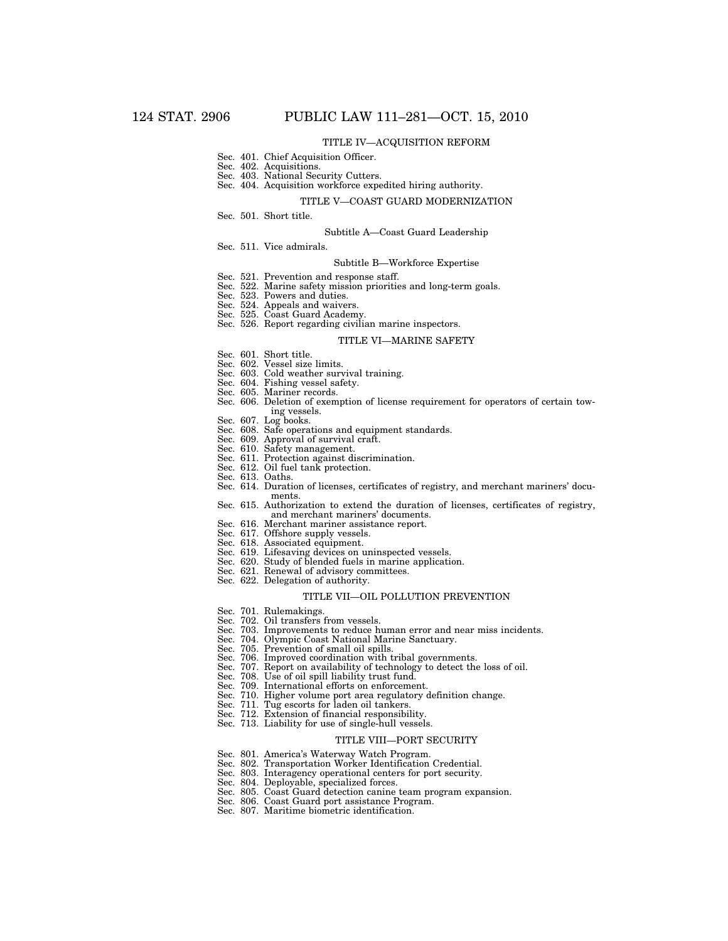#### TITLE IV—ACQUISITION REFORM

- Sec. 401. Chief Acquisition Officer.
- Sec. 402. Acquisitions.
- Sec. 403. National Security Cutters.
- Sec. 404. Acquisition workforce expedited hiring authority.

#### TITLE V—COAST GUARD MODERNIZATION

Sec. 501. Short title.

#### Subtitle A—Coast Guard Leadership

Sec. 511. Vice admirals.

#### Subtitle B—Workforce Expertise

- 
- Sec. 521. Prevention and response staff. Sec. 522. Marine safety mission priorities and long-term goals.
- Sec. 523. Powers and duties.
- Sec. 524. Appeals and waivers.
- Sec. 525. Coast Guard Academy.
- Sec. 526. Report regarding civilian marine inspectors.

#### TITLE VI—MARINE SAFETY

- Sec. 601. Short title.
- Sec. 602. Vessel size limits.
- Sec. 603. Cold weather survival training.
- Sec. 604. Fishing vessel safety.
- Sec. 605. Mariner records.
- Sec. 606. Deletion of exemption of license requirement for operators of certain towing vessels.
- 
- Sec. 607. Log books. Sec. 608. Safe operations and equipment standards.
- Sec. 609. Approval of survival craft. Sec. 610. Safety management.
- 
- Sec. 611. Protection against discrimination. Sec. 612. Oil fuel tank protection.
- 
- Sec. 613. Oaths.
- Sec. 614. Duration of licenses, certificates of registry, and merchant mariners' documents.
- Sec. 615. Authorization to extend the duration of licenses, certificates of registry, and merchant mariners' documents.
- Sec. 616. Merchant mariner assistance report.
- Sec. 617. Offshore supply vessels.
- 
- Sec. 618. Associated equipment. Sec. 619. Lifesaving devices on uninspected vessels.
- Sec. 620. Study of blended fuels in marine application.
- Sec. 621. Renewal of advisory committees.
- Sec. 622. Delegation of authority.

# TITLE VII—OIL POLLUTION PREVENTION

- Sec. 701. Rulemakings.
- Sec. 702. Oil transfers from vessels.
- Sec. 703. Improvements to reduce human error and near miss incidents.
- Sec. 704. Olympic Coast National Marine Sanctuary.
- Sec. 705. Prevention of small oil spills.
- Sec. 706. Improved coordination with tribal governments.
- Sec. 707. Report on availability of technology to detect the loss of oil.
- Sec. 708. Use of oil spill liability trust fund.
- Sec. 709. International efforts on enforcement.
- Sec. 710. Higher volume port area regulatory definition change.
- Sec. 711. Tug escorts for laden oil tankers.
- Sec. 712. Extension of financial responsibility.
- Sec. 713. Liability for use of single-hull vessels.

# TITLE VIII—PORT SECURITY

- Sec. 801. America's Waterway Watch Program.
- Transportation Worker Identification Credential.
- Sec. 803. Interagency operational centers for port security.
- Sec. 804. Deployable, specialized forces. Sec. 805. Coast Guard detection canine team program expansion.
- 
- Sec. 806. Coast Guard port assistance Program.
- Sec. 807. Maritime biometric identification.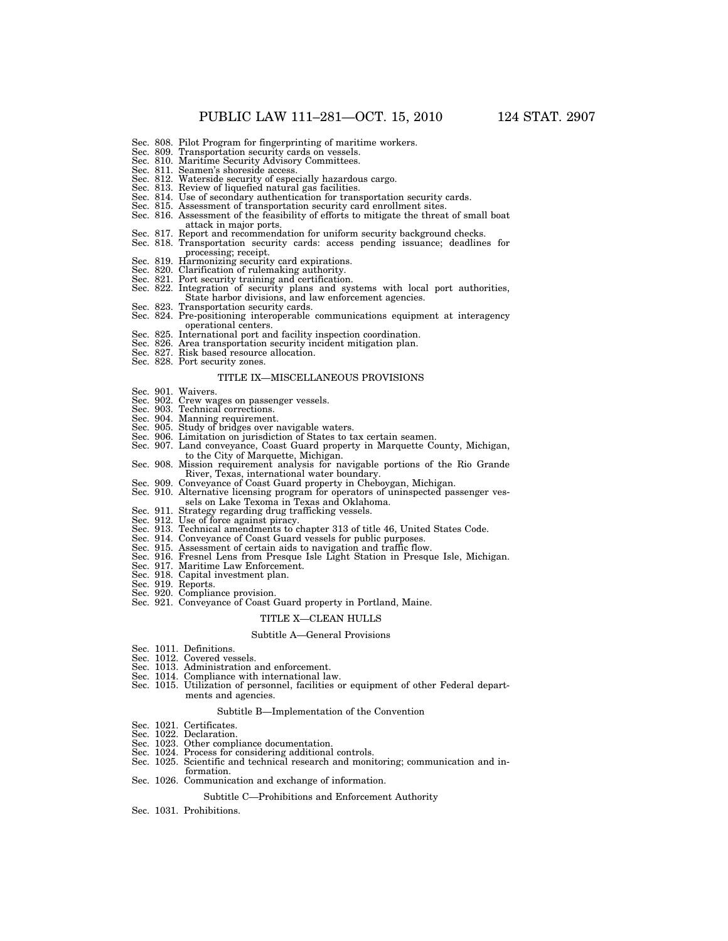- Sec. 808. Pilot Program for fingerprinting of maritime workers.
- Sec. 809. Transportation security cards on vessels. Sec. 810. Maritime Security Advisory Committees.
- 
- Sec. 811. Seamen's shoreside access.
- Sec. 812. Waterside security of especially hazardous cargo. Sec. 813. Review of liquefied natural gas facilities.
- 
- Sec. 814. Use of secondary authentication for transportation security cards. Sec. 815. Assessment of transportation security card enrollment sites.
- Sec. 816. Assessment of the feasibility of efforts to mitigate the threat of small boat attack in major ports.
- 
- Sec. 817. Report and recommendation for uniform security background checks. Sec. 818. Transportation security cards: access pending issuance; deadlines for processing; receipt. Sec. 819. Harmonizing security card expirations. Sec. 820. Clarification of rulemaking authority. Sec. 821. Port security training and certification.
- 
- 
- 
- Sec. 822. Integration of security plans and systems with local port authorities, State harbor divisions, and law enforcement agencies.
- Sec. 823. Transportation security cards.
- Sec. 824. Pre-positioning interoperable communications equipment at interagency operational centers.
- Sec. 825. International port and facility inspection coordination.
- Sec. 826. Area transportation security incident mitigation plan. Sec. 827. Risk based resource allocation.
- Sec. 827. Risk based resource<br>Sec. 828. Port security zones.
- 

#### TITLE IX—MISCELLANEOUS PROVISIONS

- Sec. 901. Waivers.
- Sec. 902. Crew wages on passenger vessels.
- Sec. 903. Technical corrections.
- 
- 
- Sec. 904. Manning requirement. Sec. 905. Study of bridges over navigable waters. Sec. 906. Limitation on jurisdiction of States to tax certain seamen.
- Sec. 907. Land conveyance, Coast Guard property in Marquette County, Michigan, to the City of Marquette, Michigan.
- Sec. 908. Mission requirement analysis for navigable portions of the Rio Grande River, Texas, international water boundary. Sec. 909. Conveyance of Coast Guard property in Cheboygan, Michigan.
- 
- Sec. 910. Alternative licensing program for operators of uninspected passenger vessels on Lake Texoma in Texas and Oklahoma.
- Sec. 911. Strategy regarding drug trafficking vessels.
- Sec. 912. Use of force against piracy.
- Sec. 913. Technical amendments to chapter 313 of title 46, United States Code.
- Sec. 914. Conveyance of Coast Guard vessels for public purposes.
- 
- Sec. 915. Assessment of certain aids to navigation and traffic flow. Sec. 916. Fresnel Lens from Presque Isle Light Station in Presque Isle, Michigan.
- Sec. 917. Maritime Law Enforcement. Sec. 918. Capital investment plan. Sec. 919. Reports.
- 
- 
- Sec. 920. Compliance provision.
- Sec. 921. Conveyance of Coast Guard property in Portland, Maine.

#### TITLE X—CLEAN HULLS

# Subtitle A—General Provisions

- Sec. 1011. Definitions.
- Sec. 1012. Covered vessels.
- Sec. 1013. Administration and enforcement.
- Sec. 1014. Compliance with international law.
- Sec. 1015. Utilization of personnel, facilities or equipment of other Federal departments and agencies.

#### Subtitle B—Implementation of the Convention

- Sec. 1021. Certificates.
- 
- Sec. 1022. Declaration.<br>Sec. 1023. Other compl Other compliance documentation.
- Sec. 1024. Process for considering additional controls.
- Sec. 1025. Scientific and technical research and monitoring; communication and in-
- formation.
- Sec. 1026. Communication and exchange of information.

#### Subtitle C—Prohibitions and Enforcement Authority

Sec. 1031. Prohibitions.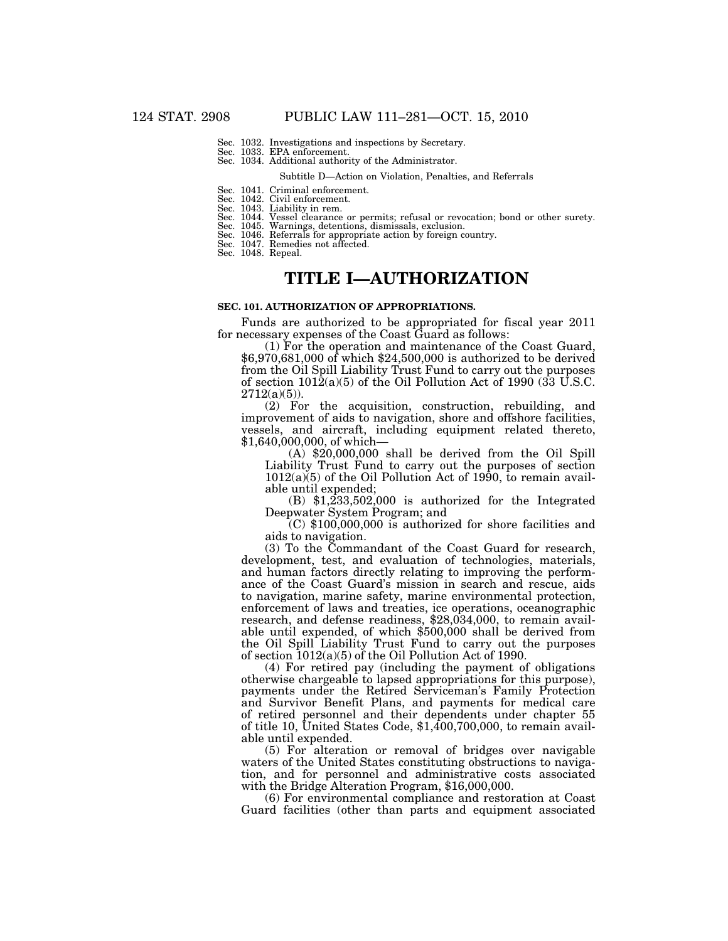- Sec. 1032. Investigations and inspections by Secretary.
- Sec. 1033. EPA enforcement.
- Sec. 1034. Additional authority of the Administrator.

#### Subtitle D—Action on Violation, Penalties, and Referrals

- 
- 
- 
- Sec. 1041. Criminal enforcement. Sec. 1042. Civil enforcement. Sec. 1043. Liability in rem. Sec. 1044. Vessel clearance or permits; refusal or revocation; bond or other surety.
- Sec. 1045. Warnings, detentions, dismissals, exclusion. Sec. 1046. Referrals for appropriate action by foreign country.
- 
- Sec. 1047. Remedies not affected.
- Sec. 1048. Repeal.

# **TITLE I—AUTHORIZATION**

#### **SEC. 101. AUTHORIZATION OF APPROPRIATIONS.**

Funds are authorized to be appropriated for fiscal year 2011 for necessary expenses of the Coast Guard as follows:

(1) For the operation and maintenance of the Coast Guard, \$6,970,681,000 of which \$24,500,000 is authorized to be derived from the Oil Spill Liability Trust Fund to carry out the purposes of section  $1012(a)(5)$  of the Oil Pollution Act of 1990 (33 U.S.C.  $2712(a)(5)$ ).

(2) For the acquisition, construction, rebuilding, and improvement of aids to navigation, shore and offshore facilities, vessels, and aircraft, including equipment related thereto, \$1,640,000,000, of which—

(A) \$20,000,000 shall be derived from the Oil Spill Liability Trust Fund to carry out the purposes of section  $1012(a)$ <sup>5</sup>) of the Oil Pollution Act of 1990, to remain available until expended;

(B) \$1,233,502,000 is authorized for the Integrated Deepwater System Program; and

(C) \$100,000,000 is authorized for shore facilities and aids to navigation.

(3) To the Commandant of the Coast Guard for research, development, test, and evaluation of technologies, materials, and human factors directly relating to improving the performance of the Coast Guard's mission in search and rescue, aids to navigation, marine safety, marine environmental protection, enforcement of laws and treaties, ice operations, oceanographic research, and defense readiness, \$28,034,000, to remain available until expended, of which \$500,000 shall be derived from the Oil Spill Liability Trust Fund to carry out the purposes of section 1012(a)(5) of the Oil Pollution Act of 1990.

(4) For retired pay (including the payment of obligations otherwise chargeable to lapsed appropriations for this purpose), payments under the Retired Serviceman's Family Protection and Survivor Benefit Plans, and payments for medical care of retired personnel and their dependents under chapter 55 of title 10, United States Code, \$1,400,700,000, to remain available until expended.

(5) For alteration or removal of bridges over navigable waters of the United States constituting obstructions to navigation, and for personnel and administrative costs associated with the Bridge Alteration Program, \$16,000,000.

(6) For environmental compliance and restoration at Coast Guard facilities (other than parts and equipment associated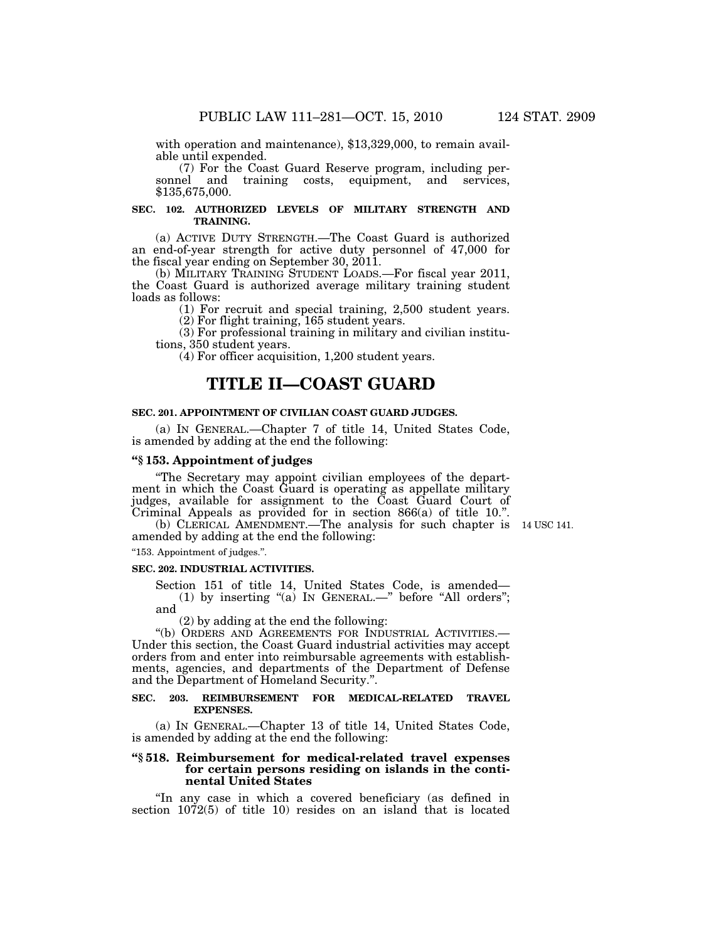with operation and maintenance), \$13,329,000, to remain available until expended.

(7) For the Coast Guard Reserve program, including personnel and training costs, equipment, and services, \$135,675,000.

## **SEC. 102. AUTHORIZED LEVELS OF MILITARY STRENGTH AND TRAINING.**

(a) ACTIVE DUTY STRENGTH.—The Coast Guard is authorized an end-of-year strength for active duty personnel of 47,000 for the fiscal year ending on September 30, 2011.

(b) MILITARY TRAINING STUDENT LOADS.—For fiscal year 2011, the Coast Guard is authorized average military training student loads as follows:

(1) For recruit and special training, 2,500 student years. (2) For flight training, 165 student years.

(3) For professional training in military and civilian institutions, 350 student years.

(4) For officer acquisition, 1,200 student years.

# **TITLE II—COAST GUARD**

#### **SEC. 201. APPOINTMENT OF CIVILIAN COAST GUARD JUDGES.**

(a) IN GENERAL.—Chapter 7 of title 14, United States Code, is amended by adding at the end the following:

#### **''§ 153. Appointment of judges**

''The Secretary may appoint civilian employees of the department in which the Coast Guard is operating as appellate military judges, available for assignment to the Coast Guard Court of Criminal Appeals as provided for in section 866(a) of title 10.''.

(b) CLERICAL AMENDMENT.—The analysis for such chapter is 14 USC 141. amended by adding at the end the following:

''153. Appointment of judges.''.

# **SEC. 202. INDUSTRIAL ACTIVITIES.**

Section 151 of title 14, United States Code, is amended— (1) by inserting " $(a)$  In GENERAL.—" before "All orders"; and

(2) by adding at the end the following:

''(b) ORDERS AND AGREEMENTS FOR INDUSTRIAL ACTIVITIES.— Under this section, the Coast Guard industrial activities may accept orders from and enter into reimbursable agreements with establishments, agencies, and departments of the Department of Defense and the Department of Homeland Security.''.

#### **SEC. 203. REIMBURSEMENT FOR MEDICAL-RELATED TRAVEL EXPENSES.**

(a) IN GENERAL.—Chapter 13 of title 14, United States Code, is amended by adding at the end the following:

# **''§ 518. Reimbursement for medical-related travel expenses for certain persons residing on islands in the continental United States**

''In any case in which a covered beneficiary (as defined in section 1072(5) of title 10) resides on an island that is located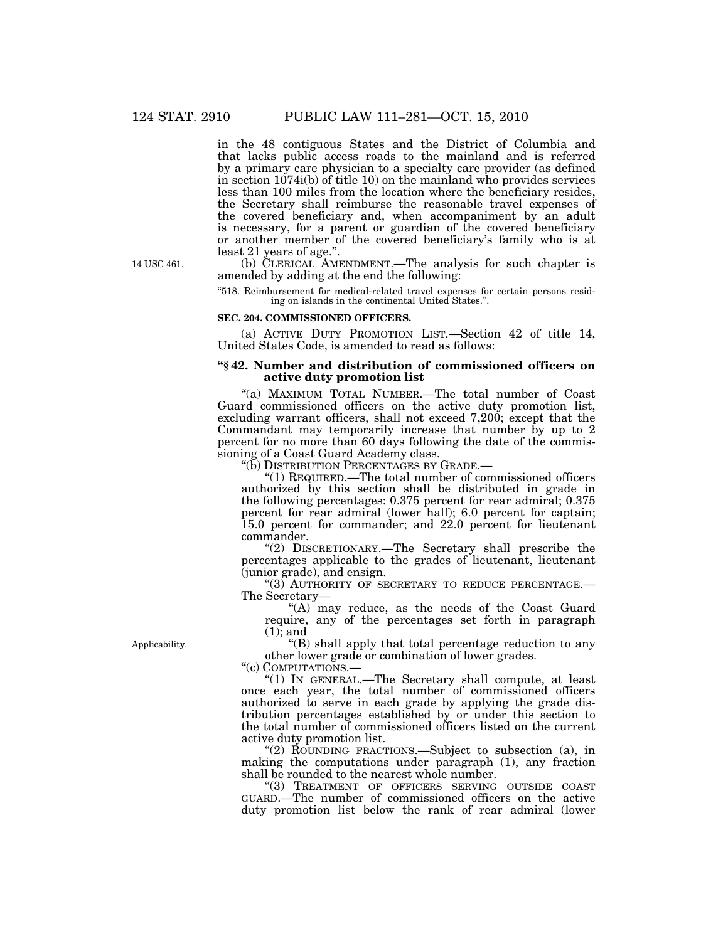in the 48 contiguous States and the District of Columbia and that lacks public access roads to the mainland and is referred by a primary care physician to a specialty care provider (as defined in section 1074i(b) of title 10) on the mainland who provides services less than 100 miles from the location where the beneficiary resides, the Secretary shall reimburse the reasonable travel expenses of the covered beneficiary and, when accompaniment by an adult is necessary, for a parent or guardian of the covered beneficiary or another member of the covered beneficiary's family who is at least 21 years of age.''.

14 USC 461.

(b) CLERICAL AMENDMENT.—The analysis for such chapter is amended by adding at the end the following:

''518. Reimbursement for medical-related travel expenses for certain persons residing on islands in the continental United States.''.

#### **SEC. 204. COMMISSIONED OFFICERS.**

(a) ACTIVE DUTY PROMOTION LIST.—Section 42 of title 14, United States Code, is amended to read as follows:

# **''§ 42. Number and distribution of commissioned officers on active duty promotion list**

''(a) MAXIMUM TOTAL NUMBER.—The total number of Coast Guard commissioned officers on the active duty promotion list, excluding warrant officers, shall not exceed 7,200; except that the Commandant may temporarily increase that number by up to 2 percent for no more than 60 days following the date of the commissioning of a Coast Guard Academy class.

''(b) DISTRIBUTION PERCENTAGES BY GRADE.—

''(1) REQUIRED.—The total number of commissioned officers authorized by this section shall be distributed in grade in the following percentages: 0.375 percent for rear admiral; 0.375 percent for rear admiral (lower half); 6.0 percent for captain; 15.0 percent for commander; and 22.0 percent for lieutenant commander.

''(2) DISCRETIONARY.—The Secretary shall prescribe the percentages applicable to the grades of lieutenant, lieutenant (junior grade), and ensign.

"(3) AUTHORITY OF SECRETARY TO REDUCE PERCENTAGE.-The Secretary—

''(A) may reduce, as the needs of the Coast Guard require, any of the percentages set forth in paragraph (1); and

''(B) shall apply that total percentage reduction to any other lower grade or combination of lower grades.

''(c) COMPUTATIONS.—

"(1) IN GENERAL.—The Secretary shall compute, at least once each year, the total number of commissioned officers authorized to serve in each grade by applying the grade distribution percentages established by or under this section to the total number of commissioned officers listed on the current active duty promotion list.

"(2) ROUNDING FRACTIONS.—Subject to subsection (a), in making the computations under paragraph (1), any fraction shall be rounded to the nearest whole number.

''(3) TREATMENT OF OFFICERS SERVING OUTSIDE COAST GUARD.—The number of commissioned officers on the active duty promotion list below the rank of rear admiral (lower

Applicability.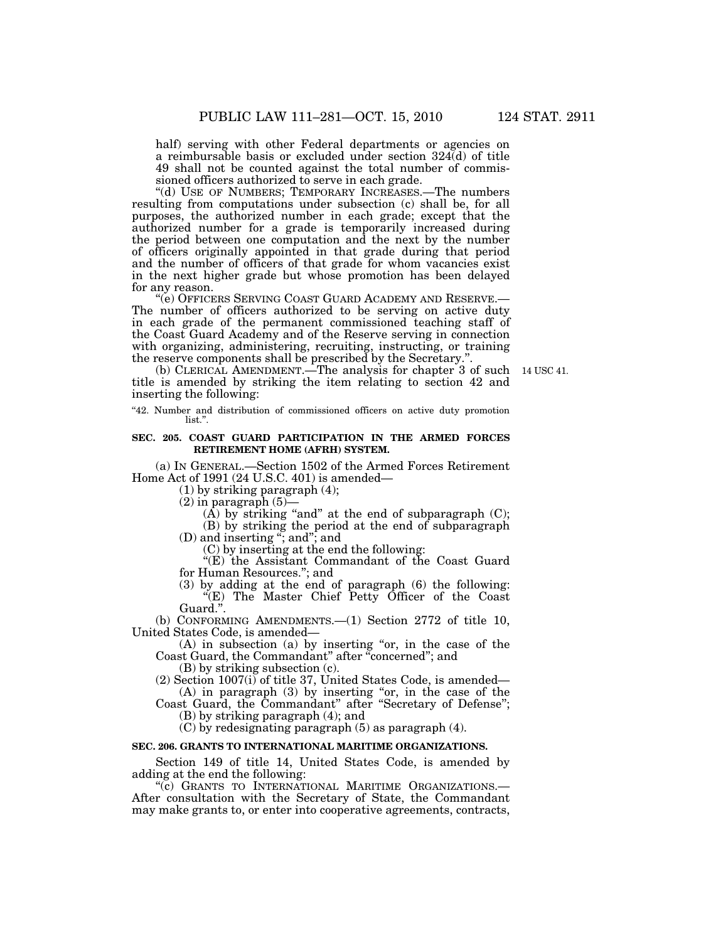half) serving with other Federal departments or agencies on a reimbursable basis or excluded under section 324(d) of title 49 shall not be counted against the total number of commissioned officers authorized to serve in each grade.

''(d) USE OF NUMBERS; TEMPORARY INCREASES.—The numbers resulting from computations under subsection (c) shall be, for all purposes, the authorized number in each grade; except that the authorized number for a grade is temporarily increased during the period between one computation and the next by the number of officers originally appointed in that grade during that period and the number of officers of that grade for whom vacancies exist in the next higher grade but whose promotion has been delayed for any reason.<br>"(e) OFFICERS SERVING COAST GUARD ACADEMY AND RESERVE.—

The number of officers authorized to be serving on active duty in each grade of the permanent commissioned teaching staff of the Coast Guard Academy and of the Reserve serving in connection with organizing, administering, recruiting, instructing, or training the reserve components shall be prescribed by the Secretary.''.

(b) CLERICAL AMENDMENT.—The analysis for chapter 3 of such 14 USC 41. title is amended by striking the item relating to section 42 and inserting the following:

"42. Number and distribution of commissioned officers on active duty promotion list.''.

# **SEC. 205. COAST GUARD PARTICIPATION IN THE ARMED FORCES RETIREMENT HOME (AFRH) SYSTEM.**

(a) IN GENERAL.—Section 1502 of the Armed Forces Retirement Home Act of 1991 (24 U.S.C. 401) is amended—

(1) by striking paragraph (4);

 $(2)$  in paragraph  $(5)$ —

(A) by striking "and" at the end of subparagraph  $(C)$ ;

(B) by striking the period at the end of subparagraph (D) and inserting "; and"; and

(C) by inserting at the end the following:

''(E) the Assistant Commandant of the Coast Guard for Human Resources.''; and

(3) by adding at the end of paragraph (6) the following: ''(E) The Master Chief Petty Officer of the Coast Guard.''.

(b) CONFORMING AMENDMENTS.—(1) Section 2772 of title 10, United States Code, is amended—

(A) in subsection (a) by inserting ''or, in the case of the Coast Guard, the Commandant'' after ''concerned''; and

(B) by striking subsection (c).

(2) Section 1007(i) of title 37, United States Code, is amended— (A) in paragraph (3) by inserting ''or, in the case of the

Coast Guard, the Commandant'' after ''Secretary of Defense''; (B) by striking paragraph (4); and

(C) by redesignating paragraph (5) as paragraph (4).

# **SEC. 206. GRANTS TO INTERNATIONAL MARITIME ORGANIZATIONS.**

Section 149 of title 14, United States Code, is amended by adding at the end the following:

"(c) GRANTS TO INTERNATIONAL MARITIME ORGANIZATIONS.— After consultation with the Secretary of State, the Commandant may make grants to, or enter into cooperative agreements, contracts,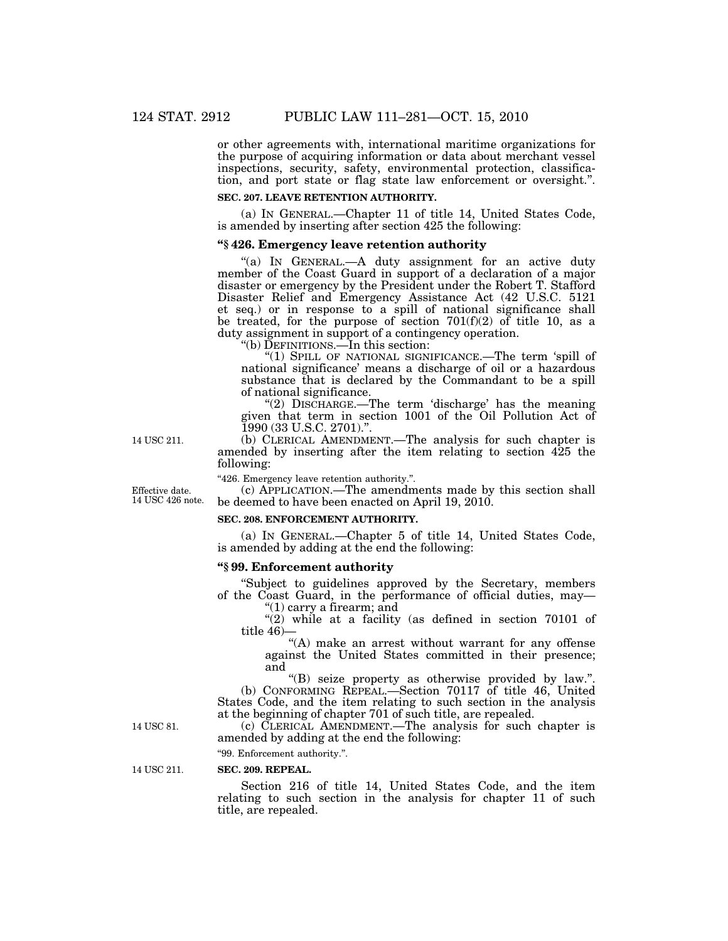or other agreements with, international maritime organizations for the purpose of acquiring information or data about merchant vessel inspections, security, safety, environmental protection, classification, and port state or flag state law enforcement or oversight.''.

# **SEC. 207. LEAVE RETENTION AUTHORITY.**

(a) IN GENERAL.—Chapter 11 of title 14, United States Code, is amended by inserting after section 425 the following:

# **''§ 426. Emergency leave retention authority**

"(a) IN GENERAL.—A duty assignment for an active duty member of the Coast Guard in support of a declaration of a major disaster or emergency by the President under the Robert T. Stafford Disaster Relief and Emergency Assistance Act (42 U.S.C. 5121 et seq.) or in response to a spill of national significance shall be treated, for the purpose of section  $701(f)(2)$  of title 10, as a duty assignment in support of a contingency operation.

''(b) DEFINITIONS.—In this section:

"(1) SPILL OF NATIONAL SIGNIFICANCE.—The term 'spill of national significance' means a discharge of oil or a hazardous substance that is declared by the Commandant to be a spill of national significance.

"(2) DISCHARGE.—The term 'discharge' has the meaning given that term in section 1001 of the Oil Pollution Act of 1990 (33 U.S.C. 2701).''.

14 USC 211.

(b) CLERICAL AMENDMENT.—The analysis for such chapter is amended by inserting after the item relating to section 425 the following:

"426. Emergency leave retention authority.".

(c) APPLICATION.—The amendments made by this section shall be deemed to have been enacted on April 19, 2010.

#### **SEC. 208. ENFORCEMENT AUTHORITY.**

(a) IN GENERAL.—Chapter 5 of title 14, United States Code, is amended by adding at the end the following:

#### **''§ 99. Enforcement authority**

''Subject to guidelines approved by the Secretary, members of the Coast Guard, in the performance of official duties, may—

''(1) carry a firearm; and

"(2) while at a facility (as defined in section 70101 of title 46)

"(A) make an arrest without warrant for any offense against the United States committed in their presence; and

''(B) seize property as otherwise provided by law.''.

(b) CONFORMING REPEAL.—Section 70117 of title 46, United States Code, and the item relating to such section in the analysis at the beginning of chapter 701 of such title, are repealed.

(c) CLERICAL AMENDMENT.—The analysis for such chapter is amended by adding at the end the following:

''99. Enforcement authority.''.

14 USC 211.

14 USC 81.

# **SEC. 209. REPEAL.**

Section 216 of title 14, United States Code, and the item relating to such section in the analysis for chapter 11 of such title, are repealed.

Effective date. 14 USC 426 note.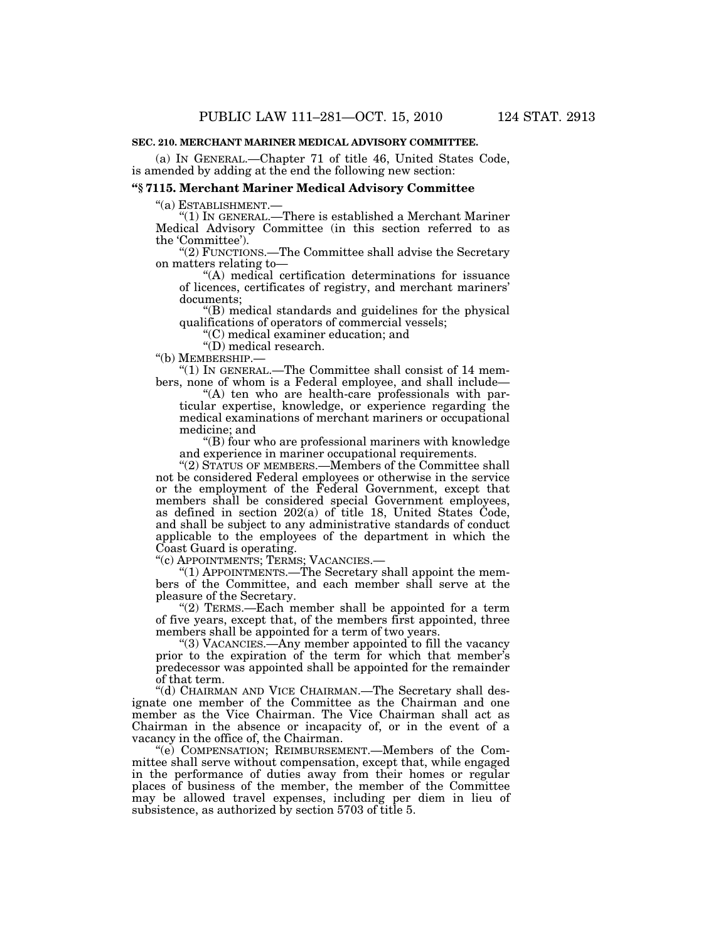## **SEC. 210. MERCHANT MARINER MEDICAL ADVISORY COMMITTEE.**

(a) IN GENERAL.—Chapter 71 of title 46, United States Code, is amended by adding at the end the following new section:

# **''§ 7115. Merchant Mariner Medical Advisory Committee**

''(a) ESTABLISHMENT.— ''(1) IN GENERAL.—There is established a Merchant Mariner Medical Advisory Committee (in this section referred to as the 'Committee').

''(2) FUNCTIONS.—The Committee shall advise the Secretary on matters relating to—

''(A) medical certification determinations for issuance of licences, certificates of registry, and merchant mariners' documents;

''(B) medical standards and guidelines for the physical qualifications of operators of commercial vessels;

''(C) medical examiner education; and

"(D) medical research.

''(b) MEMBERSHIP.—

''(1) IN GENERAL.—The Committee shall consist of 14 members, none of whom is a Federal employee, and shall include—

''(A) ten who are health-care professionals with particular expertise, knowledge, or experience regarding the medical examinations of merchant mariners or occupational medicine; and

''(B) four who are professional mariners with knowledge and experience in mariner occupational requirements.

"(2) STATUS OF MEMBERS.—Members of the Committee shall not be considered Federal employees or otherwise in the service or the employment of the Federal Government, except that members shall be considered special Government employees, as defined in section 202(a) of title 18, United States Code, and shall be subject to any administrative standards of conduct applicable to the employees of the department in which the Coast Guard is operating.

''(c) APPOINTMENTS; TERMS; VACANCIES.—

"(1) APPOINTMENTS.—The Secretary shall appoint the members of the Committee, and each member shall serve at the pleasure of the Secretary.

"(2) TERMS.—Each member shall be appointed for a term of five years, except that, of the members first appointed, three members shall be appointed for a term of two years.

''(3) VACANCIES.—Any member appointed to fill the vacancy prior to the expiration of the term for which that member's predecessor was appointed shall be appointed for the remainder of that term.

''(d) CHAIRMAN AND VICE CHAIRMAN.—The Secretary shall designate one member of the Committee as the Chairman and one member as the Vice Chairman. The Vice Chairman shall act as Chairman in the absence or incapacity of, or in the event of a vacancy in the office of, the Chairman.

''(e) COMPENSATION; REIMBURSEMENT.—Members of the Committee shall serve without compensation, except that, while engaged in the performance of duties away from their homes or regular places of business of the member, the member of the Committee may be allowed travel expenses, including per diem in lieu of subsistence, as authorized by section 5703 of title 5.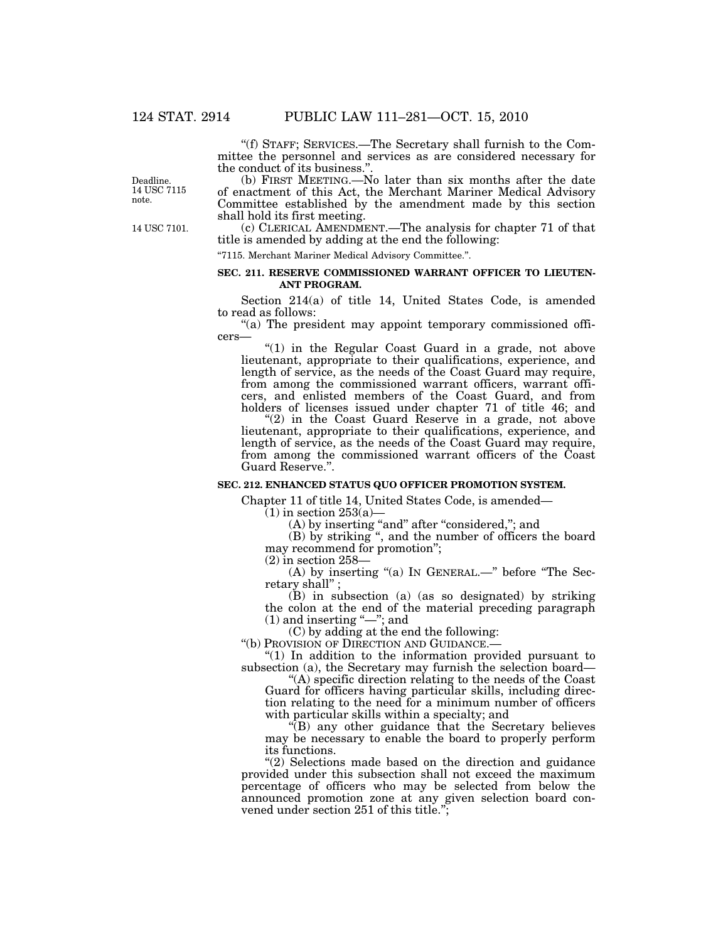''(f) STAFF; SERVICES.—The Secretary shall furnish to the Committee the personnel and services as are considered necessary for the conduct of its business."

Deadline. 14 USC 7115 note.

14 USC 7101.

(b) FIRST MEETING.—No later than six months after the date of enactment of this Act, the Merchant Mariner Medical Advisory Committee established by the amendment made by this section shall hold its first meeting.

(c) CLERICAL AMENDMENT.—The analysis for chapter 71 of that title is amended by adding at the end the following:

''7115. Merchant Mariner Medical Advisory Committee.''.

#### **SEC. 211. RESERVE COMMISSIONED WARRANT OFFICER TO LIEUTEN-ANT PROGRAM.**

Section 214(a) of title 14, United States Code, is amended to read as follows:

"(a) The president may appoint temporary commissioned officers—

" $(1)$  in the Regular Coast Guard in a grade, not above lieutenant, appropriate to their qualifications, experience, and length of service, as the needs of the Coast Guard may require, from among the commissioned warrant officers, warrant officers, and enlisted members of the Coast Guard, and from holders of licenses issued under chapter 71 of title 46; and

"(2) in the Coast Guard Reserve in a grade, not above lieutenant, appropriate to their qualifications, experience, and length of service, as the needs of the Coast Guard may require, from among the commissioned warrant officers of the Coast Guard Reserve.''.

#### **SEC. 212. ENHANCED STATUS QUO OFFICER PROMOTION SYSTEM.**

Chapter 11 of title 14, United States Code, is amended—

 $(1)$  in section 253(a)-

(A) by inserting "and" after "considered,"; and

(B) by striking '', and the number of officers the board may recommend for promotion'';

 $(2)$  in section 258–

(A) by inserting "(a) In GENERAL.—" before "The Secretary shall'' ;

(B) in subsection (a) (as so designated) by striking the colon at the end of the material preceding paragraph

 $(1)$  and inserting "—"; and

(C) by adding at the end the following:

''(b) PROVISION OF DIRECTION AND GUIDANCE.—

" $(1)$  In addition to the information provided pursuant to subsection (a), the Secretary may furnish the selection board—

''(A) specific direction relating to the needs of the Coast Guard for officers having particular skills, including direction relating to the need for a minimum number of officers with particular skills within a specialty; and

''(B) any other guidance that the Secretary believes may be necessary to enable the board to properly perform its functions.

''(2) Selections made based on the direction and guidance provided under this subsection shall not exceed the maximum percentage of officers who may be selected from below the announced promotion zone at any given selection board convened under section 251 of this title.'';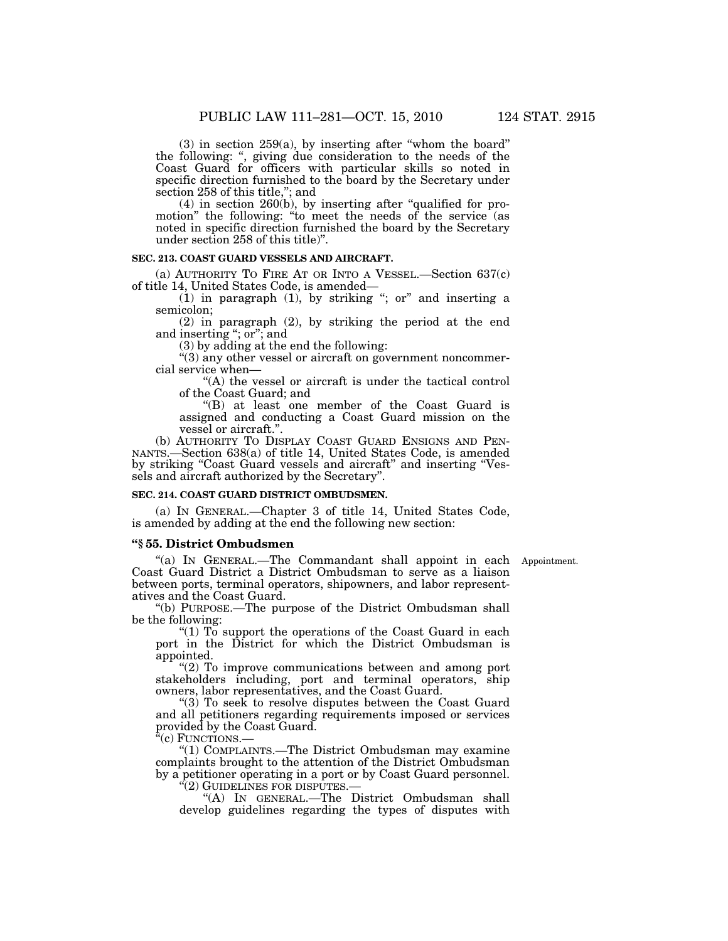(3) in section 259(a), by inserting after ''whom the board'' the following: '', giving due consideration to the needs of the Coast Guard for officers with particular skills so noted in specific direction furnished to the board by the Secretary under section 258 of this title,''; and

(4) in section 260(b), by inserting after ''qualified for promotion" the following: "to meet the needs of the service (as noted in specific direction furnished the board by the Secretary under section 258 of this title)''.

# **SEC. 213. COAST GUARD VESSELS AND AIRCRAFT.**

(a) AUTHORITY TO FIRE AT OR INTO A VESSEL.—Section 637(c) of title 14, United States Code, is amended—

 $(1)$  in paragraph  $(1)$ , by striking "; or" and inserting a semicolon;

(2) in paragraph (2), by striking the period at the end and inserting ''; or''; and

(3) by adding at the end the following:

''(3) any other vessel or aircraft on government noncommercial service when—

''(A) the vessel or aircraft is under the tactical control of the Coast Guard; and

''(B) at least one member of the Coast Guard is assigned and conducting a Coast Guard mission on the vessel or aircraft.''.

(b) AUTHORITY TO DISPLAY COAST GUARD ENSIGNS AND PEN-NANTS.—Section 638(a) of title 14, United States Code, is amended by striking "Coast Guard vessels and aircraft" and inserting "Vessels and aircraft authorized by the Secretary''.

#### **SEC. 214. COAST GUARD DISTRICT OMBUDSMEN.**

(a) IN GENERAL.—Chapter 3 of title 14, United States Code, is amended by adding at the end the following new section:

## **''§ 55. District Ombudsmen**

"(a) IN GENERAL.—The Commandant shall appoint in each Appointment. Coast Guard District a District Ombudsman to serve as a liaison between ports, terminal operators, shipowners, and labor representatives and the Coast Guard.

''(b) PURPOSE.—The purpose of the District Ombudsman shall be the following:

"(1)  $T_0$  support the operations of the Coast Guard in each port in the District for which the District Ombudsman is appointed.

"(2) To improve communications between and among port stakeholders including, port and terminal operators, ship owners, labor representatives, and the Coast Guard.

''(3) To seek to resolve disputes between the Coast Guard and all petitioners regarding requirements imposed or services provided by the Coast Guard.

''(c) FUNCTIONS.— ''(1) COMPLAINTS.—The District Ombudsman may examine complaints brought to the attention of the District Ombudsman by a petitioner operating in a port or by Coast Guard personnel.<br>"(2) GUIDELINES FOR DISPUTES.—

"(A) IN GENERAL.—The District Ombudsman shall develop guidelines regarding the types of disputes with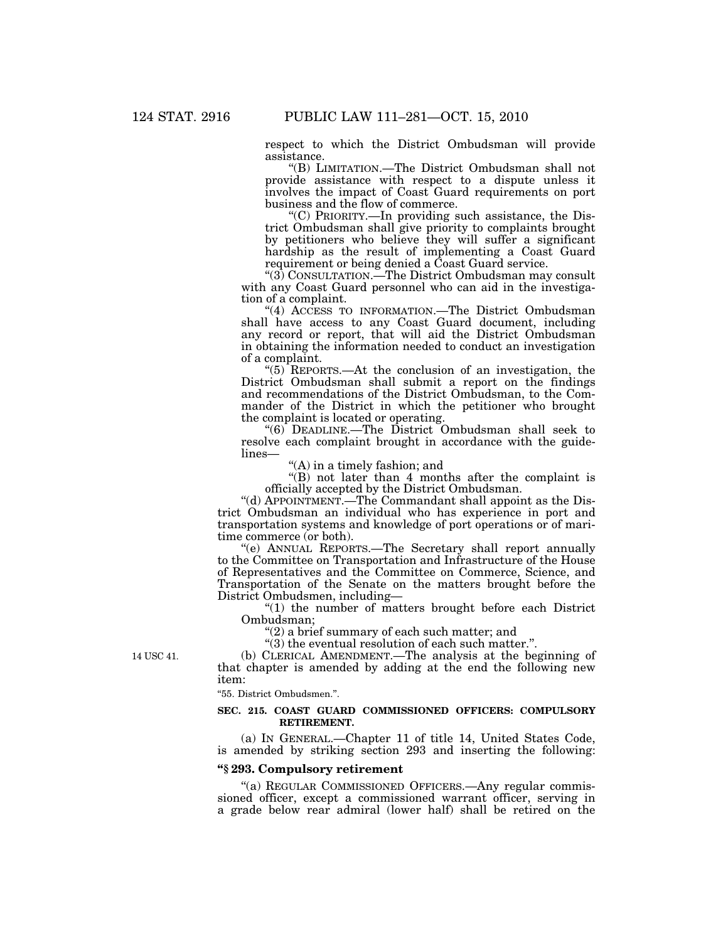respect to which the District Ombudsman will provide assistance.

''(B) LIMITATION.—The District Ombudsman shall not provide assistance with respect to a dispute unless it involves the impact of Coast Guard requirements on port business and the flow of commerce.

''(C) PRIORITY.—In providing such assistance, the District Ombudsman shall give priority to complaints brought by petitioners who believe they will suffer a significant hardship as the result of implementing a Coast Guard requirement or being denied a Coast Guard service.

''(3) CONSULTATION.—The District Ombudsman may consult with any Coast Guard personnel who can aid in the investigation of a complaint.

''(4) ACCESS TO INFORMATION.—The District Ombudsman shall have access to any Coast Guard document, including any record or report, that will aid the District Ombudsman in obtaining the information needed to conduct an investigation of a complaint.

''(5) REPORTS.—At the conclusion of an investigation, the District Ombudsman shall submit a report on the findings and recommendations of the District Ombudsman, to the Commander of the District in which the petitioner who brought the complaint is located or operating.

''(6) DEADLINE.—The District Ombudsman shall seek to resolve each complaint brought in accordance with the guidelines—

''(A) in a timely fashion; and

''(B) not later than 4 months after the complaint is officially accepted by the District Ombudsman.

''(d) APPOINTMENT.—The Commandant shall appoint as the District Ombudsman an individual who has experience in port and transportation systems and knowledge of port operations or of maritime commerce (or both).

''(e) ANNUAL REPORTS.—The Secretary shall report annually to the Committee on Transportation and Infrastructure of the House of Representatives and the Committee on Commerce, Science, and Transportation of the Senate on the matters brought before the District Ombudsmen, including—

"(1) the number of matters brought before each District Ombudsman;

 $''(2)$  a brief summary of each such matter; and

''(3) the eventual resolution of each such matter.''.

(b) CLERICAL AMENDMENT.—The analysis at the beginning of that chapter is amended by adding at the end the following new item:

''55. District Ombudsmen.''.

#### **SEC. 215. COAST GUARD COMMISSIONED OFFICERS: COMPULSORY RETIREMENT.**

(a) IN GENERAL.—Chapter 11 of title 14, United States Code, is amended by striking section 293 and inserting the following:

#### **''§ 293. Compulsory retirement**

''(a) REGULAR COMMISSIONED OFFICERS.—Any regular commissioned officer, except a commissioned warrant officer, serving in a grade below rear admiral (lower half) shall be retired on the

14 USC 41.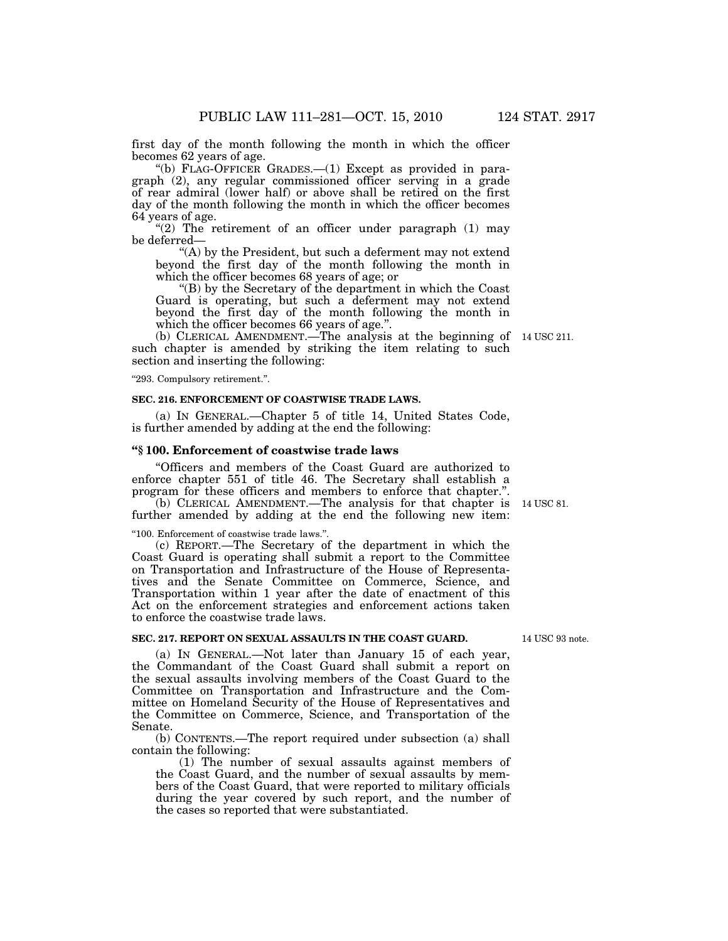first day of the month following the month in which the officer becomes 62 years of age.

''(b) FLAG-OFFICER GRADES.—(1) Except as provided in paragraph (2), any regular commissioned officer serving in a grade of rear admiral (lower half) or above shall be retired on the first day of the month following the month in which the officer becomes 64 years of age.

" $(2)$  The retirement of an officer under paragraph  $(1)$  may be deferred—

"(A) by the President, but such a deferment may not extend beyond the first day of the month following the month in which the officer becomes 68 years of age; or

''(B) by the Secretary of the department in which the Coast Guard is operating, but such a deferment may not extend beyond the first day of the month following the month in which the officer becomes 66 years of age.''.

(b) CLERICAL AMENDMENT.—The analysis at the beginning of 14 USC 211. such chapter is amended by striking the item relating to such section and inserting the following:

''293. Compulsory retirement.''.

## **SEC. 216. ENFORCEMENT OF COASTWISE TRADE LAWS.**

(a) IN GENERAL.—Chapter 5 of title 14, United States Code, is further amended by adding at the end the following:

# **''§ 100. Enforcement of coastwise trade laws**

''Officers and members of the Coast Guard are authorized to enforce chapter 551 of title 46. The Secretary shall establish a program for these officers and members to enforce that chapter.''.

(b) CLERICAL AMENDMENT.—The analysis for that chapter is 14 USC 81. further amended by adding at the end the following new item:

''100. Enforcement of coastwise trade laws.''.

(c) REPORT.—The Secretary of the department in which the Coast Guard is operating shall submit a report to the Committee on Transportation and Infrastructure of the House of Representatives and the Senate Committee on Commerce, Science, and Transportation within 1 year after the date of enactment of this Act on the enforcement strategies and enforcement actions taken to enforce the coastwise trade laws.

# **SEC. 217. REPORT ON SEXUAL ASSAULTS IN THE COAST GUARD.**

(a) IN GENERAL.—Not later than January 15 of each year, the Commandant of the Coast Guard shall submit a report on the sexual assaults involving members of the Coast Guard to the Committee on Transportation and Infrastructure and the Committee on Homeland Security of the House of Representatives and the Committee on Commerce, Science, and Transportation of the Senate.

(b) CONTENTS.—The report required under subsection (a) shall contain the following:

(1) The number of sexual assaults against members of the Coast Guard, and the number of sexual assaults by members of the Coast Guard, that were reported to military officials during the year covered by such report, and the number of the cases so reported that were substantiated.

 $14$  USC 93 note.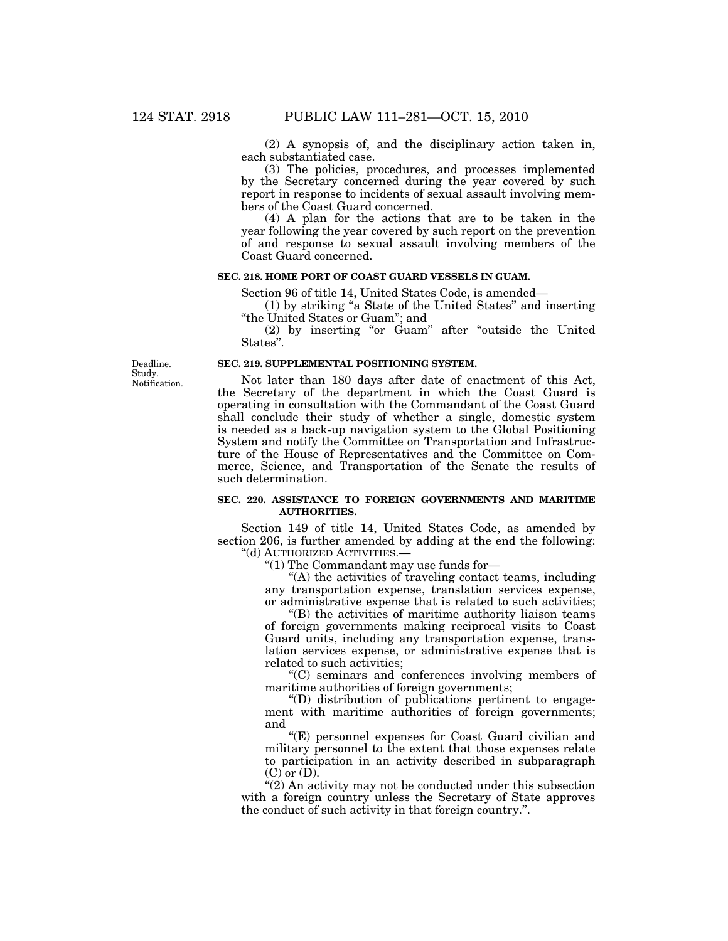(2) A synopsis of, and the disciplinary action taken in, each substantiated case.

(3) The policies, procedures, and processes implemented by the Secretary concerned during the year covered by such report in response to incidents of sexual assault involving members of the Coast Guard concerned.

(4) A plan for the actions that are to be taken in the year following the year covered by such report on the prevention of and response to sexual assault involving members of the Coast Guard concerned.

## **SEC. 218. HOME PORT OF COAST GUARD VESSELS IN GUAM.**

Section 96 of title 14, United States Code, is amended—

(1) by striking ''a State of the United States'' and inserting ''the United States or Guam''; and

(2) by inserting ''or Guam'' after ''outside the United States''.

#### **SEC. 219. SUPPLEMENTAL POSITIONING SYSTEM.**

Deadline. Study. Notification.

Not later than 180 days after date of enactment of this Act, the Secretary of the department in which the Coast Guard is operating in consultation with the Commandant of the Coast Guard shall conclude their study of whether a single, domestic system is needed as a back-up navigation system to the Global Positioning System and notify the Committee on Transportation and Infrastructure of the House of Representatives and the Committee on Commerce, Science, and Transportation of the Senate the results of such determination.

## **SEC. 220. ASSISTANCE TO FOREIGN GOVERNMENTS AND MARITIME AUTHORITIES.**

Section 149 of title 14, United States Code, as amended by section 206, is further amended by adding at the end the following: ''(d) AUTHORIZED ACTIVITIES.—

''(1) The Commandant may use funds for—

''(A) the activities of traveling contact teams, including any transportation expense, translation services expense, or administrative expense that is related to such activities;

''(B) the activities of maritime authority liaison teams of foreign governments making reciprocal visits to Coast Guard units, including any transportation expense, translation services expense, or administrative expense that is related to such activities;

''(C) seminars and conferences involving members of maritime authorities of foreign governments;

''(D) distribution of publications pertinent to engagement with maritime authorities of foreign governments; and

''(E) personnel expenses for Coast Guard civilian and military personnel to the extent that those expenses relate to participation in an activity described in subparagraph  $(C)$  or  $(D)$ .

''(2) An activity may not be conducted under this subsection with a foreign country unless the Secretary of State approves the conduct of such activity in that foreign country.''.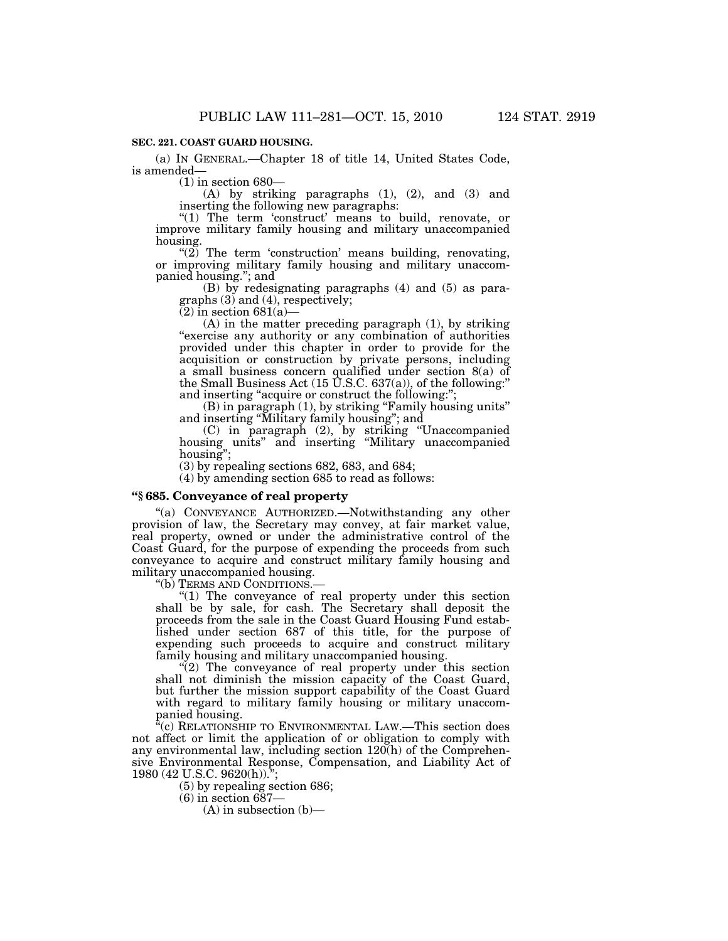# **SEC. 221. COAST GUARD HOUSING.**

(a) IN GENERAL.—Chapter 18 of title 14, United States Code, is amended—

 $(1)$  in section 680—

(A) by striking paragraphs (1), (2), and (3) and inserting the following new paragraphs:

''(1) The term 'construct' means to build, renovate, or improve military family housing and military unaccompanied housing.

" $(2)$  The term 'construction' means building, renovating, or improving military family housing and military unaccompanied housing.''; and

(B) by redesignating paragraphs (4) and (5) as paragraphs (3) and (4), respectively;

 $(2)$  in section 681(a)-

(A) in the matter preceding paragraph (1), by striking "exercise any authority or any combination of authorities provided under this chapter in order to provide for the acquisition or construction by private persons, including a small business concern qualified under section 8(a) of the Small Business Act  $(15 \text{ U.S.C. } 637(a))$ , of the following:" and inserting "acquire or construct the following:";

(B) in paragraph (1), by striking ''Family housing units'' and inserting ''Military family housing''; and

(C) in paragraph (2), by striking ''Unaccompanied housing units'' and inserting ''Military unaccompanied housing'';

(3) by repealing sections 682, 683, and 684;

(4) by amending section 685 to read as follows:

#### **''§ 685. Conveyance of real property**

''(a) CONVEYANCE AUTHORIZED.—Notwithstanding any other provision of law, the Secretary may convey, at fair market value, real property, owned or under the administrative control of the Coast Guard, for the purpose of expending the proceeds from such conveyance to acquire and construct military family housing and military unaccompanied housing.

''(b) TERMS AND CONDITIONS.—

"(1) The conveyance of real property under this section shall be by sale, for cash. The Secretary shall deposit the proceeds from the sale in the Coast Guard Housing Fund established under section 687 of this title, for the purpose of expending such proceeds to acquire and construct military family housing and military unaccompanied housing.

" $(2)$  The conveyance of real property under this section shall not diminish the mission capacity of the Coast Guard, but further the mission support capability of the Coast Guard with regard to military family housing or military unaccompanied housing.

'(c) RELATIONSHIP TO ENVIRONMENTAL LAW.—This section does not affect or limit the application of or obligation to comply with any environmental law, including section 120(h) of the Comprehensive Environmental Response, Compensation, and Liability Act of 1980 (42 U.S.C. 9620(h)).'';

(5) by repealing section 686;

(6) in section 687—

 $(A)$  in subsection  $(b)$ —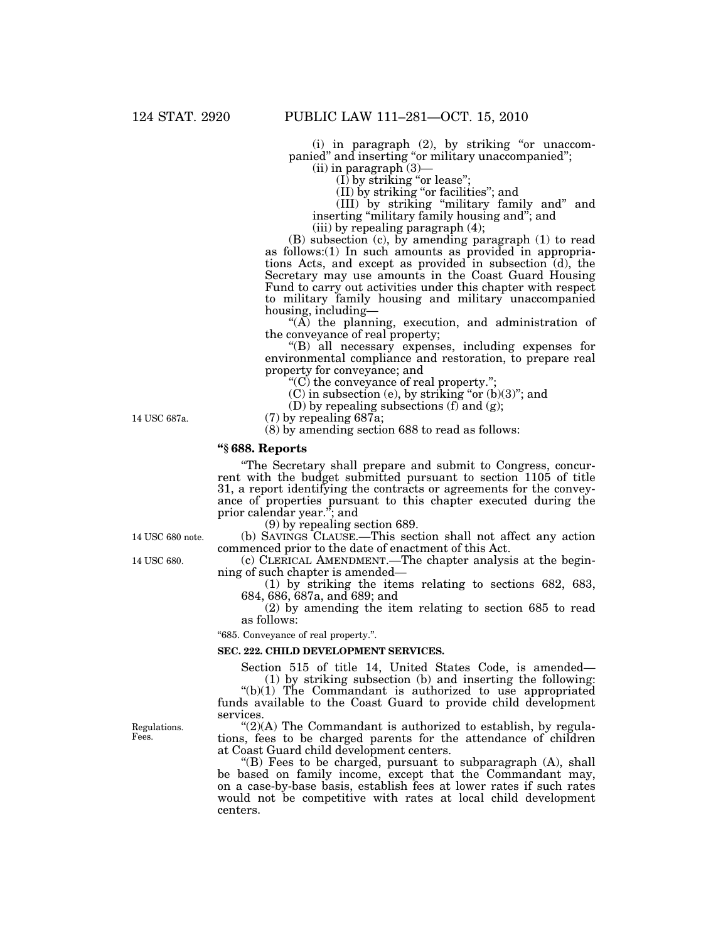(i) in paragraph (2), by striking ''or unaccompanied'' and inserting ''or military unaccompanied'';

 $(ii)$  in paragraph  $(3)$ —

(I) by striking "or lease";

(II) by striking ''or facilities''; and

(III) by striking ''military family and'' and inserting ''military family housing and''; and

(iii) by repealing paragraph (4);

(B) subsection (c), by amending paragraph (1) to read as follows:(1) In such amounts as provided in appropriations Acts, and except as provided in subsection (d), the Secretary may use amounts in the Coast Guard Housing Fund to carry out activities under this chapter with respect to military family housing and military unaccompanied housing, including—

 $(A)$  the planning, execution, and administration of the conveyance of real property;

''(B) all necessary expenses, including expenses for environmental compliance and restoration, to prepare real property for conveyance; and

" $(C)$  the conveyance of real property.";

 $(C)$  in subsection (e), by striking "or  $(b)(3)$ "; and

(D) by repealing subsections (f) and (g);

(7) by repealing 687a;

(8) by amending section 688 to read as follows:

# **''§ 688. Reports**

''The Secretary shall prepare and submit to Congress, concurrent with the budget submitted pursuant to section 1105 of title 31, a report identifying the contracts or agreements for the conveyance of properties pursuant to this chapter executed during the prior calendar year.''; and

 $(9)$  by repealing section 689.

(b) SAVINGS CLAUSE.—This section shall not affect any action commenced prior to the date of enactment of this Act.

(c) CLERICAL AMENDMENT.—The chapter analysis at the beginning of such chapter is amended—

(1) by striking the items relating to sections 682, 683, 684, 686, 687a, and 689; and

(2) by amending the item relating to section 685 to read as follows:

"685. Conveyance of real property.".

#### **SEC. 222. CHILD DEVELOPMENT SERVICES.**

Section 515 of title 14, United States Code, is amended—

(1) by striking subsection (b) and inserting the following:  $*(b)(1)$  The Commandant is authorized to use appropriated funds available to the Coast Guard to provide child development services.

 $\Gamma(2)(A)$  The Commandant is authorized to establish, by regulations, fees to be charged parents for the attendance of children at Coast Guard child development centers.

"(B) Fees to be charged, pursuant to subparagraph (A), shall be based on family income, except that the Commandant may, on a case-by-base basis, establish fees at lower rates if such rates would not be competitive with rates at local child development centers.

14 USC 687a.

14 USC 680.

14 USC 680 note.

Regulations. Fees.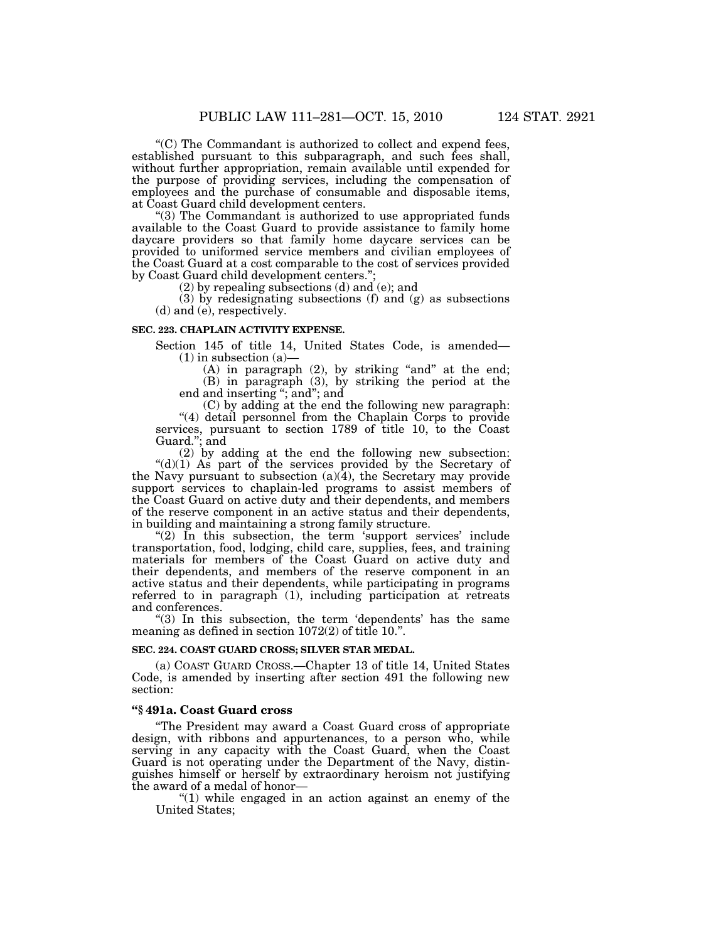"(C) The Commandant is authorized to collect and expend fees, established pursuant to this subparagraph, and such fees shall, without further appropriation, remain available until expended for the purpose of providing services, including the compensation of employees and the purchase of consumable and disposable items, at Coast Guard child development centers.

''(3) The Commandant is authorized to use appropriated funds available to the Coast Guard to provide assistance to family home daycare providers so that family home daycare services can be provided to uniformed service members and civilian employees of the Coast Guard at a cost comparable to the cost of services provided by Coast Guard child development centers."

(2) by repealing subsections (d) and (e); and

(3) by redesignating subsections (f) and (g) as subsections (d) and (e), respectively.

## **SEC. 223. CHAPLAIN ACTIVITY EXPENSE.**

Section 145 of title 14, United States Code, is amended—  $(1)$  in subsection  $(a)$ —

 $(A)$  in paragraph  $(2)$ , by striking "and" at the end;

(B) in paragraph (3), by striking the period at the end and inserting "; and"; and

(C) by adding at the end the following new paragraph: "(4) detail personnel from the Chaplain Corps to provide services, pursuant to section 1789 of title 10, to the Coast Guard.''; and

(2) by adding at the end the following new subsection: " $(d)(1)$  As part of the services provided by the Secretary of the Navy pursuant to subsection  $(a)(4)$ , the Secretary may provide support services to chaplain-led programs to assist members of the Coast Guard on active duty and their dependents, and members of the reserve component in an active status and their dependents, in building and maintaining a strong family structure.

"(2) In this subsection, the term 'support services' include transportation, food, lodging, child care, supplies, fees, and training materials for members of the Coast Guard on active duty and their dependents, and members of the reserve component in an active status and their dependents, while participating in programs referred to in paragraph (1), including participation at retreats and conferences.

"(3) In this subsection, the term 'dependents' has the same meaning as defined in section 1072(2) of title 10.''.

#### **SEC. 224. COAST GUARD CROSS; SILVER STAR MEDAL.**

(a) COAST GUARD CROSS.—Chapter 13 of title 14, United States Code, is amended by inserting after section 491 the following new section:

#### **''§ 491a. Coast Guard cross**

''The President may award a Coast Guard cross of appropriate design, with ribbons and appurtenances, to a person who, while serving in any capacity with the Coast Guard, when the Coast Guard is not operating under the Department of the Navy, distinguishes himself or herself by extraordinary heroism not justifying the award of a medal of honor—

" $(1)$  while engaged in an action against an enemy of the United States;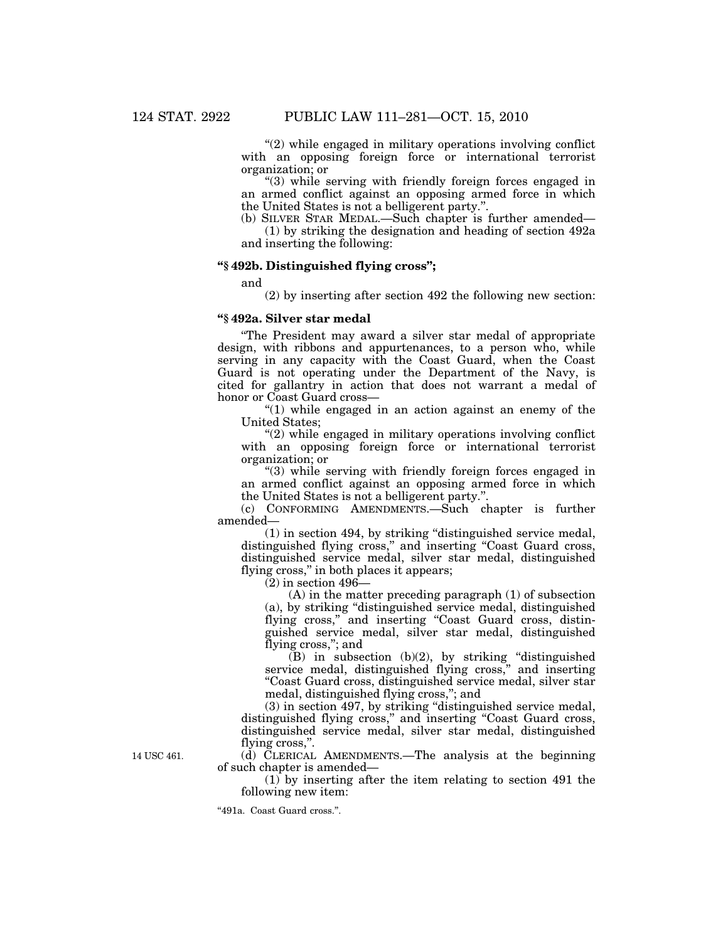"(2) while engaged in military operations involving conflict with an opposing foreign force or international terrorist organization; or

''(3) while serving with friendly foreign forces engaged in an armed conflict against an opposing armed force in which the United States is not a belligerent party.''.

(b) SILVER STAR MEDAL.—Such chapter is further amended— (1) by striking the designation and heading of section 492a and inserting the following:

#### **''§ 492b. Distinguished flying cross'';**

and

(2) by inserting after section 492 the following new section:

# **''§ 492a. Silver star medal**

''The President may award a silver star medal of appropriate design, with ribbons and appurtenances, to a person who, while serving in any capacity with the Coast Guard, when the Coast Guard is not operating under the Department of the Navy, is cited for gallantry in action that does not warrant a medal of honor or Coast Guard cross—

 $''(1)$  while engaged in an action against an enemy of the United States;

"(2) while engaged in military operations involving conflict with an opposing foreign force or international terrorist organization; or

''(3) while serving with friendly foreign forces engaged in an armed conflict against an opposing armed force in which the United States is not a belligerent party.''.

(c) CONFORMING AMENDMENTS.—Such chapter is further amended—

(1) in section 494, by striking ''distinguished service medal, distinguished flying cross," and inserting "Coast Guard cross, distinguished service medal, silver star medal, distinguished flying cross," in both places it appears;

 $(2)$  in section 496–

(A) in the matter preceding paragraph (1) of subsection (a), by striking ''distinguished service medal, distinguished flying cross,'' and inserting ''Coast Guard cross, distinguished service medal, silver star medal, distinguished flying cross,''; and

(B) in subsection (b)(2), by striking ''distinguished service medal, distinguished flying cross,'' and inserting ''Coast Guard cross, distinguished service medal, silver star medal, distinguished flying cross,''; and

(3) in section 497, by striking ''distinguished service medal, distinguished flying cross," and inserting "Coast Guard cross, distinguished service medal, silver star medal, distinguished flying cross,".

14 USC 461.

(d) CLERICAL AMENDMENTS.—The analysis at the beginning of such chapter is amended—

(1) by inserting after the item relating to section 491 the following new item:

''491a. Coast Guard cross.''.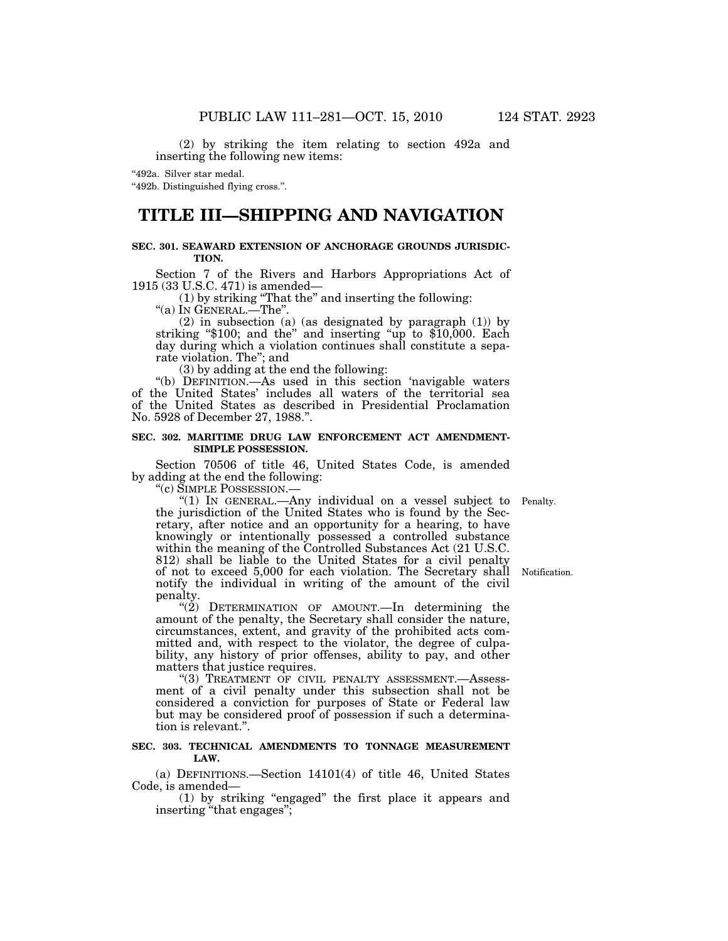(2) by striking the item relating to section 492a and inserting the following new items:

"492a. Silver star medal.

''492b. Distinguished flying cross.''.

# **TITLE III—SHIPPING AND NAVIGATION**

## **SEC. 301. SEAWARD EXTENSION OF ANCHORAGE GROUNDS JURISDIC-TION.**

Section 7 of the Rivers and Harbors Appropriations Act of 1915 (33 U.S.C. 471) is amended—

(1) by striking ''That the'' and inserting the following:

''(a) IN GENERAL.—The''.

(2) in subsection (a) (as designated by paragraph (1)) by striking ''\$100; and the'' and inserting ''up to \$10,000. Each day during which a violation continues shall constitute a separate violation. The''; and

(3) by adding at the end the following:

''(b) DEFINITION.—As used in this section 'navigable waters of the United States' includes all waters of the territorial sea of the United States as described in Presidential Proclamation No. 5928 of December 27, 1988.''.

## **SEC. 302. MARITIME DRUG LAW ENFORCEMENT ACT AMENDMENT-SIMPLE POSSESSION.**

Section 70506 of title 46, United States Code, is amended by adding at the end the following:

''(c) SIMPLE POSSESSION.—

"(1) In GENERAL.—Any individual on a vessel subject to Penalty. the jurisdiction of the United States who is found by the Secretary, after notice and an opportunity for a hearing, to have knowingly or intentionally possessed a controlled substance within the meaning of the Controlled Substances Act (21 U.S.C. 812) shall be liable to the United States for a civil penalty of not to exceed 5,000 for each violation. The Secretary shall notify the individual in writing of the amount of the civil penalty. Notification.

"(2) DETERMINATION OF AMOUNT.—In determining the amount of the penalty, the Secretary shall consider the nature, circumstances, extent, and gravity of the prohibited acts committed and, with respect to the violator, the degree of culpability, any history of prior offenses, ability to pay, and other matters that justice requires.

"(3) TREATMENT OF CIVIL PENALTY ASSESSMENT.- Assessment of a civil penalty under this subsection shall not be considered a conviction for purposes of State or Federal law but may be considered proof of possession if such a determination is relevant.''.

## **SEC. 303. TECHNICAL AMENDMENTS TO TONNAGE MEASUREMENT LAW.**

(a) DEFINITIONS.—Section 14101(4) of title 46, United States Code, is amended—

(1) by striking ''engaged'' the first place it appears and inserting "that engages";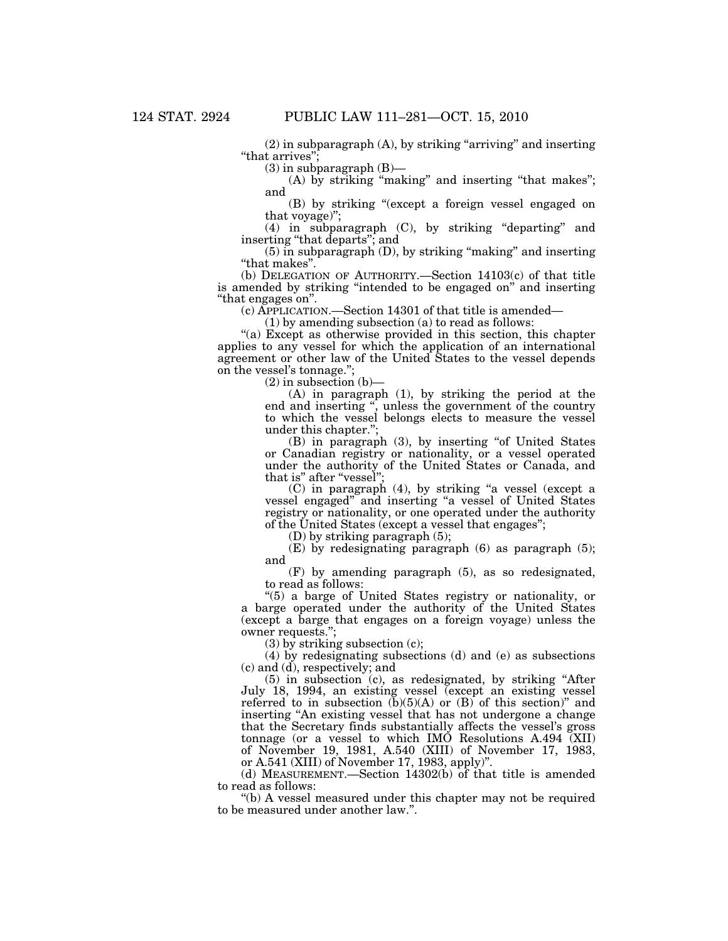$(2)$  in subparagraph  $(A)$ , by striking "arriving" and inserting ''that arrives'';

(3) in subparagraph (B)—

(A) by striking "making" and inserting "that makes"; and

(B) by striking ''(except a foreign vessel engaged on that voyage)'';

(4) in subparagraph (C), by striking ''departing'' and inserting ''that departs''; and

 $(5)$  in subparagraph  $(D)$ , by striking "making" and inserting ''that makes''.

(b) DELEGATION OF AUTHORITY.—Section 14103(c) of that title is amended by striking ''intended to be engaged on'' and inserting ''that engages on''.

(c) APPLICATION.—Section 14301 of that title is amended—

(1) by amending subsection (a) to read as follows:

"(a) Except as otherwise provided in this section, this chapter applies to any vessel for which the application of an international agreement or other law of the United States to the vessel depends on the vessel's tonnage.'';

 $(2)$  in subsection  $(b)$ –

(A) in paragraph (1), by striking the period at the end and inserting '', unless the government of the country to which the vessel belongs elects to measure the vessel under this chapter.'';

(B) in paragraph (3), by inserting ''of United States or Canadian registry or nationality, or a vessel operated under the authority of the United States or Canada, and that is'' after ''vessel'';

(C) in paragraph (4), by striking ''a vessel (except a vessel engaged'' and inserting ''a vessel of United States registry or nationality, or one operated under the authority of the United States (except a vessel that engages'';

(D) by striking paragraph (5);

(E) by redesignating paragraph (6) as paragraph (5); and

(F) by amending paragraph (5), as so redesignated, to read as follows:

''(5) a barge of United States registry or nationality, or a barge operated under the authority of the United States (except a barge that engages on a foreign voyage) unless the owner requests.'';

(3) by striking subsection (c);

(4) by redesignating subsections (d) and (e) as subsections (c) and (d), respectively; and

(5) in subsection (c), as redesignated, by striking ''After July 18, 1994, an existing vessel (except an existing vessel referred to in subsection  $(b)(5)(A)$  or  $(B)$  of this section)" and inserting ''An existing vessel that has not undergone a change that the Secretary finds substantially affects the vessel's gross tonnage (or a vessel to which IMO Resolutions A.494 (XII) of November 19, 1981, A.540 (XIII) of November 17, 1983, or A.541 (XIII) of November 17, 1983, apply)''.

(d) MEASUREMENT.—Section 14302(b) of that title is amended to read as follows:

''(b) A vessel measured under this chapter may not be required to be measured under another law.''.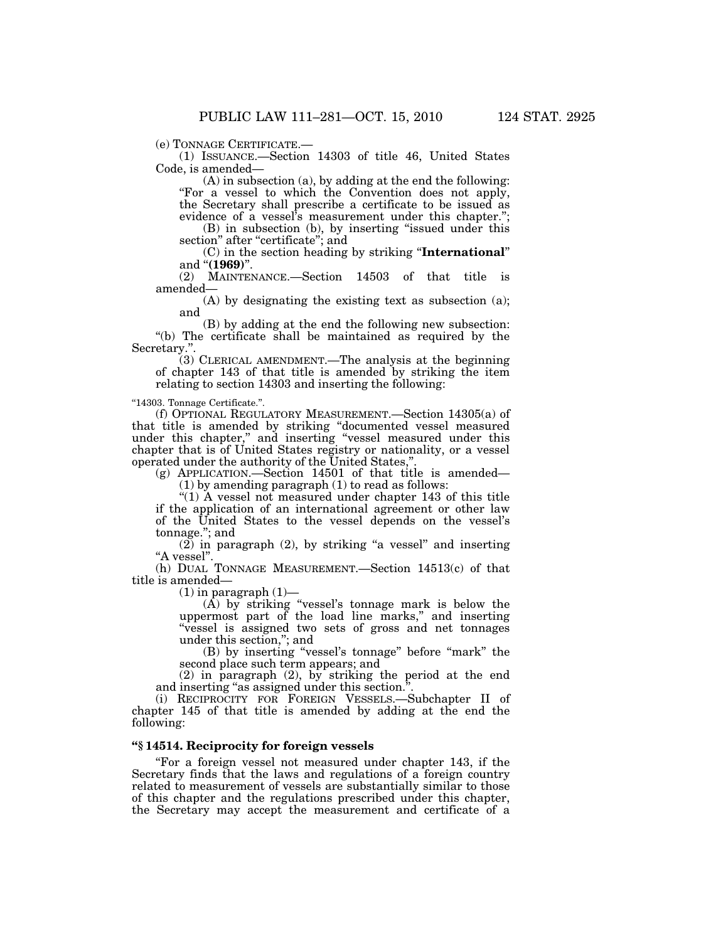(e) TONNAGE CERTIFICATE.—

(1) ISSUANCE.—Section 14303 of title 46, United States Code, is amended—

(A) in subsection (a), by adding at the end the following: ''For a vessel to which the Convention does not apply, the Secretary shall prescribe a certificate to be issued as evidence of a vessel's measurement under this chapter.'';

(B) in subsection (b), by inserting ''issued under this section" after "certificate"; and

(C) in the section heading by striking ''**International**'' and ''**(1969)**''.

(2) MAINTENANCE.—Section 14503 of that title is amended—

(A) by designating the existing text as subsection (a); and

(B) by adding at the end the following new subsection: ''(b) The certificate shall be maintained as required by the Secretary.''.

(3) CLERICAL AMENDMENT.—The analysis at the beginning of chapter 143 of that title is amended by striking the item relating to section 14303 and inserting the following:

''14303. Tonnage Certificate.''.

(f) OPTIONAL REGULATORY MEASUREMENT.—Section 14305(a) of that title is amended by striking ''documented vessel measured under this chapter,'' and inserting ''vessel measured under this chapter that is of United States registry or nationality, or a vessel operated under the authority of the United States,''.

(g) APPLICATION.—Section 14501 of that title is amended— (1) by amending paragraph (1) to read as follows:

"(1) A vessel not measured under chapter 143 of this title if the application of an international agreement or other law of the United States to the vessel depends on the vessel's tonnage.''; and

 $(2)$  in paragraph  $(2)$ , by striking "a vessel" and inserting "A vessel"

(h) DUAL TONNAGE MEASUREMENT.—Section 14513(c) of that title is amended—

 $(1)$  in paragraph  $(1)$ —

 $(A)$  by striking "vessel's tonnage mark is below the uppermost part of the load line marks,'' and inserting ''vessel is assigned two sets of gross and net tonnages under this section,''; and

(B) by inserting "vessel's tonnage" before "mark" the second place such term appears; and

(2) in paragraph (2), by striking the period at the end and inserting "as assigned under this section."

(i) RECIPROCITY FOR FOREIGN VESSELS.—Subchapter II of chapter 145 of that title is amended by adding at the end the following:

# **''§ 14514. Reciprocity for foreign vessels**

''For a foreign vessel not measured under chapter 143, if the Secretary finds that the laws and regulations of a foreign country related to measurement of vessels are substantially similar to those of this chapter and the regulations prescribed under this chapter, the Secretary may accept the measurement and certificate of a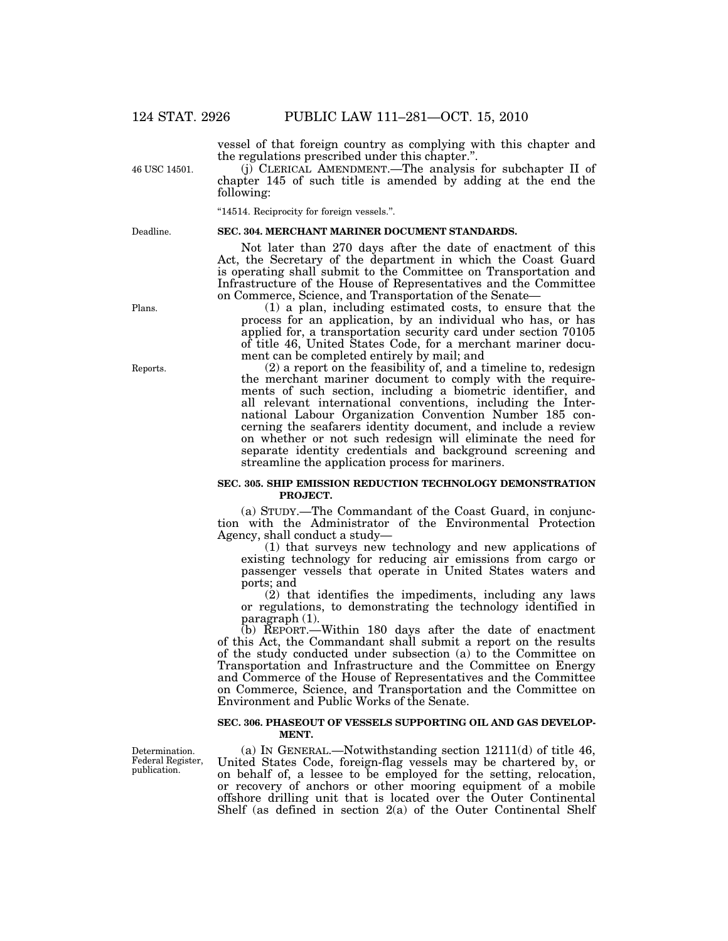vessel of that foreign country as complying with this chapter and the regulations prescribed under this chapter.''.

46 USC 14501.

(j) CLERICAL AMENDMENT.—The analysis for subchapter II of chapter 145 of such title is amended by adding at the end the following:

**SEC. 304. MERCHANT MARINER DOCUMENT STANDARDS.** 

''14514. Reciprocity for foreign vessels.''.

#### Deadline.

Not later than 270 days after the date of enactment of this Act, the Secretary of the department in which the Coast Guard is operating shall submit to the Committee on Transportation and Infrastructure of the House of Representatives and the Committee on Commerce, Science, and Transportation of the Senate—

(1) a plan, including estimated costs, to ensure that the process for an application, by an individual who has, or has applied for, a transportation security card under section 70105 of title 46, United States Code, for a merchant mariner document can be completed entirely by mail; and

(2) a report on the feasibility of, and a timeline to, redesign the merchant mariner document to comply with the requirements of such section, including a biometric identifier, and all relevant international conventions, including the International Labour Organization Convention Number 185 concerning the seafarers identity document, and include a review on whether or not such redesign will eliminate the need for separate identity credentials and background screening and streamline the application process for mariners.

#### **SEC. 305. SHIP EMISSION REDUCTION TECHNOLOGY DEMONSTRATION PROJECT.**

(a) STUDY.—The Commandant of the Coast Guard, in conjunction with the Administrator of the Environmental Protection Agency, shall conduct a study—

(1) that surveys new technology and new applications of existing technology for reducing air emissions from cargo or passenger vessels that operate in United States waters and ports; and

(2) that identifies the impediments, including any laws or regulations, to demonstrating the technology identified in paragraph (1).

(b) REPORT.—Within 180 days after the date of enactment of this Act, the Commandant shall submit a report on the results of the study conducted under subsection (a) to the Committee on Transportation and Infrastructure and the Committee on Energy and Commerce of the House of Representatives and the Committee on Commerce, Science, and Transportation and the Committee on Environment and Public Works of the Senate.

#### **SEC. 306. PHASEOUT OF VESSELS SUPPORTING OIL AND GAS DEVELOP-MENT.**

(a) IN GENERAL.—Notwithstanding section 12111(d) of title 46, United States Code, foreign-flag vessels may be chartered by, or on behalf of, a lessee to be employed for the setting, relocation, or recovery of anchors or other mooring equipment of a mobile offshore drilling unit that is located over the Outer Continental Shelf (as defined in section 2(a) of the Outer Continental Shelf

Determination. Federal Register, publication.

Plans.

Reports.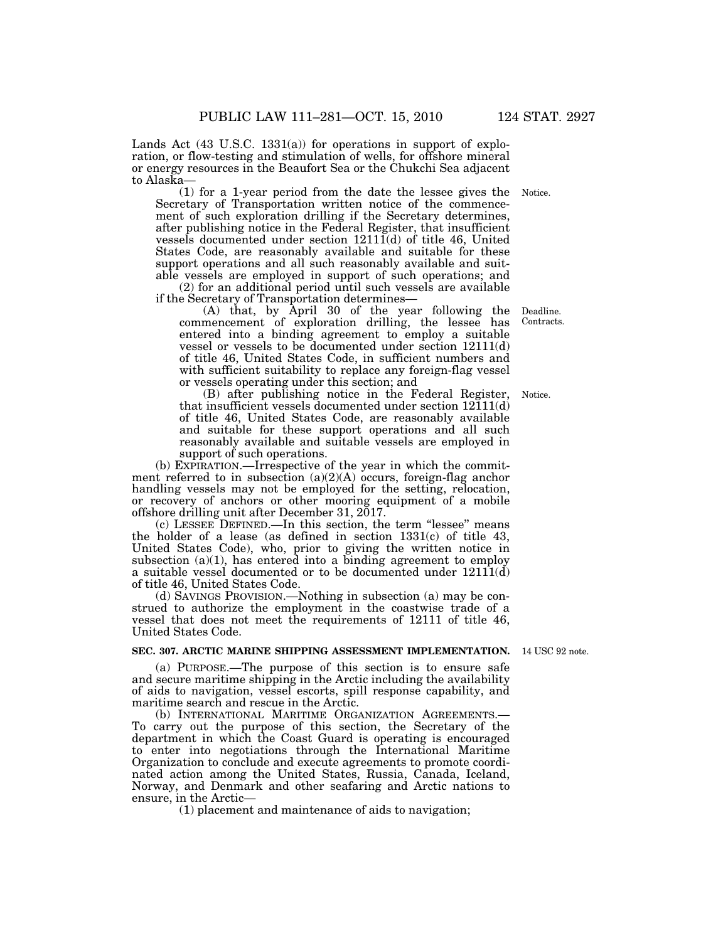Lands Act (43 U.S.C. 1331(a)) for operations in support of exploration, or flow-testing and stimulation of wells, for offshore mineral or energy resources in the Beaufort Sea or the Chukchi Sea adjacent

to Alaska— (1) for a 1-year period from the date the lessee gives the Notice. Secretary of Transportation written notice of the commencement of such exploration drilling if the Secretary determines, after publishing notice in the Federal Register, that insufficient vessels documented under section 12111(d) of title 46, United States Code, are reasonably available and suitable for these support operations and all such reasonably available and suitable vessels are employed in support of such operations; and

(2) for an additional period until such vessels are available if the Secretary of Transportation determines—

(A) that, by April 30 of the year following the commencement of exploration drilling, the lessee has entered into a binding agreement to employ a suitable vessel or vessels to be documented under section 12111(d) of title 46, United States Code, in sufficient numbers and with sufficient suitability to replace any foreign-flag vessel or vessels operating under this section; and

(B) after publishing notice in the Federal Register, that insufficient vessels documented under section 12111(d) of title 46, United States Code, are reasonably available and suitable for these support operations and all such reasonably available and suitable vessels are employed in support of such operations.

(b) EXPIRATION.—Irrespective of the year in which the commitment referred to in subsection  $(a)(2)(A)$  occurs, foreign-flag anchor handling vessels may not be employed for the setting, relocation, or recovery of anchors or other mooring equipment of a mobile offshore drilling unit after December 31, 2017.

(c) LESSEE DEFINED.—In this section, the term ''lessee'' means the holder of a lease (as defined in section 1331(c) of title 43, United States Code), who, prior to giving the written notice in subsection  $(a)(1)$ , has entered into a binding agreement to employ a suitable vessel documented or to be documented under 12111(d) of title 46, United States Code.

(d) SAVINGS PROVISION.—Nothing in subsection (a) may be construed to authorize the employment in the coastwise trade of a vessel that does not meet the requirements of 12111 of title 46, United States Code.

#### **SEC. 307. ARCTIC MARINE SHIPPING ASSESSMENT IMPLEMENTATION.** 14 USC 92 note.

(a) PURPOSE.—The purpose of this section is to ensure safe and secure maritime shipping in the Arctic including the availability of aids to navigation, vessel escorts, spill response capability, and maritime search and rescue in the Arctic.

(b) INTERNATIONAL MARITIME ORGANIZATION AGREEMENTS.— To carry out the purpose of this section, the Secretary of the department in which the Coast Guard is operating is encouraged to enter into negotiations through the International Maritime Organization to conclude and execute agreements to promote coordinated action among the United States, Russia, Canada, Iceland, Norway, and Denmark and other seafaring and Arctic nations to ensure, in the Arctic—

(1) placement and maintenance of aids to navigation;

Notice.

Deadline. Contracts.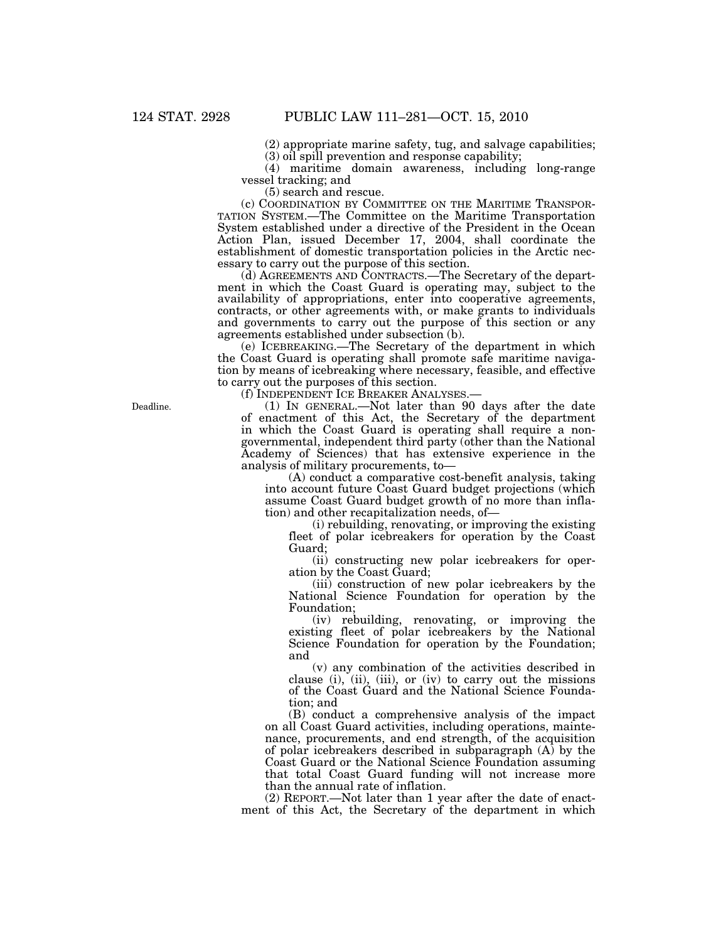(2) appropriate marine safety, tug, and salvage capabilities;

(3) oil spill prevention and response capability;

(4) maritime domain awareness, including long-range vessel tracking; and

(5) search and rescue.

(c) COORDINATION BY COMMITTEE ON THE MARITIME TRANSPOR- TATION SYSTEM.—The Committee on the Maritime Transportation System established under a directive of the President in the Ocean Action Plan, issued December 17, 2004, shall coordinate the establishment of domestic transportation policies in the Arctic necessary to carry out the purpose of this section.

(d) AGREEMENTS AND CONTRACTS.—The Secretary of the department in which the Coast Guard is operating may, subject to the availability of appropriations, enter into cooperative agreements, contracts, or other agreements with, or make grants to individuals and governments to carry out the purpose of this section or any agreements established under subsection (b).

(e) ICEBREAKING.—The Secretary of the department in which the Coast Guard is operating shall promote safe maritime navigation by means of icebreaking where necessary, feasible, and effective to carry out the purposes of this section.

(f) INDEPENDENT ICE BREAKER ANALYSES.—

(1) IN GENERAL.—Not later than 90 days after the date of enactment of this Act, the Secretary of the department in which the Coast Guard is operating shall require a nongovernmental, independent third party (other than the National Academy of Sciences) that has extensive experience in the analysis of military procurements, to—

(A) conduct a comparative cost-benefit analysis, taking into account future Coast Guard budget projections (which assume Coast Guard budget growth of no more than inflation) and other recapitalization needs, of—

(i) rebuilding, renovating, or improving the existing fleet of polar icebreakers for operation by the Coast Guard;

(ii) constructing new polar icebreakers for operation by the Coast Guard;

(iii) construction of new polar icebreakers by the National Science Foundation for operation by the Foundation;

(iv) rebuilding, renovating, or improving the existing fleet of polar icebreakers by the National Science Foundation for operation by the Foundation; and

(v) any combination of the activities described in clause (i), (ii), (iii), or (iv) to carry out the missions of the Coast Guard and the National Science Foundation; and

(B) conduct a comprehensive analysis of the impact on all Coast Guard activities, including operations, maintenance, procurements, and end strength, of the acquisition of polar icebreakers described in subparagraph (A) by the Coast Guard or the National Science Foundation assuming that total Coast Guard funding will not increase more than the annual rate of inflation.

(2) REPORT.—Not later than 1 year after the date of enactment of this Act, the Secretary of the department in which

Deadline.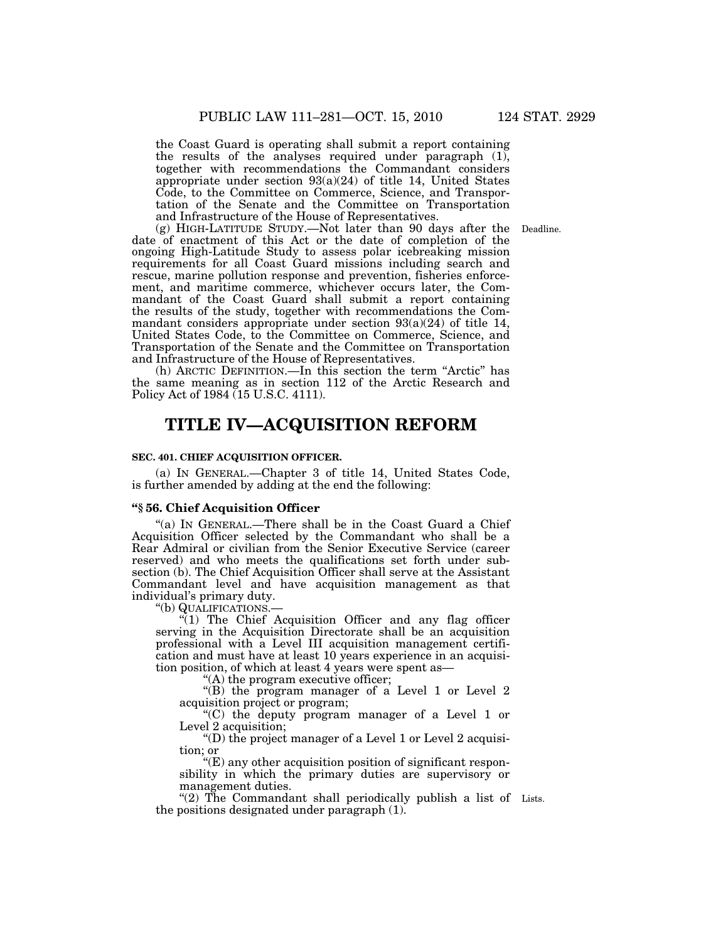the Coast Guard is operating shall submit a report containing the results of the analyses required under paragraph (1), together with recommendations the Commandant considers appropriate under section 93(a)(24) of title 14, United States Code, to the Committee on Commerce, Science, and Transportation of the Senate and the Committee on Transportation and Infrastructure of the House of Representatives.

(g) HIGH-LATITUDE STUDY.—Not later than 90 days after the Deadline. date of enactment of this Act or the date of completion of the ongoing High-Latitude Study to assess polar icebreaking mission requirements for all Coast Guard missions including search and rescue, marine pollution response and prevention, fisheries enforcement, and maritime commerce, whichever occurs later, the Commandant of the Coast Guard shall submit a report containing the results of the study, together with recommendations the Commandant considers appropriate under section  $93(a)(24)$  of title 14, United States Code, to the Committee on Commerce, Science, and Transportation of the Senate and the Committee on Transportation and Infrastructure of the House of Representatives.

(h) ARCTIC DEFINITION.—In this section the term ''Arctic'' has the same meaning as in section 112 of the Arctic Research and Policy Act of 1984 (15 U.S.C. 4111).

# **TITLE IV—ACQUISITION REFORM**

#### **SEC. 401. CHIEF ACQUISITION OFFICER.**

(a) IN GENERAL.—Chapter 3 of title 14, United States Code, is further amended by adding at the end the following:

#### **''§ 56. Chief Acquisition Officer**

''(a) IN GENERAL.—There shall be in the Coast Guard a Chief Acquisition Officer selected by the Commandant who shall be a Rear Admiral or civilian from the Senior Executive Service (career reserved) and who meets the qualifications set forth under subsection (b). The Chief Acquisition Officer shall serve at the Assistant Commandant level and have acquisition management as that individual's primary duty.

''(b) QUALIFICATIONS.—

"(1) The Chief Acquisition Officer and any flag officer serving in the Acquisition Directorate shall be an acquisition professional with a Level III acquisition management certification and must have at least 10 years experience in an acquisition position, of which at least 4 years were spent as—

''(A) the program executive officer;

''(B) the program manager of a Level 1 or Level 2 acquisition project or program;

''(C) the deputy program manager of a Level 1 or Level 2 acquisition;

''(D) the project manager of a Level 1 or Level 2 acquisition; or

''(E) any other acquisition position of significant responsibility in which the primary duties are supervisory or management duties.

"(2) The Commandant shall periodically publish a list of Lists. the positions designated under paragraph (1).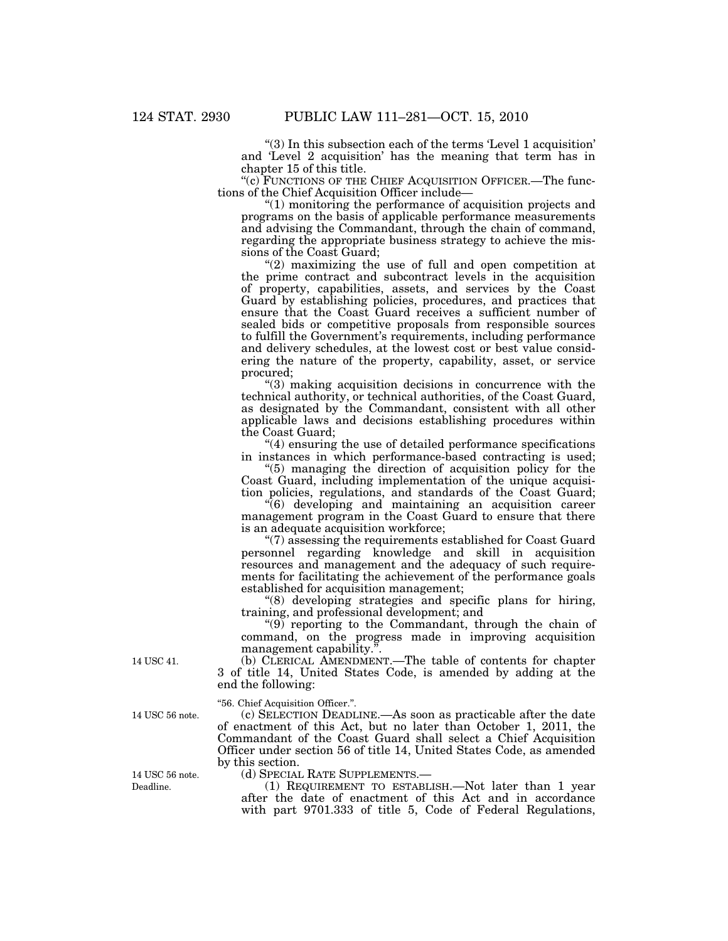''(3) In this subsection each of the terms 'Level 1 acquisition' and 'Level 2 acquisition' has the meaning that term has in chapter 15 of this title.

"(c) FUNCTIONS OF THE CHIEF ACQUISITION OFFICER.—The functions of the Chief Acquisition Officer include—

''(1) monitoring the performance of acquisition projects and programs on the basis of applicable performance measurements and advising the Commandant, through the chain of command, regarding the appropriate business strategy to achieve the missions of the Coast Guard;

 $''(2)$  maximizing the use of full and open competition at the prime contract and subcontract levels in the acquisition of property, capabilities, assets, and services by the Coast Guard by establishing policies, procedures, and practices that ensure that the Coast Guard receives a sufficient number of sealed bids or competitive proposals from responsible sources to fulfill the Government's requirements, including performance and delivery schedules, at the lowest cost or best value considering the nature of the property, capability, asset, or service procured;

''(3) making acquisition decisions in concurrence with the technical authority, or technical authorities, of the Coast Guard, as designated by the Commandant, consistent with all other applicable laws and decisions establishing procedures within the Coast Guard;

''(4) ensuring the use of detailed performance specifications in instances in which performance-based contracting is used;

''(5) managing the direction of acquisition policy for the Coast Guard, including implementation of the unique acquisition policies, regulations, and standards of the Coast Guard;

''(6) developing and maintaining an acquisition career management program in the Coast Guard to ensure that there is an adequate acquisition workforce;

''(7) assessing the requirements established for Coast Guard personnel regarding knowledge and skill in acquisition resources and management and the adequacy of such requirements for facilitating the achievement of the performance goals established for acquisition management;

''(8) developing strategies and specific plans for hiring, training, and professional development; and

 $(9)$  reporting to the Commandant, through the chain of command, on the progress made in improving acquisition management capability.".

(b) CLERICAL AMENDMENT.—The table of contents for chapter 3 of title 14, United States Code, is amended by adding at the end the following:

''56. Chief Acquisition Officer.''.

(c) SELECTION DEADLINE.—As soon as practicable after the date of enactment of this Act, but no later than October 1, 2011, the Commandant of the Coast Guard shall select a Chief Acquisition Officer under section 56 of title 14, United States Code, as amended by this section.

(d) SPECIAL RATE SUPPLEMENTS.—

(1) REQUIREMENT TO ESTABLISH.—Not later than 1 year after the date of enactment of this Act and in accordance with part 9701.333 of title 5, Code of Federal Regulations,

14 USC 41.

14 USC 56 note.

Deadline. 14 USC 56 note.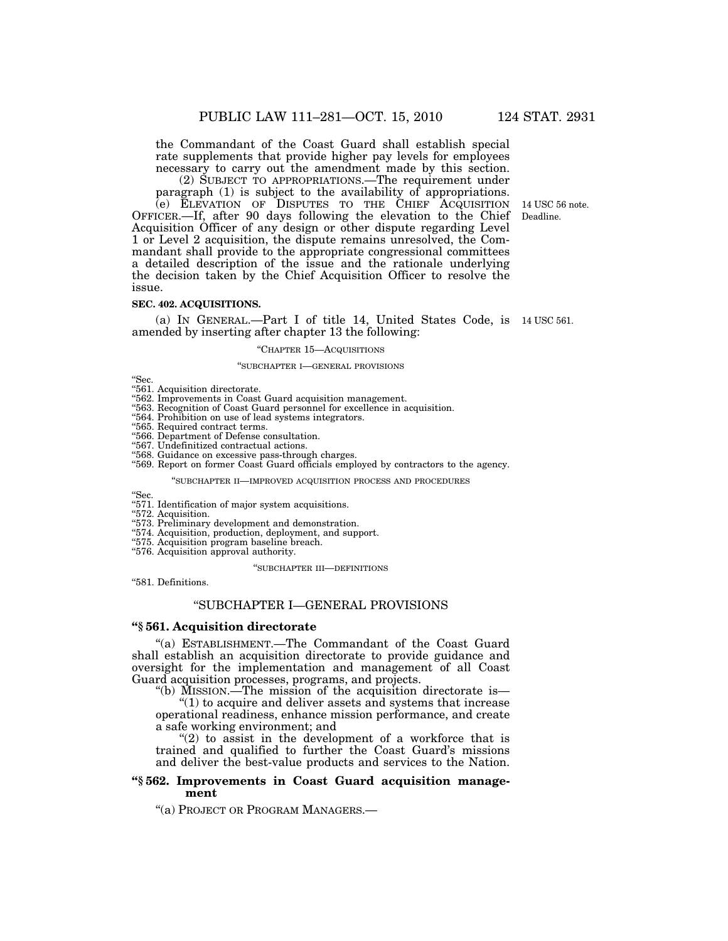the Commandant of the Coast Guard shall establish special rate supplements that provide higher pay levels for employees necessary to carry out the amendment made by this section.

(2) SUBJECT TO APPROPRIATIONS.—The requirement under paragraph (1) is subject to the availability of appropriations.

(e) ELEVATION OF DISPUTES TO THE CHIEF ACQUISITION OFFICER.—If, after 90 days following the elevation to the Chief Acquisition Officer of any design or other dispute regarding Level 1 or Level 2 acquisition, the dispute remains unresolved, the Commandant shall provide to the appropriate congressional committees a detailed description of the issue and the rationale underlying the decision taken by the Chief Acquisition Officer to resolve the issue.

#### **SEC. 402. ACQUISITIONS.**

(a) IN GENERAL.—Part I of title 14, United States Code, is 14 USC 561. amended by inserting after chapter 13 the following:

#### ''CHAPTER 15—ACQUISITIONS

#### ''SUBCHAPTER I—GENERAL PROVISIONS

''Sec.

''561. Acquisition directorate.

''562. Improvements in Coast Guard acquisition management.

''563. Recognition of Coast Guard personnel for excellence in acquisition.

''564. Prohibition on use of lead systems integrators.

''565. Required contract terms.

''566. Department of Defense consultation.

''567. Undefinitized contractual actions.

''568. Guidance on excessive pass-through charges.

''569. Report on former Coast Guard officials employed by contractors to the agency.

#### ''SUBCHAPTER II—IMPROVED ACQUISITION PROCESS AND PROCEDURES

''Sec.

''571. Identification of major system acquisitions. ''572. Acquisition.

''573. Preliminary development and demonstration.

''574. Acquisition, production, deployment, and support.

''575. Acquisition program baseline breach.

''576. Acquisition approval authority.

''SUBCHAPTER III—DEFINITIONS

''581. Definitions.

#### ''SUBCHAPTER I—GENERAL PROVISIONS

# **''§ 561. Acquisition directorate**

''(a) ESTABLISHMENT.—The Commandant of the Coast Guard shall establish an acquisition directorate to provide guidance and oversight for the implementation and management of all Coast Guard acquisition processes, programs, and projects.

''(b) MISSION.—The mission of the acquisition directorate is—

 $''(1)$  to acquire and deliver assets and systems that increase operational readiness, enhance mission performance, and create a safe working environment; and

" $(2)$  to assist in the development of a workforce that is trained and qualified to further the Coast Guard's missions and deliver the best-value products and services to the Nation.

## **''§ 562. Improvements in Coast Guard acquisition management**

''(a) PROJECT OR PROGRAM MANAGERS.—

Deadline. 14 USC 56 note.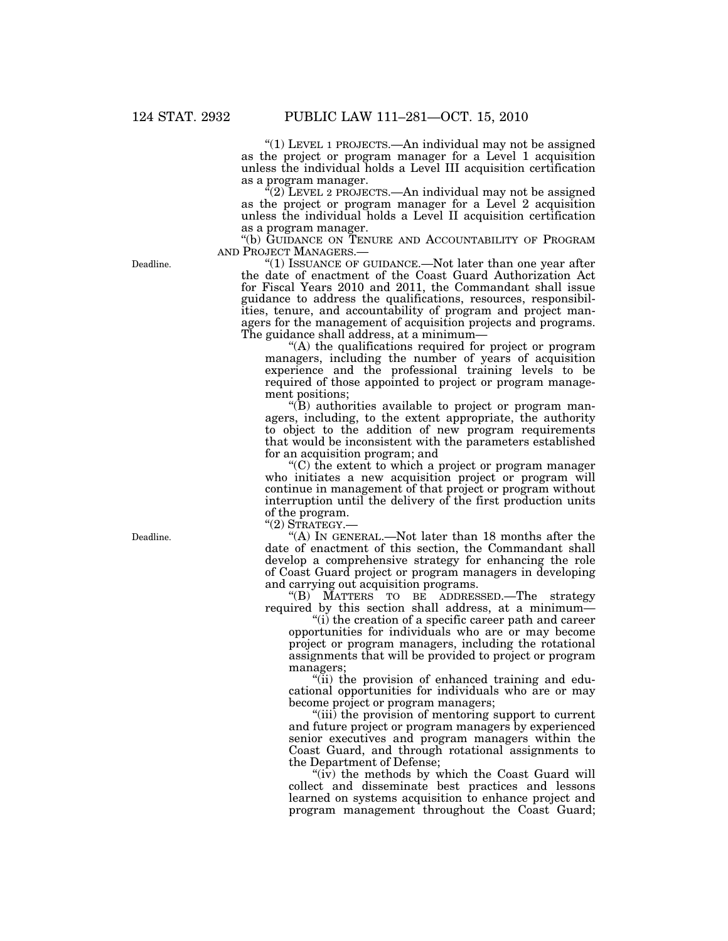''(1) LEVEL 1 PROJECTS.—An individual may not be assigned as the project or program manager for a Level 1 acquisition unless the individual holds a Level III acquisition certification as a program manager.

 $\sqrt{2}$ ) LEVEL 2 PROJECTS.—An individual may not be assigned as the project or program manager for a Level 2 acquisition unless the individual holds a Level II acquisition certification as a program manager.

"(b) GUIDANCE ON TENURE AND ACCOUNTABILITY OF PROGRAM AND PROJECT MANAGERS.—

"(1) ISSUANCE OF GUIDANCE.—Not later than one year after the date of enactment of the Coast Guard Authorization Act for Fiscal Years 2010 and 2011, the Commandant shall issue guidance to address the qualifications, resources, responsibilities, tenure, and accountability of program and project managers for the management of acquisition projects and programs. The guidance shall address, at a minimum—

''(A) the qualifications required for project or program managers, including the number of years of acquisition experience and the professional training levels to be required of those appointed to project or program management positions;

''(B) authorities available to project or program managers, including, to the extent appropriate, the authority to object to the addition of new program requirements that would be inconsistent with the parameters established for an acquisition program; and

''(C) the extent to which a project or program manager who initiates a new acquisition project or program will continue in management of that project or program without interruption until the delivery of the first production units of the program.

 $"(2)$  STRATEGY. $-$ 

''(A) IN GENERAL.—Not later than 18 months after the date of enactment of this section, the Commandant shall develop a comprehensive strategy for enhancing the role of Coast Guard project or program managers in developing and carrying out acquisition programs.

''(B) MATTERS TO BE ADDRESSED.—The strategy required by this section shall address, at a minimum—

"(i) the creation of a specific career path and career opportunities for individuals who are or may become project or program managers, including the rotational assignments that will be provided to project or program managers;

''(ii) the provision of enhanced training and educational opportunities for individuals who are or may become project or program managers;

''(iii) the provision of mentoring support to current and future project or program managers by experienced senior executives and program managers within the Coast Guard, and through rotational assignments to the Department of Defense;

"(iv) the methods by which the Coast Guard will collect and disseminate best practices and lessons learned on systems acquisition to enhance project and program management throughout the Coast Guard;

Deadline.

Deadline.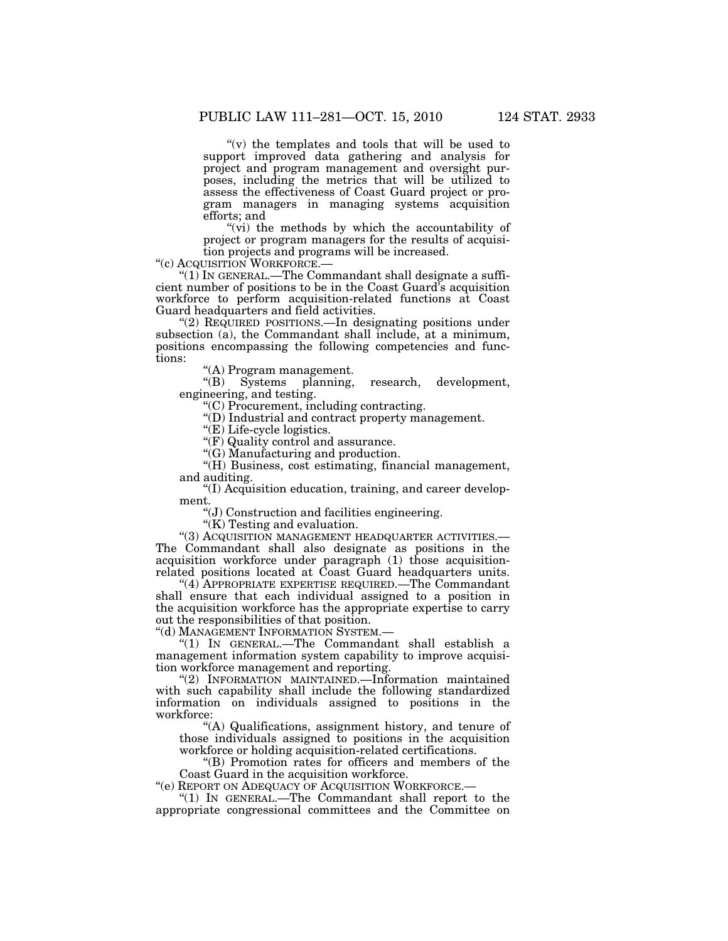" $(v)$  the templates and tools that will be used to support improved data gathering and analysis for project and program management and oversight purposes, including the metrics that will be utilized to assess the effectiveness of Coast Guard project or program managers in managing systems acquisition efforts; and

"(vi) the methods by which the accountability of project or program managers for the results of acquisition projects and programs will be increased.<br>"(c) ACQUISITION WORKFORCE.—

 $''(1)$  In GENERAL.—The Commandant shall designate a sufficient number of positions to be in the Coast Guard's acquisition workforce to perform acquisition-related functions at Coast Guard headquarters and field activities.

''(2) REQUIRED POSITIONS.—In designating positions under subsection (a), the Commandant shall include, at a minimum, positions encompassing the following competencies and functions:

''(A) Program management.

''(B) Systems planning, research, development, engineering, and testing.

''(C) Procurement, including contracting.

''(D) Industrial and contract property management.

''(E) Life-cycle logistics.

 $\mathcal{C}(F)$  Quality control and assurance.

''(G) Manufacturing and production.

''(H) Business, cost estimating, financial management, and auditing.

''(I) Acquisition education, training, and career development.

''(J) Construction and facilities engineering.

"(K) Testing and evaluation.

"(3) ACQUISITION MANAGEMENT HEADQUARTER ACTIVITIES.-The Commandant shall also designate as positions in the acquisition workforce under paragraph (1) those acquisitionrelated positions located at Coast Guard headquarters units.

''(4) APPROPRIATE EXPERTISE REQUIRED.—The Commandant shall ensure that each individual assigned to a position in the acquisition workforce has the appropriate expertise to carry out the responsibilities of that position.

''(d) MANAGEMENT INFORMATION SYSTEM.—

''(1) IN GENERAL.—The Commandant shall establish a management information system capability to improve acquisition workforce management and reporting.

''(2) INFORMATION MAINTAINED.—Information maintained with such capability shall include the following standardized information on individuals assigned to positions in the workforce:

''(A) Qualifications, assignment history, and tenure of those individuals assigned to positions in the acquisition workforce or holding acquisition-related certifications.

''(B) Promotion rates for officers and members of the

Coast Guard in the acquisition workforce.<br>"(e) REPORT ON ADEQUACY OF ACQUISITION WORKFORCE.—

"(1) IN GENERAL.—The Commandant shall report to the appropriate congressional committees and the Committee on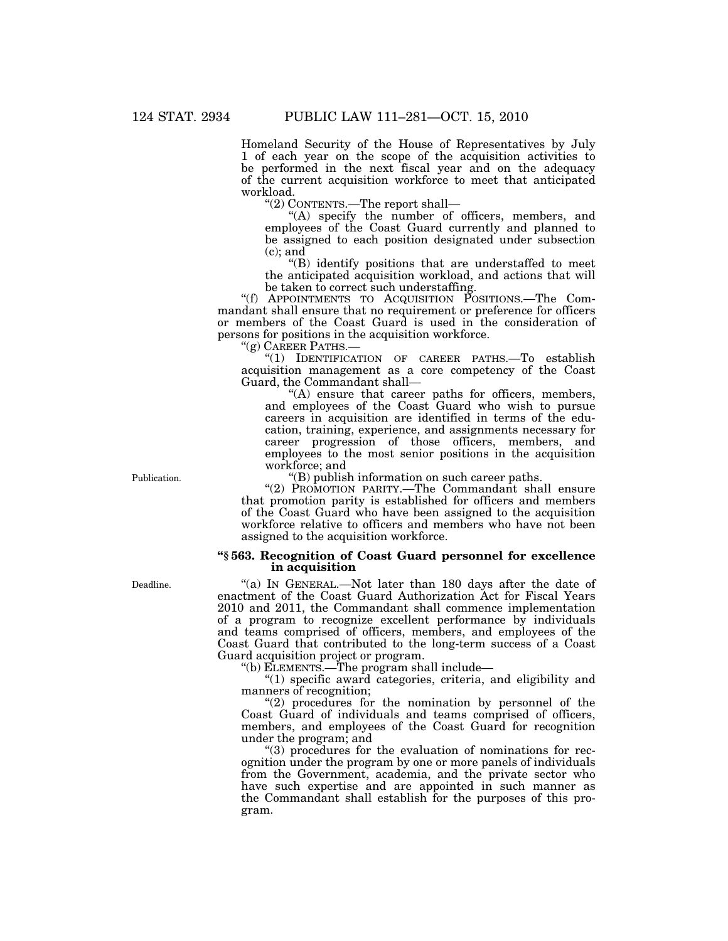Homeland Security of the House of Representatives by July 1 of each year on the scope of the acquisition activities to be performed in the next fiscal year and on the adequacy of the current acquisition workforce to meet that anticipated workload.

''(2) CONTENTS.—The report shall—

''(A) specify the number of officers, members, and employees of the Coast Guard currently and planned to be assigned to each position designated under subsection  $(c)$ ; and

''(B) identify positions that are understaffed to meet the anticipated acquisition workload, and actions that will be taken to correct such understaffing.

''(f) APPOINTMENTS TO ACQUISITION POSITIONS.—The Commandant shall ensure that no requirement or preference for officers or members of the Coast Guard is used in the consideration of persons for positions in the acquisition workforce.

''(g) CAREER PATHS.—

''(1) IDENTIFICATION OF CAREER PATHS.—To establish acquisition management as a core competency of the Coast Guard, the Commandant shall—

''(A) ensure that career paths for officers, members, and employees of the Coast Guard who wish to pursue careers in acquisition are identified in terms of the education, training, experience, and assignments necessary for career progression of those officers, members, and employees to the most senior positions in the acquisition workforce; and

''(B) publish information on such career paths.

"(2) PROMOTION PARITY.—The Commandant shall ensure that promotion parity is established for officers and members of the Coast Guard who have been assigned to the acquisition workforce relative to officers and members who have not been assigned to the acquisition workforce.

#### **''§ 563. Recognition of Coast Guard personnel for excellence in acquisition**

"(a) IN GENERAL.—Not later than 180 days after the date of enactment of the Coast Guard Authorization Act for Fiscal Years 2010 and 2011, the Commandant shall commence implementation of a program to recognize excellent performance by individuals and teams comprised of officers, members, and employees of the Coast Guard that contributed to the long-term success of a Coast Guard acquisition project or program.

''(b) ELEMENTS.—The program shall include—

"(1) specific award categories, criteria, and eligibility and manners of recognition;

"(2) procedures for the nomination by personnel of the Coast Guard of individuals and teams comprised of officers, members, and employees of the Coast Guard for recognition under the program; and

''(3) procedures for the evaluation of nominations for recognition under the program by one or more panels of individuals from the Government, academia, and the private sector who have such expertise and are appointed in such manner as the Commandant shall establish for the purposes of this program.

Publication.

Deadline.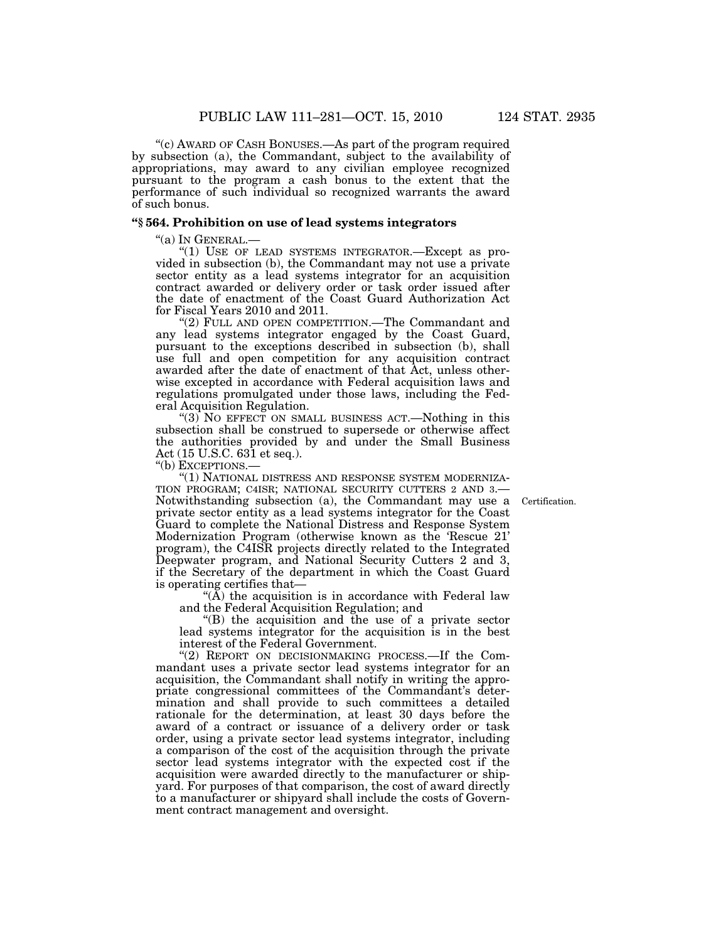''(c) AWARD OF CASH BONUSES.—As part of the program required by subsection (a), the Commandant, subject to the availability of appropriations, may award to any civilian employee recognized pursuant to the program a cash bonus to the extent that the performance of such individual so recognized warrants the award of such bonus.

# **''§ 564. Prohibition on use of lead systems integrators**

"(a) IN GENERAL.—<br>"(1) USE OF LEAD SYSTEMS INTEGRATOR.—Except as provided in subsection (b), the Commandant may not use a private sector entity as a lead systems integrator for an acquisition contract awarded or delivery order or task order issued after the date of enactment of the Coast Guard Authorization Act for Fiscal Years 2010 and 2011.

"(2) FULL AND OPEN COMPETITION.—The Commandant and any lead systems integrator engaged by the Coast Guard, pursuant to the exceptions described in subsection (b), shall use full and open competition for any acquisition contract awarded after the date of enactment of that Act, unless otherwise excepted in accordance with Federal acquisition laws and regulations promulgated under those laws, including the Federal Acquisition Regulation.

"(3) NO EFFECT ON SMALL BUSINESS ACT.—Nothing in this subsection shall be construed to supersede or otherwise affect the authorities provided by and under the Small Business Act (15 U.S.C. 631 et seq.).

''(b) EXCEPTIONS.—

'(1) NATIONAL DISTRESS AND RESPONSE SYSTEM MODERNIZA-TION PROGRAM; C4ISR; NATIONAL SECURITY CUTTERS 2 AND 3.— Notwithstanding subsection (a), the Commandant may use a private sector entity as a lead systems integrator for the Coast Guard to complete the National Distress and Response System Modernization Program (otherwise known as the 'Rescue 21' program), the C4ISR projects directly related to the Integrated Deepwater program, and National Security Cutters 2 and 3, if the Secretary of the department in which the Coast Guard is operating certifies that—

" $(\overline{A})$  the acquisition is in accordance with Federal law and the Federal Acquisition Regulation; and

''(B) the acquisition and the use of a private sector lead systems integrator for the acquisition is in the best interest of the Federal Government.

"(2) REPORT ON DECISIONMAKING PROCESS.—If the Commandant uses a private sector lead systems integrator for an acquisition, the Commandant shall notify in writing the appropriate congressional committees of the Commandant's determination and shall provide to such committees a detailed rationale for the determination, at least 30 days before the award of a contract or issuance of a delivery order or task order, using a private sector lead systems integrator, including a comparison of the cost of the acquisition through the private sector lead systems integrator with the expected cost if the acquisition were awarded directly to the manufacturer or shipyard. For purposes of that comparison, the cost of award directly to a manufacturer or shipyard shall include the costs of Government contract management and oversight.

Certification.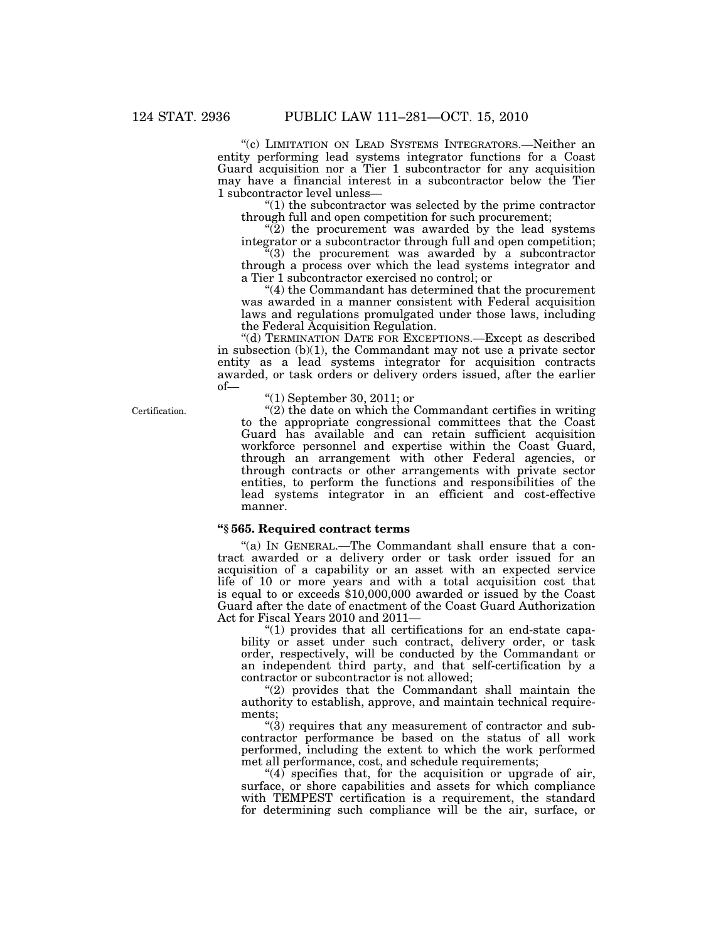"(c) LIMITATION ON LEAD SYSTEMS INTEGRATORS.—Neither an entity performing lead systems integrator functions for a Coast Guard acquisition nor a Tier 1 subcontractor for any acquisition may have a financial interest in a subcontractor below the Tier 1 subcontractor level unless—

 $(1)$  the subcontractor was selected by the prime contractor through full and open competition for such procurement;

 $\sqrt{\frac{2}{2}}$  the procurement was awarded by the lead systems integrator or a subcontractor through full and open competition;

 $\sqrt[4]{(3)}$  the procurement was awarded by a subcontractor through a process over which the lead systems integrator and a Tier 1 subcontractor exercised no control; or

''(4) the Commandant has determined that the procurement was awarded in a manner consistent with Federal acquisition laws and regulations promulgated under those laws, including the Federal Acquisition Regulation.

''(d) TERMINATION DATE FOR EXCEPTIONS.—Except as described in subsection (b)(1), the Commandant may not use a private sector entity as a lead systems integrator for acquisition contracts awarded, or task orders or delivery orders issued, after the earlier of—

''(1) September 30, 2011; or

''(2) the date on which the Commandant certifies in writing to the appropriate congressional committees that the Coast Guard has available and can retain sufficient acquisition workforce personnel and expertise within the Coast Guard, through an arrangement with other Federal agencies, or through contracts or other arrangements with private sector entities, to perform the functions and responsibilities of the lead systems integrator in an efficient and cost-effective manner.

# **''§ 565. Required contract terms**

"(a) IN GENERAL.—The Commandant shall ensure that a contract awarded or a delivery order or task order issued for an acquisition of a capability or an asset with an expected service life of 10 or more years and with a total acquisition cost that is equal to or exceeds \$10,000,000 awarded or issued by the Coast Guard after the date of enactment of the Coast Guard Authorization Act for Fiscal Years 2010 and 2011—

"(1) provides that all certifications for an end-state capability or asset under such contract, delivery order, or task order, respectively, will be conducted by the Commandant or an independent third party, and that self-certification by a contractor or subcontractor is not allowed;

" $(2)$  provides that the Commandant shall maintain the authority to establish, approve, and maintain technical requirements;

 $\degree$ (3) requires that any measurement of contractor and subcontractor performance be based on the status of all work performed, including the extent to which the work performed met all performance, cost, and schedule requirements;

 $\mathcal{L}(4)$  specifies that, for the acquisition or upgrade of air, surface, or shore capabilities and assets for which compliance with TEMPEST certification is a requirement, the standard for determining such compliance will be the air, surface, or

Certification.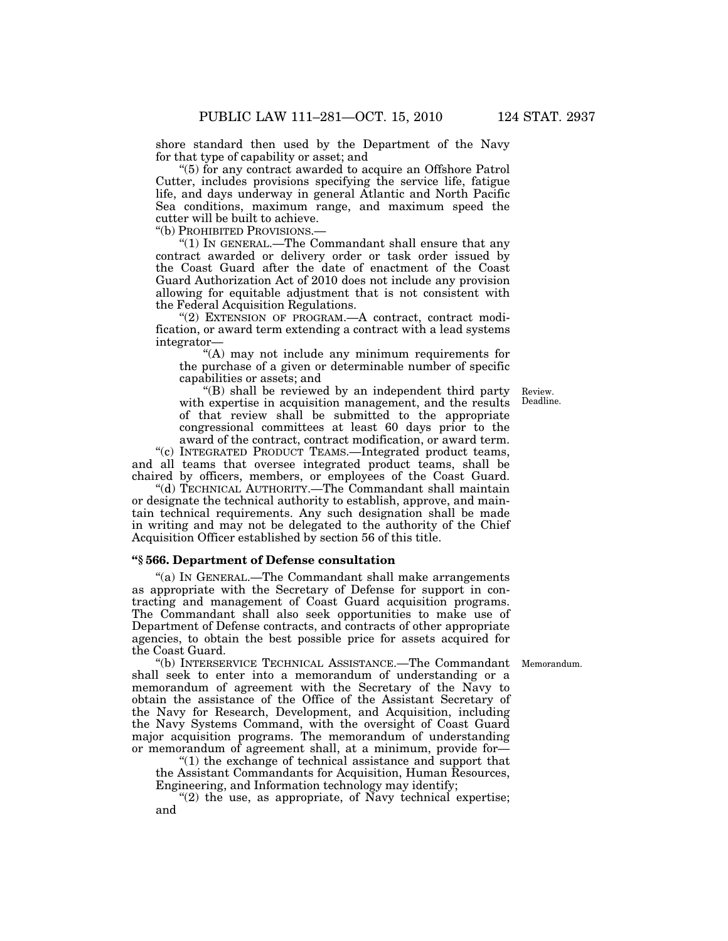shore standard then used by the Department of the Navy for that type of capability or asset; and

''(5) for any contract awarded to acquire an Offshore Patrol Cutter, includes provisions specifying the service life, fatigue life, and days underway in general Atlantic and North Pacific Sea conditions, maximum range, and maximum speed the cutter will be built to achieve.

''(b) PROHIBITED PROVISIONS.—

''(1) IN GENERAL.—The Commandant shall ensure that any contract awarded or delivery order or task order issued by the Coast Guard after the date of enactment of the Coast Guard Authorization Act of 2010 does not include any provision allowing for equitable adjustment that is not consistent with the Federal Acquisition Regulations.

"(2) EXTENSION OF PROGRAM.—A contract, contract modification, or award term extending a contract with a lead systems integrator—

''(A) may not include any minimum requirements for the purchase of a given or determinable number of specific capabilities or assets; and

''(B) shall be reviewed by an independent third party with expertise in acquisition management, and the results of that review shall be submitted to the appropriate congressional committees at least 60 days prior to the award of the contract, contract modification, or award term.

''(c) INTEGRATED PRODUCT TEAMS.—Integrated product teams, and all teams that oversee integrated product teams, shall be chaired by officers, members, or employees of the Coast Guard.

''(d) TECHNICAL AUTHORITY.—The Commandant shall maintain or designate the technical authority to establish, approve, and maintain technical requirements. Any such designation shall be made in writing and may not be delegated to the authority of the Chief Acquisition Officer established by section 56 of this title.

#### **''§ 566. Department of Defense consultation**

''(a) IN GENERAL.—The Commandant shall make arrangements as appropriate with the Secretary of Defense for support in contracting and management of Coast Guard acquisition programs. The Commandant shall also seek opportunities to make use of Department of Defense contracts, and contracts of other appropriate agencies, to obtain the best possible price for assets acquired for the Coast Guard.

''(b) INTERSERVICE TECHNICAL ASSISTANCE.—The Commandant shall seek to enter into a memorandum of understanding or a memorandum of agreement with the Secretary of the Navy to obtain the assistance of the Office of the Assistant Secretary of the Navy for Research, Development, and Acquisition, including the Navy Systems Command, with the oversight of Coast Guard major acquisition programs. The memorandum of understanding or memorandum of agreement shall, at a minimum, provide for—

 $(1)$  the exchange of technical assistance and support that the Assistant Commandants for Acquisition, Human Resources, Engineering, and Information technology may identify;

" $(2)$  the use, as appropriate, of Navy technical expertise; and

Review. Deadline.

Memorandum.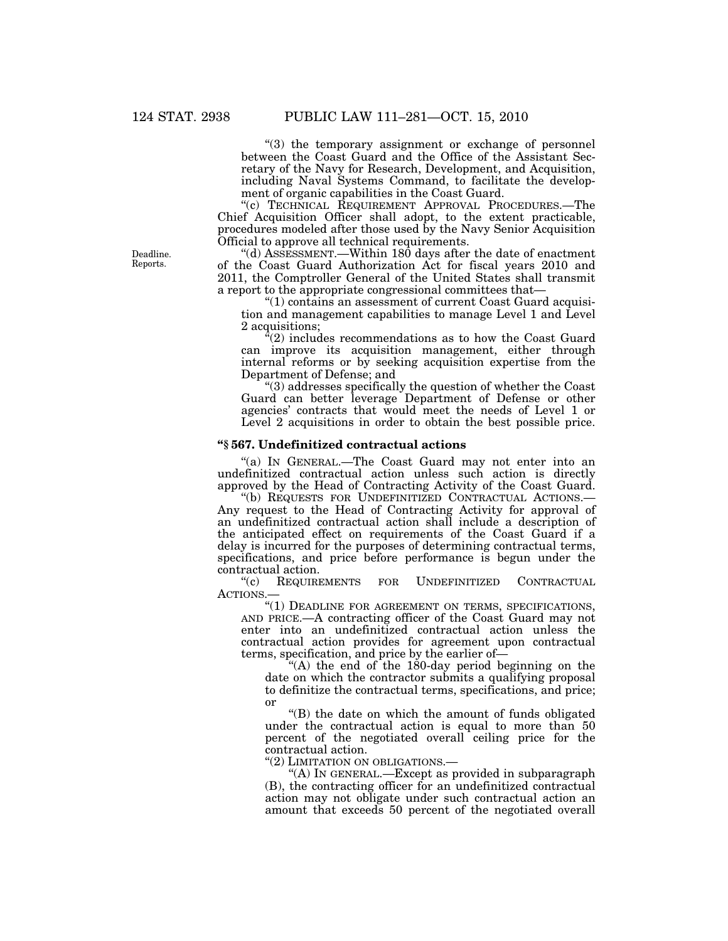"(3) the temporary assignment or exchange of personnel between the Coast Guard and the Office of the Assistant Secretary of the Navy for Research, Development, and Acquisition, including Naval Systems Command, to facilitate the development of organic capabilities in the Coast Guard.

''(c) TECHNICAL REQUIREMENT APPROVAL PROCEDURES.—The Chief Acquisition Officer shall adopt, to the extent practicable, procedures modeled after those used by the Navy Senior Acquisition Official to approve all technical requirements.

''(d) ASSESSMENT.—Within 180 days after the date of enactment of the Coast Guard Authorization Act for fiscal years 2010 and 2011, the Comptroller General of the United States shall transmit a report to the appropriate congressional committees that—

''(1) contains an assessment of current Coast Guard acquisition and management capabilities to manage Level 1 and Level 2 acquisitions;

 $\mathcal{E}(2)$  includes recommendations as to how the Coast Guard can improve its acquisition management, either through internal reforms or by seeking acquisition expertise from the Department of Defense; and

''(3) addresses specifically the question of whether the Coast Guard can better leverage Department of Defense or other agencies' contracts that would meet the needs of Level 1 or Level 2 acquisitions in order to obtain the best possible price.

# **''§ 567. Undefinitized contractual actions**

''(a) IN GENERAL.—The Coast Guard may not enter into an undefinitized contractual action unless such action is directly approved by the Head of Contracting Activity of the Coast Guard.

''(b) REQUESTS FOR UNDEFINITIZED CONTRACTUAL ACTIONS.— Any request to the Head of Contracting Activity for approval of an undefinitized contractual action shall include a description of the anticipated effect on requirements of the Coast Guard if a delay is incurred for the purposes of determining contractual terms, specifications, and price before performance is begun under the contractual action.<br>
"(c) REQUIRI

REQUIREMENTS FOR UNDEFINITIZED CONTRACTUAL ACTIONS.

"(1) DEADLINE FOR AGREEMENT ON TERMS, SPECIFICATIONS, AND PRICE.—A contracting officer of the Coast Guard may not enter into an undefinitized contractual action unless the contractual action provides for agreement upon contractual terms, specification, and price by the earlier of—

"(A) the end of the  $180$ -day period beginning on the date on which the contractor submits a qualifying proposal to definitize the contractual terms, specifications, and price; or

''(B) the date on which the amount of funds obligated under the contractual action is equal to more than 50 percent of the negotiated overall ceiling price for the contractual action.

''(2) LIMITATION ON OBLIGATIONS.—

''(A) IN GENERAL.—Except as provided in subparagraph (B), the contracting officer for an undefinitized contractual action may not obligate under such contractual action an amount that exceeds 50 percent of the negotiated overall

Deadline. Reports.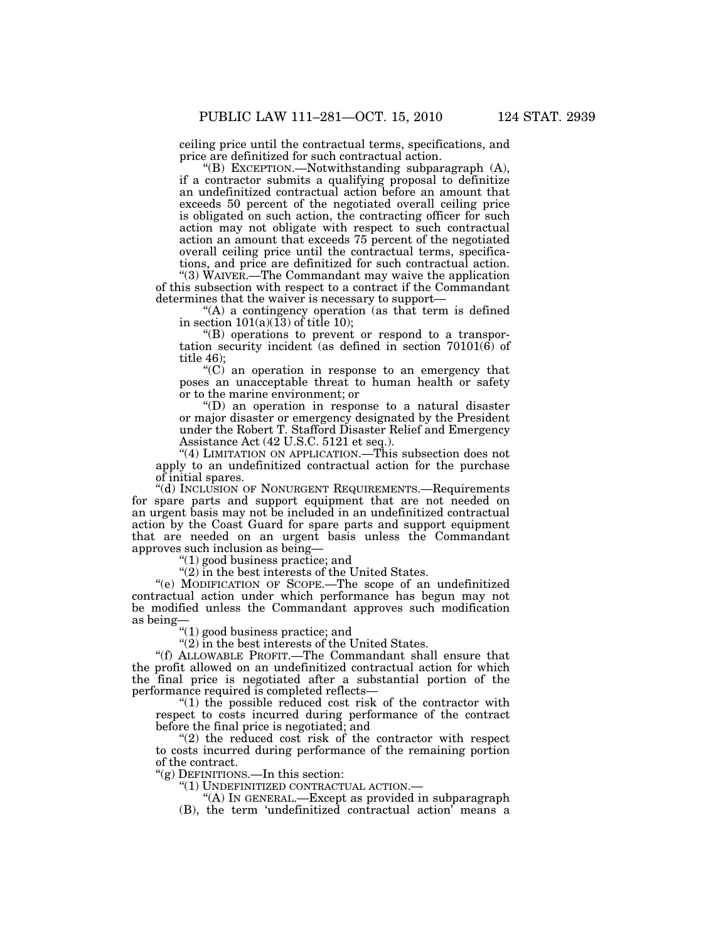ceiling price until the contractual terms, specifications, and price are definitized for such contractual action.

''(B) EXCEPTION.—Notwithstanding subparagraph (A), if a contractor submits a qualifying proposal to definitize an undefinitized contractual action before an amount that exceeds 50 percent of the negotiated overall ceiling price is obligated on such action, the contracting officer for such action may not obligate with respect to such contractual action an amount that exceeds 75 percent of the negotiated overall ceiling price until the contractual terms, specifications, and price are definitized for such contractual action. ''(3) WAIVER.—The Commandant may waive the application

of this subsection with respect to a contract if the Commandant determines that the waiver is necessary to support—

"(A) a contingency operation (as that term is defined in section  $101(a)(13)$  of title 10);

 $\mathrm{``(B)}$  operations to prevent or respond to a transportation security incident (as defined in section  $70101(6)$  of title 46);

''(C) an operation in response to an emergency that poses an unacceptable threat to human health or safety or to the marine environment; or

 $'(D)$  an operation in response to a natural disaster or major disaster or emergency designated by the President under the Robert T. Stafford Disaster Relief and Emergency Assistance Act (42 U.S.C. 5121 et seq.).

''(4) LIMITATION ON APPLICATION.—This subsection does not apply to an undefinitized contractual action for the purchase of initial spares.

"(d) INCLUSION OF NONURGENT REQUIREMENTS.—Requirements for spare parts and support equipment that are not needed on an urgent basis may not be included in an undefinitized contractual action by the Coast Guard for spare parts and support equipment that are needed on an urgent basis unless the Commandant approves such inclusion as being—

''(1) good business practice; and

 $''(2)$  in the best interests of the United States.

''(e) MODIFICATION OF SCOPE.—The scope of an undefinitized contractual action under which performance has begun may not be modified unless the Commandant approves such modification as being—

''(1) good business practice; and

''(2) in the best interests of the United States.

''(f) ALLOWABLE PROFIT.—The Commandant shall ensure that the profit allowed on an undefinitized contractual action for which the final price is negotiated after a substantial portion of the performance required is completed reflects—

''(1) the possible reduced cost risk of the contractor with respect to costs incurred during performance of the contract before the final price is negotiated; and

" $(2)$  the reduced cost risk of the contractor with respect to costs incurred during performance of the remaining portion of the contract.

''(g) DEFINITIONS.—In this section:

''(1) UNDEFINITIZED CONTRACTUAL ACTION.— ''(A) IN GENERAL.—Except as provided in subparagraph

(B), the term 'undefinitized contractual action' means a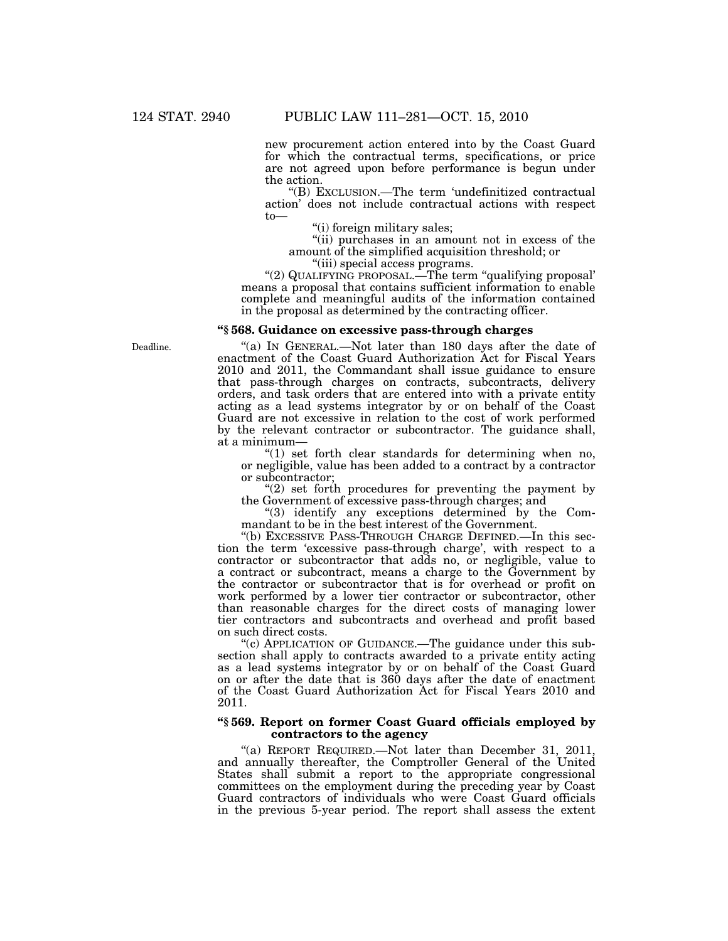new procurement action entered into by the Coast Guard for which the contractual terms, specifications, or price are not agreed upon before performance is begun under the action.

''(B) EXCLUSION.—The term 'undefinitized contractual action' does not include contractual actions with respect to—

''(i) foreign military sales;

"(ii) purchases in an amount not in excess of the amount of the simplified acquisition threshold; or

''(iii) special access programs.

''(2) QUALIFYING PROPOSAL.—The term ''qualifying proposal' means a proposal that contains sufficient information to enable complete and meaningful audits of the information contained in the proposal as determined by the contracting officer.

#### **''§ 568. Guidance on excessive pass-through charges**

''(a) IN GENERAL.—Not later than 180 days after the date of enactment of the Coast Guard Authorization Act for Fiscal Years 2010 and 2011, the Commandant shall issue guidance to ensure that pass-through charges on contracts, subcontracts, delivery orders, and task orders that are entered into with a private entity acting as a lead systems integrator by or on behalf of the Coast Guard are not excessive in relation to the cost of work performed by the relevant contractor or subcontractor. The guidance shall, at a minimum—

 $''(1)$  set forth clear standards for determining when no, or negligible, value has been added to a contract by a contractor or subcontractor;

 $(2)$  set forth procedures for preventing the payment by the Government of excessive pass-through charges; and

''(3) identify any exceptions determined by the Commandant to be in the best interest of the Government.

''(b) EXCESSIVE PASS-THROUGH CHARGE DEFINED.—In this section the term 'excessive pass-through charge', with respect to a contractor or subcontractor that adds no, or negligible, value to a contract or subcontract, means a charge to the Government by the contractor or subcontractor that is for overhead or profit on work performed by a lower tier contractor or subcontractor, other than reasonable charges for the direct costs of managing lower tier contractors and subcontracts and overhead and profit based on such direct costs.

''(c) APPLICATION OF GUIDANCE.—The guidance under this subsection shall apply to contracts awarded to a private entity acting as a lead systems integrator by or on behalf of the Coast Guard on or after the date that is 360 days after the date of enactment of the Coast Guard Authorization Act for Fiscal Years 2010 and 2011.

#### **''§ 569. Report on former Coast Guard officials employed by contractors to the agency**

"(a) REPORT REQUIRED.—Not later than December 31, 2011, and annually thereafter, the Comptroller General of the United States shall submit a report to the appropriate congressional committees on the employment during the preceding year by Coast Guard contractors of individuals who were Coast Guard officials in the previous 5-year period. The report shall assess the extent

Deadline.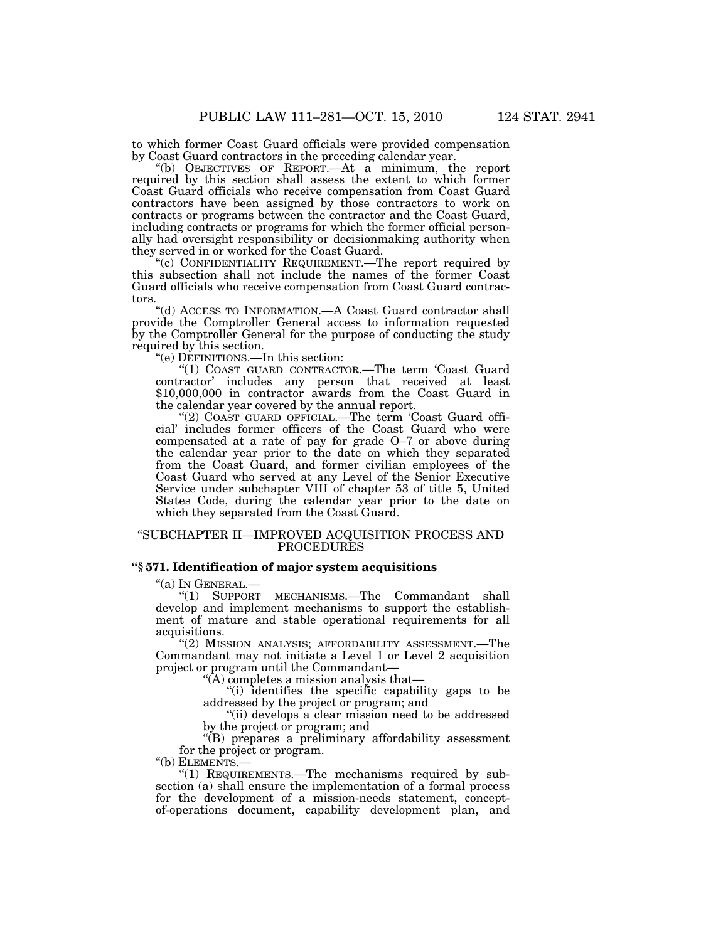to which former Coast Guard officials were provided compensation by Coast Guard contractors in the preceding calendar year.

''(b) OBJECTIVES OF REPORT.—At a minimum, the report required by this section shall assess the extent to which former Coast Guard officials who receive compensation from Coast Guard contractors have been assigned by those contractors to work on contracts or programs between the contractor and the Coast Guard, including contracts or programs for which the former official personally had oversight responsibility or decisionmaking authority when they served in or worked for the Coast Guard.

''(c) CONFIDENTIALITY REQUIREMENT.—The report required by this subsection shall not include the names of the former Coast Guard officials who receive compensation from Coast Guard contractors.

''(d) ACCESS TO INFORMATION.—A Coast Guard contractor shall provide the Comptroller General access to information requested by the Comptroller General for the purpose of conducting the study required by this section.

''(e) DEFINITIONS.—In this section:

''(1) COAST GUARD CONTRACTOR.—The term 'Coast Guard contractor' includes any person that received at least \$10,000,000 in contractor awards from the Coast Guard in the calendar year covered by the annual report.

"(2) COAST GUARD OFFICIAL.—The term 'Coast Guard official' includes former officers of the Coast Guard who were compensated at a rate of pay for grade O–7 or above during the calendar year prior to the date on which they separated from the Coast Guard, and former civilian employees of the Coast Guard who served at any Level of the Senior Executive Service under subchapter VIII of chapter 53 of title 5, United States Code, during the calendar year prior to the date on which they separated from the Coast Guard.

### ''SUBCHAPTER II—IMPROVED ACQUISITION PROCESS AND **PROCEDURES**

### **''§ 571. Identification of major system acquisitions**

''(a) IN GENERAL.—

''(1) SUPPORT MECHANISMS.—The Commandant shall develop and implement mechanisms to support the establishment of mature and stable operational requirements for all acquisitions.

"(2) MISSION ANALYSIS; AFFORDABILITY ASSESSMENT.—The Commandant may not initiate a Level 1 or Level 2 acquisition project or program until the Commandant—

''(A) completes a mission analysis that—

''(i) identifies the specific capability gaps to be addressed by the project or program; and

''(ii) develops a clear mission need to be addressed by the project or program; and

''(B) prepares a preliminary affordability assessment for the project or program.

''(b) ELEMENTS.—

''(1) REQUIREMENTS.—The mechanisms required by subsection (a) shall ensure the implementation of a formal process for the development of a mission-needs statement, conceptof-operations document, capability development plan, and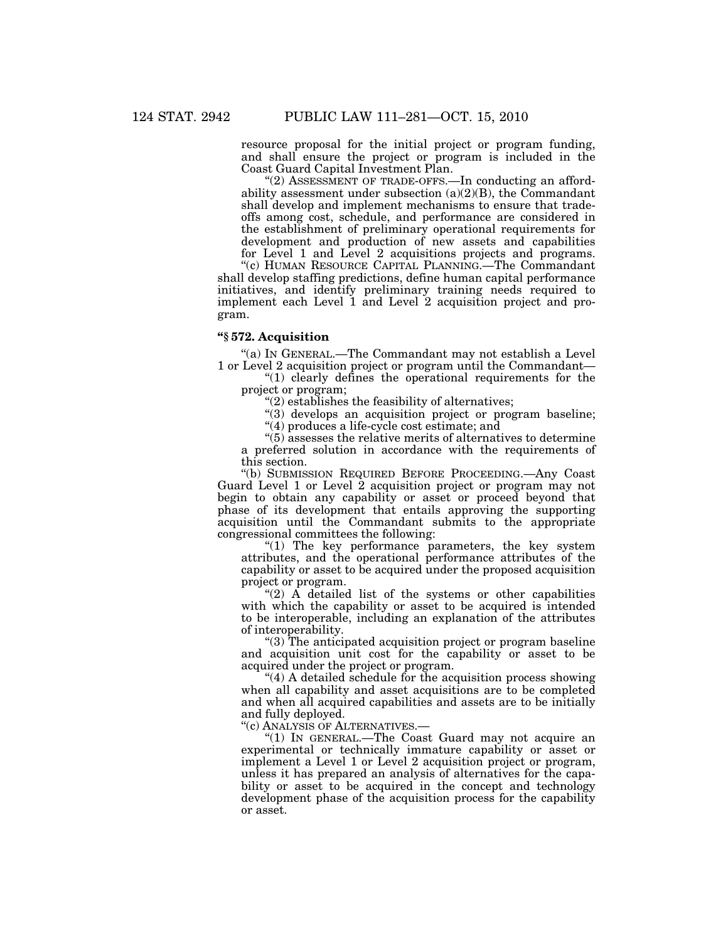resource proposal for the initial project or program funding, and shall ensure the project or program is included in the Coast Guard Capital Investment Plan.

"(2) ASSESSMENT OF TRADE-OFFS.—In conducting an affordability assessment under subsection  $(a)(2)(B)$ , the Commandant shall develop and implement mechanisms to ensure that tradeoffs among cost, schedule, and performance are considered in the establishment of preliminary operational requirements for development and production of new assets and capabilities for Level 1 and Level 2 acquisitions projects and programs.

''(c) HUMAN RESOURCE CAPITAL PLANNING.—The Commandant shall develop staffing predictions, define human capital performance initiatives, and identify preliminary training needs required to implement each Level 1 and Level 2 acquisition project and program.

### **''§ 572. Acquisition**

''(a) IN GENERAL.—The Commandant may not establish a Level 1 or Level 2 acquisition project or program until the Commandant—

"(1) clearly defines the operational requirements for the project or program;

 $f(2)$  establishes the feasibility of alternatives;

"(3) develops an acquisition project or program baseline;

''(4) produces a life-cycle cost estimate; and

 $*(5)$  assesses the relative merits of alternatives to determine a preferred solution in accordance with the requirements of this section.

''(b) SUBMISSION REQUIRED BEFORE PROCEEDING.—Any Coast Guard Level 1 or Level 2 acquisition project or program may not begin to obtain any capability or asset or proceed beyond that phase of its development that entails approving the supporting acquisition until the Commandant submits to the appropriate congressional committees the following:

"(1) The key performance parameters, the key system attributes, and the operational performance attributes of the capability or asset to be acquired under the proposed acquisition project or program.

"(2)  $\hat{A}$  detailed list of the systems or other capabilities with which the capability or asset to be acquired is intended to be interoperable, including an explanation of the attributes of interoperability.

''(3) The anticipated acquisition project or program baseline and acquisition unit cost for the capability or asset to be acquired under the project or program.

''(4) A detailed schedule for the acquisition process showing when all capability and asset acquisitions are to be completed and when all acquired capabilities and assets are to be initially and fully deployed.

''(c) ANALYSIS OF ALTERNATIVES.—

''(1) IN GENERAL.—The Coast Guard may not acquire an experimental or technically immature capability or asset or implement a Level 1 or Level 2 acquisition project or program, unless it has prepared an analysis of alternatives for the capability or asset to be acquired in the concept and technology development phase of the acquisition process for the capability or asset.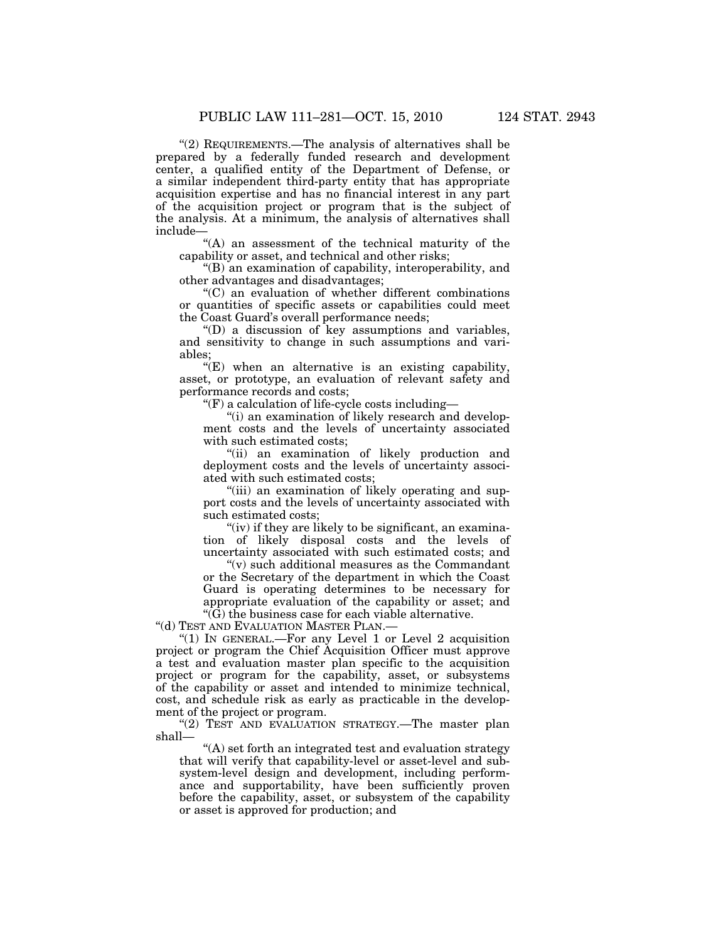"(2) REQUIREMENTS.—The analysis of alternatives shall be prepared by a federally funded research and development center, a qualified entity of the Department of Defense, or a similar independent third-party entity that has appropriate acquisition expertise and has no financial interest in any part of the acquisition project or program that is the subject of the analysis. At a minimum, the analysis of alternatives shall include—

"(A) an assessment of the technical maturity of the capability or asset, and technical and other risks;

''(B) an examination of capability, interoperability, and other advantages and disadvantages;

''(C) an evaluation of whether different combinations or quantities of specific assets or capabilities could meet the Coast Guard's overall performance needs;

''(D) a discussion of key assumptions and variables, and sensitivity to change in such assumptions and variables;

 $E$ ) when an alternative is an existing capability, asset, or prototype, an evaluation of relevant safety and performance records and costs;

 $\mathrm{``(F)}$  a calculation of life-cycle costs including—

"(i) an examination of likely research and development costs and the levels of uncertainty associated with such estimated costs;

''(ii) an examination of likely production and deployment costs and the levels of uncertainty associated with such estimated costs;

"(iii) an examination of likely operating and support costs and the levels of uncertainty associated with such estimated costs;

"(iv) if they are likely to be significant, an examination of likely disposal costs and the levels of uncertainty associated with such estimated costs; and

" $(v)$  such additional measures as the Commandant or the Secretary of the department in which the Coast Guard is operating determines to be necessary for appropriate evaluation of the capability or asset; and  $\sqrt[G]{(G)}$  the business case for each viable alternative.

''(d) TEST AND EVALUATION MASTER PLAN.—

''(1) IN GENERAL.—For any Level 1 or Level 2 acquisition project or program the Chief Acquisition Officer must approve a test and evaluation master plan specific to the acquisition project or program for the capability, asset, or subsystems of the capability or asset and intended to minimize technical, cost, and schedule risk as early as practicable in the development of the project or program.

"(2) TEST AND EVALUATION STRATEGY.—The master plan shall—

''(A) set forth an integrated test and evaluation strategy that will verify that capability-level or asset-level and subsystem-level design and development, including performance and supportability, have been sufficiently proven before the capability, asset, or subsystem of the capability or asset is approved for production; and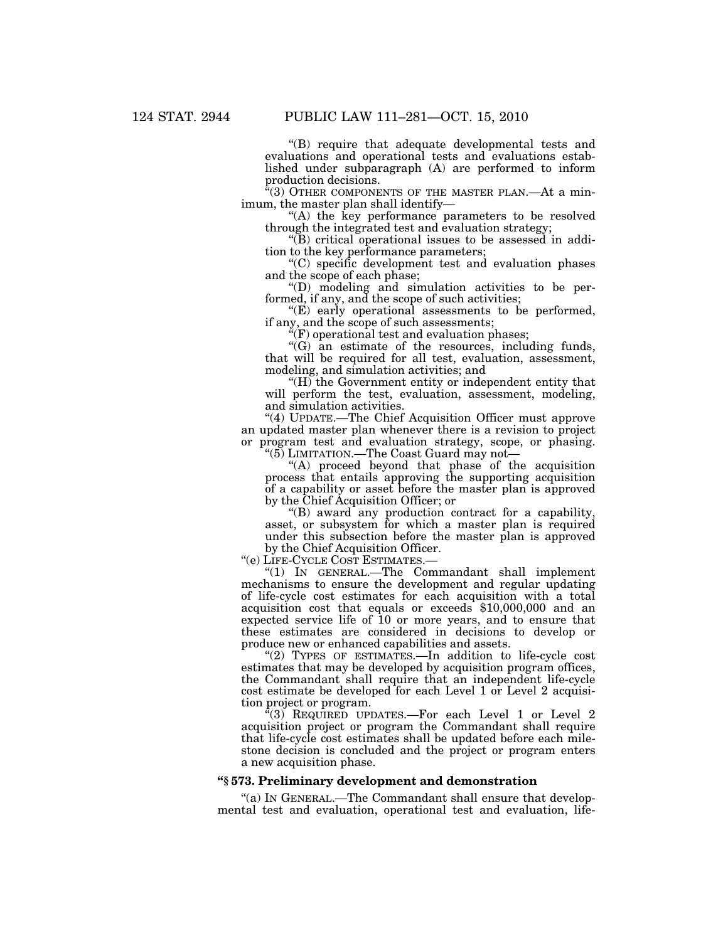''(B) require that adequate developmental tests and evaluations and operational tests and evaluations established under subparagraph (A) are performed to inform production decisions.

"(3) OTHER COMPONENTS OF THE MASTER PLAN.—At a minimum, the master plan shall identify—

''(A) the key performance parameters to be resolved through the integrated test and evaluation strategy;

''(B) critical operational issues to be assessed in addition to the key performance parameters;

''(C) specific development test and evaluation phases and the scope of each phase;

''(D) modeling and simulation activities to be performed, if any, and the scope of such activities;

 $E(E)$  early operational assessments to be performed, if any, and the scope of such assessments;

 $f(F)$  operational test and evaluation phases;

''(G) an estimate of the resources, including funds, that will be required for all test, evaluation, assessment, modeling, and simulation activities; and

"(H) the Government entity or independent entity that will perform the test, evaluation, assessment, modeling, and simulation activities.

''(4) UPDATE.—The Chief Acquisition Officer must approve an updated master plan whenever there is a revision to project or program test and evaluation strategy, scope, or phasing. ''(5) LIMITATION.—The Coast Guard may not—

''(A) proceed beyond that phase of the acquisition process that entails approving the supporting acquisition of a capability or asset before the master plan is approved by the Chief Acquisition Officer; or

''(B) award any production contract for a capability, asset, or subsystem for which a master plan is required under this subsection before the master plan is approved by the Chief Acquisition Officer.

''(e) LIFE-CYCLE COST ESTIMATES.—

''(1) IN GENERAL.—The Commandant shall implement mechanisms to ensure the development and regular updating of life-cycle cost estimates for each acquisition with a total acquisition cost that equals or exceeds \$10,000,000 and an expected service life of 10 or more years, and to ensure that these estimates are considered in decisions to develop or produce new or enhanced capabilities and assets.

"(2) TYPES OF ESTIMATES.—In addition to life-cycle cost estimates that may be developed by acquisition program offices, the Commandant shall require that an independent life-cycle cost estimate be developed for each Level 1 or Level 2 acquisition project or program.

 $(3)$  REQUIRED UPDATES.—For each Level 1 or Level 2 acquisition project or program the Commandant shall require that life-cycle cost estimates shall be updated before each milestone decision is concluded and the project or program enters a new acquisition phase.

### **''§ 573. Preliminary development and demonstration**

''(a) IN GENERAL.—The Commandant shall ensure that developmental test and evaluation, operational test and evaluation, life-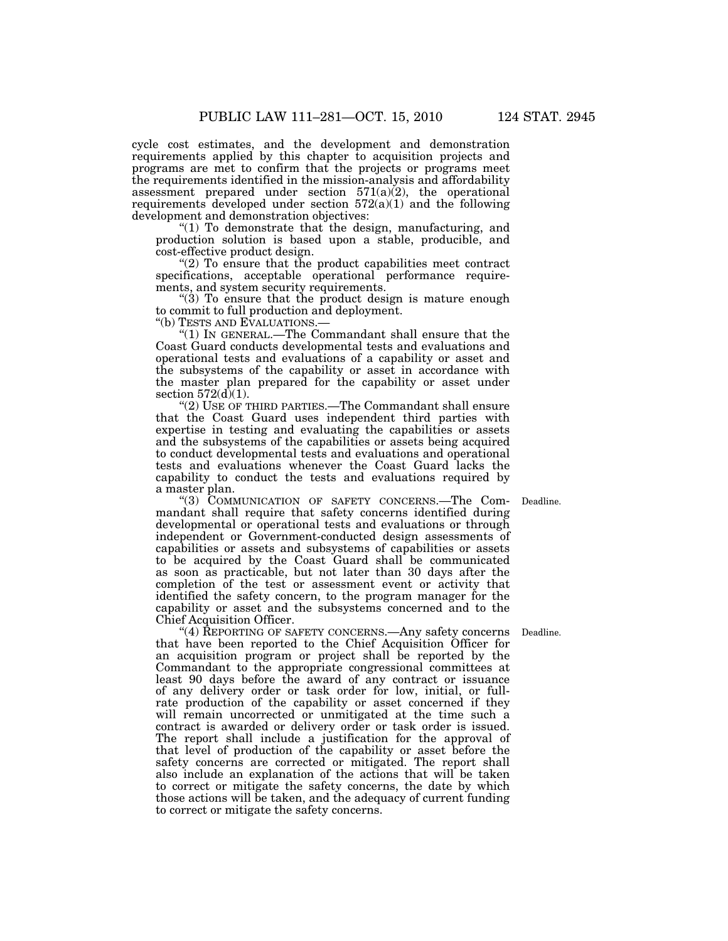cycle cost estimates, and the development and demonstration requirements applied by this chapter to acquisition projects and programs are met to confirm that the projects or programs meet the requirements identified in the mission-analysis and affordability assessment prepared under section  $571(a)(2)$ , the operational requirements developed under section  $572(a)(1)$  and the following development and demonstration objectives:

" $(1)$  To demonstrate that the design, manufacturing, and production solution is based upon a stable, producible, and cost-effective product design.

" $(2)$  To ensure that the product capabilities meet contract specifications, acceptable operational performance requirements, and system security requirements.

" $(3)$  To ensure that the product design is mature enough to commit to full production and deployment.<br>"(b) TESTS AND EVALUATIONS.—

" $(1)$  In GENERAL.—The Commandant shall ensure that the Coast Guard conducts developmental tests and evaluations and operational tests and evaluations of a capability or asset and the subsystems of the capability or asset in accordance with the master plan prepared for the capability or asset under section  $572(d)(1)$ .

''(2) USE OF THIRD PARTIES.—The Commandant shall ensure that the Coast Guard uses independent third parties with expertise in testing and evaluating the capabilities or assets and the subsystems of the capabilities or assets being acquired to conduct developmental tests and evaluations and operational tests and evaluations whenever the Coast Guard lacks the capability to conduct the tests and evaluations required by a master plan.

Deadline.

''(3) COMMUNICATION OF SAFETY CONCERNS.—The Commandant shall require that safety concerns identified during developmental or operational tests and evaluations or through independent or Government-conducted design assessments of capabilities or assets and subsystems of capabilities or assets to be acquired by the Coast Guard shall be communicated as soon as practicable, but not later than 30 days after the completion of the test or assessment event or activity that identified the safety concern, to the program manager for the capability or asset and the subsystems concerned and to the Chief Acquisition Officer.

"(4) REPORTING OF SAFETY CONCERNS.—Any safety concerns Deadline. that have been reported to the Chief Acquisition Officer for an acquisition program or project shall be reported by the Commandant to the appropriate congressional committees at least 90 days before the award of any contract or issuance of any delivery order or task order for low, initial, or fullrate production of the capability or asset concerned if they will remain uncorrected or unmitigated at the time such a contract is awarded or delivery order or task order is issued. The report shall include a justification for the approval of that level of production of the capability or asset before the safety concerns are corrected or mitigated. The report shall also include an explanation of the actions that will be taken to correct or mitigate the safety concerns, the date by which those actions will be taken, and the adequacy of current funding to correct or mitigate the safety concerns.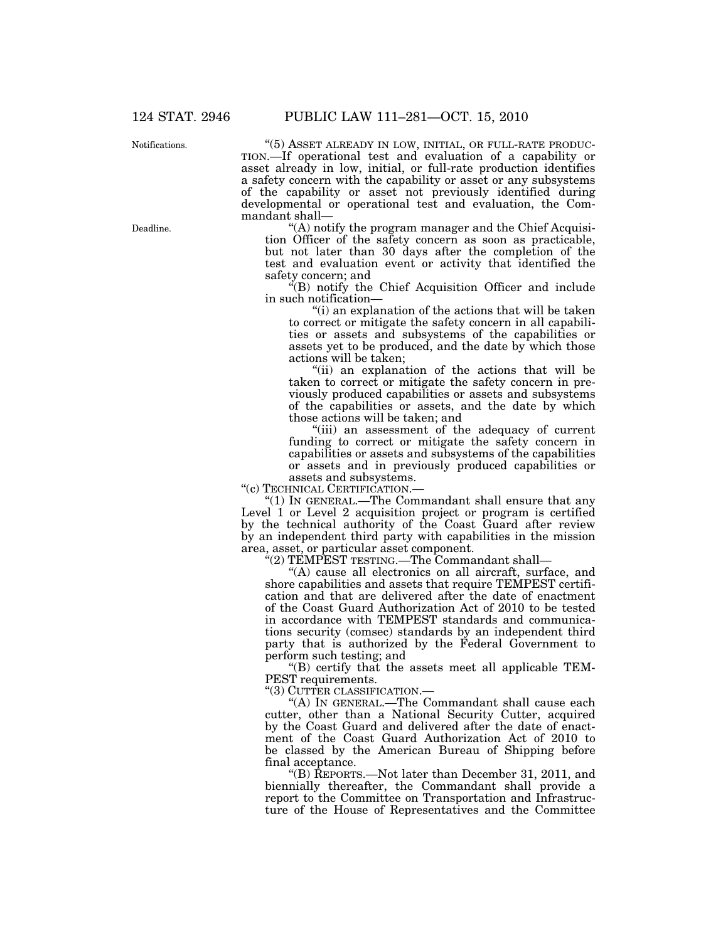Notifications.

''(5) ASSET ALREADY IN LOW, INITIAL, OR FULL-RATE PRODUC- TION.—If operational test and evaluation of a capability or asset already in low, initial, or full-rate production identifies a safety concern with the capability or asset or any subsystems of the capability or asset not previously identified during developmental or operational test and evaluation, the Commandant shall—

''(A) notify the program manager and the Chief Acquisition Officer of the safety concern as soon as practicable, but not later than 30 days after the completion of the test and evaluation event or activity that identified the safety concern; and

''(B) notify the Chief Acquisition Officer and include in such notification—

''(i) an explanation of the actions that will be taken to correct or mitigate the safety concern in all capabilities or assets and subsystems of the capabilities or assets yet to be produced, and the date by which those actions will be taken;

"(ii) an explanation of the actions that will be taken to correct or mitigate the safety concern in previously produced capabilities or assets and subsystems of the capabilities or assets, and the date by which those actions will be taken; and

''(iii) an assessment of the adequacy of current funding to correct or mitigate the safety concern in capabilities or assets and subsystems of the capabilities or assets and in previously produced capabilities or assets and subsystems.

''(c) TECHNICAL CERTIFICATION.—

"(1) In GENERAL.—The Commandant shall ensure that any Level 1 or Level 2 acquisition project or program is certified by the technical authority of the Coast Guard after review by an independent third party with capabilities in the mission area, asset, or particular asset component.

 $\cdot''(2)$  TEMPEST  $\tt{TESTING.}-The \atop{}^{CDmmandant shall--}$ 

''(A) cause all electronics on all aircraft, surface, and shore capabilities and assets that require TEMPEST certification and that are delivered after the date of enactment of the Coast Guard Authorization Act of 2010 to be tested in accordance with TEMPEST standards and communications security (comsec) standards by an independent third party that is authorized by the Federal Government to perform such testing; and

 $\mathrm{``(B)}$  certify that the assets meet all applicable TEM-PEST requirements.

''(3) CUTTER CLASSIFICATION.—

''(A) IN GENERAL.—The Commandant shall cause each cutter, other than a National Security Cutter, acquired by the Coast Guard and delivered after the date of enactment of the Coast Guard Authorization Act of 2010 to be classed by the American Bureau of Shipping before final acceptance.

''(B) REPORTS.—Not later than December 31, 2011, and biennially thereafter, the Commandant shall provide a report to the Committee on Transportation and Infrastructure of the House of Representatives and the Committee

Deadline.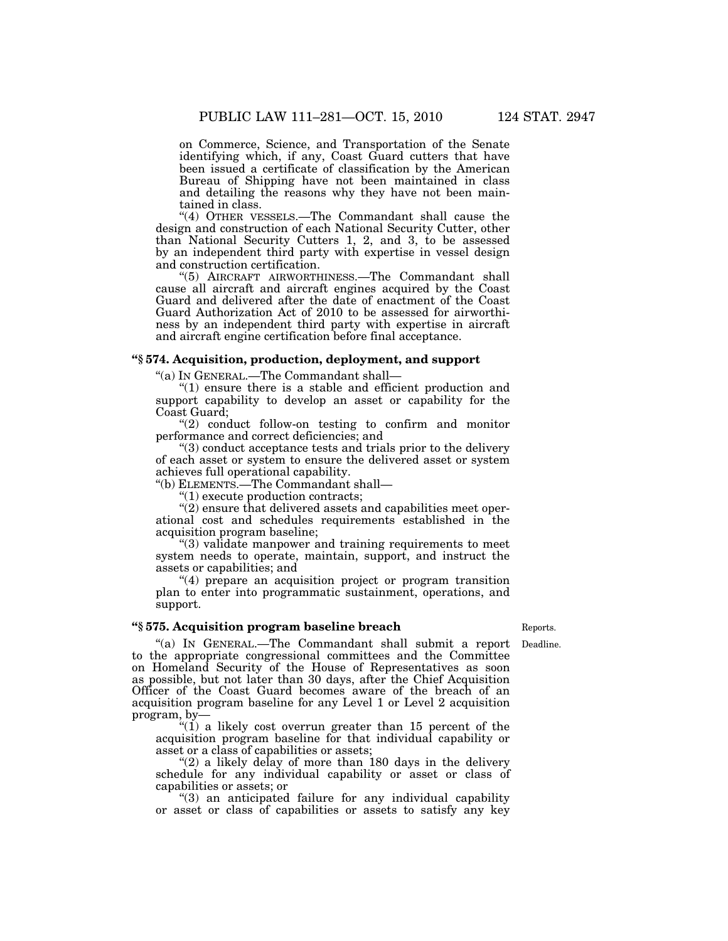on Commerce, Science, and Transportation of the Senate identifying which, if any, Coast Guard cutters that have been issued a certificate of classification by the American Bureau of Shipping have not been maintained in class and detailing the reasons why they have not been maintained in class.

''(4) OTHER VESSELS.—The Commandant shall cause the design and construction of each National Security Cutter, other than National Security Cutters 1, 2, and 3, to be assessed by an independent third party with expertise in vessel design and construction certification.

''(5) AIRCRAFT AIRWORTHINESS.—The Commandant shall cause all aircraft and aircraft engines acquired by the Coast Guard and delivered after the date of enactment of the Coast Guard Authorization Act of 2010 to be assessed for airworthiness by an independent third party with expertise in aircraft and aircraft engine certification before final acceptance.

### **''§ 574. Acquisition, production, deployment, and support**

''(a) IN GENERAL.—The Commandant shall—

 $(1)$  ensure there is a stable and efficient production and support capability to develop an asset or capability for the Coast Guard;

''(2) conduct follow-on testing to confirm and monitor performance and correct deficiencies; and

''(3) conduct acceptance tests and trials prior to the delivery of each asset or system to ensure the delivered asset or system achieves full operational capability.

''(b) ELEMENTS.—The Commandant shall—

''(1) execute production contracts;

"(2) ensure that delivered assets and capabilities meet operational cost and schedules requirements established in the acquisition program baseline;

''(3) validate manpower and training requirements to meet system needs to operate, maintain, support, and instruct the assets or capabilities; and

''(4) prepare an acquisition project or program transition plan to enter into programmatic sustainment, operations, and support.

### **''§ 575. Acquisition program baseline breach**

Reports.

''(a) IN GENERAL.—The Commandant shall submit a report to the appropriate congressional committees and the Committee on Homeland Security of the House of Representatives as soon as possible, but not later than 30 days, after the Chief Acquisition Officer of the Coast Guard becomes aware of the breach of an acquisition program baseline for any Level 1 or Level 2 acquisition program, by— Deadline.

 $\sqrt[n]{(1)}$  a likely cost overrun greater than 15 percent of the acquisition program baseline for that individual capability or asset or a class of capabilities or assets;

"(2) a likely delay of more than 180 days in the delivery schedule for any individual capability or asset or class of capabilities or assets; or

''(3) an anticipated failure for any individual capability or asset or class of capabilities or assets to satisfy any key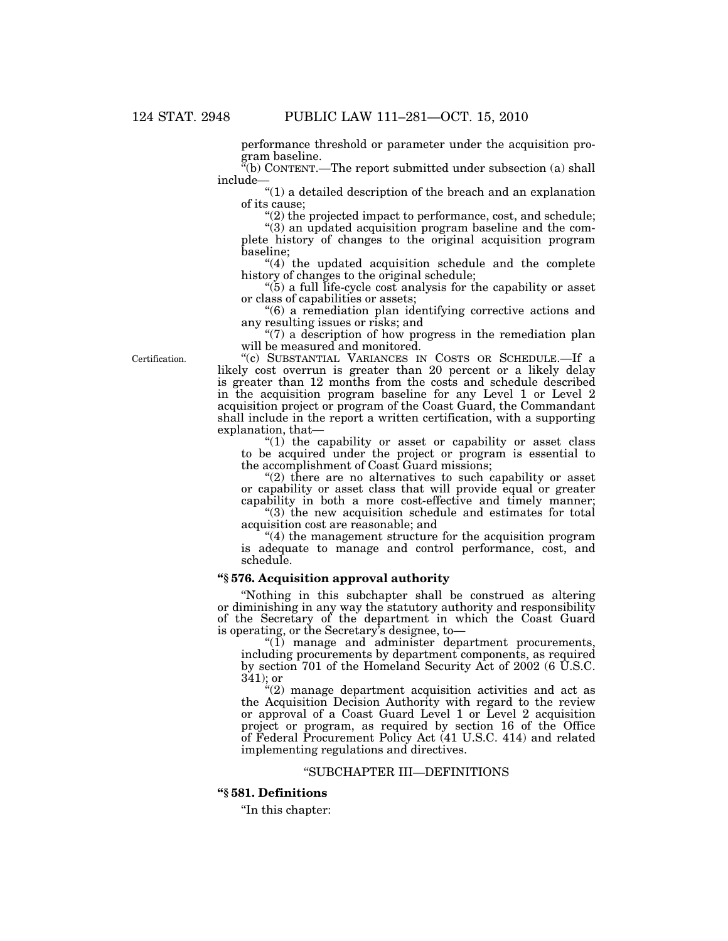performance threshold or parameter under the acquisition program baseline.

 $\mathbf{F}^{\mathsf{r}}(\mathbf{b})$  CONTENT.—The report submitted under subsection (a) shall include—

''(1) a detailed description of the breach and an explanation of its cause;

''(2) the projected impact to performance, cost, and schedule;

''(3) an updated acquisition program baseline and the complete history of changes to the original acquisition program baseline;

 $(4)$  the updated acquisition schedule and the complete history of changes to the original schedule;

"( $\ddot{\text{5}}$ ) a full life-cycle cost analysis for the capability or asset or class of capabilities or assets;

''(6) a remediation plan identifying corrective actions and any resulting issues or risks; and

 $\degree$ (7) a description of how progress in the remediation plan will be measured and monitored.

''(c) SUBSTANTIAL VARIANCES IN COSTS OR SCHEDULE.—If a likely cost overrun is greater than 20 percent or a likely delay is greater than 12 months from the costs and schedule described in the acquisition program baseline for any Level 1 or Level 2 acquisition project or program of the Coast Guard, the Commandant shall include in the report a written certification, with a supporting explanation, that—

" $(1)$  the capability or asset or capability or asset class to be acquired under the project or program is essential to the accomplishment of Coast Guard missions;

" $(2)$  there are no alternatives to such capability or asset or capability or asset class that will provide equal or greater capability in both a more cost-effective and timely manner; ''(3) the new acquisition schedule and estimates for total

acquisition cost are reasonable; and

''(4) the management structure for the acquisition program is adequate to manage and control performance, cost, and schedule.

#### **''§ 576. Acquisition approval authority**

''Nothing in this subchapter shall be construed as altering or diminishing in any way the statutory authority and responsibility of the Secretary of the department in which the Coast Guard is operating, or the Secretary's designee, to—

 $\degree$ (1) manage and administer department procurements, including procurements by department components, as required by section 701 of the Homeland Security Act of  $2002$  (6  $\dot{\text{U}}$ .S.C. 341); or

 $(2)$  manage department acquisition activities and act as the Acquisition Decision Authority with regard to the review or approval of a Coast Guard Level 1 or Level 2 acquisition project or program, as required by section 16 of the Office of Federal Procurement Policy Act (41 U.S.C. 414) and related implementing regulations and directives.

### ''SUBCHAPTER III—DEFINITIONS

### **''§ 581. Definitions**

''In this chapter:

Certification.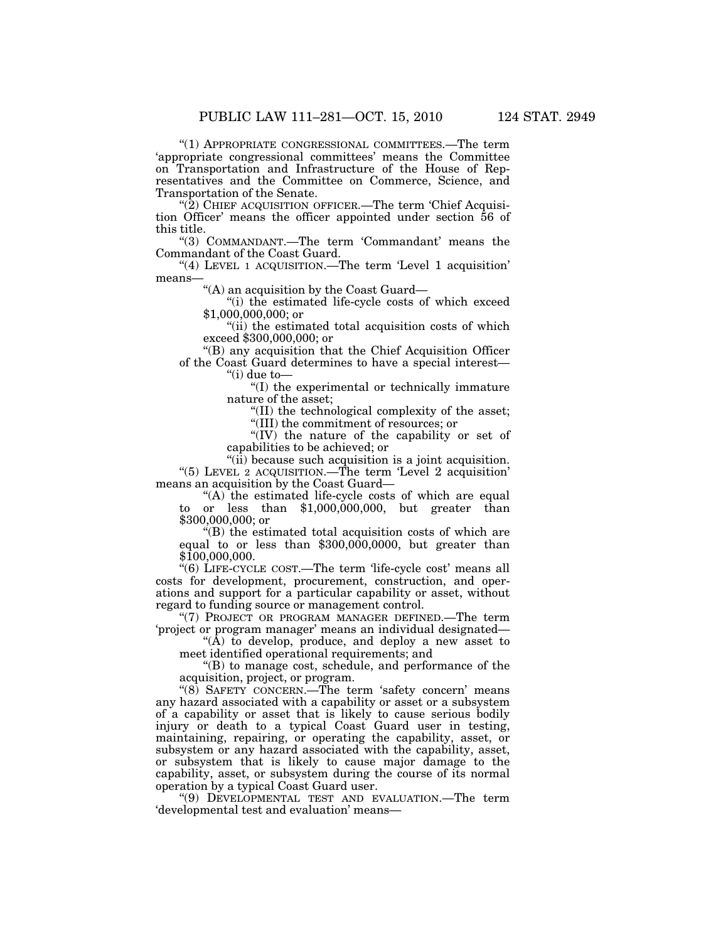''(1) APPROPRIATE CONGRESSIONAL COMMITTEES.—The term 'appropriate congressional committees' means the Committee on Transportation and Infrastructure of the House of Representatives and the Committee on Commerce, Science, and Transportation of the Senate.

"(2) CHIEF ACQUISITION OFFICER.—The term 'Chief Acquisition Officer' means the officer appointed under section 56 of this title.

''(3) COMMANDANT.—The term 'Commandant' means the Commandant of the Coast Guard.

''(4) LEVEL 1 ACQUISITION.—The term 'Level 1 acquisition' means—

''(A) an acquisition by the Coast Guard—

''(i) the estimated life-cycle costs of which exceed \$1,000,000,000; or

"(ii) the estimated total acquisition costs of which exceed \$300,000,000; or

''(B) any acquisition that the Chief Acquisition Officer of the Coast Guard determines to have a special interest— ''(i) due to—

''(I) the experimental or technically immature nature of the asset;

''(II) the technological complexity of the asset;

''(III) the commitment of resources; or

''(IV) the nature of the capability or set of capabilities to be achieved; or

"(ii) because such acquisition is a joint acquisition. "(5) LEVEL 2 ACQUISITION.—The term 'Level 2 acquisition' means an acquisition by the Coast Guard—

" $(A)$  the estimated life-cycle costs of which are equal to or less than  $$1,000,000,000$ , but greater than \$300,000,000; or

''(B) the estimated total acquisition costs of which are equal to or less than \$300,000,0000, but greater than  $$100,000,000.$ 

"(6) LIFE-CYCLE COST.—The term 'life-cycle cost' means all costs for development, procurement, construction, and operations and support for a particular capability or asset, without regard to funding source or management control.

"(7) PROJECT OR PROGRAM MANAGER DEFINED.—The term 'project or program manager' means an individual designated—

" $(\hat{A})$  to develop, produce, and deploy a new asset to meet identified operational requirements; and

''(B) to manage cost, schedule, and performance of the acquisition, project, or program.

"(8) SAFETY CONCERN.—The term 'safety concern' means any hazard associated with a capability or asset or a subsystem of a capability or asset that is likely to cause serious bodily injury or death to a typical Coast Guard user in testing, maintaining, repairing, or operating the capability, asset, or subsystem or any hazard associated with the capability, asset, or subsystem that is likely to cause major damage to the capability, asset, or subsystem during the course of its normal operation by a typical Coast Guard user.

''(9) DEVELOPMENTAL TEST AND EVALUATION.—The term 'developmental test and evaluation' means—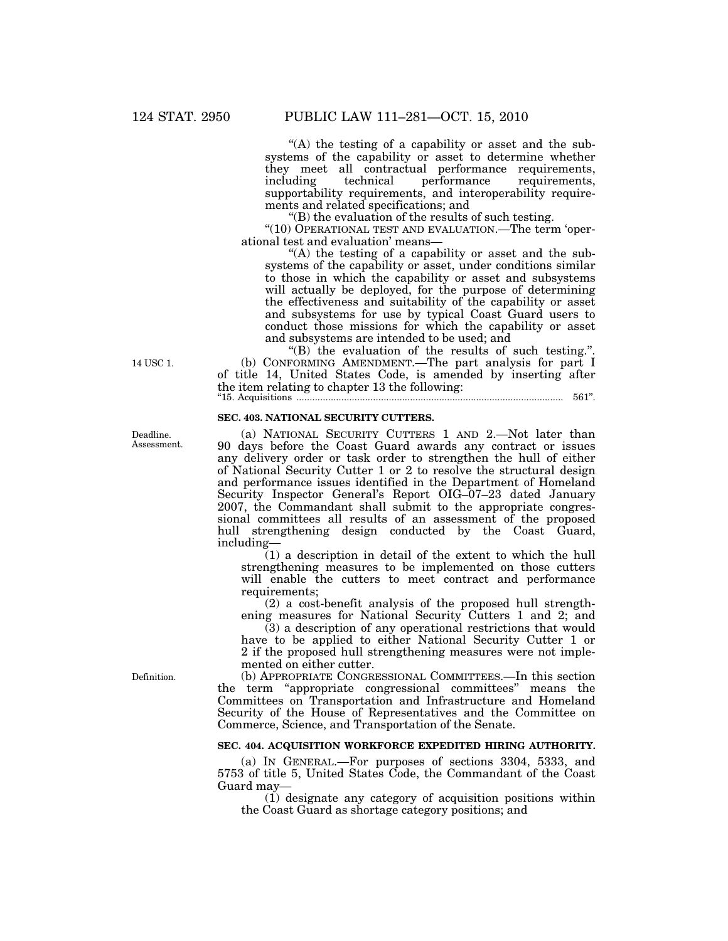"(A) the testing of a capability or asset and the subsystems of the capability or asset to determine whether they meet all contractual performance requirements, including technical performance requirements, supportability requirements, and interoperability requirements and related specifications; and

''(B) the evaluation of the results of such testing.

"(10) OPERATIONAL TEST AND EVALUATION.—The term 'operational test and evaluation' means—

 $(A)$  the testing of a capability or asset and the subsystems of the capability or asset, under conditions similar to those in which the capability or asset and subsystems will actually be deployed, for the purpose of determining the effectiveness and suitability of the capability or asset and subsystems for use by typical Coast Guard users to conduct those missions for which the capability or asset and subsystems are intended to be used; and

''(B) the evaluation of the results of such testing.''. (b) CONFORMING AMENDMENT.—The part analysis for part I of title 14, United States Code, is amended by inserting after the item relating to chapter 13 the following:

### ''15. Acquisitions ..................................................................................................... 561''.

### **SEC. 403. NATIONAL SECURITY CUTTERS.**

(a) NATIONAL SECURITY CUTTERS 1 AND 2.—Not later than 90 days before the Coast Guard awards any contract or issues any delivery order or task order to strengthen the hull of either of National Security Cutter 1 or 2 to resolve the structural design and performance issues identified in the Department of Homeland Security Inspector General's Report OIG–07–23 dated January 2007, the Commandant shall submit to the appropriate congressional committees all results of an assessment of the proposed hull strengthening design conducted by the Coast Guard, including—

(1) a description in detail of the extent to which the hull strengthening measures to be implemented on those cutters will enable the cutters to meet contract and performance requirements;

(2) a cost-benefit analysis of the proposed hull strengthening measures for National Security Cutters 1 and 2; and

(3) a description of any operational restrictions that would have to be applied to either National Security Cutter 1 or 2 if the proposed hull strengthening measures were not implemented on either cutter.

(b) APPROPRIATE CONGRESSIONAL COMMITTEES.—In this section the term ''appropriate congressional committees'' means the Committees on Transportation and Infrastructure and Homeland Security of the House of Representatives and the Committee on Commerce, Science, and Transportation of the Senate.

### **SEC. 404. ACQUISITION WORKFORCE EXPEDITED HIRING AUTHORITY.**

(a) IN GENERAL.—For purposes of sections 3304, 5333, and 5753 of title 5, United States Code, the Commandant of the Coast Guard may—

(1) designate any category of acquisition positions within the Coast Guard as shortage category positions; and

Deadline. Assessment.

Definition.

14 USC 1.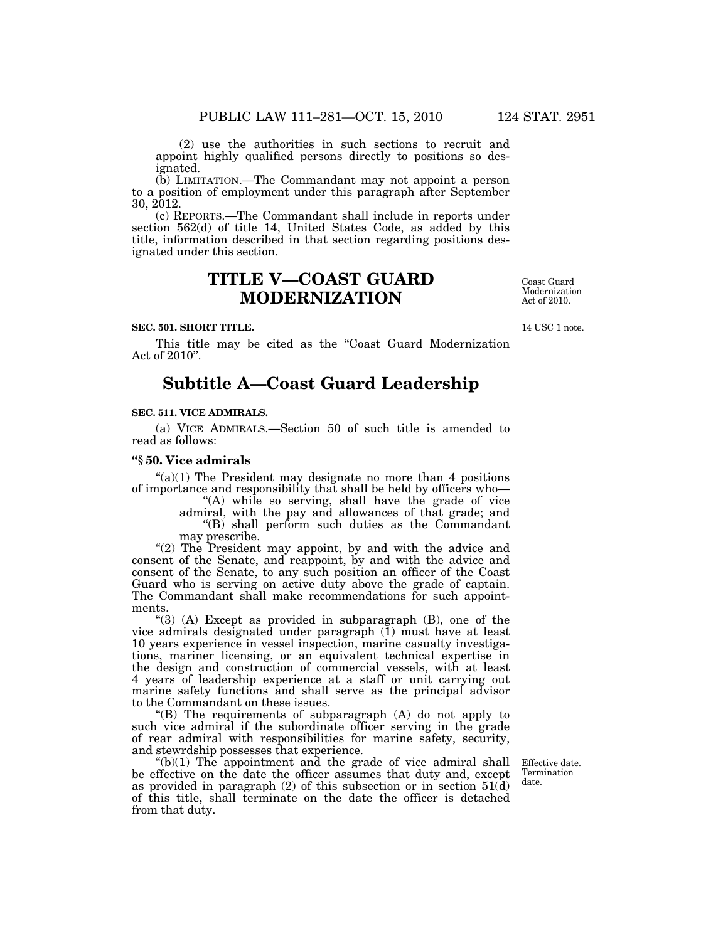(2) use the authorities in such sections to recruit and appoint highly qualified persons directly to positions so designated.

(b) LIMITATION.—The Commandant may not appoint a person to a position of employment under this paragraph after September 30, 2012.

(c) REPORTS.—The Commandant shall include in reports under section 562(d) of title 14, United States Code, as added by this title, information described in that section regarding positions designated under this section.

# **TITLE V—COAST GUARD MODERNIZATION**

#### **SEC. 501. SHORT TITLE.**

This title may be cited as the "Coast Guard Modernization" Act of 2010''.

## **Subtitle A—Coast Guard Leadership**

### **SEC. 511. VICE ADMIRALS.**

(a) VICE ADMIRALS.—Section 50 of such title is amended to read as follows:

### **''§ 50. Vice admirals**

" $(a)(1)$  The President may designate no more than 4 positions" of importance and responsibility that shall be held by officers who—

"(A) while so serving, shall have the grade of vice admiral, with the pay and allowances of that grade; and  $\mathrm{``(B)}$  shall perform such duties as the Commandant may prescribe.

"(2) The President may appoint, by and with the advice and consent of the Senate, and reappoint, by and with the advice and consent of the Senate, to any such position an officer of the Coast Guard who is serving on active duty above the grade of captain. The Commandant shall make recommendations for such appointments.

" $(3)$  (A) Except as provided in subparagraph  $(B)$ , one of the vice admirals designated under paragraph (1) must have at least 10 years experience in vessel inspection, marine casualty investigations, mariner licensing, or an equivalent technical expertise in the design and construction of commercial vessels, with at least 4 years of leadership experience at a staff or unit carrying out marine safety functions and shall serve as the principal advisor to the Commandant on these issues.

"(B) The requirements of subparagraph  $(A)$  do not apply to such vice admiral if the subordinate officer serving in the grade of rear admiral with responsibilities for marine safety, security, and stewrdship possesses that experience.

 $'(b)(1)$  The appointment and the grade of vice admiral shall be effective on the date the officer assumes that duty and, except as provided in paragraph  $(2)$  of this subsection or in section  $51\overline{d}$ of this title, shall terminate on the date the officer is detached from that duty.

Effective date. Termination date.

14 USC 1 note.

Coast Guard Modernization Act of 2010.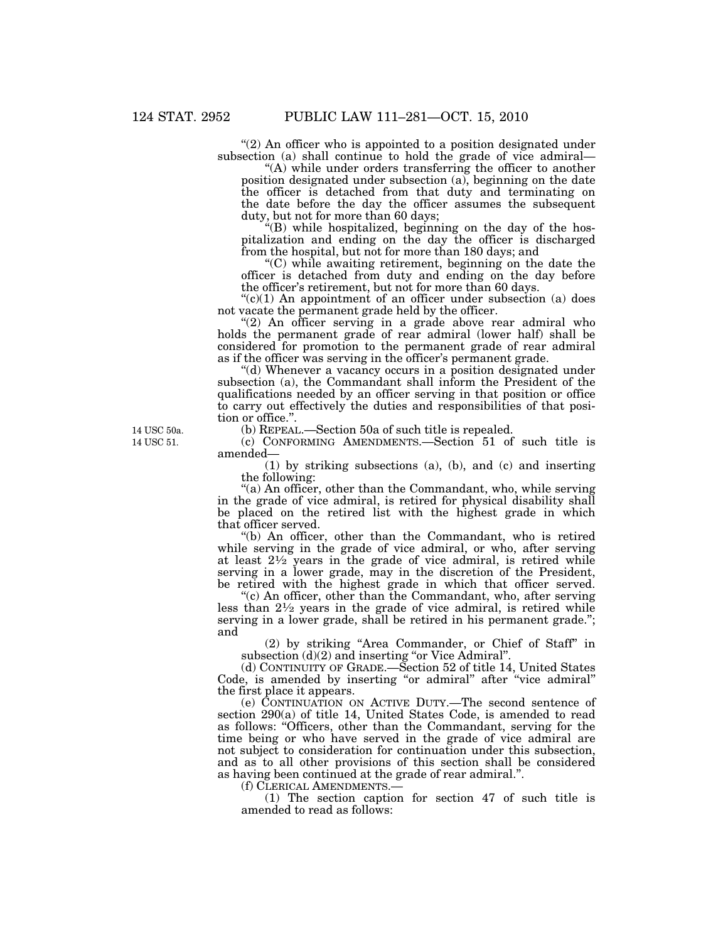"(2) An officer who is appointed to a position designated under subsection (a) shall continue to hold the grade of vice admiral—

"(A) while under orders transferring the officer to another position designated under subsection (a), beginning on the date the officer is detached from that duty and terminating on the date before the day the officer assumes the subsequent duty, but not for more than 60 days;

''(B) while hospitalized, beginning on the day of the hospitalization and ending on the day the officer is discharged from the hospital, but not for more than 180 days; and

''(C) while awaiting retirement, beginning on the date the officer is detached from duty and ending on the day before the officer's retirement, but not for more than 60 days.

 $C(1)$  An appointment of an officer under subsection (a) does not vacate the permanent grade held by the officer.

"(2) An officer serving in a grade above rear admiral who holds the permanent grade of rear admiral (lower half) shall be considered for promotion to the permanent grade of rear admiral as if the officer was serving in the officer's permanent grade.

''(d) Whenever a vacancy occurs in a position designated under subsection (a), the Commandant shall inform the President of the qualifications needed by an officer serving in that position or office to carry out effectively the duties and responsibilities of that position or office.''.

(b) REPEAL.—Section 50a of such title is repealed.

(c) CONFORMING AMENDMENTS.—Section 51 of such title is amended—

(1) by striking subsections (a), (b), and (c) and inserting the following:

''(a) An officer, other than the Commandant, who, while serving in the grade of vice admiral, is retired for physical disability shall be placed on the retired list with the highest grade in which that officer served.

''(b) An officer, other than the Commandant, who is retired while serving in the grade of vice admiral, or who, after serving at least  $2\frac{1}{2}$  years in the grade of vice admiral, is retired while serving in a lower grade, may in the discretion of the President, be retired with the highest grade in which that officer served.

"(c) An officer, other than the Commandant, who, after serving less than  $2\frac{1}{2}$  years in the grade of vice admiral, is retired while serving in a lower grade, shall be retired in his permanent grade."; and

(2) by striking ''Area Commander, or Chief of Staff'' in subsection (d)(2) and inserting "or Vice Admiral".

(d) CONTINUITY OF GRADE.—Section 52 of title 14, United States Code, is amended by inserting "or admiral" after "vice admiral" the first place it appears.

(e) CONTINUATION ON ACTIVE DUTY.—The second sentence of section 290(a) of title 14, United States Code, is amended to read as follows: ''Officers, other than the Commandant, serving for the time being or who have served in the grade of vice admiral are not subject to consideration for continuation under this subsection, and as to all other provisions of this section shall be considered as having been continued at the grade of rear admiral.''.

(f) CLERICAL AMENDMENTS.— (1) The section caption for section 47 of such title is amended to read as follows:

14 USC 51. 14 USC 50a.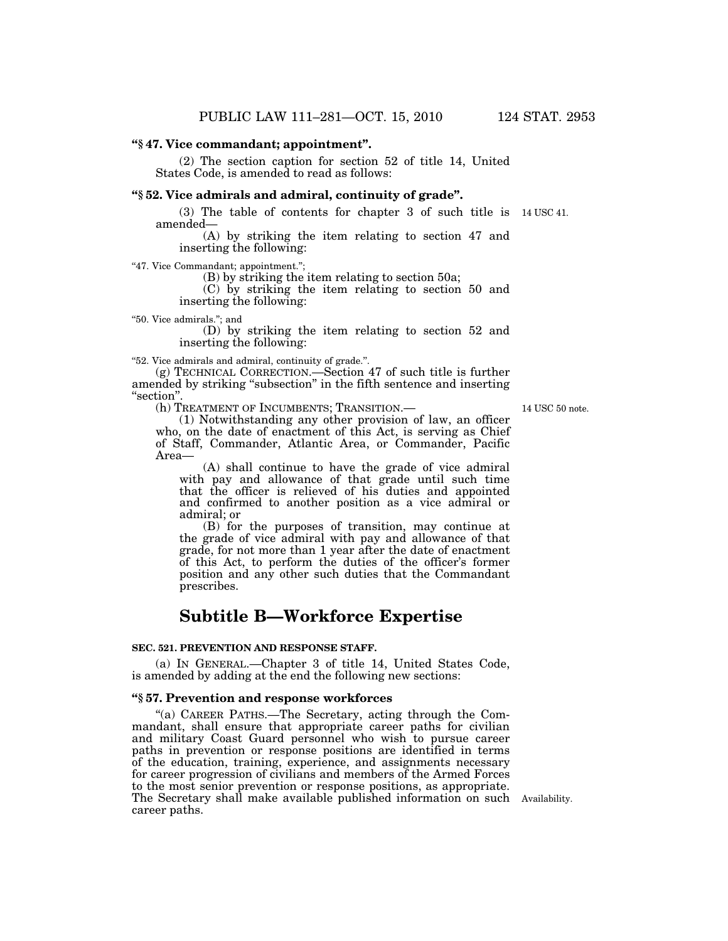### **''§ 47. Vice commandant; appointment''.**

(2) The section caption for section 52 of title 14, United States Code, is amended to read as follows:

### **''§ 52. Vice admirals and admiral, continuity of grade''.**

(3) The table of contents for chapter 3 of such title is 14 USC 41. amended—

(A) by striking the item relating to section 47 and inserting the following:

''47. Vice Commandant; appointment.'';

(B) by striking the item relating to section 50a;

(C) by striking the item relating to section 50 and inserting the following:

"50. Vice admirals."; and

(D) by striking the item relating to section 52 and inserting the following:

''52. Vice admirals and admiral, continuity of grade.''.

(g) TECHNICAL CORRECTION.—Section 47 of such title is further amended by striking ''subsection'' in the fifth sentence and inserting "section".

(h) TREATMENT OF INCUMBENTS; TRANSITION.—

14 USC 50 note.

(1) Notwithstanding any other provision of law, an officer who, on the date of enactment of this Act, is serving as Chief of Staff, Commander, Atlantic Area, or Commander, Pacific Area—

(A) shall continue to have the grade of vice admiral with pay and allowance of that grade until such time that the officer is relieved of his duties and appointed and confirmed to another position as a vice admiral or admiral; or

(B) for the purposes of transition, may continue at the grade of vice admiral with pay and allowance of that grade, for not more than 1 year after the date of enactment of this Act, to perform the duties of the officer's former position and any other such duties that the Commandant prescribes.

## **Subtitle B—Workforce Expertise**

#### **SEC. 521. PREVENTION AND RESPONSE STAFF.**

(a) IN GENERAL.—Chapter 3 of title 14, United States Code, is amended by adding at the end the following new sections:

### **''§ 57. Prevention and response workforces**

''(a) CAREER PATHS.—The Secretary, acting through the Commandant, shall ensure that appropriate career paths for civilian and military Coast Guard personnel who wish to pursue career paths in prevention or response positions are identified in terms of the education, training, experience, and assignments necessary for career progression of civilians and members of the Armed Forces to the most senior prevention or response positions, as appropriate. The Secretary shall make available published information on such Availability. career paths.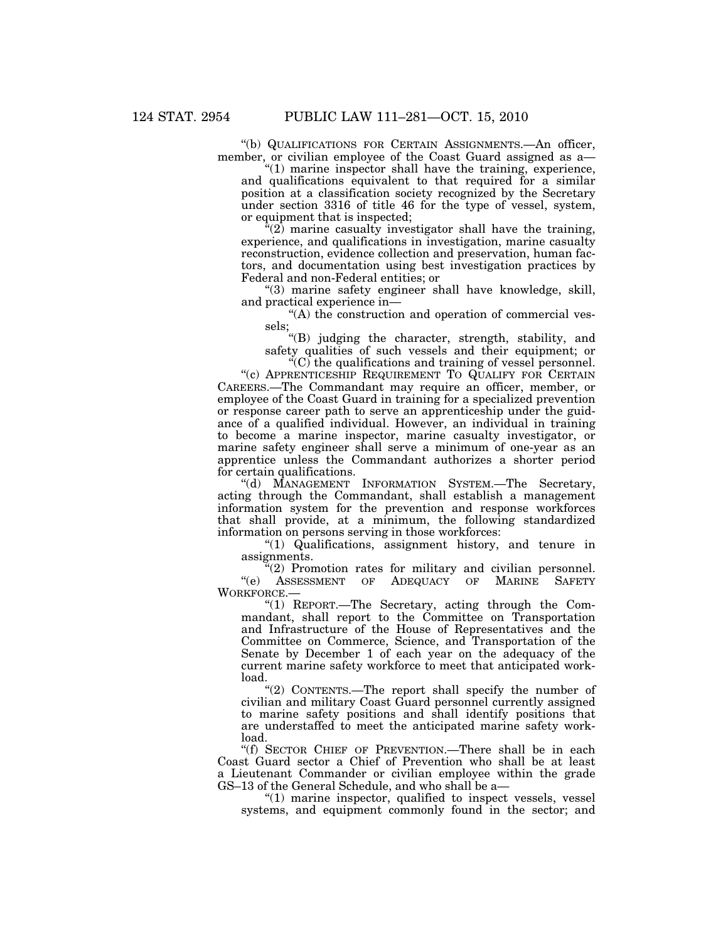''(b) QUALIFICATIONS FOR CERTAIN ASSIGNMENTS.—An officer, member, or civilian employee of the Coast Guard assigned as a—

''(1) marine inspector shall have the training, experience, and qualifications equivalent to that required for a similar position at a classification society recognized by the Secretary under section 3316 of title 46 for the type of vessel, system, or equipment that is inspected;

 $\sqrt[n]{(2)}$  marine casualty investigator shall have the training, experience, and qualifications in investigation, marine casualty reconstruction, evidence collection and preservation, human factors, and documentation using best investigation practices by Federal and non-Federal entities; or

''(3) marine safety engineer shall have knowledge, skill, and practical experience in—

"(A) the construction and operation of commercial vessels;

''(B) judging the character, strength, stability, and safety qualities of such vessels and their equipment; or

 $\mathcal{C}(\mathcal{C})$  the qualifications and training of vessel personnel. "(c) APPRENTICESHIP REQUIREMENT TO QUALIFY FOR CERTAIN

CAREERS.—The Commandant may require an officer, member, or employee of the Coast Guard in training for a specialized prevention or response career path to serve an apprenticeship under the guidance of a qualified individual. However, an individual in training to become a marine inspector, marine casualty investigator, or marine safety engineer shall serve a minimum of one-year as an apprentice unless the Commandant authorizes a shorter period for certain qualifications.

''(d) MANAGEMENT INFORMATION SYSTEM.—The Secretary, acting through the Commandant, shall establish a management information system for the prevention and response workforces that shall provide, at a minimum, the following standardized information on persons serving in those workforces:

''(1) Qualifications, assignment history, and tenure in assignments.

''(2) Promotion rates for military and civilian personnel. "(e) ASSESSMENT OF ADEQUACY OF MARINE WORKFORCE.—

''(1) REPORT.—The Secretary, acting through the Commandant, shall report to the Committee on Transportation and Infrastructure of the House of Representatives and the Committee on Commerce, Science, and Transportation of the Senate by December 1 of each year on the adequacy of the current marine safety workforce to meet that anticipated workload.

"(2) CONTENTS.—The report shall specify the number of civilian and military Coast Guard personnel currently assigned to marine safety positions and shall identify positions that are understaffed to meet the anticipated marine safety workload.

''(f) SECTOR CHIEF OF PREVENTION.—There shall be in each Coast Guard sector a Chief of Prevention who shall be at least a Lieutenant Commander or civilian employee within the grade GS–13 of the General Schedule, and who shall be a—

 $!(1)$  marine inspector, qualified to inspect vessels, vessel systems, and equipment commonly found in the sector; and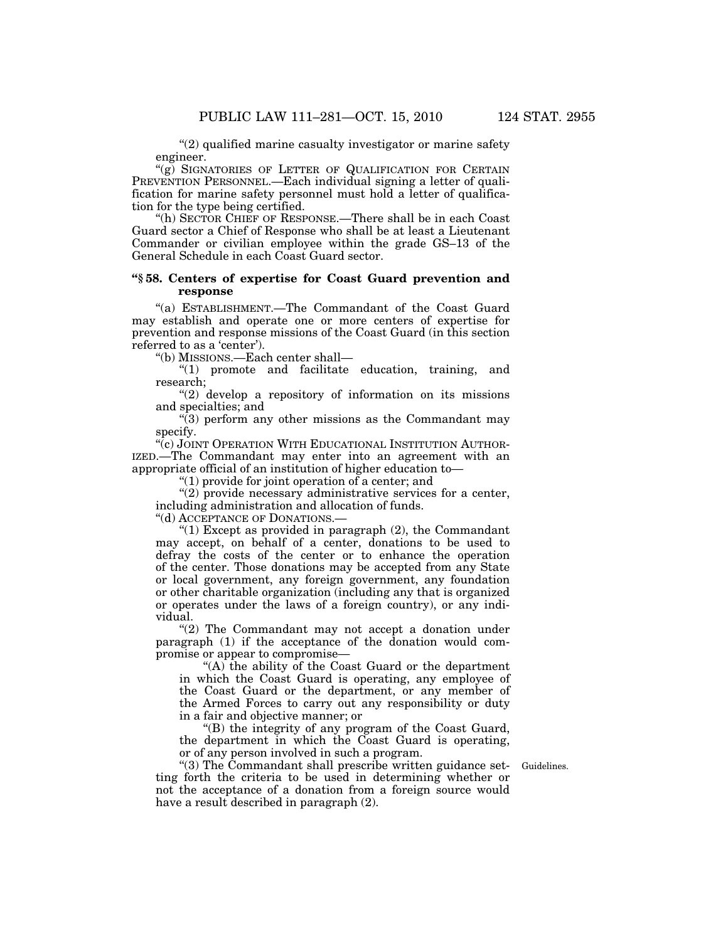"(2) qualified marine casualty investigator or marine safety engineer.

"(g) SIGNATORIES OF LETTER OF QUALIFICATION FOR CERTAIN PREVENTION PERSONNEL.—Each individual signing a letter of qualification for marine safety personnel must hold a letter of qualification for the type being certified.

''(h) SECTOR CHIEF OF RESPONSE.—There shall be in each Coast Guard sector a Chief of Response who shall be at least a Lieutenant Commander or civilian employee within the grade GS–13 of the General Schedule in each Coast Guard sector.

### **''§ 58. Centers of expertise for Coast Guard prevention and response**

''(a) ESTABLISHMENT.—The Commandant of the Coast Guard may establish and operate one or more centers of expertise for prevention and response missions of the Coast Guard (in this section referred to as a 'center').

''(b) MISSIONS.—Each center shall—

''(1) promote and facilitate education, training, and research;

"(2) develop a repository of information on its missions and specialties; and

 $\sqrt{3}$ ) perform any other missions as the Commandant may specify.

''(c) JOINT OPERATION WITH EDUCATIONAL INSTITUTION AUTHOR-IZED.—The Commandant may enter into an agreement with an appropriate official of an institution of higher education to—

" $(1)$  provide for joint operation of a center; and

"(2) provide necessary administrative services for a center, including administration and allocation of funds.

''(d) ACCEPTANCE OF DONATIONS.—

" $(1)$  Except as provided in paragraph  $(2)$ , the Commandant may accept, on behalf of a center, donations to be used to defray the costs of the center or to enhance the operation of the center. Those donations may be accepted from any State or local government, any foreign government, any foundation or other charitable organization (including any that is organized or operates under the laws of a foreign country), or any individual.

" $(2)$  The Commandant may not accept a donation under paragraph (1) if the acceptance of the donation would compromise or appear to compromise—

"(A) the ability of the Coast Guard or the department in which the Coast Guard is operating, any employee of the Coast Guard or the department, or any member of the Armed Forces to carry out any responsibility or duty in a fair and objective manner; or

''(B) the integrity of any program of the Coast Guard, the department in which the Coast Guard is operating, or of any person involved in such a program.

"(3) The Commandant shall prescribe written guidance setting forth the criteria to be used in determining whether or not the acceptance of a donation from a foreign source would have a result described in paragraph (2).

Guidelines.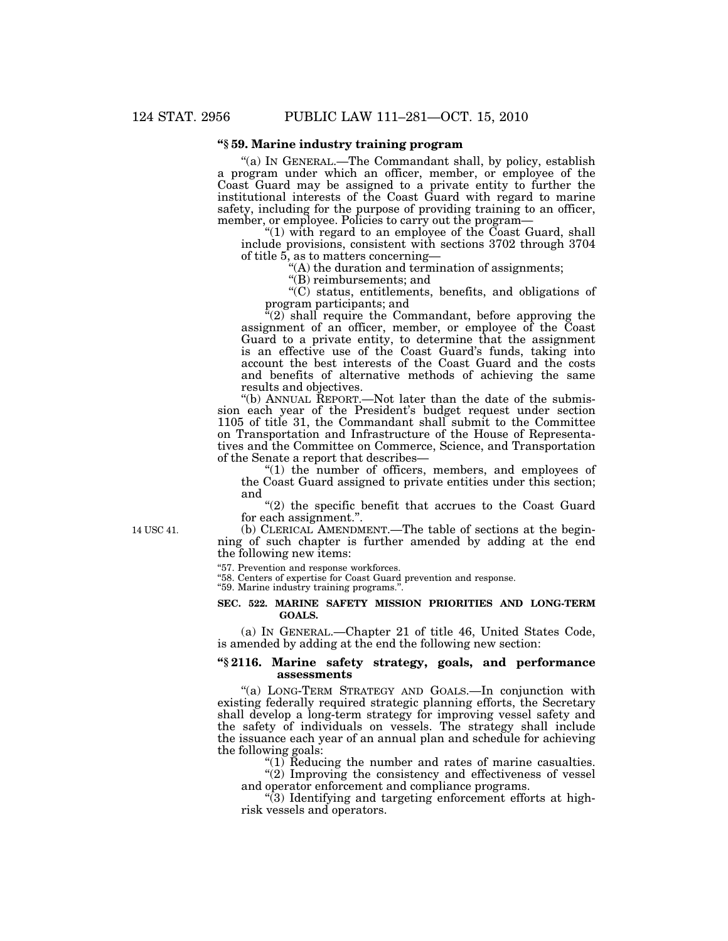### **''§ 59. Marine industry training program**

''(a) IN GENERAL.—The Commandant shall, by policy, establish a program under which an officer, member, or employee of the Coast Guard may be assigned to a private entity to further the institutional interests of the Coast Guard with regard to marine safety, including for the purpose of providing training to an officer, member, or employee. Policies to carry out the program—

"(1) with regard to an employee of the Coast Guard, shall include provisions, consistent with sections 3702 through 3704 of title 5, as to matters concerning—

''(A) the duration and termination of assignments;

''(B) reimbursements; and

''(C) status, entitlements, benefits, and obligations of program participants; and

 $(2)$  shall require the Commandant, before approving the assignment of an officer, member, or employee of the Coast Guard to a private entity, to determine that the assignment is an effective use of the Coast Guard's funds, taking into account the best interests of the Coast Guard and the costs and benefits of alternative methods of achieving the same results and objectives.

''(b) ANNUAL REPORT.—Not later than the date of the submission each year of the President's budget request under section 1105 of title 31, the Commandant shall submit to the Committee on Transportation and Infrastructure of the House of Representatives and the Committee on Commerce, Science, and Transportation of the Senate a report that describes—

 $*(1)$  the number of officers, members, and employees of the Coast Guard assigned to private entities under this section; and

''(2) the specific benefit that accrues to the Coast Guard for each assignment.''.

(b) CLERICAL AMENDMENT.—The table of sections at the beginning of such chapter is further amended by adding at the end the following new items:

''57. Prevention and response workforces.

''58. Centers of expertise for Coast Guard prevention and response.

''59. Marine industry training programs.''.

### **SEC. 522. MARINE SAFETY MISSION PRIORITIES AND LONG-TERM GOALS.**

(a) IN GENERAL.—Chapter 21 of title 46, United States Code, is amended by adding at the end the following new section:

#### **''§ 2116. Marine safety strategy, goals, and performance assessments**

"(a) LONG-TERM STRATEGY AND GOALS.—In conjunction with existing federally required strategic planning efforts, the Secretary shall develop a long-term strategy for improving vessel safety and the safety of individuals on vessels. The strategy shall include the issuance each year of an annual plan and schedule for achieving the following goals:

 $''(1)$  Reducing the number and rates of marine casualties.

 $'(2)$  Improving the consistency and effectiveness of vessel and operator enforcement and compliance programs.

 $\hat{f}(3)$  Identifying and targeting enforcement efforts at highrisk vessels and operators.

14 USC 41.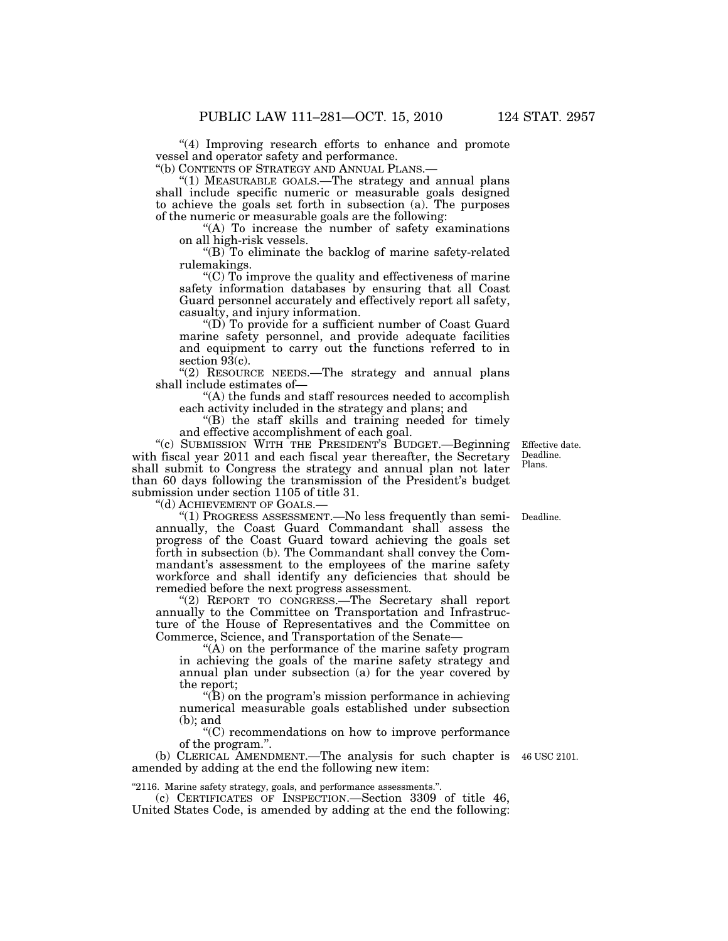''(4) Improving research efforts to enhance and promote vessel and operator safety and performance.

''(b) CONTENTS OF STRATEGY AND ANNUAL PLANS.—

''(1) MEASURABLE GOALS.—The strategy and annual plans shall include specific numeric or measurable goals designed to achieve the goals set forth in subsection (a). The purposes of the numeric or measurable goals are the following:

"(A) To increase the number of safety examinations" on all high-risk vessels.

" $(B)$  To eliminate the backlog of marine safety-related rulemakings.

 $C$ ) To improve the quality and effectiveness of marine safety information databases by ensuring that all Coast Guard personnel accurately and effectively report all safety, casualty, and injury information.

''(D) To provide for a sufficient number of Coast Guard marine safety personnel, and provide adequate facilities and equipment to carry out the functions referred to in section  $93(c)$ .

"(2) RESOURCE NEEDS.—The strategy and annual plans shall include estimates of—

''(A) the funds and staff resources needed to accomplish each activity included in the strategy and plans; and

''(B) the staff skills and training needed for timely and effective accomplishment of each goal.

"(c) SUBMISSION WITH THE PRESIDENT'S BUDGET.—Beginning with fiscal year 2011 and each fiscal year thereafter, the Secretary shall submit to Congress the strategy and annual plan not later than 60 days following the transmission of the President's budget submission under section 1105 of title 31.

''(d) ACHIEVEMENT OF GOALS.—

''(1) PROGRESS ASSESSMENT.—No less frequently than semiannually, the Coast Guard Commandant shall assess the progress of the Coast Guard toward achieving the goals set forth in subsection (b). The Commandant shall convey the Commandant's assessment to the employees of the marine safety workforce and shall identify any deficiencies that should be remedied before the next progress assessment.

"(2) REPORT TO CONGRESS.—The Secretary shall report annually to the Committee on Transportation and Infrastructure of the House of Representatives and the Committee on Commerce, Science, and Transportation of the Senate—

''(A) on the performance of the marine safety program in achieving the goals of the marine safety strategy and annual plan under subsection (a) for the year covered by the report;

''(B) on the program's mission performance in achieving numerical measurable goals established under subsection (b); and

''(C) recommendations on how to improve performance of the program.''.

(b) CLERICAL AMENDMENT.—The analysis for such chapter is 46 USC 2101. amended by adding at the end the following new item:

''2116. Marine safety strategy, goals, and performance assessments.''.

(c) CERTIFICATES OF INSPECTION.—Section 3309 of title 46, United States Code, is amended by adding at the end the following:

Effective date. Deadline. Plans.

Deadline.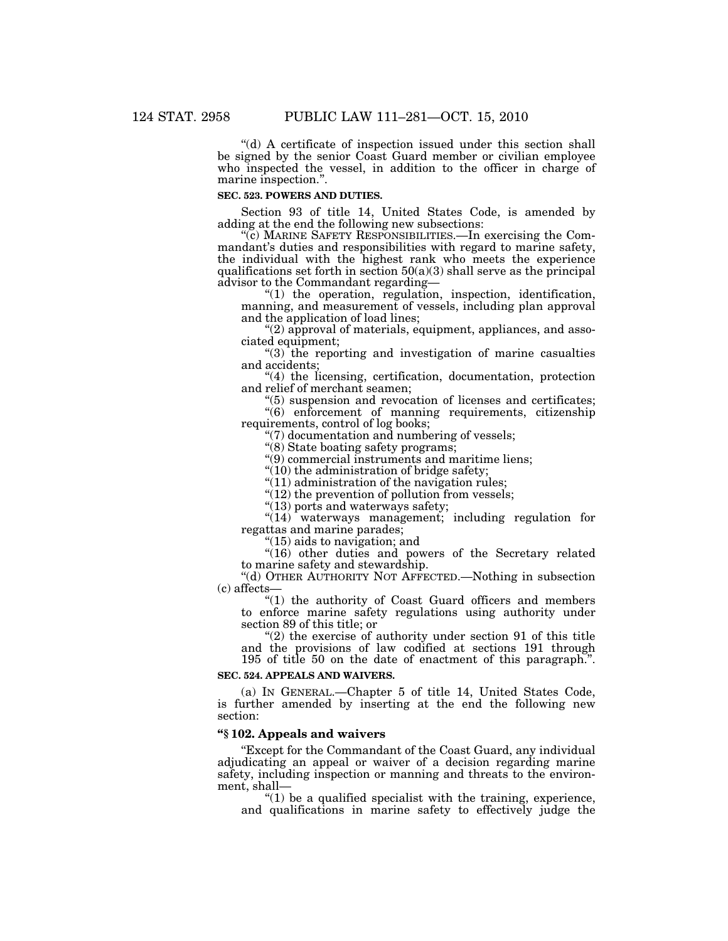''(d) A certificate of inspection issued under this section shall be signed by the senior Coast Guard member or civilian employee who inspected the vessel, in addition to the officer in charge of marine inspection.''.

### **SEC. 523. POWERS AND DUTIES.**

Section 93 of title 14, United States Code, is amended by adding at the end the following new subsections:

''(c) MARINE SAFETY RESPONSIBILITIES.—In exercising the Commandant's duties and responsibilities with regard to marine safety, the individual with the highest rank who meets the experience qualifications set forth in section  $50(a)(3)$  shall serve as the principal advisor to the Commandant regarding—

''(1) the operation, regulation, inspection, identification, manning, and measurement of vessels, including plan approval and the application of load lines;

 $\degree$ (2) approval of materials, equipment, appliances, and associated equipment;

 $(3)$  the reporting and investigation of marine casualties and accidents;

''(4) the licensing, certification, documentation, protection and relief of merchant seamen;

''(5) suspension and revocation of licenses and certificates; ''(6) enforcement of manning requirements, citizenship requirements, control of log books;

''(7) documentation and numbering of vessels;

"(8) State boating safety programs;

''(9) commercial instruments and maritime liens;

"(10) the administration of bridge safety;

 $''(11)$  administration of the navigation rules;

 $''(12)$  the prevention of pollution from vessels;

''(13) ports and waterways safety;

"(14) waterways management; including regulation for regattas and marine parades;

''(15) aids to navigation; and

"(16) other duties and powers of the Secretary related to marine safety and stewardship.

''(d) OTHER AUTHORITY NOT AFFECTED.—Nothing in subsection (c) affects—

''(1) the authority of Coast Guard officers and members to enforce marine safety regulations using authority under section 89 of this title; or

" $(2)$  the exercise of authority under section 91 of this title and the provisions of law codified at sections 191 through 195 of title 50 on the date of enactment of this paragraph.''.

## **SEC. 524. APPEALS AND WAIVERS.**

(a) IN GENERAL.—Chapter 5 of title 14, United States Code, is further amended by inserting at the end the following new section:

#### **''§ 102. Appeals and waivers**

''Except for the Commandant of the Coast Guard, any individual adjudicating an appeal or waiver of a decision regarding marine safety, including inspection or manning and threats to the environment, shall—

 $(1)$  be a qualified specialist with the training, experience, and qualifications in marine safety to effectively judge the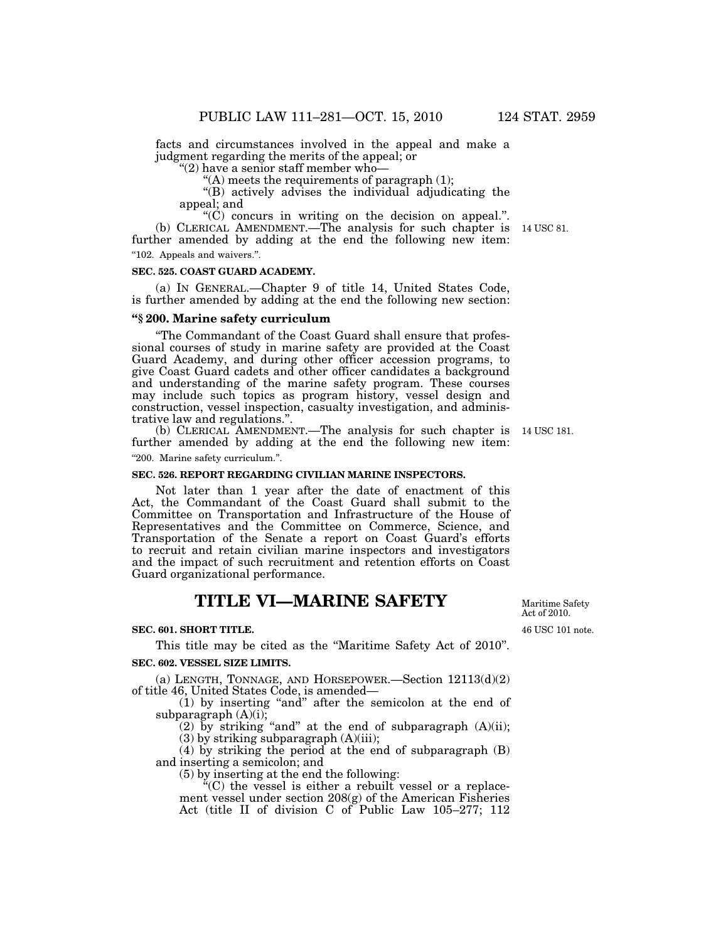facts and circumstances involved in the appeal and make a judgment regarding the merits of the appeal; or

 $(2)$  have a senior staff member who-

"(A) meets the requirements of paragraph  $(1)$ ;

''(B) actively advises the individual adjudicating the appeal; and

''(C) concurs in writing on the decision on appeal.''. (b) CLERICAL AMENDMENT.—The analysis for such chapter is 14 USC 81. further amended by adding at the end the following new item: ''102. Appeals and waivers.''.

#### **SEC. 525. COAST GUARD ACADEMY.**

(a) IN GENERAL.—Chapter 9 of title 14, United States Code, is further amended by adding at the end the following new section:

### **''§ 200. Marine safety curriculum**

''The Commandant of the Coast Guard shall ensure that professional courses of study in marine safety are provided at the Coast Guard Academy, and during other officer accession programs, to give Coast Guard cadets and other officer candidates a background and understanding of the marine safety program. These courses may include such topics as program history, vessel design and construction, vessel inspection, casualty investigation, and administrative law and regulations.''.

(b) CLERICAL AMENDMENT.—The analysis for such chapter is 14 USC 181. further amended by adding at the end the following new item:

''200. Marine safety curriculum.''.

### **SEC. 526. REPORT REGARDING CIVILIAN MARINE INSPECTORS.**

Not later than 1 year after the date of enactment of this Act, the Commandant of the Coast Guard shall submit to the Committee on Transportation and Infrastructure of the House of Representatives and the Committee on Commerce, Science, and Transportation of the Senate a report on Coast Guard's efforts to recruit and retain civilian marine inspectors and investigators and the impact of such recruitment and retention efforts on Coast Guard organizational performance.

## **TITLE VI—MARINE SAFETY**

### **SEC. 601. SHORT TITLE.**

This title may be cited as the ''Maritime Safety Act of 2010''.

### **SEC. 602. VESSEL SIZE LIMITS.**

(a) LENGTH, TONNAGE, AND HORSEPOWER.—Section  $12113(d)(2)$ of title 46, United States Code, is amended—

(1) by inserting "and" after the semicolon at the end of subparagraph (A)(i);

(2) by striking "and" at the end of subparagraph  $(A)(ii)$ ; (3) by striking subparagraph (A)(iii);

(4) by striking the period at the end of subparagraph (B) and inserting a semicolon; and

(5) by inserting at the end the following:

 $E^z$ (C) the vessel is either a rebuilt vessel or a replacement vessel under section 208(g) of the American Fisheries Act (title II of division C of Public Law 105–277; 112

46 USC 101 note. Maritime Safety Act of 2010.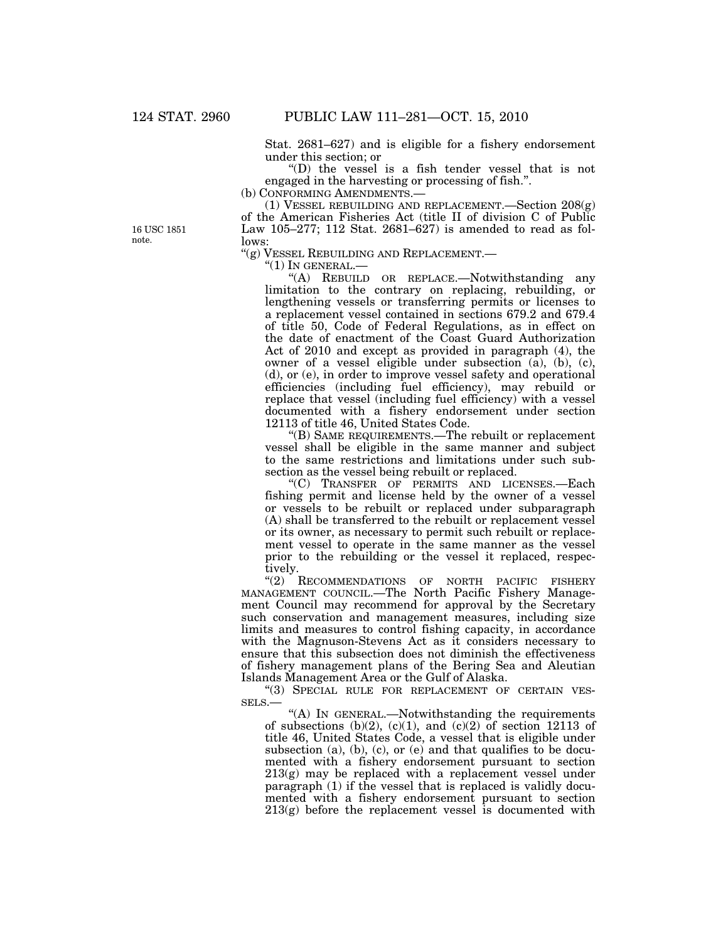Stat. 2681–627) and is eligible for a fishery endorsement under this section; or

''(D) the vessel is a fish tender vessel that is not engaged in the harvesting or processing of fish.''.

(b) CONFORMING AMENDMENTS.—

(1) VESSEL REBUILDING AND REPLACEMENT.—Section 208(g) of the American Fisheries Act (title II of division C of Public Law 105–277; 112 Stat. 2681–627) is amended to read as follows:

''(g) VESSEL REBUILDING AND REPLACEMENT.—

 $"(1)$  In GENERAL. $-$ 

''(A) REBUILD OR REPLACE.—Notwithstanding any limitation to the contrary on replacing, rebuilding, or lengthening vessels or transferring permits or licenses to a replacement vessel contained in sections 679.2 and 679.4 of title 50, Code of Federal Regulations, as in effect on the date of enactment of the Coast Guard Authorization Act of 2010 and except as provided in paragraph (4), the owner of a vessel eligible under subsection (a), (b), (c), (d), or (e), in order to improve vessel safety and operational efficiencies (including fuel efficiency), may rebuild or replace that vessel (including fuel efficiency) with a vessel documented with a fishery endorsement under section 12113 of title 46, United States Code.

''(B) SAME REQUIREMENTS.—The rebuilt or replacement vessel shall be eligible in the same manner and subject to the same restrictions and limitations under such subsection as the vessel being rebuilt or replaced.

''(C) TRANSFER OF PERMITS AND LICENSES.—Each fishing permit and license held by the owner of a vessel or vessels to be rebuilt or replaced under subparagraph (A) shall be transferred to the rebuilt or replacement vessel or its owner, as necessary to permit such rebuilt or replacement vessel to operate in the same manner as the vessel prior to the rebuilding or the vessel it replaced, respectively.<br> $\binom{4}{2}$ 

RECOMMENDATIONS OF NORTH PACIFIC FISHERY MANAGEMENT COUNCIL.—The North Pacific Fishery Management Council may recommend for approval by the Secretary such conservation and management measures, including size limits and measures to control fishing capacity, in accordance with the Magnuson-Stevens Act as it considers necessary to ensure that this subsection does not diminish the effectiveness of fishery management plans of the Bering Sea and Aleutian Islands Management Area or the Gulf of Alaska.

"(3) SPECIAL RULE FOR REPLACEMENT OF CERTAIN VES-SELS.—

"(A) IN GENERAL.-Notwithstanding the requirements of subsections (b)(2), (c)(1), and (c)(2) of section 12113 of title 46, United States Code, a vessel that is eligible under subsection (a), (b), (c), or (e) and that qualifies to be documented with a fishery endorsement pursuant to section  $213(g)$  may be replaced with a replacement vessel under paragraph (1) if the vessel that is replaced is validly documented with a fishery endorsement pursuant to section  $213(g)$  before the replacement vessel is documented with

16 USC 1851 note.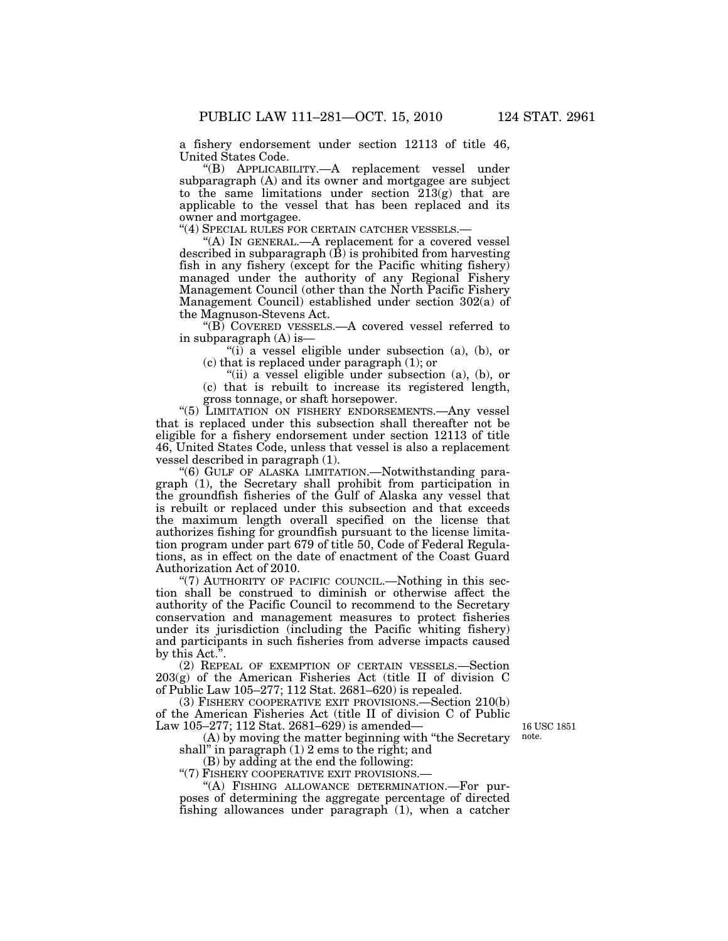a fishery endorsement under section 12113 of title 46, United States Code.

''(B) APPLICABILITY.—A replacement vessel under subparagraph (A) and its owner and mortgagee are subject to the same limitations under section 213(g) that are applicable to the vessel that has been replaced and its owner and mortgagee.

''(4) SPECIAL RULES FOR CERTAIN CATCHER VESSELS.—

''(A) IN GENERAL.—A replacement for a covered vessel described in subparagraph  $(\bar{B})$  is prohibited from harvesting fish in any fishery (except for the Pacific whiting fishery) managed under the authority of any Regional Fishery Management Council (other than the North Pacific Fishery Management Council) established under section 302(a) of the Magnuson-Stevens Act.

''(B) COVERED VESSELS.—A covered vessel referred to in subparagraph (A) is—

" $(i)$  a vessel eligible under subsection  $(a)$ ,  $(b)$ , or (c) that is replaced under paragraph (1); or

"(ii) a vessel eligible under subsection (a), (b), or (c) that is rebuilt to increase its registered length, gross tonnage, or shaft horsepower.

"(5) LIMITATION ON FISHERY ENDORSEMENTS.—Any vessel that is replaced under this subsection shall thereafter not be eligible for a fishery endorsement under section 12113 of title 46, United States Code, unless that vessel is also a replacement vessel described in paragraph (1).

''(6) GULF OF ALASKA LIMITATION.—Notwithstanding paragraph (1), the Secretary shall prohibit from participation in the groundfish fisheries of the Gulf of Alaska any vessel that is rebuilt or replaced under this subsection and that exceeds the maximum length overall specified on the license that authorizes fishing for groundfish pursuant to the license limitation program under part 679 of title 50, Code of Federal Regulations, as in effect on the date of enactment of the Coast Guard Authorization Act of 2010.

"(7) AUTHORITY OF PACIFIC COUNCIL.—Nothing in this section shall be construed to diminish or otherwise affect the authority of the Pacific Council to recommend to the Secretary conservation and management measures to protect fisheries under its jurisdiction (including the Pacific whiting fishery) and participants in such fisheries from adverse impacts caused by this Act.''.

(2) REPEAL OF EXEMPTION OF CERTAIN VESSELS.—Section 203(g) of the American Fisheries Act (title II of division C of Public Law 105–277; 112 Stat. 2681–620) is repealed.

(3) FISHERY COOPERATIVE EXIT PROVISIONS.—Section 210(b) of the American Fisheries Act (title II of division C of Public Law 105–277; 112 Stat. 2681–629) is amended—

16 USC 1851 note.

(A) by moving the matter beginning with ''the Secretary shall'' in paragraph (1) 2 ems to the right; and

(B) by adding at the end the following:

"(7) FISHERY COOPERATIVE EXIT PROVISIONS.-

''(A) FISHING ALLOWANCE DETERMINATION.—For purposes of determining the aggregate percentage of directed fishing allowances under paragraph (1), when a catcher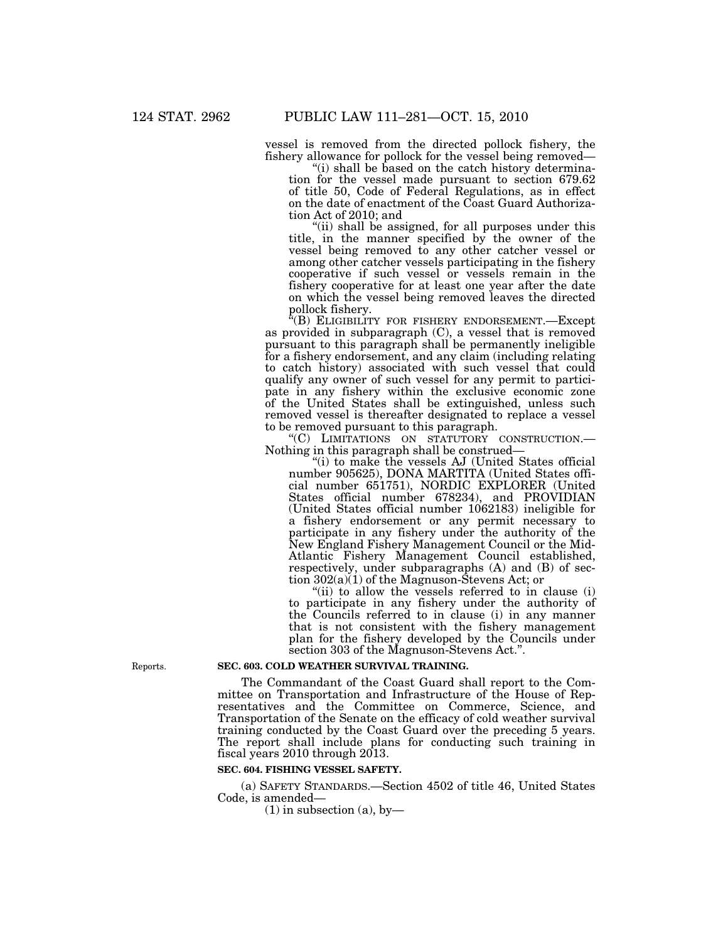vessel is removed from the directed pollock fishery, the fishery allowance for pollock for the vessel being removed—

''(i) shall be based on the catch history determination for the vessel made pursuant to section 679.62 of title 50, Code of Federal Regulations, as in effect on the date of enactment of the Coast Guard Authorization Act of 2010; and

"(ii) shall be assigned, for all purposes under this title, in the manner specified by the owner of the vessel being removed to any other catcher vessel or among other catcher vessels participating in the fishery cooperative if such vessel or vessels remain in the fishery cooperative for at least one year after the date on which the vessel being removed leaves the directed pollock fishery.

"(B) ELIGIBILITY FOR FISHERY ENDORSEMENT.—Except as provided in subparagraph (C), a vessel that is removed pursuant to this paragraph shall be permanently ineligible for a fishery endorsement, and any claim (including relating to catch history) associated with such vessel that could qualify any owner of such vessel for any permit to participate in any fishery within the exclusive economic zone of the United States shall be extinguished, unless such removed vessel is thereafter designated to replace a vessel to be removed pursuant to this paragraph.

''(C) LIMITATIONS ON STATUTORY CONSTRUCTION.— Nothing in this paragraph shall be construed—

''(i) to make the vessels AJ (United States official number 905625), DONA MARTITA (United States official number 651751), NORDIC EXPLORER (United States official number 678234), and PROVIDIAN (United States official number 1062183) ineligible for a fishery endorsement or any permit necessary to participate in any fishery under the authority of the New England Fishery Management Council or the Mid-Atlantic Fishery Management Council established, respectively, under subparagraphs (A) and (B) of section 302(a)(1) of the Magnuson-Stevens Act; or

"(ii) to allow the vessels referred to in clause (i) to participate in any fishery under the authority of the Councils referred to in clause (i) in any manner that is not consistent with the fishery management plan for the fishery developed by the Councils under section 303 of the Magnuson-Stevens Act.''.

#### **SEC. 603. COLD WEATHER SURVIVAL TRAINING.**

The Commandant of the Coast Guard shall report to the Committee on Transportation and Infrastructure of the House of Representatives and the Committee on Commerce, Science, and Transportation of the Senate on the efficacy of cold weather survival training conducted by the Coast Guard over the preceding 5 years. The report shall include plans for conducting such training in fiscal years 2010 through 2013.

#### **SEC. 604. FISHING VESSEL SAFETY.**

(a) SAFETY STANDARDS.—Section 4502 of title 46, United States Code, is amended—

 $(1)$  in subsection  $(a)$ , by-

Reports.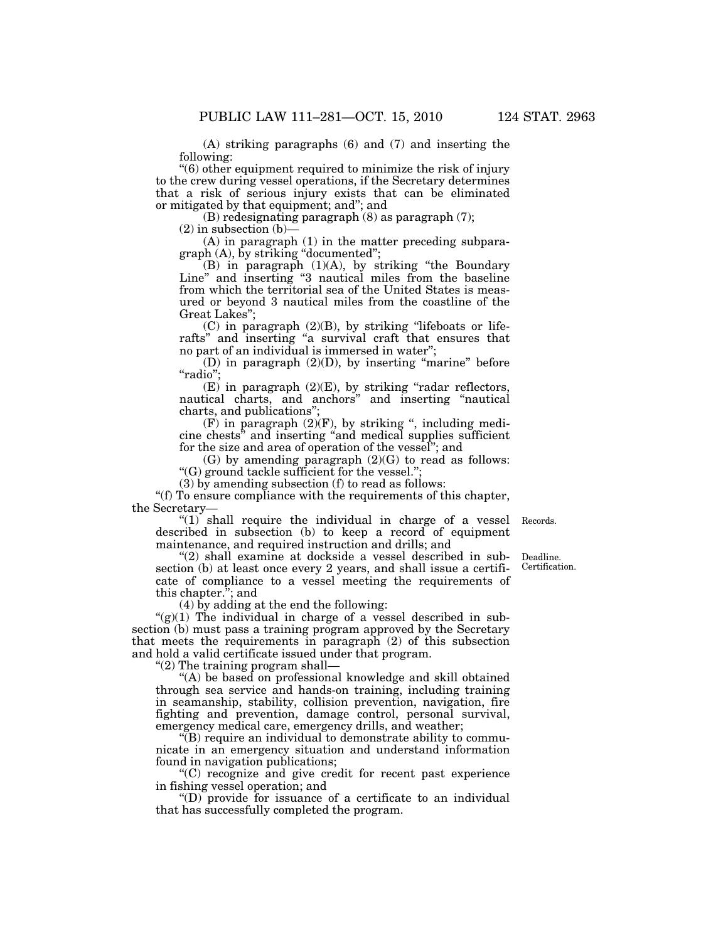(A) striking paragraphs (6) and (7) and inserting the following:

''(6) other equipment required to minimize the risk of injury to the crew during vessel operations, if the Secretary determines that a risk of serious injury exists that can be eliminated or mitigated by that equipment; and''; and

(B) redesignating paragraph (8) as paragraph (7);

 $(2)$  in subsection  $(b)$ –

(A) in paragraph (1) in the matter preceding subparagraph (A), by striking ''documented'';

(B) in paragraph (1)(A), by striking ''the Boundary Line" and inserting "3 nautical miles from the baseline from which the territorial sea of the United States is measured or beyond 3 nautical miles from the coastline of the Great Lakes'';

(C) in paragraph (2)(B), by striking ''lifeboats or liferafts" and inserting "a survival craft that ensures that no part of an individual is immersed in water'';

(D) in paragraph  $(2)(D)$ , by inserting "marine" before ''radio'';

 $(E)$  in paragraph  $(2)(E)$ , by striking "radar reflectors, nautical charts, and anchors'' and inserting ''nautical charts, and publications'';

 $(F)$  in paragraph  $(2)(F)$ , by striking ", including medicine chests'' and inserting ''and medical supplies sufficient for the size and area of operation of the vessel''; and

 $(G)$  by amending paragraph  $(2)(G)$  to read as follows: ''(G) ground tackle sufficient for the vessel.'';

 $(3)$  by amending subsection  $(f)$  to read as follows:

''(f) To ensure compliance with the requirements of this chapter, the Secretary—

"(1) shall require the individual in charge of a vessel Records. described in subsection (b) to keep a record of equipment maintenance, and required instruction and drills; and

" $(2)$  shall examine at dockside a vessel described in subsection (b) at least once every 2 years, and shall issue a certificate of compliance to a vessel meeting the requirements of this chapter.''; and

 $(4)$  by adding at the end the following:

" $(g)(1)$  The individual in charge of a vessel described in subsection (b) must pass a training program approved by the Secretary that meets the requirements in paragraph (2) of this subsection and hold a valid certificate issued under that program.

''(2) The training program shall—

''(A) be based on professional knowledge and skill obtained through sea service and hands-on training, including training in seamanship, stability, collision prevention, navigation, fire fighting and prevention, damage control, personal survival, emergency medical care, emergency drills, and weather;

 $\sqrt{\rm E}$ ) require an individual to demonstrate ability to communicate in an emergency situation and understand information found in navigation publications;

''(C) recognize and give credit for recent past experience in fishing vessel operation; and

''(D) provide for issuance of a certificate to an individual that has successfully completed the program.

Deadline. Certification.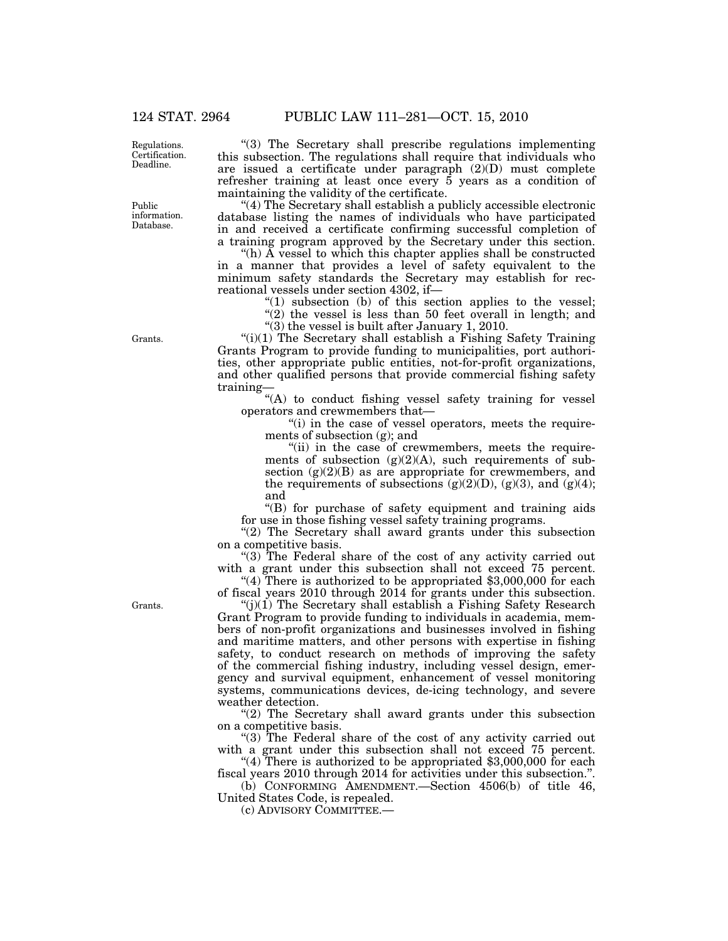Regulations. Certification. Deadline.

Public information. Database.

''(3) The Secretary shall prescribe regulations implementing this subsection. The regulations shall require that individuals who are issued a certificate under paragraph (2)(D) must complete refresher training at least once every 5 years as a condition of maintaining the validity of the certificate.

''(4) The Secretary shall establish a publicly accessible electronic database listing the names of individuals who have participated in and received a certificate confirming successful completion of a training program approved by the Secretary under this section.

''(h) A vessel to which this chapter applies shall be constructed in a manner that provides a level of safety equivalent to the minimum safety standards the Secretary may establish for recreational vessels under section 4302, if—

" $(1)$  subsection  $(b)$  of this section applies to the vessel;

 $''(2)$  the vessel is less than 50 feet overall in length; and

 $'(3)$  the vessel is built after January 1, 2010.

 $(ii)(1)$  The Secretary shall establish a Fishing Safety Training Grants Program to provide funding to municipalities, port authorities, other appropriate public entities, not-for-profit organizations, and other qualified persons that provide commercial fishing safety training—

"(A) to conduct fishing vessel safety training for vessel operators and crewmembers that—

"(i) in the case of vessel operators, meets the requirements of subsection (g); and

''(ii) in the case of crewmembers, meets the requirements of subsection  $(g)(2)(A)$ , such requirements of subsection  $(g)(2)(B)$  as are appropriate for crewmembers, and the requirements of subsections  $(g)(2)(D)$ ,  $(g)(3)$ , and  $(g)(4)$ ; and

''(B) for purchase of safety equipment and training aids for use in those fishing vessel safety training programs.

"(2) The Secretary shall award grants under this subsection on a competitive basis.

''(3) The Federal share of the cost of any activity carried out with a grant under this subsection shall not exceed 75 percent.

"(4) There is authorized to be appropriated  $$3,000,000$  for each of fiscal years 2010 through 2014 for grants under this subsection.

"(i)(1) The Secretary shall establish a Fishing Safety Research Grant Program to provide funding to individuals in academia, members of non-profit organizations and businesses involved in fishing and maritime matters, and other persons with expertise in fishing safety, to conduct research on methods of improving the safety of the commercial fishing industry, including vessel design, emergency and survival equipment, enhancement of vessel monitoring systems, communications devices, de-icing technology, and severe weather detection.

"(2) The Secretary shall award grants under this subsection on a competitive basis.

"(3) The Federal share of the cost of any activity carried out with a grant under this subsection shall not exceed 75 percent.

"(4) There is authorized to be appropriated  $$3,000,000$  for each fiscal years 2010 through 2014 for activities under this subsection.''.

(b) CONFORMING AMENDMENT.—Section 4506(b) of title 46, United States Code, is repealed.

(c) ADVISORY COMMITTEE.—

Grants.

Grants.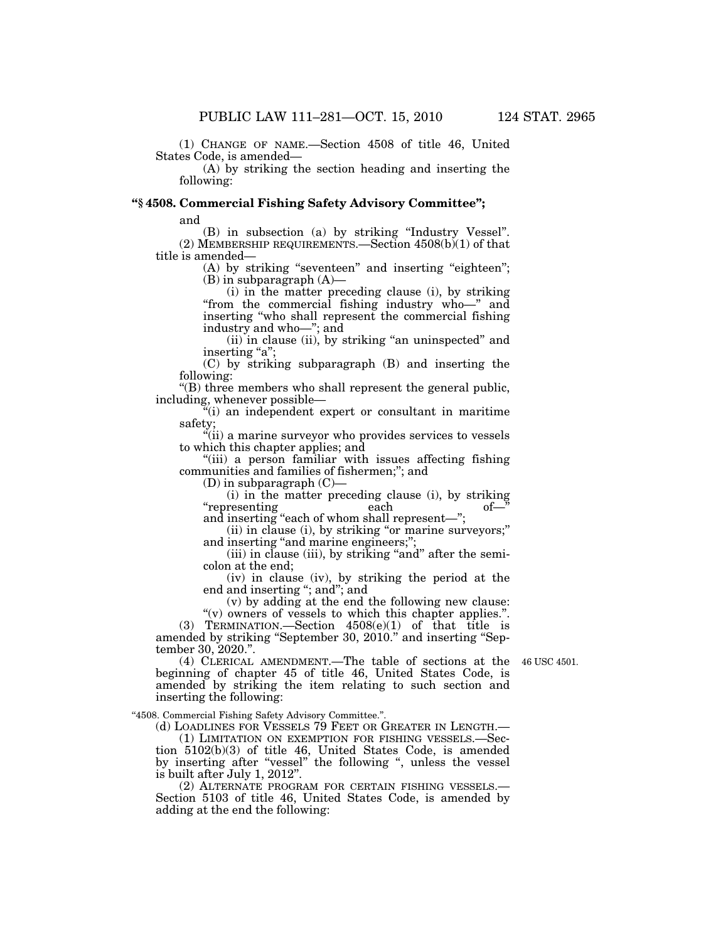(1) CHANGE OF NAME.—Section 4508 of title 46, United States Code, is amended—

(A) by striking the section heading and inserting the following:

### **''§ 4508. Commercial Fishing Safety Advisory Committee'';**

and

(B) in subsection (a) by striking ''Industry Vessel''. (2) MEMBERSHIP REQUIREMENTS.—Section 4508(b)(1) of that title is amended—

(A) by striking "seventeen" and inserting "eighteen"; (B) in subparagraph (A)—

(i) in the matter preceding clause (i), by striking "from the commercial fishing industry who-" and inserting ''who shall represent the commercial fishing industry and who—''; and

(ii) in clause (ii), by striking ''an uninspected'' and inserting "a";

(C) by striking subparagraph (B) and inserting the following:

''(B) three members who shall represent the general public, including, whenever possible—

''(i) an independent expert or consultant in maritime safety;

''(ii) a marine surveyor who provides services to vessels to which this chapter applies; and

''(iii) a person familiar with issues affecting fishing communities and families of fishermen;''; and

(D) in subparagraph (C)—

(i) in the matter preceding clause (i), by striking "representing each  $of$ " ''representing each of—''

and inserting "each of whom shall represent—";

(ii) in clause (i), by striking "or marine surveyors;" and inserting "and marine engineers;";

 $(iii)$  in clause  $(iii)$ , by striking "and" after the semicolon at the end;

(iv) in clause (iv), by striking the period at the end and inserting ''; and''; and

(v) by adding at the end the following new clause: " $(v)$  owners of vessels to which this chapter applies.".

(3) TERMINATION.—Section  $4508(e)(1)$  of that title is amended by striking "September 30, 2010." and inserting "September 30, 2020.''.

(4) CLERICAL AMENDMENT.—The table of sections at the 46 USC 4501. beginning of chapter 45 of title 46, United States Code, is amended by striking the item relating to such section and inserting the following:

''4508. Commercial Fishing Safety Advisory Committee.''.

(d) LOADLINES FOR VESSELS 79 FEET OR GREATER IN LENGTH.—

(1) LIMITATION ON EXEMPTION FOR FISHING VESSELS.—Section 5102(b)(3) of title 46, United States Code, is amended by inserting after ''vessel'' the following '', unless the vessel is built after July 1, 2012''.

(2) ALTERNATE PROGRAM FOR CERTAIN FISHING VESSELS.— Section 5103 of title 46, United States Code, is amended by adding at the end the following: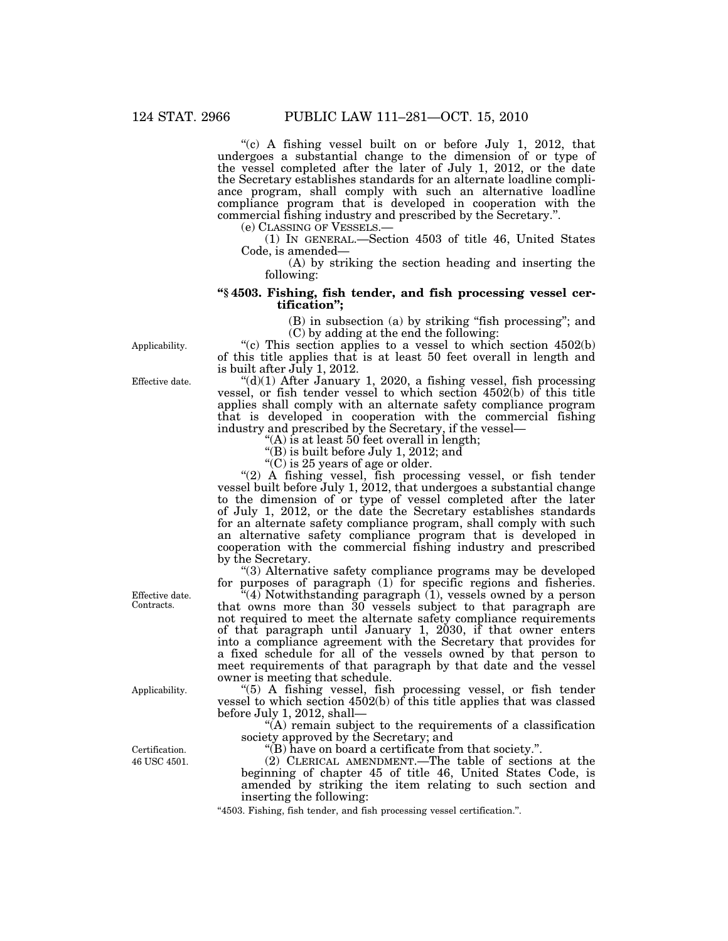"(c) A fishing vessel built on or before July 1, 2012, that undergoes a substantial change to the dimension of or type of the vessel completed after the later of July 1, 2012, or the date the Secretary establishes standards for an alternate loadline compliance program, shall comply with such an alternative loadline compliance program that is developed in cooperation with the commercial fishing industry and prescribed by the Secretary.''.

(e) CLASSING OF VESSELS.—

(1) IN GENERAL.—Section 4503 of title 46, United States Code, is amended—

(A) by striking the section heading and inserting the following:

### **''§ 4503. Fishing, fish tender, and fish processing vessel certification'';**

(B) in subsection (a) by striking ''fish processing''; and (C) by adding at the end the following:

"(c) This section applies to a vessel to which section 4502(b) of this title applies that is at least 50 feet overall in length and is built after July 1, 2012.

" $(d)(1)$  After January 1, 2020, a fishing vessel, fish processing vessel, or fish tender vessel to which section 4502(b) of this title applies shall comply with an alternate safety compliance program that is developed in cooperation with the commercial fishing industry and prescribed by the Secretary, if the vessel—

 $(A)$  is at least 50 feet overall in length;

''(B) is built before July 1, 2012; and

''(C) is 25 years of age or older.

"(2) A fishing vessel, fish processing vessel, or fish tender vessel built before July 1, 2012, that undergoes a substantial change to the dimension of or type of vessel completed after the later of July 1, 2012, or the date the Secretary establishes standards for an alternate safety compliance program, shall comply with such an alternative safety compliance program that is developed in cooperation with the commercial fishing industry and prescribed by the Secretary.

''(3) Alternative safety compliance programs may be developed for purposes of paragraph (1) for specific regions and fisheries.

''(4) Notwithstanding paragraph (1), vessels owned by a person that owns more than 30 vessels subject to that paragraph are not required to meet the alternate safety compliance requirements of that paragraph until January 1, 2030, if that owner enters into a compliance agreement with the Secretary that provides for a fixed schedule for all of the vessels owned by that person to meet requirements of that paragraph by that date and the vessel owner is meeting that schedule.

''(5) A fishing vessel, fish processing vessel, or fish tender vessel to which section 4502(b) of this title applies that was classed before July 1, 2012, shall—

 $\mathcal{H}(\mathbf{A})$  remain subject to the requirements of a classification society approved by the Secretary; and

''(B) have on board a certificate from that society.''.

(2) CLERICAL AMENDMENT.—The table of sections at the beginning of chapter 45 of title 46, United States Code, is amended by striking the item relating to such section and inserting the following:

''4503. Fishing, fish tender, and fish processing vessel certification.''.

Applicability.

Effective date.

Effective date. Contracts.

Applicability.

46 USC 4501. Certification.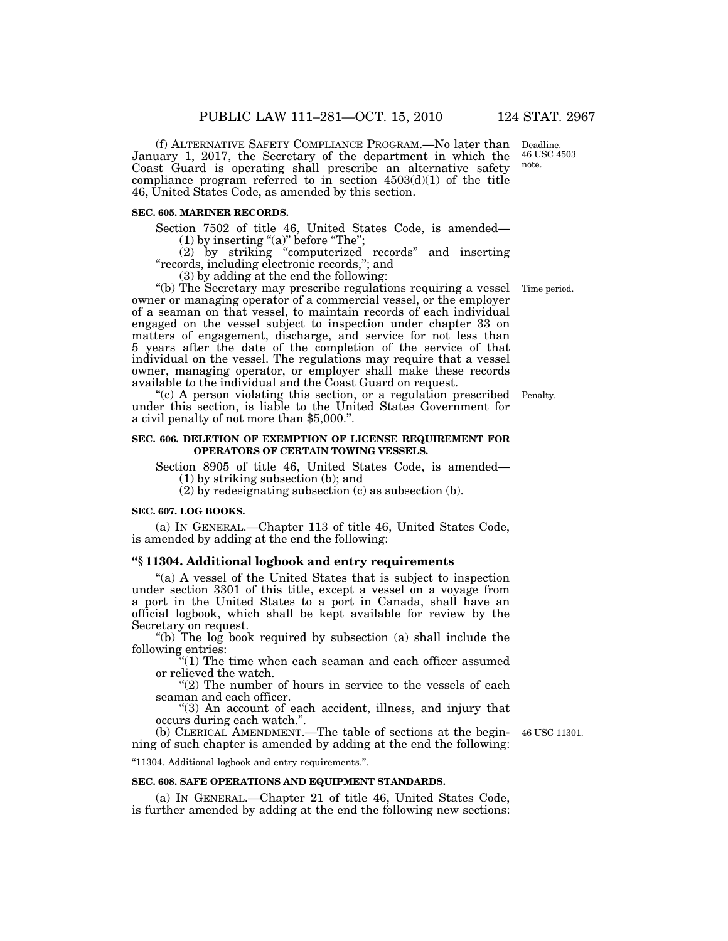(f) ALTERNATIVE SAFETY COMPLIANCE PROGRAM.—No later than January 1, 2017, the Secretary of the department in which the Coast Guard is operating shall prescribe an alternative safety compliance program referred to in section  $4503(d)(1)$  of the title 46, United States Code, as amended by this section.

#### **SEC. 605. MARINER RECORDS.**

Section 7502 of title 46, United States Code, is amended—  $(1)$  by inserting "(a)" before "The";

(2) by striking ''computerized records'' and inserting ''records, including electronic records,''; and

(3) by adding at the end the following:

''(b) The Secretary may prescribe regulations requiring a vessel owner or managing operator of a commercial vessel, or the employer of a seaman on that vessel, to maintain records of each individual engaged on the vessel subject to inspection under chapter 33 on matters of engagement, discharge, and service for not less than 5 years after the date of the completion of the service of that individual on the vessel. The regulations may require that a vessel owner, managing operator, or employer shall make these records available to the individual and the Coast Guard on request.

"(c) A person violating this section, or a regulation prescribed under this section, is liable to the United States Government for a civil penalty of not more than \$5,000.''.

#### **SEC. 606. DELETION OF EXEMPTION OF LICENSE REQUIREMENT FOR OPERATORS OF CERTAIN TOWING VESSELS.**

Section 8905 of title 46, United States Code, is amended— (1) by striking subsection (b); and

(2) by redesignating subsection (c) as subsection (b).

#### **SEC. 607. LOG BOOKS.**

(a) IN GENERAL.—Chapter 113 of title 46, United States Code, is amended by adding at the end the following:

#### **''§ 11304. Additional logbook and entry requirements**

''(a) A vessel of the United States that is subject to inspection under section 3301 of this title, except a vessel on a voyage from a port in the United States to a port in Canada, shall have an official logbook, which shall be kept available for review by the Secretary on request.

"(b) The log book required by subsection (a) shall include the following entries:

''(1) The time when each seaman and each officer assumed or relieved the watch.

" $(2)$  The number of hours in service to the vessels of each seaman and each officer.

"(3) An account of each accident, illness, and injury that occurs during each watch.''.

(b) CLERICAL AMENDMENT.—The table of sections at the begin-46 USC 11301. ning of such chapter is amended by adding at the end the following:

''11304. Additional logbook and entry requirements.''.

#### **SEC. 608. SAFE OPERATIONS AND EQUIPMENT STANDARDS.**

(a) IN GENERAL.—Chapter 21 of title 46, United States Code, is further amended by adding at the end the following new sections:

Deadline. 46 USC 4503 note.

Penalty.

Time period.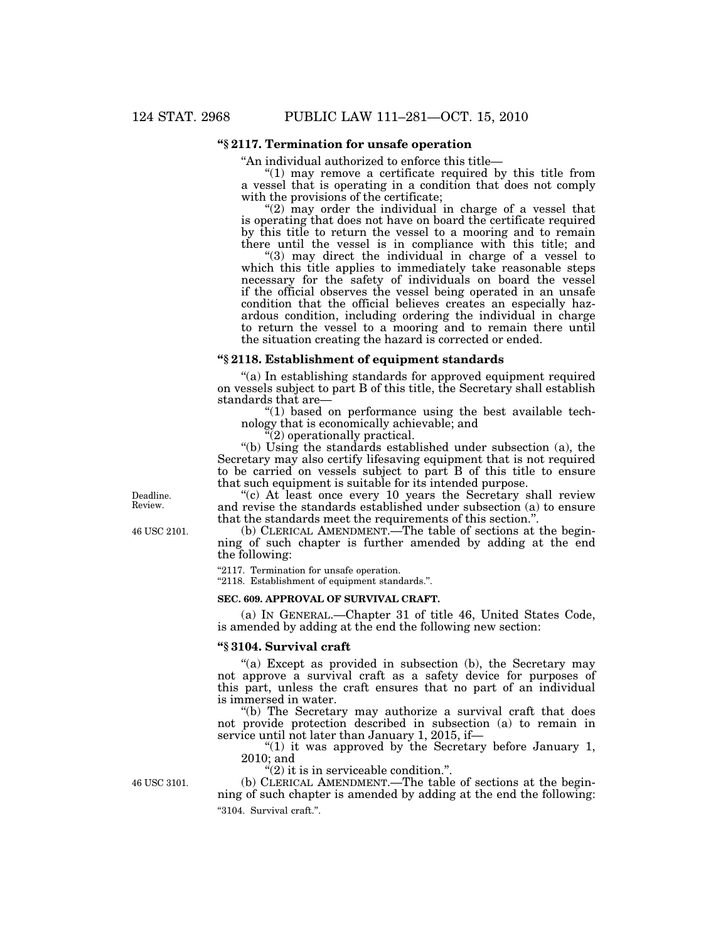## **''§ 2117. Termination for unsafe operation**

''An individual authorized to enforce this title—

" $(1)$  may remove a certificate required by this title from a vessel that is operating in a condition that does not comply with the provisions of the certificate;

" $(2)$  may order the individual in charge of a vessel that is operating that does not have on board the certificate required by this title to return the vessel to a mooring and to remain there until the vessel is in compliance with this title; and

"(3) may direct the individual in charge of a vessel to which this title applies to immediately take reasonable steps necessary for the safety of individuals on board the vessel if the official observes the vessel being operated in an unsafe condition that the official believes creates an especially hazardous condition, including ordering the individual in charge to return the vessel to a mooring and to remain there until the situation creating the hazard is corrected or ended.

#### **''§ 2118. Establishment of equipment standards**

''(a) In establishing standards for approved equipment required on vessels subject to part B of this title, the Secretary shall establish standards that are—

" $(1)$  based on performance using the best available technology that is economically achievable; and

 $\sqrt[n]{(2)}$  operationally practical.

''(b) Using the standards established under subsection (a), the Secretary may also certify lifesaving equipment that is not required to be carried on vessels subject to part B of this title to ensure that such equipment is suitable for its intended purpose.

Deadline.

"(c) At least once every 10 years the Secretary shall review and revise the standards established under subsection (a) to ensure that the standards meet the requirements of this section.''.

(b) CLERICAL AMENDMENT.—The table of sections at the beginning of such chapter is further amended by adding at the end the following:

''2117. Termination for unsafe operation.

''2118. Establishment of equipment standards.''.

#### **SEC. 609. APPROVAL OF SURVIVAL CRAFT.**

(a) IN GENERAL.—Chapter 31 of title 46, United States Code, is amended by adding at the end the following new section:

#### **''§ 3104. Survival craft**

"(a) Except as provided in subsection (b), the Secretary may not approve a survival craft as a safety device for purposes of this part, unless the craft ensures that no part of an individual is immersed in water.

''(b) The Secretary may authorize a survival craft that does not provide protection described in subsection (a) to remain in service until not later than January 1, 2015, if-

"(1) it was approved by the Secretary before January 1, 2010; and

 $\cdot$  (2) it is in serviceable condition.".

(b) CLERICAL AMENDMENT.—The table of sections at the beginning of such chapter is amended by adding at the end the following: ''3104. Survival craft.''.

Review.

46 USC 2101.

46 USC 3101.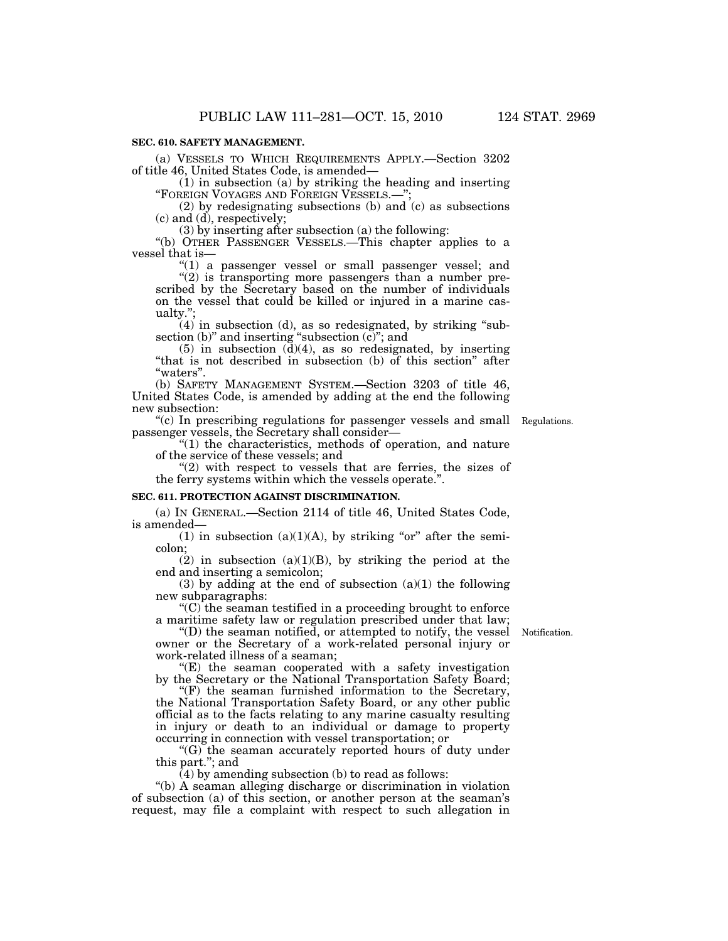### **SEC. 610. SAFETY MANAGEMENT.**

(a) VESSELS TO WHICH REQUIREMENTS APPLY.—Section 3202 of title 46, United States Code, is amended—

 $(1)$  in subsection (a) by striking the heading and inserting ''FOREIGN VOYAGES AND FOREIGN VESSELS.—'';

(2) by redesignating subsections (b) and (c) as subsections (c) and (d), respectively;

(3) by inserting after subsection (a) the following:

''(b) OTHER PASSENGER VESSELS.—This chapter applies to a vessel that is—

"(1) a passenger vessel or small passenger vessel; and  $''(2)$  is transporting more passengers than a number prescribed by the Secretary based on the number of individuals on the vessel that could be killed or injured in a marine casualty.

(4) in subsection (d), as so redesignated, by striking ''subsection (b)" and inserting "subsection (c)"; and

 $(5)$  in subsection  $(d)(4)$ , as so redesignated, by inserting "that is not described in subsection (b) of this section" after "waters".

(b) SAFETY MANAGEMENT SYSTEM.—Section 3203 of title 46, United States Code, is amended by adding at the end the following new subsection:

''(c) In prescribing regulations for passenger vessels and small Regulations. passenger vessels, the Secretary shall consider—

''(1) the characteristics, methods of operation, and nature of the service of these vessels; and

 $''(2)$  with respect to vessels that are ferries, the sizes of the ferry systems within which the vessels operate.''.

#### **SEC. 611. PROTECTION AGAINST DISCRIMINATION.**

(a) IN GENERAL.—Section 2114 of title 46, United States Code, is amended—

(1) in subsection (a)(1)(A), by striking "or" after the semicolon;

 $(2)$  in subsection  $(a)(1)(B)$ , by striking the period at the end and inserting a semicolon;

 $(3)$  by adding at the end of subsection  $(a)(1)$  the following new subparagraphs:

 $(C)$  the seaman testified in a proceeding brought to enforce a maritime safety law or regulation prescribed under that law;

''(D) the seaman notified, or attempted to notify, the vessel owner or the Secretary of a work-related personal injury or work-related illness of a seaman;

 $E$ ) the seaman cooperated with a safety investigation by the Secretary or the National Transportation Safety Board;

''(F) the seaman furnished information to the Secretary, the National Transportation Safety Board, or any other public official as to the facts relating to any marine casualty resulting in injury or death to an individual or damage to property occurring in connection with vessel transportation; or

"(G) the seaman accurately reported hours of duty under this part.''; and

 $(4)$  by amending subsection (b) to read as follows:

''(b) A seaman alleging discharge or discrimination in violation of subsection (a) of this section, or another person at the seaman's request, may file a complaint with respect to such allegation in

Notification.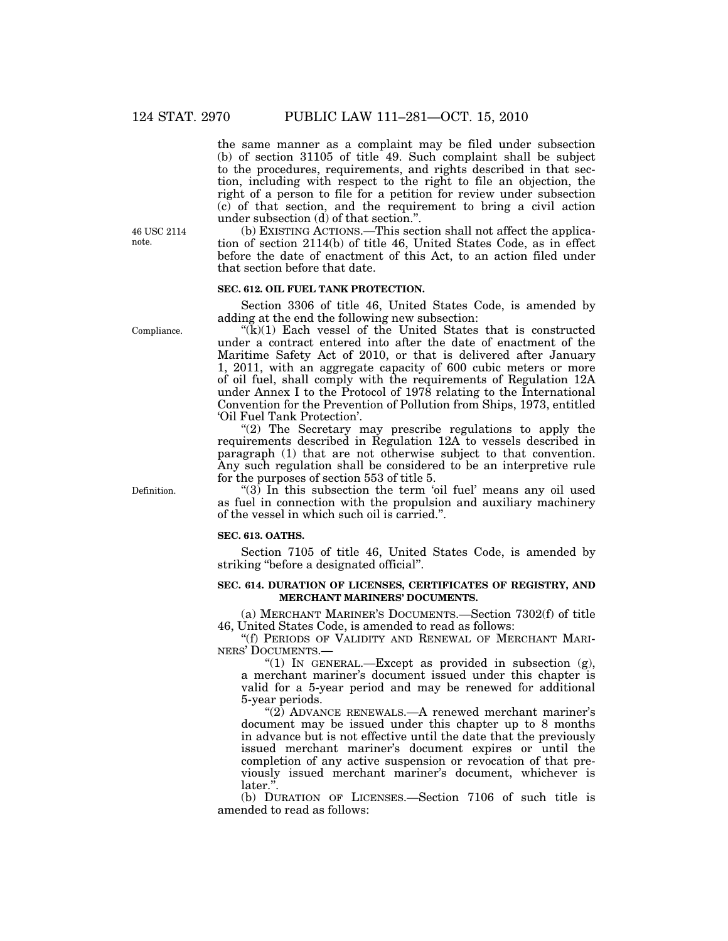the same manner as a complaint may be filed under subsection (b) of section 31105 of title 49. Such complaint shall be subject to the procedures, requirements, and rights described in that section, including with respect to the right to file an objection, the right of a person to file for a petition for review under subsection (c) of that section, and the requirement to bring a civil action under subsection (d) of that section.''.

(b) EXISTING ACTIONS.—This section shall not affect the application of section 2114(b) of title 46, United States Code, as in effect before the date of enactment of this Act, to an action filed under that section before that date.

### **SEC. 612. OIL FUEL TANK PROTECTION.**

Section 3306 of title 46, United States Code, is amended by adding at the end the following new subsection:

" $(k)(1)$  Each vessel of the United States that is constructed under a contract entered into after the date of enactment of the Maritime Safety Act of 2010, or that is delivered after January 1, 2011, with an aggregate capacity of 600 cubic meters or more of oil fuel, shall comply with the requirements of Regulation 12A under Annex I to the Protocol of 1978 relating to the International Convention for the Prevention of Pollution from Ships, 1973, entitled 'Oil Fuel Tank Protection'.

"(2) The Secretary may prescribe regulations to apply the requirements described in Regulation 12A to vessels described in paragraph (1) that are not otherwise subject to that convention. Any such regulation shall be considered to be an interpretive rule for the purposes of section 553 of title 5.

" $(3)$  In this subsection the term 'oil fuel' means any oil used as fuel in connection with the propulsion and auxiliary machinery of the vessel in which such oil is carried.''.

#### **SEC. 613. OATHS.**

Section 7105 of title 46, United States Code, is amended by striking ''before a designated official''.

#### **SEC. 614. DURATION OF LICENSES, CERTIFICATES OF REGISTRY, AND MERCHANT MARINERS' DOCUMENTS.**

(a) MERCHANT MARINER'S DOCUMENTS.—Section 7302(f) of title 46, United States Code, is amended to read as follows:

"(f) PERIODS OF VALIDITY AND RENEWAL OF MERCHANT MARI-NERS' DOCUMENTS.—

"(1) IN GENERAL.—Except as provided in subsection  $(g)$ , a merchant mariner's document issued under this chapter is valid for a 5-year period and may be renewed for additional 5-year periods.

" $(2)$  ADVANCE RENEWALS.—A renewed merchant mariner's document may be issued under this chapter up to 8 months in advance but is not effective until the date that the previously issued merchant mariner's document expires or until the completion of any active suspension or revocation of that previously issued merchant mariner's document, whichever is later.''.

(b) DURATION OF LICENSES.—Section 7106 of such title is amended to read as follows:

Definition.

Compliance.

46 USC 2114 note.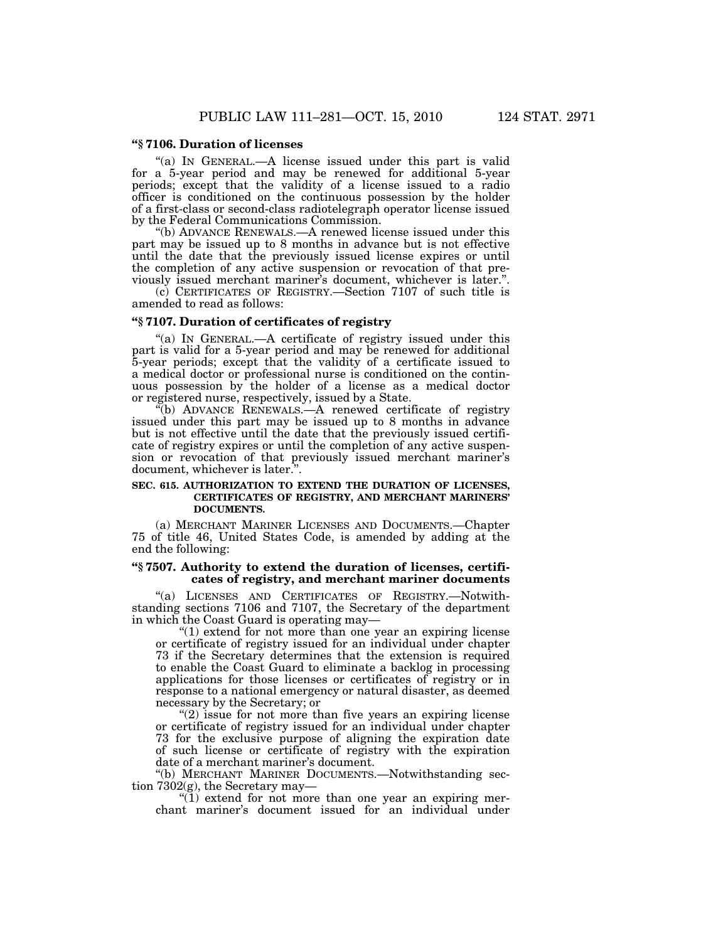### **''§ 7106. Duration of licenses**

"(a) IN GENERAL.—A license issued under this part is valid for a 5-year period and may be renewed for additional 5-year periods; except that the validity of a license issued to a radio officer is conditioned on the continuous possession by the holder of a first-class or second-class radiotelegraph operator license issued by the Federal Communications Commission.

''(b) ADVANCE RENEWALS.—A renewed license issued under this part may be issued up to 8 months in advance but is not effective until the date that the previously issued license expires or until the completion of any active suspension or revocation of that previously issued merchant mariner's document, whichever is later.''.

(c) CERTIFICATES OF REGISTRY.—Section 7107 of such title is amended to read as follows:

#### **''§ 7107. Duration of certificates of registry**

"(a) IN GENERAL.—A certificate of registry issued under this part is valid for a 5-year period and may be renewed for additional 5-year periods; except that the validity of a certificate issued to a medical doctor or professional nurse is conditioned on the continuous possession by the holder of a license as a medical doctor or registered nurse, respectively, issued by a State.

''(b) ADVANCE RENEWALS.—A renewed certificate of registry issued under this part may be issued up to 8 months in advance but is not effective until the date that the previously issued certificate of registry expires or until the completion of any active suspension or revocation of that previously issued merchant mariner's document, whichever is later.''.

#### **SEC. 615. AUTHORIZATION TO EXTEND THE DURATION OF LICENSES, CERTIFICATES OF REGISTRY, AND MERCHANT MARINERS' DOCUMENTS.**

(a) MERCHANT MARINER LICENSES AND DOCUMENTS.—Chapter 75 of title 46, United States Code, is amended by adding at the end the following:

#### **''§ 7507. Authority to extend the duration of licenses, certificates of registry, and merchant mariner documents**

''(a) LICENSES AND CERTIFICATES OF REGISTRY.—Notwithstanding sections 7106 and 7107, the Secretary of the department in which the Coast Guard is operating may—

 $''(1)$  extend for not more than one year an expiring license or certificate of registry issued for an individual under chapter 73 if the Secretary determines that the extension is required to enable the Coast Guard to eliminate a backlog in processing applications for those licenses or certificates of registry or in response to a national emergency or natural disaster, as deemed necessary by the Secretary; or

" $(2)$  issue for not more than five years an expiring license or certificate of registry issued for an individual under chapter 73 for the exclusive purpose of aligning the expiration date of such license or certificate of registry with the expiration date of a merchant mariner's document.

''(b) MERCHANT MARINER DOCUMENTS.—Notwithstanding section 7302(g), the Secretary may—

" $(1)$  extend for not more than one year an expiring merchant mariner's document issued for an individual under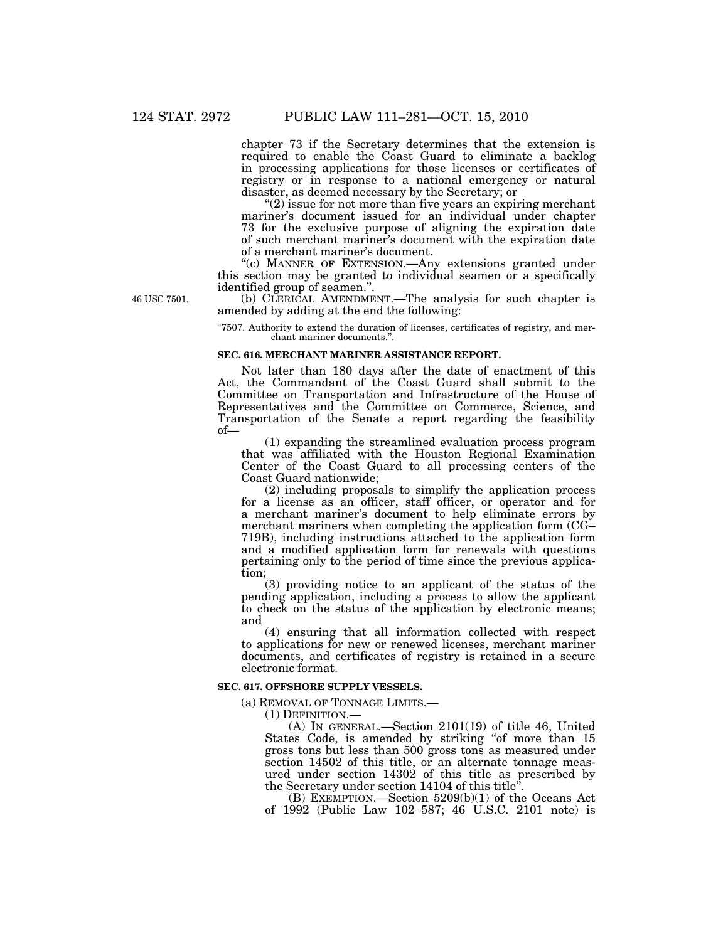chapter 73 if the Secretary determines that the extension is required to enable the Coast Guard to eliminate a backlog in processing applications for those licenses or certificates of registry or in response to a national emergency or natural disaster, as deemed necessary by the Secretary; or

 $''(2)$  issue for not more than five years an expiring merchant mariner's document issued for an individual under chapter 73 for the exclusive purpose of aligning the expiration date of such merchant mariner's document with the expiration date of a merchant mariner's document.

''(c) MANNER OF EXTENSION.—Any extensions granted under this section may be granted to individual seamen or a specifically identified group of seamen.''.

46 USC 7501.

(b) CLERICAL AMENDMENT.—The analysis for such chapter is amended by adding at the end the following:

''7507. Authority to extend the duration of licenses, certificates of registry, and merchant mariner documents.''.

### **SEC. 616. MERCHANT MARINER ASSISTANCE REPORT.**

Not later than 180 days after the date of enactment of this Act, the Commandant of the Coast Guard shall submit to the Committee on Transportation and Infrastructure of the House of Representatives and the Committee on Commerce, Science, and Transportation of the Senate a report regarding the feasibility of—

(1) expanding the streamlined evaluation process program that was affiliated with the Houston Regional Examination Center of the Coast Guard to all processing centers of the Coast Guard nationwide;

(2) including proposals to simplify the application process for a license as an officer, staff officer, or operator and for a merchant mariner's document to help eliminate errors by merchant mariners when completing the application form (CG– 719B), including instructions attached to the application form and a modified application form for renewals with questions pertaining only to the period of time since the previous application;

(3) providing notice to an applicant of the status of the pending application, including a process to allow the applicant to check on the status of the application by electronic means; and

(4) ensuring that all information collected with respect to applications for new or renewed licenses, merchant mariner documents, and certificates of registry is retained in a secure electronic format.

#### **SEC. 617. OFFSHORE SUPPLY VESSELS.**

(a) REMOVAL OF TONNAGE LIMITS.—

(1) DEFINITION.—

(A) IN GENERAL.—Section 2101(19) of title 46, United States Code, is amended by striking ''of more than 15 gross tons but less than 500 gross tons as measured under section 14502 of this title, or an alternate tonnage measured under section 14302 of this title as prescribed by the Secretary under section 14104 of this title''.

(B) EXEMPTION.—Section 5209(b)(1) of the Oceans Act of 1992 (Public Law 102–587; 46 U.S.C. 2101 note) is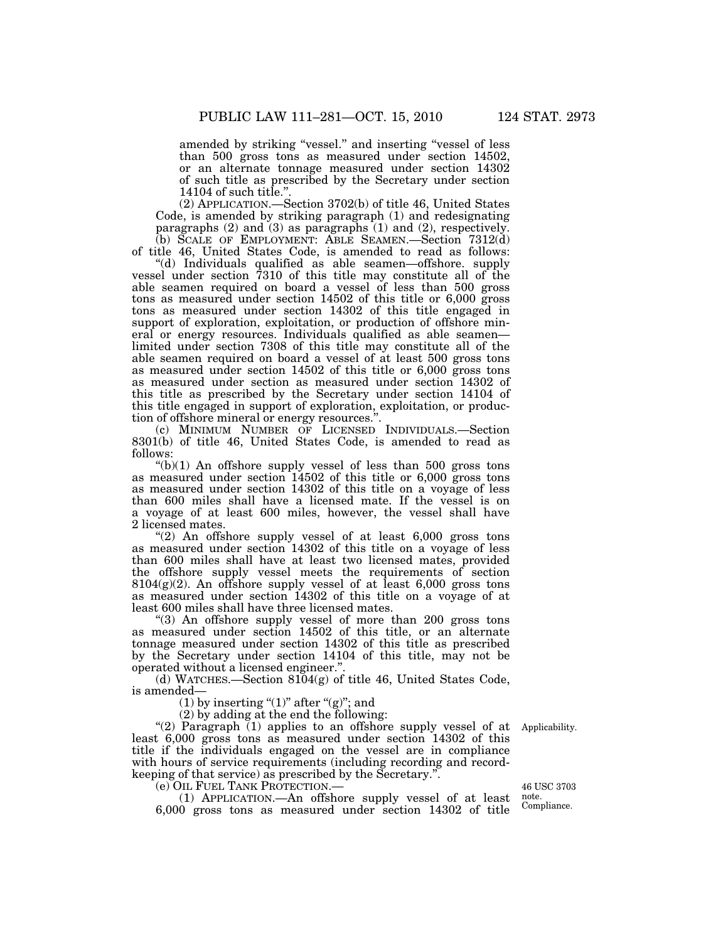amended by striking "vessel." and inserting "vessel of less than 500 gross tons as measured under section 14502, or an alternate tonnage measured under section 14302 of such title as prescribed by the Secretary under section 14104 of such title."

(2) APPLICATION.—Section 3702(b) of title 46, United States Code, is amended by striking paragraph (1) and redesignating paragraphs (2) and (3) as paragraphs (1) and (2), respectively.

(b) SCALE OF EMPLOYMENT: ABLE SEAMEN.—Section 7312(d) of title 46, United States Code, is amended to read as follows:

''(d) Individuals qualified as able seamen—offshore. supply vessel under section 7310 of this title may constitute all of the able seamen required on board a vessel of less than 500 gross tons as measured under section 14502 of this title or 6,000 gross tons as measured under section 14302 of this title engaged in support of exploration, exploitation, or production of offshore mineral or energy resources. Individuals qualified as able seamen limited under section 7308 of this title may constitute all of the able seamen required on board a vessel of at least 500 gross tons as measured under section 14502 of this title or 6,000 gross tons as measured under section as measured under section 14302 of this title as prescribed by the Secretary under section 14104 of this title engaged in support of exploration, exploitation, or production of offshore mineral or energy resources.'

(c) MINIMUM NUMBER OF LICENSED INDIVIDUALS.—Section 8301(b) of title 46, United States Code, is amended to read as follows:

" $(b)(1)$  An offshore supply vessel of less than 500 gross tons as measured under section 14502 of this title or 6,000 gross tons as measured under section 14302 of this title on a voyage of less than 600 miles shall have a licensed mate. If the vessel is on a voyage of at least 600 miles, however, the vessel shall have 2 licensed mates.

"(2) An offshore supply vessel of at least 6,000 gross tons as measured under section 14302 of this title on a voyage of less than 600 miles shall have at least two licensed mates, provided the offshore supply vessel meets the requirements of section 8104(g)(2). An offshore supply vessel of at least 6,000 gross tons as measured under section 14302 of this title on a voyage of at least 600 miles shall have three licensed mates.

"(3) An offshore supply vessel of more than 200 gross tons as measured under section 14502 of this title, or an alternate tonnage measured under section 14302 of this title as prescribed by the Secretary under section 14104 of this title, may not be operated without a licensed engineer.''.

(d) WATCHES.—Section 8104(g) of title 46, United States Code, is amended—

(1) by inserting " $(1)$ " after " $(g)$ "; and

(2) by adding at the end the following:

''(2) Paragraph (1) applies to an offshore supply vessel of at Applicability. least 6,000 gross tons as measured under section 14302 of this title if the individuals engaged on the vessel are in compliance with hours of service requirements (including recording and recordkeeping of that service) as prescribed by the Secretary.''.

(e) OIL FUEL TANK PROTECTION.— (1) APPLICATION.—An offshore supply vessel of at least 6,000 gross tons as measured under section 14302 of title Compliance.

46 USC 3703 note.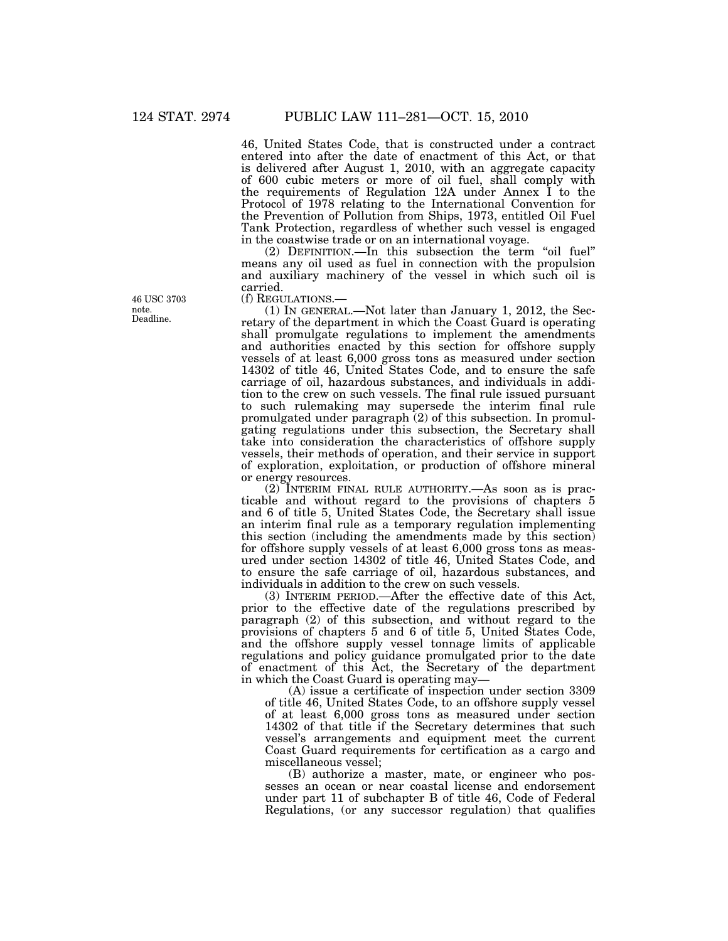46, United States Code, that is constructed under a contract entered into after the date of enactment of this Act, or that is delivered after August 1, 2010, with an aggregate capacity of 600 cubic meters or more of oil fuel, shall comply with the requirements of Regulation 12A under Annex I to the Protocol of 1978 relating to the International Convention for the Prevention of Pollution from Ships, 1973, entitled Oil Fuel Tank Protection, regardless of whether such vessel is engaged in the coastwise trade or on an international voyage.

(2) DEFINITION.—In this subsection the term "oil fuel" means any oil used as fuel in connection with the propulsion and auxiliary machinery of the vessel in which such oil is carried.<br>(f) Regulations.—

(1) IN GENERAL.—Not later than January 1, 2012, the Secretary of the department in which the Coast Guard is operating shall promulgate regulations to implement the amendments and authorities enacted by this section for offshore supply vessels of at least 6,000 gross tons as measured under section 14302 of title 46, United States Code, and to ensure the safe carriage of oil, hazardous substances, and individuals in addition to the crew on such vessels. The final rule issued pursuant to such rulemaking may supersede the interim final rule promulgated under paragraph (2) of this subsection. In promulgating regulations under this subsection, the Secretary shall take into consideration the characteristics of offshore supply vessels, their methods of operation, and their service in support of exploration, exploitation, or production of offshore mineral or energy resources.

(2) INTERIM FINAL RULE AUTHORITY.—As soon as is practicable and without regard to the provisions of chapters 5 and 6 of title 5, United States Code, the Secretary shall issue an interim final rule as a temporary regulation implementing this section (including the amendments made by this section) for offshore supply vessels of at least 6,000 gross tons as measured under section 14302 of title 46, United States Code, and to ensure the safe carriage of oil, hazardous substances, and individuals in addition to the crew on such vessels.

(3) INTERIM PERIOD.—After the effective date of this Act, prior to the effective date of the regulations prescribed by paragraph (2) of this subsection, and without regard to the provisions of chapters 5 and 6 of title 5, United States Code, and the offshore supply vessel tonnage limits of applicable regulations and policy guidance promulgated prior to the date of enactment of this Act, the Secretary of the department in which the Coast Guard is operating may—

(A) issue a certificate of inspection under section 3309 of title 46, United States Code, to an offshore supply vessel of at least 6,000 gross tons as measured under section 14302 of that title if the Secretary determines that such vessel's arrangements and equipment meet the current Coast Guard requirements for certification as a cargo and miscellaneous vessel;

(B) authorize a master, mate, or engineer who possesses an ocean or near coastal license and endorsement under part 11 of subchapter B of title 46, Code of Federal Regulations, (or any successor regulation) that qualifies

Deadline. 46 USC 3703 note.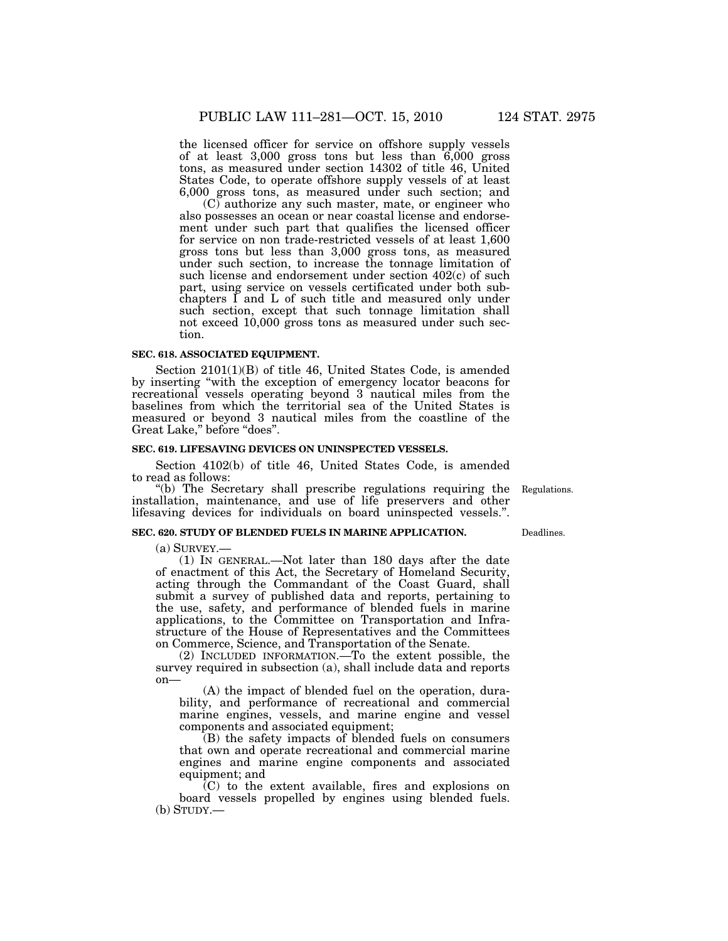the licensed officer for service on offshore supply vessels of at least 3,000 gross tons but less than 6,000 gross tons, as measured under section 14302 of title 46, United States Code, to operate offshore supply vessels of at least 6,000 gross tons, as measured under such section; and

(C) authorize any such master, mate, or engineer who also possesses an ocean or near coastal license and endorsement under such part that qualifies the licensed officer for service on non trade-restricted vessels of at least 1,600 gross tons but less than 3,000 gross tons, as measured under such section, to increase the tonnage limitation of such license and endorsement under section 402(c) of such part, using service on vessels certificated under both subchapters I and L of such title and measured only under such section, except that such tonnage limitation shall not exceed 10,000 gross tons as measured under such section.

#### **SEC. 618. ASSOCIATED EQUIPMENT.**

Section 2101(1)(B) of title 46, United States Code, is amended by inserting ''with the exception of emergency locator beacons for recreational vessels operating beyond 3 nautical miles from the baselines from which the territorial sea of the United States is measured or beyond 3 nautical miles from the coastline of the Great Lake," before "does".

### **SEC. 619. LIFESAVING DEVICES ON UNINSPECTED VESSELS.**

Section 4102(b) of title 46, United States Code, is amended to read as follows:

''(b) The Secretary shall prescribe regulations requiring the installation, maintenance, and use of life preservers and other lifesaving devices for individuals on board uninspected vessels.''.

#### **SEC. 620. STUDY OF BLENDED FUELS IN MARINE APPLICATION.**

 $(a)$  SURVEY.—

(1) IN GENERAL.—Not later than 180 days after the date of enactment of this Act, the Secretary of Homeland Security, acting through the Commandant of the Coast Guard, shall submit a survey of published data and reports, pertaining to the use, safety, and performance of blended fuels in marine applications, to the Committee on Transportation and Infrastructure of the House of Representatives and the Committees on Commerce, Science, and Transportation of the Senate.

(2) INCLUDED INFORMATION.—To the extent possible, the survey required in subsection (a), shall include data and reports on—

(A) the impact of blended fuel on the operation, durability, and performance of recreational and commercial marine engines, vessels, and marine engine and vessel components and associated equipment;

(B) the safety impacts of blended fuels on consumers that own and operate recreational and commercial marine engines and marine engine components and associated equipment; and

(C) to the extent available, fires and explosions on board vessels propelled by engines using blended fuels. (b) STUDY.—

Regulations.

Deadlines.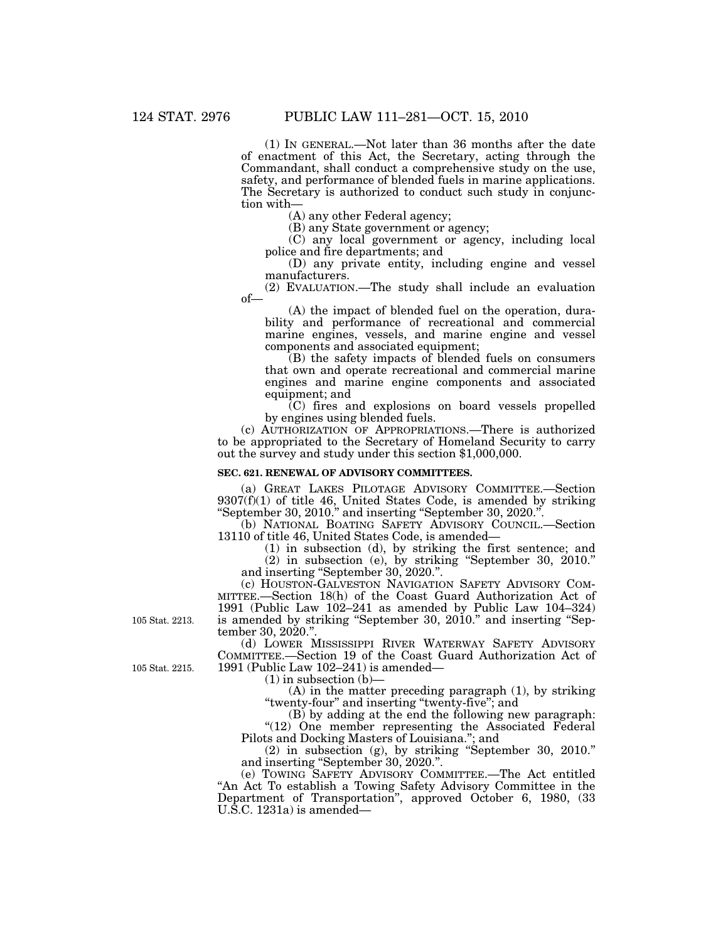(1) IN GENERAL.—Not later than 36 months after the date of enactment of this Act, the Secretary, acting through the Commandant, shall conduct a comprehensive study on the use, safety, and performance of blended fuels in marine applications. The Secretary is authorized to conduct such study in conjunction with—

(A) any other Federal agency;

(B) any State government or agency;

(C) any local government or agency, including local police and fire departments; and

(D) any private entity, including engine and vessel manufacturers.

(2) EVALUATION.—The study shall include an evaluation of—

(A) the impact of blended fuel on the operation, durability and performance of recreational and commercial marine engines, vessels, and marine engine and vessel components and associated equipment;

(B) the safety impacts of blended fuels on consumers that own and operate recreational and commercial marine engines and marine engine components and associated equipment; and

(C) fires and explosions on board vessels propelled by engines using blended fuels.

(c) AUTHORIZATION OF APPROPRIATIONS.—There is authorized to be appropriated to the Secretary of Homeland Security to carry out the survey and study under this section \$1,000,000.

#### **SEC. 621. RENEWAL OF ADVISORY COMMITTEES.**

(a) GREAT LAKES PILOTAGE ADVISORY COMMITTEE.—Section 9307(f)(1) of title 46, United States Code, is amended by striking ''September 30, 2010.'' and inserting ''September 30, 2020.''.

(b) NATIONAL BOATING SAFETY ADVISORY COUNCIL.—Section 13110 of title 46, United States Code, is amended—

(1) in subsection (d), by striking the first sentence; and

(2) in subsection (e), by striking ''September 30, 2010.'' and inserting ''September 30, 2020.''.

(c) HOUSTON-GALVESTON NAVIGATION SAFETY ADVISORY COM-MITTEE.—Section 18(h) of the Coast Guard Authorization Act of 1991 (Public Law 102–241 as amended by Public Law 104–324) is amended by striking ''September 30, 2010.'' and inserting ''September 30, 2020.".

(d) LOWER MISSISSIPPI RIVER WATERWAY SAFETY ADVISORY COMMITTEE.—Section 19 of the Coast Guard Authorization Act of 1991 (Public Law 102–241) is amended—

 $(1)$  in subsection  $(b)$ —

(A) in the matter preceding paragraph (1), by striking ''twenty-four'' and inserting ''twenty-five''; and

(B) by adding at the end the following new paragraph: "(12) One member representing the Associated Federal Pilots and Docking Masters of Louisiana.''; and

(2) in subsection (g), by striking ''September 30, 2010.'' and inserting ''September 30, 2020.''.

(e) TOWING SAFETY ADVISORY COMMITTEE.—The Act entitled ''An Act To establish a Towing Safety Advisory Committee in the Department of Transportation'', approved October 6, 1980, (33 U.S.C.  $1231a$  is amended—

105 Stat. 2213.

105 Stat. 2215.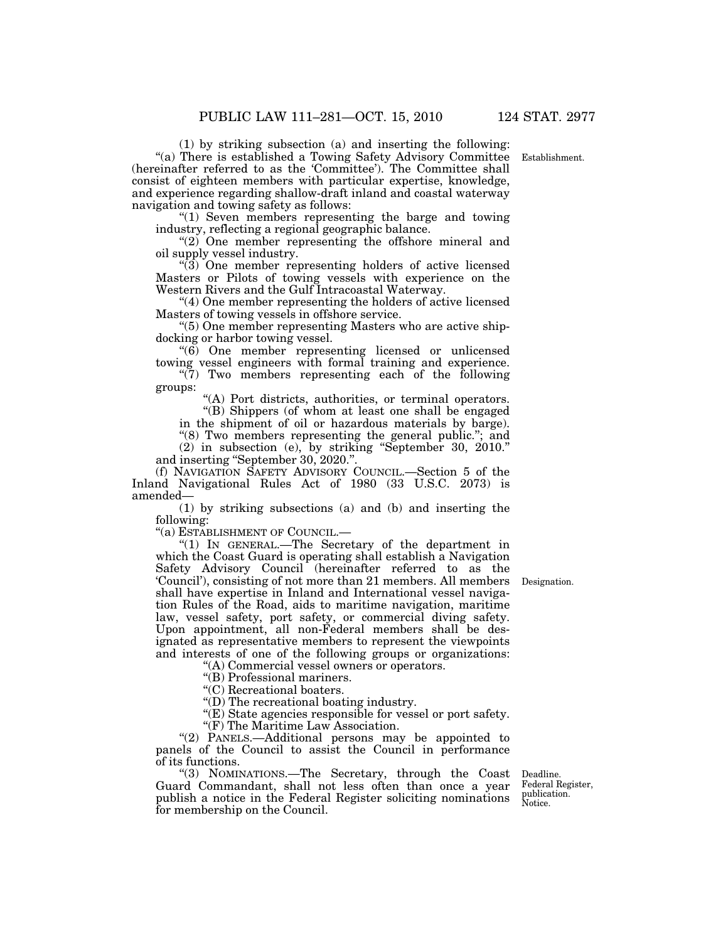''(a) There is established a Towing Safety Advisory Committee (hereinafter referred to as the 'Committee'). The Committee shall consist of eighteen members with particular expertise, knowledge, and experience regarding shallow-draft inland and coastal waterway navigation and towing safety as follows:

" $(1)$  Seven members representing the barge and towing industry, reflecting a regional geographic balance.

"(2) One member representing the offshore mineral and oil supply vessel industry.

"(3) One member representing holders of active licensed Masters or Pilots of towing vessels with experience on the Western Rivers and the Gulf Intracoastal Waterway.

''(4) One member representing the holders of active licensed Masters of towing vessels in offshore service.

''(5) One member representing Masters who are active shipdocking or harbor towing vessel.

''(6) One member representing licensed or unlicensed towing vessel engineers with formal training and experience.

"(7) Two members representing each of the following groups:

"(A) Port districts, authorities, or terminal operators. ''(B) Shippers (of whom at least one shall be engaged

in the shipment of oil or hazardous materials by barge).

"(8) Two members representing the general public."; and (2) in subsection (e), by striking ''September 30, 2010.'' and inserting ''September 30, 2020.''.

(f) NAVIGATION SAFETY ADVISORY COUNCIL.—Section 5 of the Inland Navigational Rules Act of 1980 (33 U.S.C. 2073) is amended—

(1) by striking subsections (a) and (b) and inserting the following:

''(a) ESTABLISHMENT OF COUNCIL.—

''(1) IN GENERAL.—The Secretary of the department in which the Coast Guard is operating shall establish a Navigation Safety Advisory Council (hereinafter referred to as the 'Council'), consisting of not more than 21 members. All members shall have expertise in Inland and International vessel navigation Rules of the Road, aids to maritime navigation, maritime law, vessel safety, port safety, or commercial diving safety. Upon appointment, all non-Federal members shall be designated as representative members to represent the viewpoints and interests of one of the following groups or organizations:

''(A) Commercial vessel owners or operators.

''(B) Professional mariners. ''(C) Recreational boaters.

''(D) The recreational boating industry.

''(E) State agencies responsible for vessel or port safety. ''(F) The Maritime Law Association.

''(2) PANELS.—Additional persons may be appointed to panels of the Council to assist the Council in performance of its functions.

''(3) NOMINATIONS.—The Secretary, through the Coast Guard Commandant, shall not less often than once a year publish a notice in the Federal Register soliciting nominations for membership on the Council.

Deadline. Federal Register, publication. Notice.

Designation.

Establishment.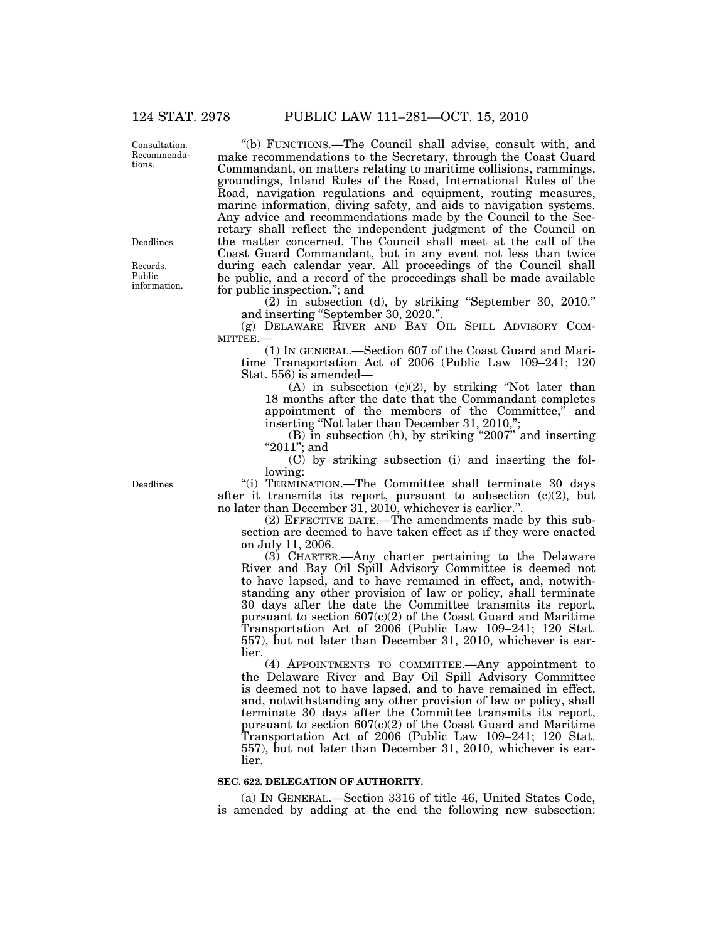''(b) FUNCTIONS.—The Council shall advise, consult with, and

Consultation. Recommendations.

Deadlines.

Records. Public information.

make recommendations to the Secretary, through the Coast Guard Commandant, on matters relating to maritime collisions, rammings, groundings, Inland Rules of the Road, International Rules of the Road, navigation regulations and equipment, routing measures, marine information, diving safety, and aids to navigation systems. Any advice and recommendations made by the Council to the Secretary shall reflect the independent judgment of the Council on the matter concerned. The Council shall meet at the call of the Coast Guard Commandant, but in any event not less than twice during each calendar year. All proceedings of the Council shall be public, and a record of the proceedings shall be made available for public inspection.''; and

(2) in subsection (d), by striking ''September 30, 2010.'' and inserting ''September 30, 2020.''.

(g) DELAWARE RIVER AND BAY OIL SPILL ADVISORY COM-MITTEE.—

(1) IN GENERAL.—Section 607 of the Coast Guard and Maritime Transportation Act of 2006 (Public Law 109–241; 120 Stat. 556) is amended—

 $(A)$  in subsection  $(c)(2)$ , by striking "Not later than 18 months after the date that the Commandant completes appointment of the members of the Committee,<sup> $\dot{r}$ </sup> and inserting "Not later than December 31, 2010,";

(B) in subsection (h), by striking ''2007'' and inserting "2011"; and

(C) by striking subsection (i) and inserting the following:

''(i) TERMINATION.—The Committee shall terminate 30 days after it transmits its report, pursuant to subsection (c)(2), but no later than December 31, 2010, whichever is earlier.''.

(2) EFFECTIVE DATE.—The amendments made by this subsection are deemed to have taken effect as if they were enacted on July 11, 2006.

(3) CHARTER.—Any charter pertaining to the Delaware River and Bay Oil Spill Advisory Committee is deemed not to have lapsed, and to have remained in effect, and, notwithstanding any other provision of law or policy, shall terminate 30 days after the date the Committee transmits its report, pursuant to section  $607(c)(2)$  of the Coast Guard and Maritime Transportation Act of 2006 (Public Law 109–241; 120 Stat. 557), but not later than December 31, 2010, whichever is earlier.

(4) APPOINTMENTS TO COMMITTEE.—Any appointment to the Delaware River and Bay Oil Spill Advisory Committee is deemed not to have lapsed, and to have remained in effect, and, notwithstanding any other provision of law or policy, shall terminate 30 days after the Committee transmits its report, pursuant to section 607(c)(2) of the Coast Guard and Maritime Transportation Act of 2006 (Public Law 109–241; 120 Stat. 557), but not later than December 31, 2010, whichever is earlier.

#### **SEC. 622. DELEGATION OF AUTHORITY.**

(a) IN GENERAL.—Section 3316 of title 46, United States Code, is amended by adding at the end the following new subsection:

Deadlines.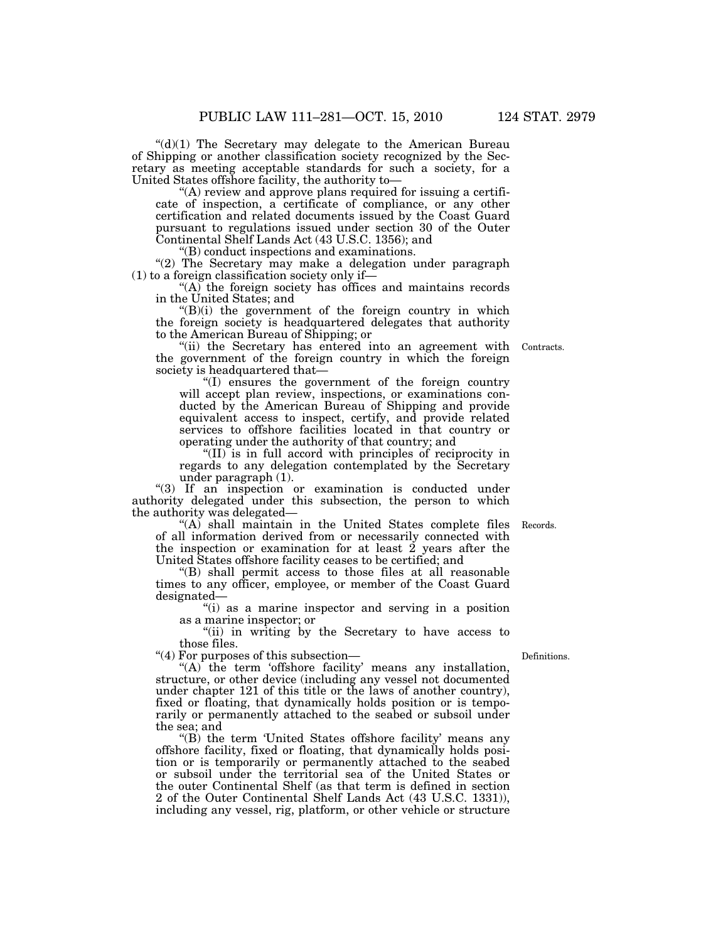" $(d)(1)$  The Secretary may delegate to the American Bureau of Shipping or another classification society recognized by the Secretary as meeting acceptable standards for such a society, for a United States offshore facility, the authority to—

"(A) review and approve plans required for issuing a certificate of inspection, a certificate of compliance, or any other certification and related documents issued by the Coast Guard pursuant to regulations issued under section 30 of the Outer Continental Shelf Lands Act (43 U.S.C. 1356); and

''(B) conduct inspections and examinations.

"(2) The Secretary may make a delegation under paragraph (1) to a foreign classification society only if—

"(A) the foreign society has offices and maintains records in the United States; and

 $'(B)(i)$  the government of the foreign country in which the foreign society is headquartered delegates that authority to the American Bureau of Shipping; or

"(ii) the Secretary has entered into an agreement with Contracts. the government of the foreign country in which the foreign society is headquartered that—

''(I) ensures the government of the foreign country will accept plan review, inspections, or examinations conducted by the American Bureau of Shipping and provide equivalent access to inspect, certify, and provide related services to offshore facilities located in that country or operating under the authority of that country; and

''(II) is in full accord with principles of reciprocity in regards to any delegation contemplated by the Secretary under paragraph (1).

''(3) If an inspection or examination is conducted under authority delegated under this subsection, the person to which the authority was delegated—

"(A) shall maintain in the United States complete files of all information derived from or necessarily connected with the inspection or examination for at least 2 years after the United States offshore facility ceases to be certified; and Records.

''(B) shall permit access to those files at all reasonable times to any officer, employee, or member of the Coast Guard designated—

''(i) as a marine inspector and serving in a position as a marine inspector; or

''(ii) in writing by the Secretary to have access to those files.

''(4) For purposes of this subsection—

"(A) the term 'offshore facility' means any installation, structure, or other device (including any vessel not documented under chapter 121 of this title or the laws of another country), fixed or floating, that dynamically holds position or is temporarily or permanently attached to the seabed or subsoil under the sea; and

" $(B)$  the term 'United States offshore facility' means any offshore facility, fixed or floating, that dynamically holds position or is temporarily or permanently attached to the seabed or subsoil under the territorial sea of the United States or the outer Continental Shelf (as that term is defined in section 2 of the Outer Continental Shelf Lands Act (43 U.S.C. 1331)), including any vessel, rig, platform, or other vehicle or structure

Definitions.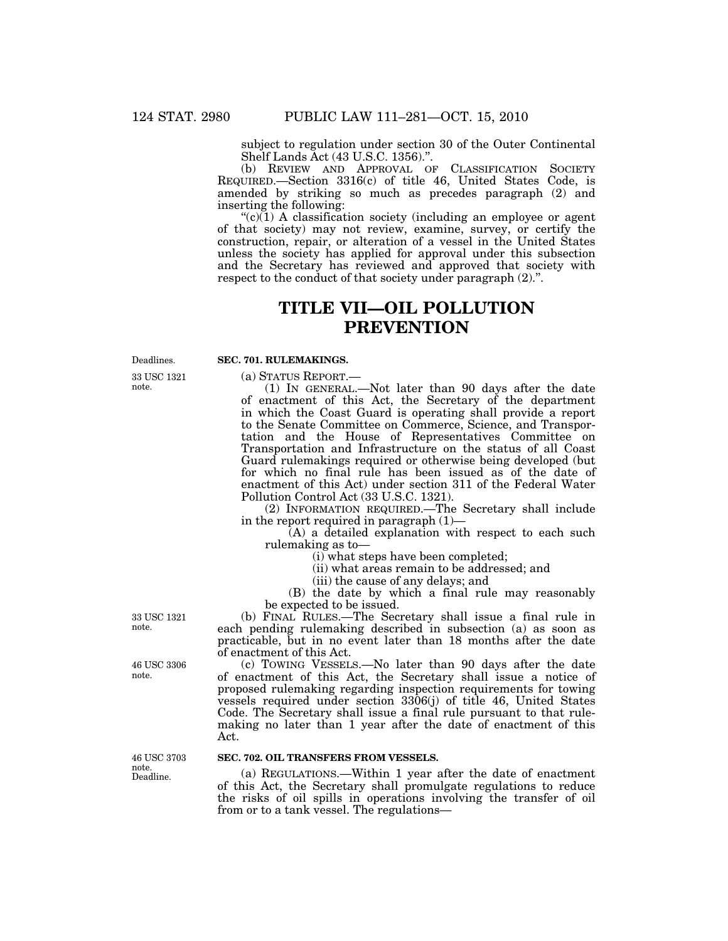subject to regulation under section 30 of the Outer Continental Shelf Lands Act (43 U.S.C. 1356).''.

(b) REVIEW AND APPROVAL OF CLASSIFICATION SOCIETY REQUIRED.—Section 3316(c) of title 46, United States Code, is amended by striking so much as precedes paragraph (2) and inserting the following:

 $C$ (c)(1) A classification society (including an employee or agent of that society) may not review, examine, survey, or certify the construction, repair, or alteration of a vessel in the United States unless the society has applied for approval under this subsection and the Secretary has reviewed and approved that society with respect to the conduct of that society under paragraph  $(2)$ .".

# **TITLE VII—OIL POLLUTION PREVENTION**

Deadlines.

## **SEC. 701. RULEMAKINGS.**

33 USC 1321 note.

(a) STATUS REPORT.—

(1) IN GENERAL.—Not later than 90 days after the date of enactment of this Act, the Secretary of the department in which the Coast Guard is operating shall provide a report to the Senate Committee on Commerce, Science, and Transportation and the House of Representatives Committee on Transportation and Infrastructure on the status of all Coast Guard rulemakings required or otherwise being developed (but for which no final rule has been issued as of the date of enactment of this Act) under section 311 of the Federal Water Pollution Control Act (33 U.S.C. 1321).

(2) INFORMATION REQUIRED.—The Secretary shall include in the report required in paragraph (1)—

(A) a detailed explanation with respect to each such rulemaking as to—

(i) what steps have been completed;

(ii) what areas remain to be addressed; and

(iii) the cause of any delays; and

(B) the date by which a final rule may reasonably be expected to be issued.

(b) FINAL RULES.—The Secretary shall issue a final rule in each pending rulemaking described in subsection (a) as soon as practicable, but in no event later than 18 months after the date of enactment of this Act.

(c) TOWING VESSELS.—No later than 90 days after the date of enactment of this Act, the Secretary shall issue a notice of proposed rulemaking regarding inspection requirements for towing vessels required under section 3306(j) of title 46, United States Code. The Secretary shall issue a final rule pursuant to that rulemaking no later than 1 year after the date of enactment of this Act.

## **SEC. 702. OIL TRANSFERS FROM VESSELS.**

(a) REGULATIONS.—Within 1 year after the date of enactment of this Act, the Secretary shall promulgate regulations to reduce the risks of oil spills in operations involving the transfer of oil from or to a tank vessel. The regulations—

33 USC 1321 note.

46 USC 3306 note.

note.<br>Deadline. 46 USC 3703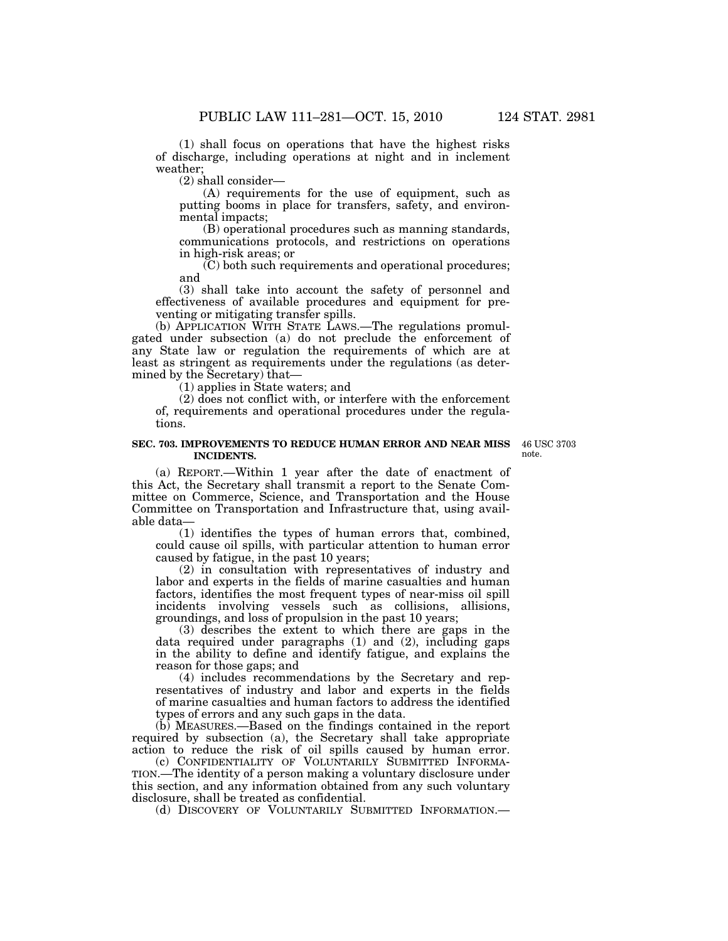(1) shall focus on operations that have the highest risks of discharge, including operations at night and in inclement weather;

(2) shall consider—

(A) requirements for the use of equipment, such as putting booms in place for transfers, safety, and environmental impacts;

(B) operational procedures such as manning standards, communications protocols, and restrictions on operations in high-risk areas; or

(C) both such requirements and operational procedures; and

(3) shall take into account the safety of personnel and effectiveness of available procedures and equipment for preventing or mitigating transfer spills.

(b) APPLICATION WITH STATE LAWS.—The regulations promulgated under subsection (a) do not preclude the enforcement of any State law or regulation the requirements of which are at least as stringent as requirements under the regulations (as determined by the Secretary) that—

(1) applies in State waters; and

(2) does not conflict with, or interfere with the enforcement of, requirements and operational procedures under the regulations.

#### **SEC. 703. IMPROVEMENTS TO REDUCE HUMAN ERROR AND NEAR MISS**  46 USC 3703 **INCIDENTS.**

note.

(a) REPORT.—Within 1 year after the date of enactment of this Act, the Secretary shall transmit a report to the Senate Committee on Commerce, Science, and Transportation and the House Committee on Transportation and Infrastructure that, using available data—

(1) identifies the types of human errors that, combined, could cause oil spills, with particular attention to human error caused by fatigue, in the past 10 years;

(2) in consultation with representatives of industry and labor and experts in the fields of marine casualties and human factors, identifies the most frequent types of near-miss oil spill incidents involving vessels such as collisions, allisions, groundings, and loss of propulsion in the past 10 years;

(3) describes the extent to which there are gaps in the data required under paragraphs (1) and (2), including gaps in the ability to define and identify fatigue, and explains the reason for those gaps; and

(4) includes recommendations by the Secretary and representatives of industry and labor and experts in the fields of marine casualties and human factors to address the identified types of errors and any such gaps in the data.

(b) MEASURES.—Based on the findings contained in the report required by subsection (a), the Secretary shall take appropriate action to reduce the risk of oil spills caused by human error.

(c) CONFIDENTIALITY OF VOLUNTARILY SUBMITTED INFORMA-TION.—The identity of a person making a voluntary disclosure under this section, and any information obtained from any such voluntary disclosure, shall be treated as confidential.

(d) DISCOVERY OF VOLUNTARILY SUBMITTED INFORMATION.-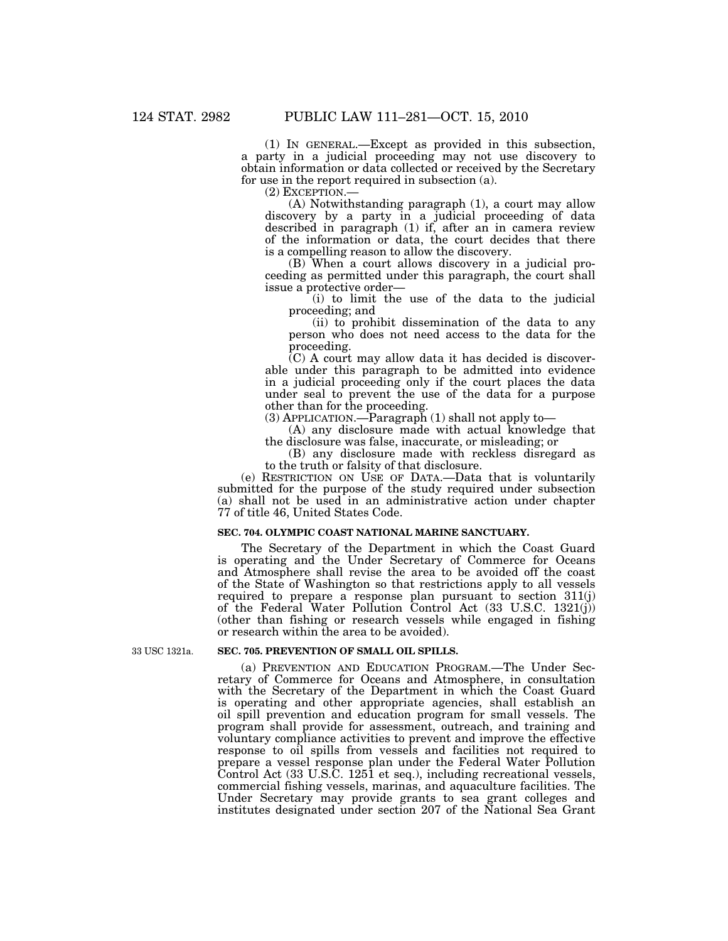(1) IN GENERAL.—Except as provided in this subsection, a party in a judicial proceeding may not use discovery to obtain information or data collected or received by the Secretary for use in the report required in subsection (a).<br>(2) EXCEPTION.—

 $(A)$  Notwithstanding paragraph  $(1)$ , a court may allow discovery by a party in a judicial proceeding of data described in paragraph (1) if, after an in camera review of the information or data, the court decides that there is a compelling reason to allow the discovery.

(B) When a court allows discovery in a judicial proceeding as permitted under this paragraph, the court shall issue a protective order—

(i) to limit the use of the data to the judicial proceeding; and

(ii) to prohibit dissemination of the data to any person who does not need access to the data for the proceeding.

(C) A court may allow data it has decided is discoverable under this paragraph to be admitted into evidence in a judicial proceeding only if the court places the data under seal to prevent the use of the data for a purpose other than for the proceeding.

(3) APPLICATION.—Paragraph (1) shall not apply to—

(A) any disclosure made with actual knowledge that the disclosure was false, inaccurate, or misleading; or

(B) any disclosure made with reckless disregard as to the truth or falsity of that disclosure.

(e) RESTRICTION ON USE OF DATA.—Data that is voluntarily submitted for the purpose of the study required under subsection (a) shall not be used in an administrative action under chapter 77 of title 46, United States Code.

## **SEC. 704. OLYMPIC COAST NATIONAL MARINE SANCTUARY.**

The Secretary of the Department in which the Coast Guard is operating and the Under Secretary of Commerce for Oceans and Atmosphere shall revise the area to be avoided off the coast of the State of Washington so that restrictions apply to all vessels required to prepare a response plan pursuant to section 311(j) of the Federal Water Pollution Control Act (33 U.S.C. 1321(j)) (other than fishing or research vessels while engaged in fishing or research within the area to be avoided).

33 USC 1321a.

## **SEC. 705. PREVENTION OF SMALL OIL SPILLS.**

(a) PREVENTION AND EDUCATION PROGRAM.—The Under Secretary of Commerce for Oceans and Atmosphere, in consultation with the Secretary of the Department in which the Coast Guard is operating and other appropriate agencies, shall establish an oil spill prevention and education program for small vessels. The program shall provide for assessment, outreach, and training and voluntary compliance activities to prevent and improve the effective response to oil spills from vessels and facilities not required to prepare a vessel response plan under the Federal Water Pollution Control Act (33 U.S.C. 1251 et seq.), including recreational vessels, commercial fishing vessels, marinas, and aquaculture facilities. The Under Secretary may provide grants to sea grant colleges and institutes designated under section 207 of the National Sea Grant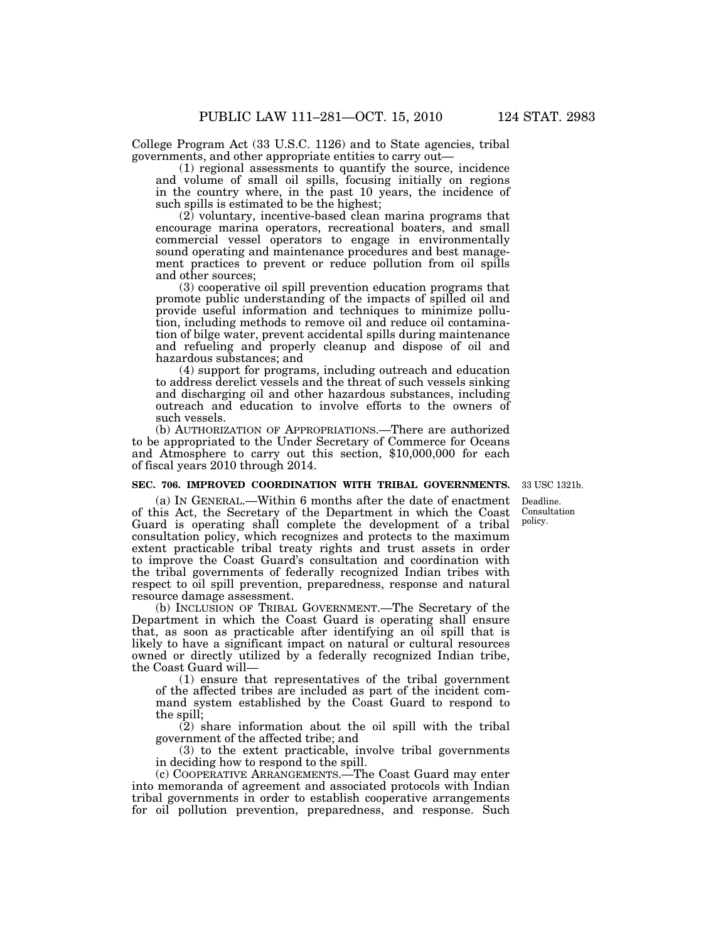governments, and other appropriate entities to carry out— (1) regional assessments to quantify the source, incidence and volume of small oil spills, focusing initially on regions in the country where, in the past 10 years, the incidence of such spills is estimated to be the highest;

(2) voluntary, incentive-based clean marina programs that encourage marina operators, recreational boaters, and small commercial vessel operators to engage in environmentally sound operating and maintenance procedures and best management practices to prevent or reduce pollution from oil spills and other sources;

(3) cooperative oil spill prevention education programs that promote public understanding of the impacts of spilled oil and provide useful information and techniques to minimize pollution, including methods to remove oil and reduce oil contamination of bilge water, prevent accidental spills during maintenance and refueling and properly cleanup and dispose of oil and hazardous substances; and

(4) support for programs, including outreach and education to address derelict vessels and the threat of such vessels sinking and discharging oil and other hazardous substances, including outreach and education to involve efforts to the owners of such vessels.

(b) AUTHORIZATION OF APPROPRIATIONS.—There are authorized to be appropriated to the Under Secretary of Commerce for Oceans and Atmosphere to carry out this section, \$10,000,000 for each of fiscal years 2010 through 2014.

## **SEC. 706. IMPROVED COORDINATION WITH TRIBAL GOVERNMENTS.**

Deadline. 33 USC 1321b.

(a) IN GENERAL.—Within 6 months after the date of enactment of this Act, the Secretary of the Department in which the Coast Guard is operating shall complete the development of a tribal consultation policy, which recognizes and protects to the maximum extent practicable tribal treaty rights and trust assets in order to improve the Coast Guard's consultation and coordination with the tribal governments of federally recognized Indian tribes with respect to oil spill prevention, preparedness, response and natural resource damage assessment.

(b) INCLUSION OF TRIBAL GOVERNMENT.—The Secretary of the Department in which the Coast Guard is operating shall ensure that, as soon as practicable after identifying an oil spill that is likely to have a significant impact on natural or cultural resources owned or directly utilized by a federally recognized Indian tribe, the Coast Guard will—

(1) ensure that representatives of the tribal government of the affected tribes are included as part of the incident command system established by the Coast Guard to respond to the spill;

(2) share information about the oil spill with the tribal government of the affected tribe; and

(3) to the extent practicable, involve tribal governments in deciding how to respond to the spill.

(c) COOPERATIVE ARRANGEMENTS.—The Coast Guard may enter into memoranda of agreement and associated protocols with Indian tribal governments in order to establish cooperative arrangements for oil pollution prevention, preparedness, and response. Such

Consultation policy.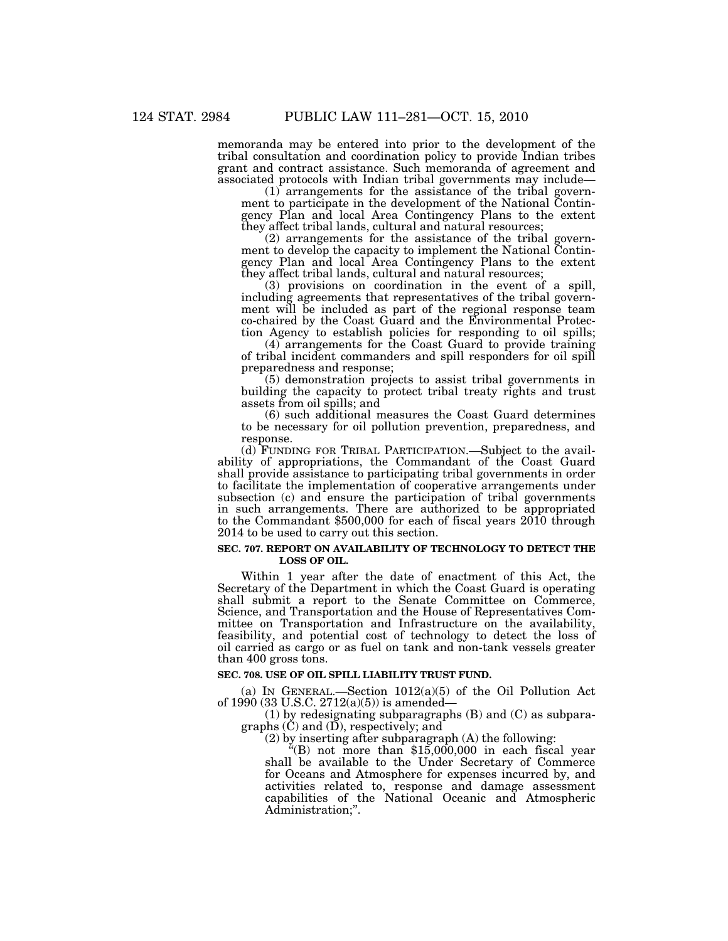memoranda may be entered into prior to the development of the tribal consultation and coordination policy to provide Indian tribes grant and contract assistance. Such memoranda of agreement and associated protocols with Indian tribal governments may include—

(1) arrangements for the assistance of the tribal government to participate in the development of the National Contingency Plan and local Area Contingency Plans to the extent they affect tribal lands, cultural and natural resources;

(2) arrangements for the assistance of the tribal government to develop the capacity to implement the National Contingency Plan and local Area Contingency Plans to the extent they affect tribal lands, cultural and natural resources;

(3) provisions on coordination in the event of a spill, including agreements that representatives of the tribal government will be included as part of the regional response team co-chaired by the Coast Guard and the Environmental Protection Agency to establish policies for responding to oil spills;

(4) arrangements for the Coast Guard to provide training of tribal incident commanders and spill responders for oil spill preparedness and response;

(5) demonstration projects to assist tribal governments in building the capacity to protect tribal treaty rights and trust assets from oil spills; and

(6) such additional measures the Coast Guard determines to be necessary for oil pollution prevention, preparedness, and response.

(d) FUNDING FOR TRIBAL PARTICIPATION.—Subject to the availability of appropriations, the Commandant of the Coast Guard shall provide assistance to participating tribal governments in order to facilitate the implementation of cooperative arrangements under subsection (c) and ensure the participation of tribal governments in such arrangements. There are authorized to be appropriated to the Commandant \$500,000 for each of fiscal years 2010 through 2014 to be used to carry out this section.

## **SEC. 707. REPORT ON AVAILABILITY OF TECHNOLOGY TO DETECT THE LOSS OF OIL.**

Within 1 year after the date of enactment of this Act, the Secretary of the Department in which the Coast Guard is operating shall submit a report to the Senate Committee on Commerce, Science, and Transportation and the House of Representatives Committee on Transportation and Infrastructure on the availability, feasibility, and potential cost of technology to detect the loss of oil carried as cargo or as fuel on tank and non-tank vessels greater than 400 gross tons.

## **SEC. 708. USE OF OIL SPILL LIABILITY TRUST FUND.**

(a) IN GENERAL.—Section 1012(a)(5) of the Oil Pollution Act of 1990 (33 U.S.C. 2712(a)(5)) is amended—

(1) by redesignating subparagraphs (B) and (C) as subparagraphs  $(\check{C})$  and  $(\check{D})$ , respectively; and<br>(2) by inserting after subparagraph  $(A)$  the following:

 $E(E)$  not more than \$15,000,000 in each fiscal year shall be available to the Under Secretary of Commerce for Oceans and Atmosphere for expenses incurred by, and activities related to, response and damage assessment capabilities of the National Oceanic and Atmospheric Administration;''.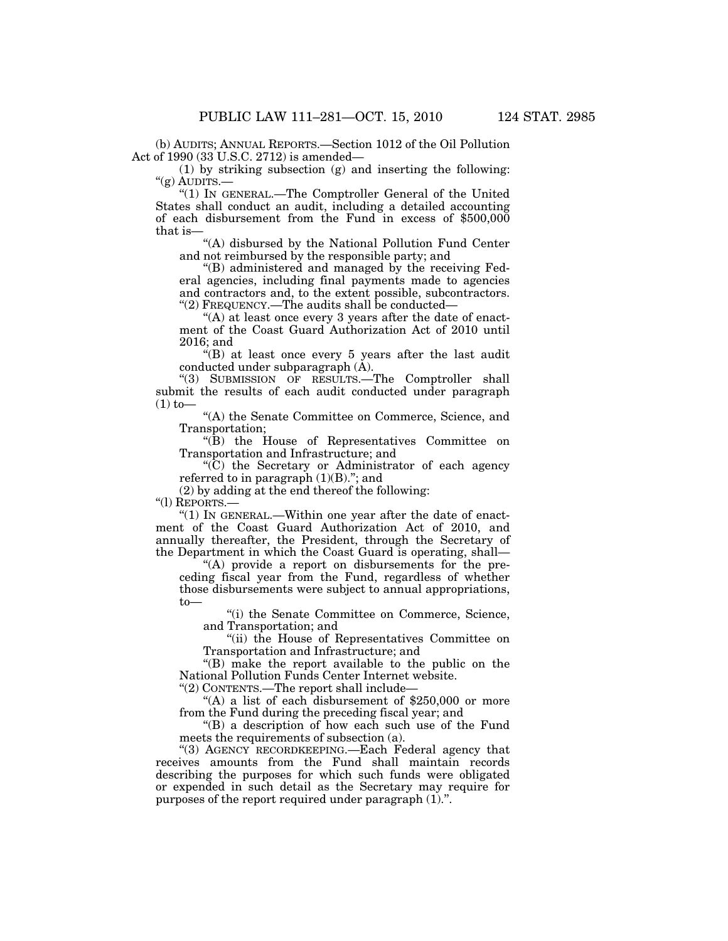(b) AUDITS; ANNUAL REPORTS.—Section 1012 of the Oil Pollution Act of 1990 (33 U.S.C. 2712) is amended—

(1) by striking subsection (g) and inserting the following:  $''(g)$  AUDITS.—

''(1) IN GENERAL.—The Comptroller General of the United States shall conduct an audit, including a detailed accounting of each disbursement from the Fund in excess of \$500,000 that is—

''(A) disbursed by the National Pollution Fund Center and not reimbursed by the responsible party; and

''(B) administered and managed by the receiving Federal agencies, including final payments made to agencies and contractors and, to the extent possible, subcontractors. ''(2) FREQUENCY.—The audits shall be conducted—

" $(A)$  at least once every 3 years after the date of enactment of the Coast Guard Authorization Act of 2010 until 2016; and

''(B) at least once every 5 years after the last audit conducted under subparagraph (A).

''(3) SUBMISSION OF RESULTS.—The Comptroller shall submit the results of each audit conducted under paragraph  $(1)$  to-

''(A) the Senate Committee on Commerce, Science, and Transportation;

''(B) the House of Representatives Committee on Transportation and Infrastructure; and

 $(C)$  the Secretary or Administrator of each agency referred to in paragraph  $(1)(B)$ ."; and

(2) by adding at the end thereof the following:

''(l) REPORTS.—

" $(1)$  In GENERAL.—Within one year after the date of enactment of the Coast Guard Authorization Act of 2010, and annually thereafter, the President, through the Secretary of the Department in which the Coast Guard is operating, shall—

"(A) provide a report on disbursements for the preceding fiscal year from the Fund, regardless of whether those disbursements were subject to annual appropriations, to—

''(i) the Senate Committee on Commerce, Science, and Transportation; and

''(ii) the House of Representatives Committee on Transportation and Infrastructure; and

''(B) make the report available to the public on the National Pollution Funds Center Internet website.

''(2) CONTENTS.—The report shall include—

"(A) a list of each disbursement of  $$250,000$  or more from the Fund during the preceding fiscal year; and

''(B) a description of how each such use of the Fund meets the requirements of subsection (a).

''(3) AGENCY RECORDKEEPING.—Each Federal agency that receives amounts from the Fund shall maintain records describing the purposes for which such funds were obligated or expended in such detail as the Secretary may require for purposes of the report required under paragraph (1).''.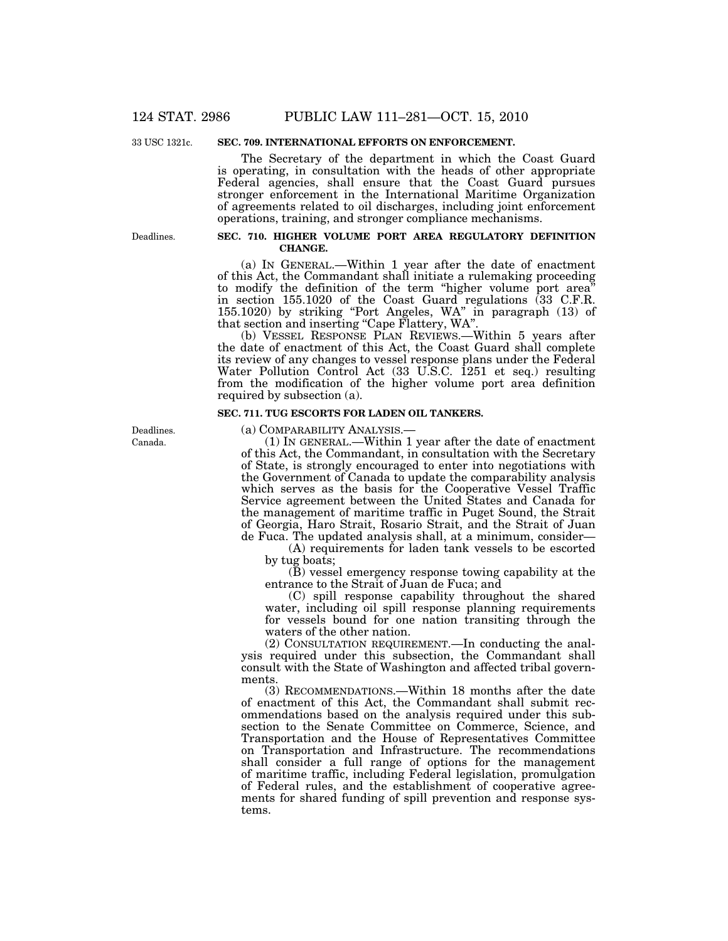33 USC 1321c.

## **SEC. 709. INTERNATIONAL EFFORTS ON ENFORCEMENT.**

The Secretary of the department in which the Coast Guard is operating, in consultation with the heads of other appropriate Federal agencies, shall ensure that the Coast Guard pursues stronger enforcement in the International Maritime Organization of agreements related to oil discharges, including joint enforcement operations, training, and stronger compliance mechanisms.

Deadlines.

## **SEC. 710. HIGHER VOLUME PORT AREA REGULATORY DEFINITION CHANGE.**

(a) IN GENERAL.—Within 1 year after the date of enactment of this Act, the Commandant shall initiate a rulemaking proceeding to modify the definition of the term ''higher volume port area'' in section 155.1020 of the Coast Guard regulations (33 C.F.R. 155.1020) by striking "Port Angeles, WA" in paragraph (13) of that section and inserting "Cape Flattery, WA".

(b) VESSEL RESPONSE PLAN REVIEWS.—Within 5 years after the date of enactment of this Act, the Coast Guard shall complete its review of any changes to vessel response plans under the Federal Water Pollution Control Act (33 U.S.C. 1251 et seq.) resulting from the modification of the higher volume port area definition required by subsection (a).

#### **SEC. 711. TUG ESCORTS FOR LADEN OIL TANKERS.**

(a) COMPARABILITY ANALYSIS.—

(1) IN GENERAL.—Within 1 year after the date of enactment of this Act, the Commandant, in consultation with the Secretary of State, is strongly encouraged to enter into negotiations with the Government of Canada to update the comparability analysis which serves as the basis for the Cooperative Vessel Traffic Service agreement between the United States and Canada for the management of maritime traffic in Puget Sound, the Strait of Georgia, Haro Strait, Rosario Strait, and the Strait of Juan de Fuca. The updated analysis shall, at a minimum, consider—

(A) requirements for laden tank vessels to be escorted by tug boats;

(B) vessel emergency response towing capability at the entrance to the Strait of Juan de Fuca; and

(C) spill response capability throughout the shared water, including oil spill response planning requirements for vessels bound for one nation transiting through the waters of the other nation.

(2) CONSULTATION REQUIREMENT.—In conducting the analysis required under this subsection, the Commandant shall consult with the State of Washington and affected tribal governments.

(3) RECOMMENDATIONS.—Within 18 months after the date of enactment of this Act, the Commandant shall submit recommendations based on the analysis required under this subsection to the Senate Committee on Commerce, Science, and Transportation and the House of Representatives Committee on Transportation and Infrastructure. The recommendations shall consider a full range of options for the management of maritime traffic, including Federal legislation, promulgation of Federal rules, and the establishment of cooperative agreements for shared funding of spill prevention and response systems.

Canada. Deadlines.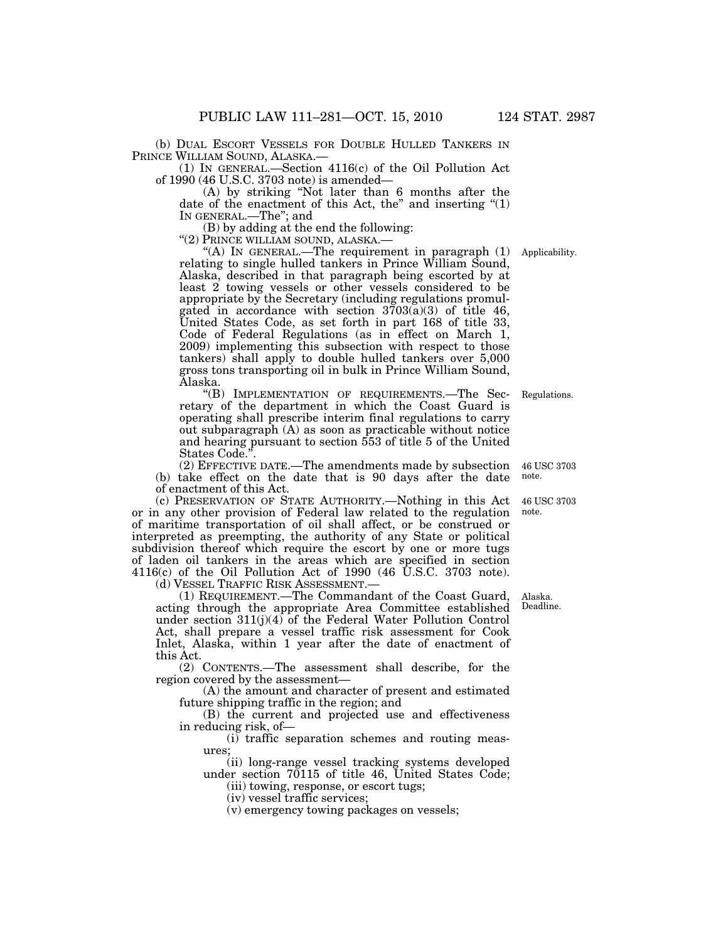(b) DUAL ESCORT VESSELS FOR DOUBLE HULLED TANKERS IN PRINCE WILLIAM SOUND, ALASKA.—

(1) IN GENERAL.—Section  $4116(c)$  of the Oil Pollution Act of 1990 (46 U.S.C. 3703 note) is amended—

(A) by striking ''Not later than 6 months after the date of the enactment of this Act, the" and inserting "(1) IN GENERAL.—The''; and

(B) by adding at the end the following:<br>"(2) PRINCE WILLIAM SOUND, ALASKA.—

''(2) PRINCE WILLIAM SOUND, ALASKA.— ''(A) IN GENERAL.—The requirement in paragraph (1) relating to single hulled tankers in Prince William Sound, Alaska, described in that paragraph being escorted by at least 2 towing vessels or other vessels considered to be appropriate by the Secretary (including regulations promulgated in accordance with section  $3703(a)(3)$  of title 46, United States Code, as set forth in part 168 of title 33, Code of Federal Regulations (as in effect on March 1, 2009) implementing this subsection with respect to those tankers) shall apply to double hulled tankers over 5,000 gross tons transporting oil in bulk in Prince William Sound, Alaska.

''(B) IMPLEMENTATION OF REQUIREMENTS.—The Secretary of the department in which the Coast Guard is operating shall prescribe interim final regulations to carry out subparagraph (A) as soon as practicable without notice and hearing pursuant to section 553 of title 5 of the United States Code."

(2) EFFECTIVE DATE.—The amendments made by subsection (b) take effect on the date that is 90 days after the date of enactment of this Act. 46 USC 3703 note.

(c) PRESERVATION OF STATE AUTHORITY.—Nothing in this Act or in any other provision of Federal law related to the regulation of maritime transportation of oil shall affect, or be construed or interpreted as preempting, the authority of any State or political subdivision thereof which require the escort by one or more tugs of laden oil tankers in the areas which are specified in section 4116(c) of the Oil Pollution Act of 1990 (46 U.S.C. 3703 note).

(d) VESSEL TRAFFIC RISK ASSESSMENT.—

(1) REQUIREMENT.—The Commandant of the Coast Guard, acting through the appropriate Area Committee established under section  $311(j)(4)$  of the Federal Water Pollution Control Act, shall prepare a vessel traffic risk assessment for Cook Inlet, Alaska, within 1 year after the date of enactment of this Act.

(2) CONTENTS.—The assessment shall describe, for the region covered by the assessment—

(A) the amount and character of present and estimated future shipping traffic in the region; and

(B) the current and projected use and effectiveness in reducing risk, of—

(i) traffic separation schemes and routing measures;

(ii) long-range vessel tracking systems developed under section 70115 of title 46, United States Code;

(iii) towing, response, or escort tugs;

(iv) vessel traffic services;

(v) emergency towing packages on vessels;

46 USC 3703 note.

Regulations.

Alaska. Deadline.

Applicability.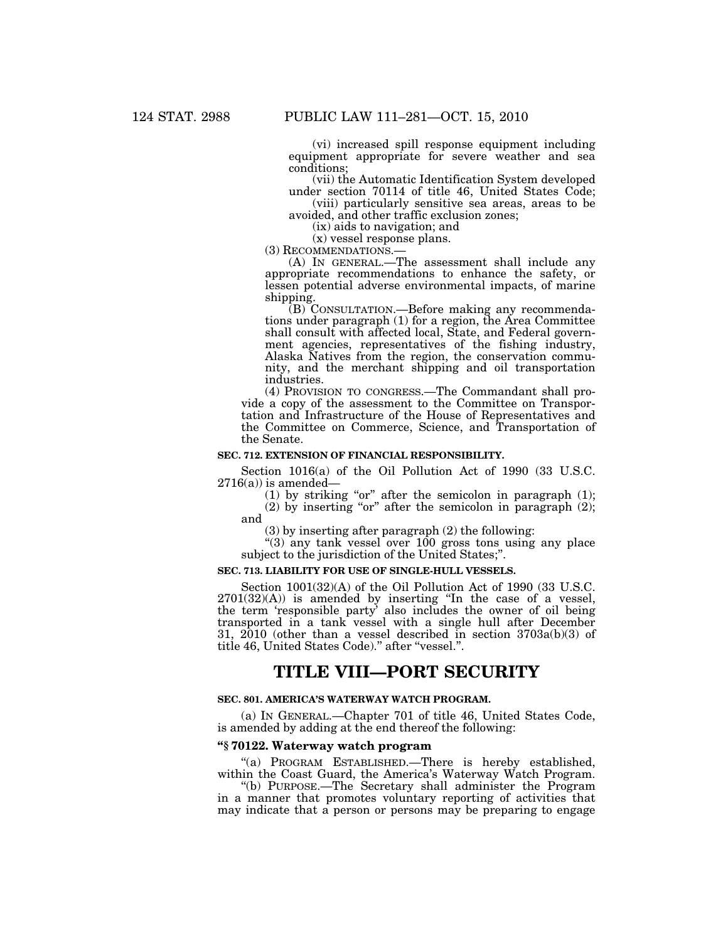(vi) increased spill response equipment including equipment appropriate for severe weather and sea conditions;

(vii) the Automatic Identification System developed under section 70114 of title 46, United States Code;

(viii) particularly sensitive sea areas, areas to be avoided, and other traffic exclusion zones;

(ix) aids to navigation; and

 $(x)$  vessel response plans.<br>(3) RECOMMENDATIONS.—

 $(A)$  In GENERAL.—The assessment shall include any appropriate recommendations to enhance the safety, or lessen potential adverse environmental impacts, of marine shipping.

(B) CONSULTATION.—Before making any recommendations under paragraph (1) for a region, the Area Committee shall consult with affected local, State, and Federal government agencies, representatives of the fishing industry, Alaska Natives from the region, the conservation community, and the merchant shipping and oil transportation industries.

(4) PROVISION TO CONGRESS.—The Commandant shall provide a copy of the assessment to the Committee on Transportation and Infrastructure of the House of Representatives and the Committee on Commerce, Science, and Transportation of the Senate.

## **SEC. 712. EXTENSION OF FINANCIAL RESPONSIBILITY.**

Section 1016(a) of the Oil Pollution Act of 1990 (33 U.S.C.  $2716(a)$ ) is amended—

(1) by striking "or" after the semicolon in paragraph  $(1)$ ;

 $(2)$  by inserting "or" after the semicolon in paragraph  $(2)$ ; and

(3) by inserting after paragraph (2) the following:

''(3) any tank vessel over 100 gross tons using any place subject to the jurisdiction of the United States;''.

#### **SEC. 713. LIABILITY FOR USE OF SINGLE-HULL VESSELS.**

Section 1001(32)(A) of the Oil Pollution Act of 1990 (33 U.S.C.  $2701(32)(A)$  is amended by inserting "In the case of a vessel, the term 'responsible party' also includes the owner of oil being transported in a tank vessel with a single hull after December 31, 2010 (other than a vessel described in section 3703a(b)(3) of title 46, United States Code).'' after ''vessel.''.

## **TITLE VIII—PORT SECURITY**

## **SEC. 801. AMERICA'S WATERWAY WATCH PROGRAM.**

(a) IN GENERAL.—Chapter 701 of title 46, United States Code, is amended by adding at the end thereof the following:

## **''§ 70122. Waterway watch program**

''(a) PROGRAM ESTABLISHED.—There is hereby established, within the Coast Guard, the America's Waterway Watch Program.

''(b) PURPOSE.—The Secretary shall administer the Program in a manner that promotes voluntary reporting of activities that may indicate that a person or persons may be preparing to engage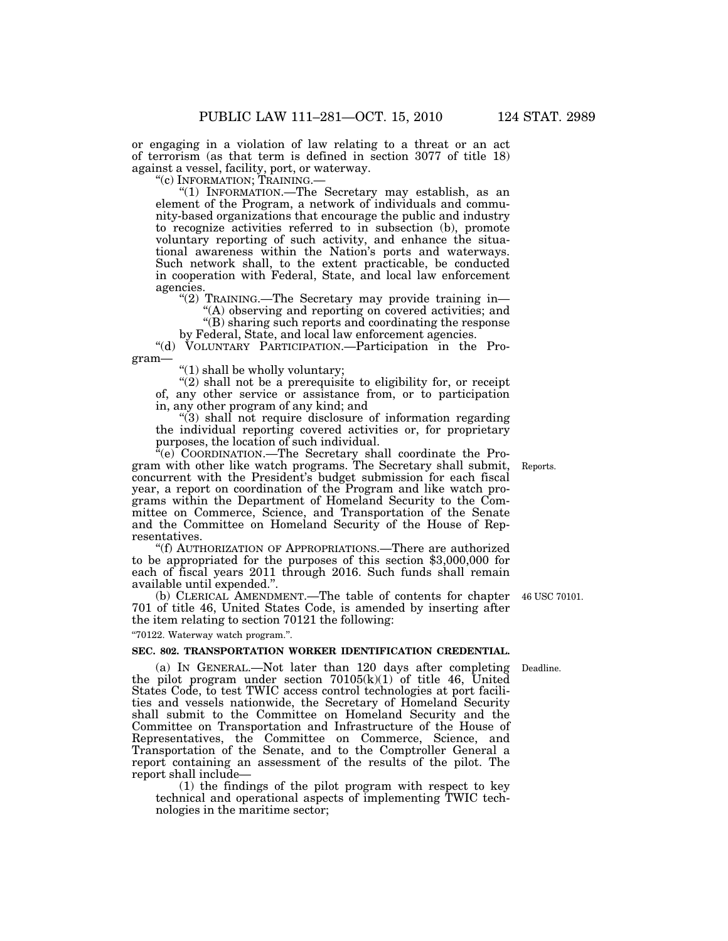or engaging in a violation of law relating to a threat or an act of terrorism (as that term is defined in section 3077 of title 18) against a vessel, facility, port, or waterway.

"(1) INFORMATION.— The Secretary may establish, as an element of the Program, a network of individuals and community-based organizations that encourage the public and industry to recognize activities referred to in subsection (b), promote voluntary reporting of such activity, and enhance the situational awareness within the Nation's ports and waterways. Such network shall, to the extent practicable, be conducted in cooperation with Federal, State, and local law enforcement agencies.

"(2) TRAINING.—The Secretary may provide training in-

"(A) observing and reporting on covered activities; and

''(B) sharing such reports and coordinating the response

by Federal, State, and local law enforcement agencies. ''(d) VOLUNTARY PARTICIPATION.—Participation in the Program—

''(1) shall be wholly voluntary;

 $''(2)$  shall not be a prerequisite to eligibility for, or receipt of, any other service or assistance from, or to participation in, any other program of any kind; and

''(3) shall not require disclosure of information regarding the individual reporting covered activities or, for proprietary purposes, the location of such individual.

''(e) COORDINATION.—The Secretary shall coordinate the Program with other like watch programs. The Secretary shall submit, concurrent with the President's budget submission for each fiscal year, a report on coordination of the Program and like watch programs within the Department of Homeland Security to the Committee on Commerce, Science, and Transportation of the Senate and the Committee on Homeland Security of the House of Representatives.

''(f) AUTHORIZATION OF APPROPRIATIONS.—There are authorized to be appropriated for the purposes of this section \$3,000,000 for each of fiscal years 2011 through 2016. Such funds shall remain available until expended.''.

(b) CLERICAL AMENDMENT.—The table of contents for chapter 46 USC 70101. 701 of title 46, United States Code, is amended by inserting after the item relating to section 70121 the following:

''70122. Waterway watch program.''.

#### **SEC. 802. TRANSPORTATION WORKER IDENTIFICATION CREDENTIAL.**

(a) IN GENERAL.—Not later than 120 days after completing Deadline. the pilot program under section  $70105(k)(1)$  of title 46, United States Code, to test TWIC access control technologies at port facilities and vessels nationwide, the Secretary of Homeland Security shall submit to the Committee on Homeland Security and the Committee on Transportation and Infrastructure of the House of Representatives, the Committee on Commerce, Science, and Transportation of the Senate, and to the Comptroller General a report containing an assessment of the results of the pilot. The report shall include—

(1) the findings of the pilot program with respect to key technical and operational aspects of implementing TWIC technologies in the maritime sector;

Reports.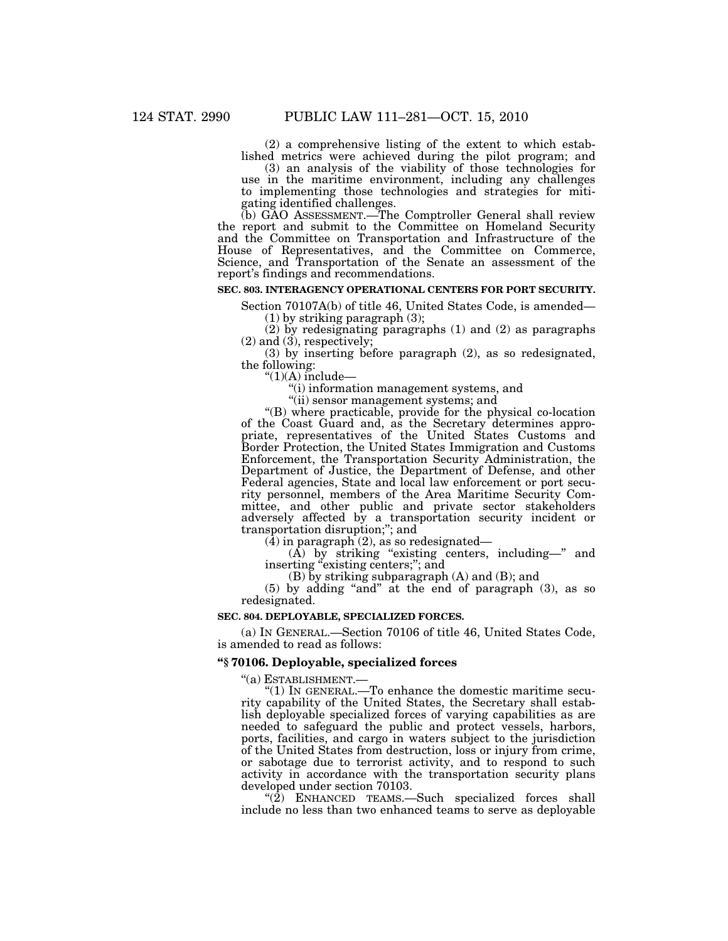(2) a comprehensive listing of the extent to which established metrics were achieved during the pilot program; and

(3) an analysis of the viability of those technologies for use in the maritime environment, including any challenges to implementing those technologies and strategies for mitigating identified challenges.

(b) GAO ASSESSMENT.—The Comptroller General shall review the report and submit to the Committee on Homeland Security and the Committee on Transportation and Infrastructure of the House of Representatives, and the Committee on Commerce, Science, and Transportation of the Senate an assessment of the report's findings and recommendations.

## **SEC. 803. INTERAGENCY OPERATIONAL CENTERS FOR PORT SECURITY.**

Section 70107A(b) of title 46, United States Code, is amended— (1) by striking paragraph (3);

(2) by redesignating paragraphs (1) and (2) as paragraphs  $(2)$  and  $(3)$ , respectively;

(3) by inserting before paragraph (2), as so redesignated, the following:

 $"(1)(A)$  include—

''(i) information management systems, and

"(ii) sensor management systems; and

''(B) where practicable, provide for the physical co-location of the Coast Guard and, as the Secretary determines appropriate, representatives of the United States Customs and Border Protection, the United States Immigration and Customs Enforcement, the Transportation Security Administration, the Department of Justice, the Department of Defense, and other Federal agencies, State and local law enforcement or port security personnel, members of the Area Maritime Security Committee, and other public and private sector stakeholders adversely affected by a transportation security incident or transportation disruption;''; and

 $(4)$  in paragraph  $(2)$ , as so redesignated—

 $(A)$  by striking "existing centers, including—" and inserting "existing centers;"; and

(B) by striking subparagraph (A) and (B); and

(5) by adding "and" at the end of paragraph (3), as so redesignated.

#### **SEC. 804. DEPLOYABLE, SPECIALIZED FORCES.**

(a) IN GENERAL.—Section 70106 of title 46, United States Code, is amended to read as follows:

## **''§ 70106. Deployable, specialized forces**

''(a) ESTABLISHMENT.—

''(1) IN GENERAL.—To enhance the domestic maritime security capability of the United States, the Secretary shall establish deployable specialized forces of varying capabilities as are needed to safeguard the public and protect vessels, harbors, ports, facilities, and cargo in waters subject to the jurisdiction of the United States from destruction, loss or injury from crime, or sabotage due to terrorist activity, and to respond to such activity in accordance with the transportation security plans developed under section 70103.

" $(2)$  ENHANCED TEAMS.—Such specialized forces shall include no less than two enhanced teams to serve as deployable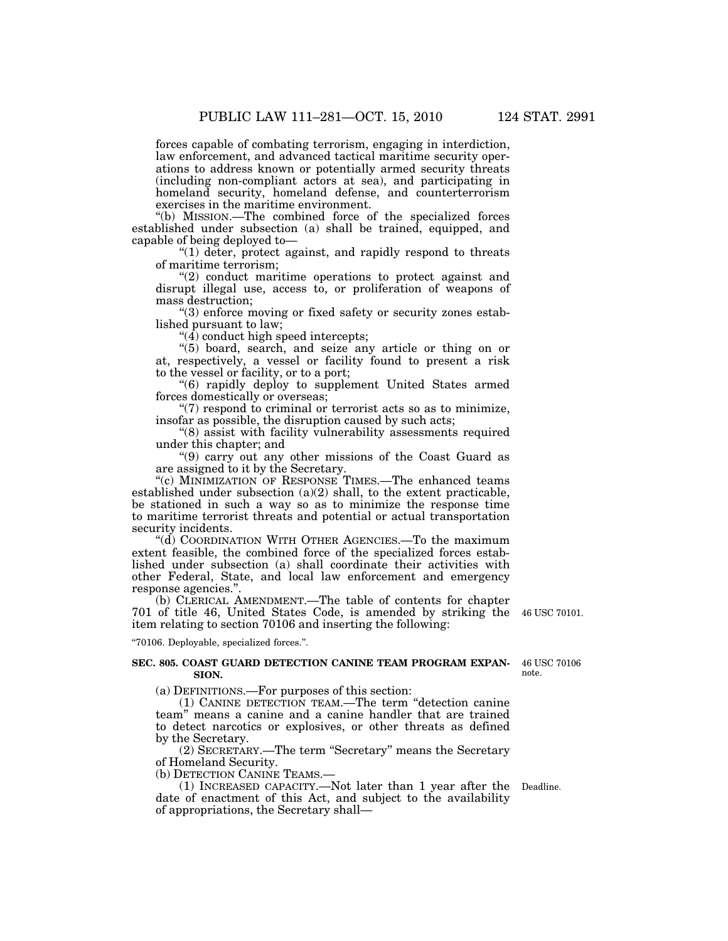forces capable of combating terrorism, engaging in interdiction, law enforcement, and advanced tactical maritime security operations to address known or potentially armed security threats (including non-compliant actors at sea), and participating in homeland security, homeland defense, and counterterrorism exercises in the maritime environment.

''(b) MISSION.—The combined force of the specialized forces established under subsection (a) shall be trained, equipped, and capable of being deployed to—

''(1) deter, protect against, and rapidly respond to threats of maritime terrorism;

 $''(2)$  conduct maritime operations to protect against and disrupt illegal use, access to, or proliferation of weapons of mass destruction;

''(3) enforce moving or fixed safety or security zones established pursuant to law;

 $\sqrt[4]{(4)}$  conduct high speed intercepts;

''(5) board, search, and seize any article or thing on or at, respectively, a vessel or facility found to present a risk to the vessel or facility, or to a port;

''(6) rapidly deploy to supplement United States armed forces domestically or overseas;

 $\degree$ (7) respond to criminal or terrorist acts so as to minimize, insofar as possible, the disruption caused by such acts;

''(8) assist with facility vulnerability assessments required under this chapter; and

"(9) carry out any other missions of the Coast Guard as are assigned to it by the Secretary.

"(c) MINIMIZATION OF RESPONSE TIMES.—The enhanced teams established under subsection (a)(2) shall, to the extent practicable, be stationed in such a way so as to minimize the response time to maritime terrorist threats and potential or actual transportation security incidents.

''(d) COORDINATION WITH OTHER AGENCIES.—To the maximum extent feasible, the combined force of the specialized forces established under subsection (a) shall coordinate their activities with other Federal, State, and local law enforcement and emergency response agencies.''.

(b) CLERICAL AMENDMENT.—The table of contents for chapter 701 of title 46, United States Code, is amended by striking the 46 USC 70101. item relating to section 70106 and inserting the following:

''70106. Deployable, specialized forces.''.

## **SEC. 805. COAST GUARD DETECTION CANINE TEAM PROGRAM EXPAN-SION.**

(a) DEFINITIONS.—For purposes of this section:

(1) CANINE DETECTION TEAM.—The term ''detection canine team'' means a canine and a canine handler that are trained to detect narcotics or explosives, or other threats as defined by the Secretary.

(2) SECRETARY.—The term ''Secretary'' means the Secretary of Homeland Security.

(b) DETECTION CANINE TEAMS.—

(1) INCREASED CAPACITY.—Not later than 1 year after the Deadline. date of enactment of this Act, and subject to the availability of appropriations, the Secretary shall—

46 USC 70106 note.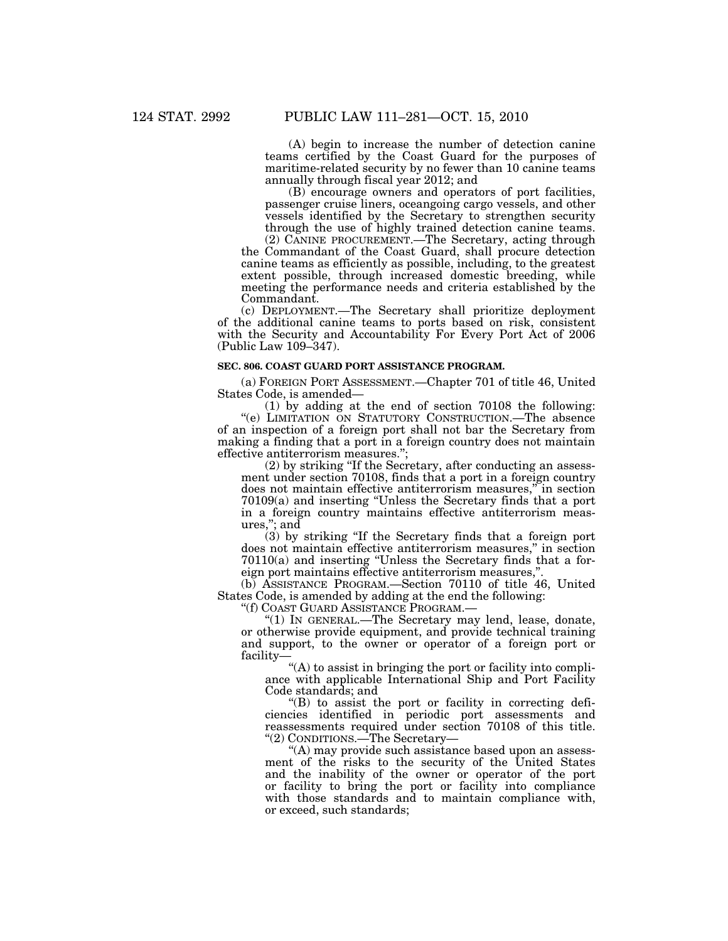(A) begin to increase the number of detection canine teams certified by the Coast Guard for the purposes of maritime-related security by no fewer than 10 canine teams annually through fiscal year 2012; and

(B) encourage owners and operators of port facilities, passenger cruise liners, oceangoing cargo vessels, and other vessels identified by the Secretary to strengthen security through the use of highly trained detection canine teams.

(2) CANINE PROCUREMENT.—The Secretary, acting through the Commandant of the Coast Guard, shall procure detection canine teams as efficiently as possible, including, to the greatest extent possible, through increased domestic breeding, while meeting the performance needs and criteria established by the Commandant.

(c) DEPLOYMENT.—The Secretary shall prioritize deployment of the additional canine teams to ports based on risk, consistent with the Security and Accountability For Every Port Act of 2006 (Public Law 109–347).

## **SEC. 806. COAST GUARD PORT ASSISTANCE PROGRAM.**

(a) FOREIGN PORT ASSESSMENT.—Chapter 701 of title 46, United States Code, is amended—

(1) by adding at the end of section 70108 the following: ''(e) LIMITATION ON STATUTORY CONSTRUCTION.—The absence of an inspection of a foreign port shall not bar the Secretary from making a finding that a port in a foreign country does not maintain effective antiterrorism measures.'';

(2) by striking ''If the Secretary, after conducting an assessment under section 70108, finds that a port in a foreign country does not maintain effective antiterrorism measures,'' in section 70109(a) and inserting ''Unless the Secretary finds that a port in a foreign country maintains effective antiterrorism measures,''; and

 $(3)$  by striking "If the Secretary finds that a foreign port does not maintain effective antiterrorism measures,'' in section 70110(a) and inserting ''Unless the Secretary finds that a foreign port maintains effective antiterrorism measures,''.

(b) ASSISTANCE PROGRAM.—Section 70110 of title 46, United States Code, is amended by adding at the end the following:

''(f) COAST GUARD ASSISTANCE PROGRAM.—

''(1) IN GENERAL.—The Secretary may lend, lease, donate, or otherwise provide equipment, and provide technical training and support, to the owner or operator of a foreign port or facility—

''(A) to assist in bringing the port or facility into compliance with applicable International Ship and Port Facility Code standards; and

''(B) to assist the port or facility in correcting deficiencies identified in periodic port assessments and reassessments required under section 70108 of this title. ''(2) CONDITIONS.—The Secretary—

''(A) may provide such assistance based upon an assessment of the risks to the security of the United States and the inability of the owner or operator of the port or facility to bring the port or facility into compliance with those standards and to maintain compliance with, or exceed, such standards;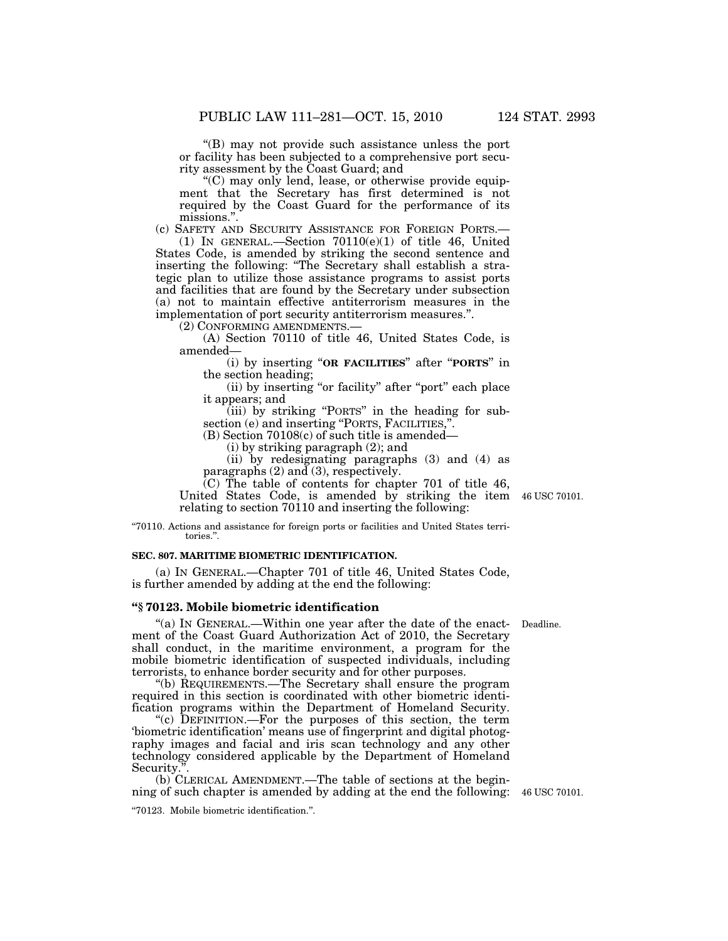''(B) may not provide such assistance unless the port or facility has been subjected to a comprehensive port security assessment by the Coast Guard; and

''(C) may only lend, lease, or otherwise provide equipment that the Secretary has first determined is not required by the Coast Guard for the performance of its missions.''.

(c) SAFETY AND SECURITY ASSISTANCE FOR FOREIGN PORTS.—

(1) IN GENERAL.—Section 70110(e)(1) of title 46, United States Code, is amended by striking the second sentence and inserting the following: "The Secretary shall establish a strategic plan to utilize those assistance programs to assist ports and facilities that are found by the Secretary under subsection (a) not to maintain effective antiterrorism measures in the implementation of port security antiterrorism measures.''.

(2) CONFORMING AMENDMENTS.—

(A) Section 70110 of title 46, United States Code, is amended—

(i) by inserting ''**OR FACILITIES**'' after ''**PORTS**'' in the section heading;

(ii) by inserting "or facility" after "port" each place it appears; and

(iii) by striking ''PORTS'' in the heading for subsection (e) and inserting "PORTS, FACILITIES,".

(B) Section 70108(c) of such title is amended—

(i) by striking paragraph (2); and

(ii) by redesignating paragraphs (3) and (4) as paragraphs  $(2)$  and  $(3)$ , respectively.

 $(C)$  The table of contents for chapter 701 of title 46, United States Code, is amended by striking the item 46 USC 70101. relating to section 70110 and inserting the following:

''70110. Actions and assistance for foreign ports or facilities and United States territories.''.

## **SEC. 807. MARITIME BIOMETRIC IDENTIFICATION.**

(a) IN GENERAL.—Chapter 701 of title 46, United States Code, is further amended by adding at the end the following:

## **''§ 70123. Mobile biometric identification**

"(a) In GENERAL.—Within one year after the date of the enact- Deadline. ment of the Coast Guard Authorization Act of 2010, the Secretary shall conduct, in the maritime environment, a program for the mobile biometric identification of suspected individuals, including terrorists, to enhance border security and for other purposes.

''(b) REQUIREMENTS.—The Secretary shall ensure the program required in this section is coordinated with other biometric identification programs within the Department of Homeland Security.

''(c) DEFINITION.—For the purposes of this section, the term 'biometric identification' means use of fingerprint and digital photography images and facial and iris scan technology and any other technology considered applicable by the Department of Homeland Security.

(b) CLERICAL AMENDMENT.—The table of sections at the beginning of such chapter is amended by adding at the end the following: 46 USC 70101.

''70123. Mobile biometric identification.''.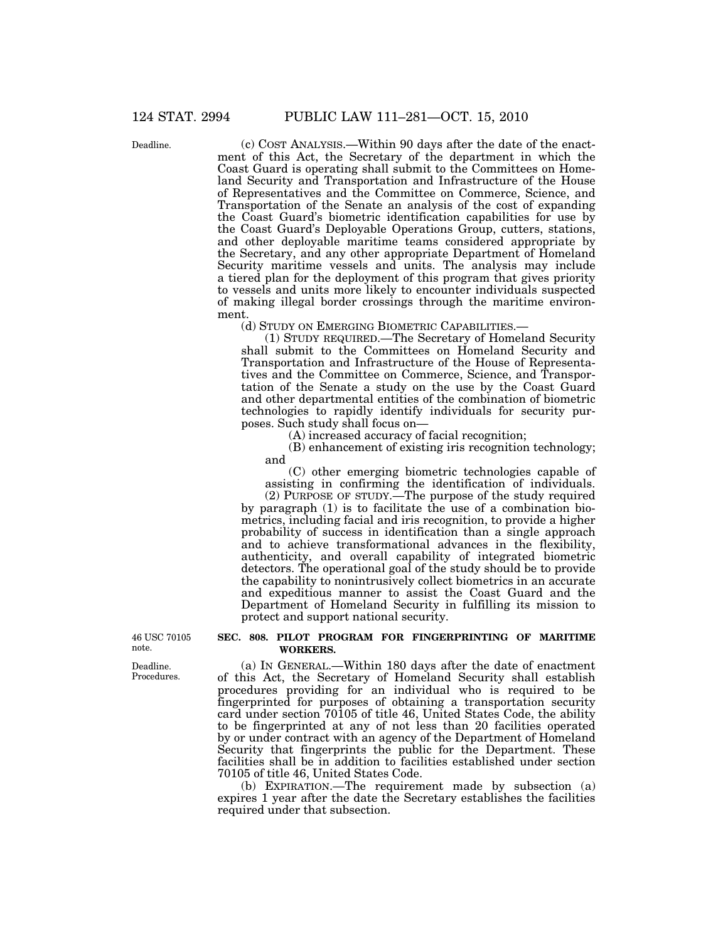Deadline.

(c) COST ANALYSIS.—Within 90 days after the date of the enactment of this Act, the Secretary of the department in which the Coast Guard is operating shall submit to the Committees on Homeland Security and Transportation and Infrastructure of the House of Representatives and the Committee on Commerce, Science, and Transportation of the Senate an analysis of the cost of expanding the Coast Guard's biometric identification capabilities for use by the Coast Guard's Deployable Operations Group, cutters, stations, and other deployable maritime teams considered appropriate by the Secretary, and any other appropriate Department of Homeland Security maritime vessels and units. The analysis may include a tiered plan for the deployment of this program that gives priority to vessels and units more likely to encounter individuals suspected of making illegal border crossings through the maritime environment.

(d) STUDY ON EMERGING BIOMETRIC CAPABILITIES.—

(1) STUDY REQUIRED.—The Secretary of Homeland Security shall submit to the Committees on Homeland Security and Transportation and Infrastructure of the House of Representatives and the Committee on Commerce, Science, and Transportation of the Senate a study on the use by the Coast Guard and other departmental entities of the combination of biometric technologies to rapidly identify individuals for security purposes. Such study shall focus on—

(A) increased accuracy of facial recognition;

(B) enhancement of existing iris recognition technology; and

(C) other emerging biometric technologies capable of assisting in confirming the identification of individuals.

(2) PURPOSE OF STUDY.—The purpose of the study required by paragraph (1) is to facilitate the use of a combination biometrics, including facial and iris recognition, to provide a higher probability of success in identification than a single approach and to achieve transformational advances in the flexibility, authenticity, and overall capability of integrated biometric detectors. The operational goal of the study should be to provide the capability to nonintrusively collect biometrics in an accurate and expeditious manner to assist the Coast Guard and the Department of Homeland Security in fulfilling its mission to protect and support national security.

**SEC. 808. PILOT PROGRAM FOR FINGERPRINTING OF MARITIME WORKERS.** 

(a) IN GENERAL.—Within 180 days after the date of enactment of this Act, the Secretary of Homeland Security shall establish procedures providing for an individual who is required to be fingerprinted for purposes of obtaining a transportation security card under section 70105 of title 46, United States Code, the ability to be fingerprinted at any of not less than 20 facilities operated by or under contract with an agency of the Department of Homeland Security that fingerprints the public for the Department. These facilities shall be in addition to facilities established under section 70105 of title 46, United States Code.

(b) EXPIRATION.—The requirement made by subsection (a) expires 1 year after the date the Secretary establishes the facilities required under that subsection.

46 USC 70105 note.

Deadline. Procedures.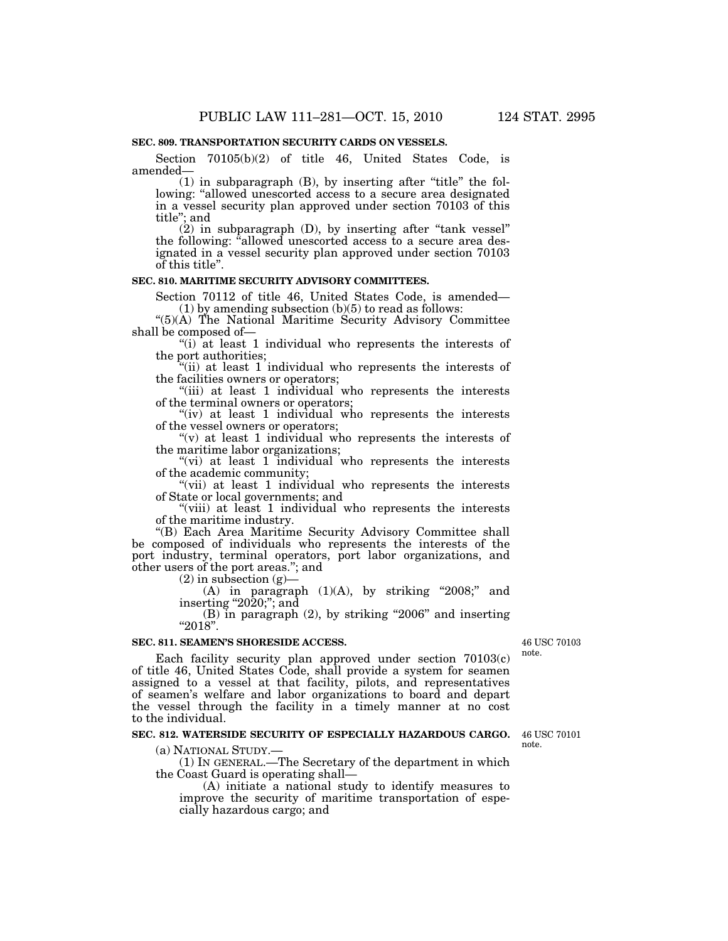## **SEC. 809. TRANSPORTATION SECURITY CARDS ON VESSELS.**

Section 70105(b)(2) of title 46, United States Code, is amended—

 $(1)$  in subparagraph  $(B)$ , by inserting after "title" the following: "allowed unescorted access to a secure area designated in a vessel security plan approved under section 70103 of this title''; and

(2) in subparagraph (D), by inserting after ''tank vessel'' the following: ''allowed unescorted access to a secure area designated in a vessel security plan approved under section 70103 of this title''.

## **SEC. 810. MARITIME SECURITY ADVISORY COMMITTEES.**

Section 70112 of title 46, United States Code, is amended—  $(1)$  by amending subsection  $(b)(5)$  to read as follows:

''(5)(A) The National Maritime Security Advisory Committee shall be composed of—

"(i) at least 1 individual who represents the interests of the port authorities;

''(ii) at least 1 individual who represents the interests of the facilities owners or operators;

"(iii) at least 1 individual who represents the interests of the terminal owners or operators;

"(iv) at least 1 individual who represents the interests of the vessel owners or operators;

" $(v)$  at least 1 individual who represents the interests of the maritime labor organizations;

" $(vi)$  at least 1 individual who represents the interests of the academic community;

"(vii) at least 1 individual who represents the interests of State or local governments; and

"(viii) at least 1 individual who represents the interests of the maritime industry.

''(B) Each Area Maritime Security Advisory Committee shall be composed of individuals who represents the interests of the port industry, terminal operators, port labor organizations, and other users of the port areas.''; and

 $(2)$  in subsection  $(g)$ -

(A) in paragraph  $(1)(A)$ , by striking "2008;" and inserting "2020;"; and

 $(B)$  in paragraph  $(2)$ , by striking "2006" and inserting  $"2018"$ .

## **SEC. 811. SEAMEN'S SHORESIDE ACCESS.**

Each facility security plan approved under section 70103(c) of title 46, United States Code, shall provide a system for seamen assigned to a vessel at that facility, pilots, and representatives of seamen's welfare and labor organizations to board and depart the vessel through the facility in a timely manner at no cost to the individual.

## **SEC. 812. WATERSIDE SECURITY OF ESPECIALLY HAZARDOUS CARGO.**

(a) NATIONAL STUDY.—

(1) IN GENERAL.—The Secretary of the department in which the Coast Guard is operating shall—

(A) initiate a national study to identify measures to improve the security of maritime transportation of especially hazardous cargo; and

46 USC 70103 note.

46 USC 70101

note.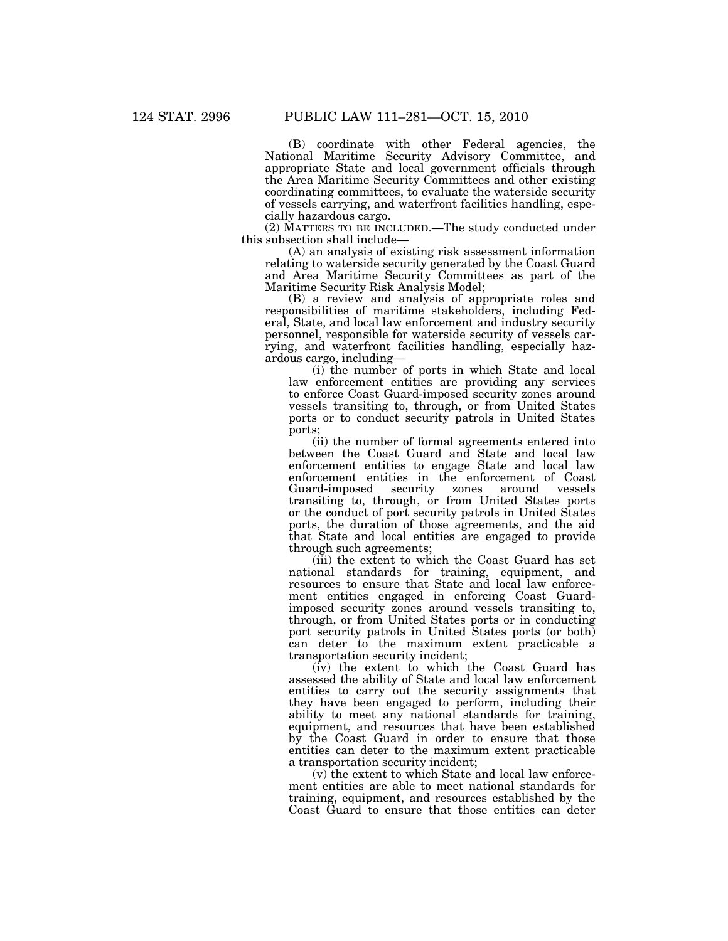(B) coordinate with other Federal agencies, the National Maritime Security Advisory Committee, and appropriate State and local government officials through the Area Maritime Security Committees and other existing coordinating committees, to evaluate the waterside security of vessels carrying, and waterfront facilities handling, especially hazardous cargo.

(2) MATTERS TO BE INCLUDED.—The study conducted under this subsection shall include—

(A) an analysis of existing risk assessment information relating to waterside security generated by the Coast Guard and Area Maritime Security Committees as part of the Maritime Security Risk Analysis Model;

(B) a review and analysis of appropriate roles and responsibilities of maritime stakeholders, including Federal, State, and local law enforcement and industry security personnel, responsible for waterside security of vessels carrying, and waterfront facilities handling, especially hazardous cargo, including—

(i) the number of ports in which State and local law enforcement entities are providing any services to enforce Coast Guard-imposed security zones around vessels transiting to, through, or from United States ports or to conduct security patrols in United States ports;

(ii) the number of formal agreements entered into between the Coast Guard and State and local law enforcement entities to engage State and local law enforcement entities in the enforcement of Coast Guard-imposed security zones around vessels transiting to, through, or from United States ports or the conduct of port security patrols in United States ports, the duration of those agreements, and the aid that State and local entities are engaged to provide through such agreements;

(iii) the extent to which the Coast Guard has set national standards for training, equipment, and resources to ensure that State and local law enforcement entities engaged in enforcing Coast Guardimposed security zones around vessels transiting to, through, or from United States ports or in conducting port security patrols in United States ports (or both) can deter to the maximum extent practicable a transportation security incident;

(iv) the extent to which the Coast Guard has assessed the ability of State and local law enforcement entities to carry out the security assignments that they have been engaged to perform, including their ability to meet any national standards for training, equipment, and resources that have been established by the Coast Guard in order to ensure that those entities can deter to the maximum extent practicable a transportation security incident;

 $(v)$  the extent to which State and local law enforcement entities are able to meet national standards for training, equipment, and resources established by the Coast Guard to ensure that those entities can deter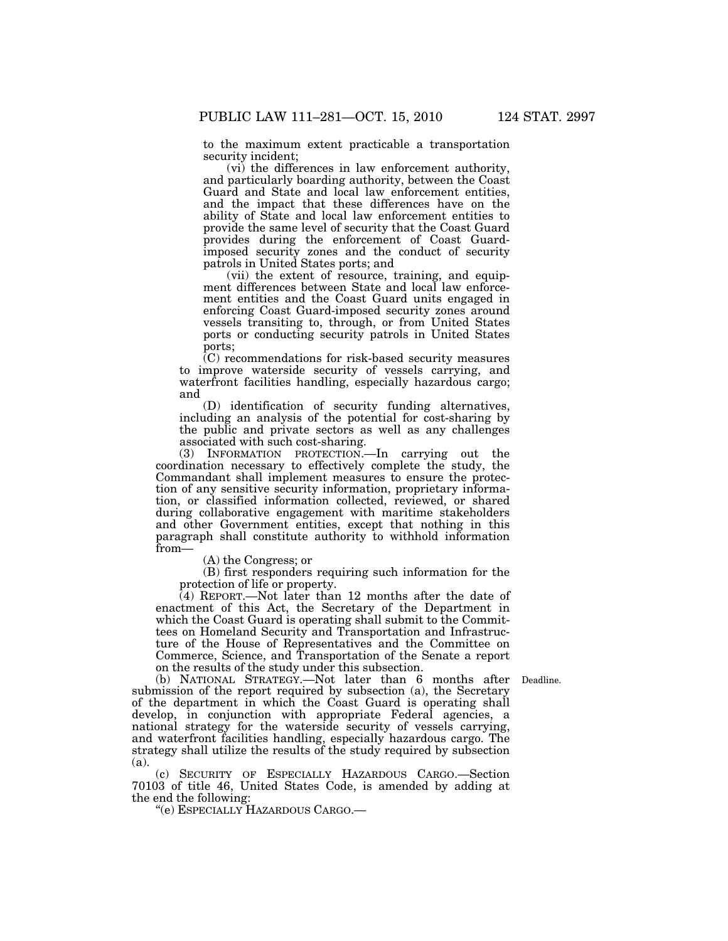to the maximum extent practicable a transportation security incident;

(vi) the differences in law enforcement authority, and particularly boarding authority, between the Coast Guard and State and local law enforcement entities, and the impact that these differences have on the ability of State and local law enforcement entities to provide the same level of security that the Coast Guard provides during the enforcement of Coast Guardimposed security zones and the conduct of security patrols in United States ports; and

(vii) the extent of resource, training, and equipment differences between State and local law enforcement entities and the Coast Guard units engaged in enforcing Coast Guard-imposed security zones around vessels transiting to, through, or from United States ports or conducting security patrols in United States ports;

(C) recommendations for risk-based security measures to improve waterside security of vessels carrying, and waterfront facilities handling, especially hazardous cargo; and

(D) identification of security funding alternatives, including an analysis of the potential for cost-sharing by the public and private sectors as well as any challenges associated with such cost-sharing.

(3) INFORMATION PROTECTION.—In carrying out the coordination necessary to effectively complete the study, the Commandant shall implement measures to ensure the protection of any sensitive security information, proprietary information, or classified information collected, reviewed, or shared during collaborative engagement with maritime stakeholders and other Government entities, except that nothing in this paragraph shall constitute authority to withhold information from—

(A) the Congress; or

(B) first responders requiring such information for the protection of life or property.

(4) REPORT.—Not later than 12 months after the date of enactment of this Act, the Secretary of the Department in which the Coast Guard is operating shall submit to the Committees on Homeland Security and Transportation and Infrastructure of the House of Representatives and the Committee on Commerce, Science, and Transportation of the Senate a report on the results of the study under this subsection.

(b) NATIONAL STRATEGY.—Not later than 6 months after Deadline. submission of the report required by subsection (a), the Secretary of the department in which the Coast Guard is operating shall develop, in conjunction with appropriate Federal agencies, a national strategy for the waterside security of vessels carrying, and waterfront facilities handling, especially hazardous cargo. The strategy shall utilize the results of the study required by subsection (a).

(c) SECURITY OF ESPECIALLY HAZARDOUS CARGO.—Section 70103 of title 46, United States Code, is amended by adding at the end the following:

''(e) ESPECIALLY HAZARDOUS CARGO.—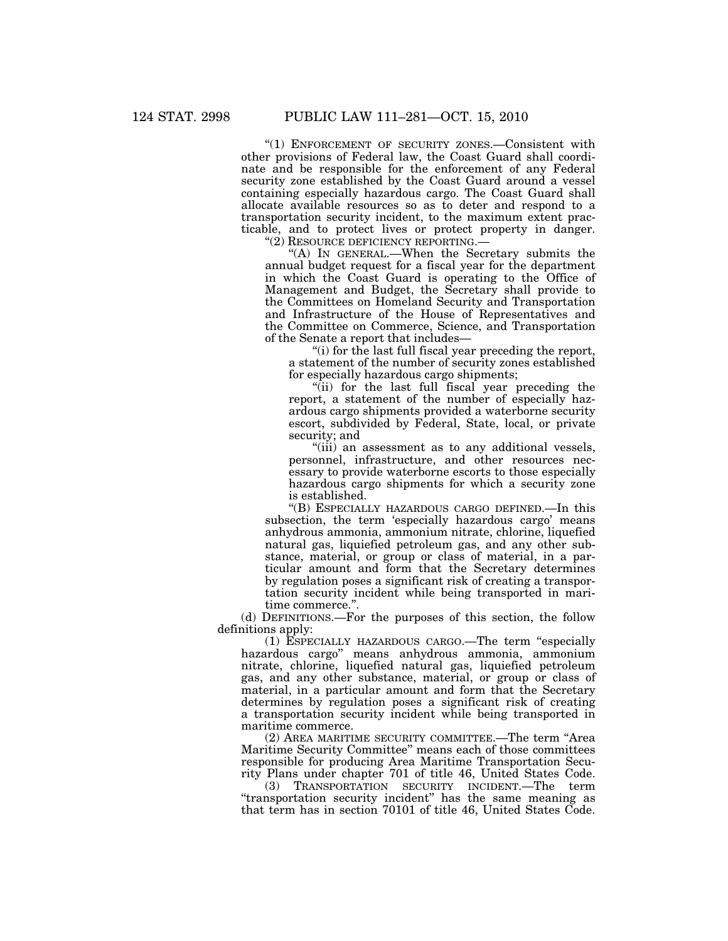"(1) ENFORCEMENT OF SECURITY ZONES.—Consistent with other provisions of Federal law, the Coast Guard shall coordinate and be responsible for the enforcement of any Federal security zone established by the Coast Guard around a vessel containing especially hazardous cargo. The Coast Guard shall allocate available resources so as to deter and respond to a transportation security incident, to the maximum extent practicable, and to protect lives or protect property in danger. "(2) RESOURCE DEFICIENCY REPORTING.

''(A) IN GENERAL.—When the Secretary submits the annual budget request for a fiscal year for the department in which the Coast Guard is operating to the Office of Management and Budget, the Secretary shall provide to the Committees on Homeland Security and Transportation and Infrastructure of the House of Representatives and the Committee on Commerce, Science, and Transportation of the Senate a report that includes—

''(i) for the last full fiscal year preceding the report, a statement of the number of security zones established for especially hazardous cargo shipments;

"(ii) for the last full fiscal year preceding the report, a statement of the number of especially hazardous cargo shipments provided a waterborne security escort, subdivided by Federal, State, local, or private security; and

''(iii) an assessment as to any additional vessels, personnel, infrastructure, and other resources necessary to provide waterborne escorts to those especially hazardous cargo shipments for which a security zone is established.

''(B) ESPECIALLY HAZARDOUS CARGO DEFINED.—In this subsection, the term 'especially hazardous cargo' means anhydrous ammonia, ammonium nitrate, chlorine, liquefied natural gas, liquiefied petroleum gas, and any other substance, material, or group or class of material, in a particular amount and form that the Secretary determines by regulation poses a significant risk of creating a transportation security incident while being transported in maritime commerce.''.

(d) DEFINITIONS.—For the purposes of this section, the follow definitions apply:

(1) ESPECIALLY HAZARDOUS CARGO.—The term ''especially hazardous cargo'' means anhydrous ammonia, ammonium nitrate, chlorine, liquefied natural gas, liquiefied petroleum gas, and any other substance, material, or group or class of material, in a particular amount and form that the Secretary determines by regulation poses a significant risk of creating a transportation security incident while being transported in maritime commerce.

(2) AREA MARITIME SECURITY COMMITTEE.—The term ''Area Maritime Security Committee'' means each of those committees responsible for producing Area Maritime Transportation Security Plans under chapter 701 of title 46, United States Code.

(3) TRANSPORTATION SECURITY INCIDENT.—The term "transportation security incident" has the same meaning as that term has in section 70101 of title 46, United States Code.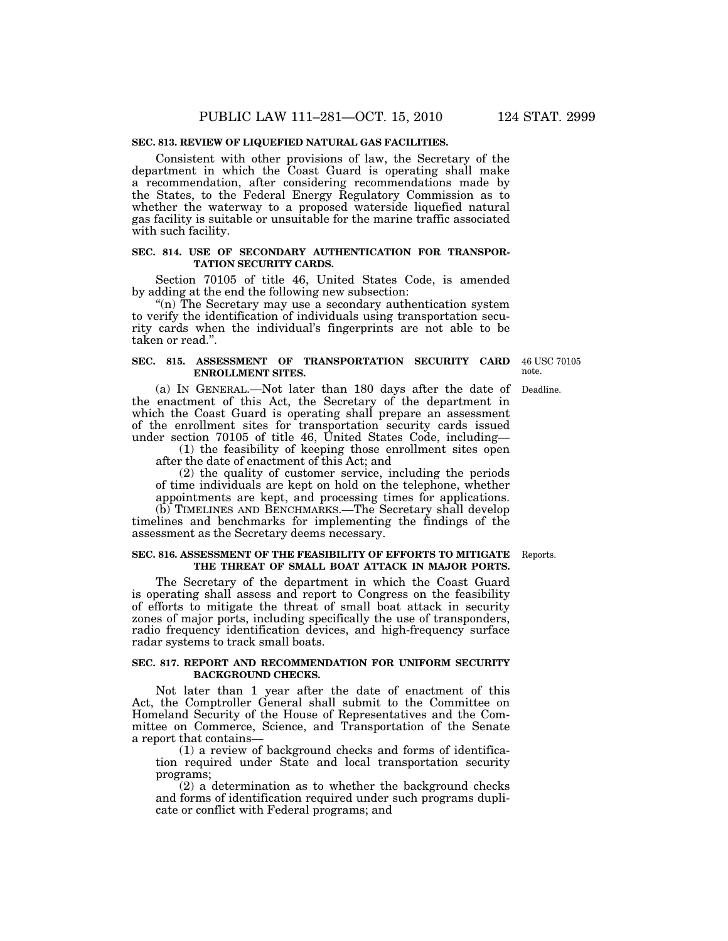## **SEC. 813. REVIEW OF LIQUEFIED NATURAL GAS FACILITIES.**

Consistent with other provisions of law, the Secretary of the department in which the Coast Guard is operating shall make a recommendation, after considering recommendations made by the States, to the Federal Energy Regulatory Commission as to whether the waterway to a proposed waterside liquefied natural gas facility is suitable or unsuitable for the marine traffic associated with such facility.

## **SEC. 814. USE OF SECONDARY AUTHENTICATION FOR TRANSPOR-TATION SECURITY CARDS.**

Section 70105 of title 46, United States Code, is amended by adding at the end the following new subsection:

"(n) The Secretary may use a secondary authentication system to verify the identification of individuals using transportation security cards when the individual's fingerprints are not able to be taken or read.''.

## **SEC. 815. ASSESSMENT OF TRANSPORTATION SECURITY CARD ENROLLMENT SITES.**

46 USC 70105 note.

Deadline.

(a) IN GENERAL.—Not later than 180 days after the date of the enactment of this Act, the Secretary of the department in which the Coast Guard is operating shall prepare an assessment of the enrollment sites for transportation security cards issued under section 70105 of title 46, United States Code, including—

(1) the feasibility of keeping those enrollment sites open after the date of enactment of this Act; and

(2) the quality of customer service, including the periods of time individuals are kept on hold on the telephone, whether appointments are kept, and processing times for applications.

(b) TIMELINES AND BENCHMARKS.—The Secretary shall develop timelines and benchmarks for implementing the findings of the assessment as the Secretary deems necessary.

#### **SEC. 816. ASSESSMENT OF THE FEASIBILITY OF EFFORTS TO MITIGATE** Reports. **THE THREAT OF SMALL BOAT ATTACK IN MAJOR PORTS.**

The Secretary of the department in which the Coast Guard is operating shall assess and report to Congress on the feasibility of efforts to mitigate the threat of small boat attack in security zones of major ports, including specifically the use of transponders, radio frequency identification devices, and high-frequency surface radar systems to track small boats.

## **SEC. 817. REPORT AND RECOMMENDATION FOR UNIFORM SECURITY BACKGROUND CHECKS.**

Not later than 1 year after the date of enactment of this Act, the Comptroller General shall submit to the Committee on Homeland Security of the House of Representatives and the Committee on Commerce, Science, and Transportation of the Senate a report that contains—

(1) a review of background checks and forms of identification required under State and local transportation security programs;

(2) a determination as to whether the background checks and forms of identification required under such programs duplicate or conflict with Federal programs; and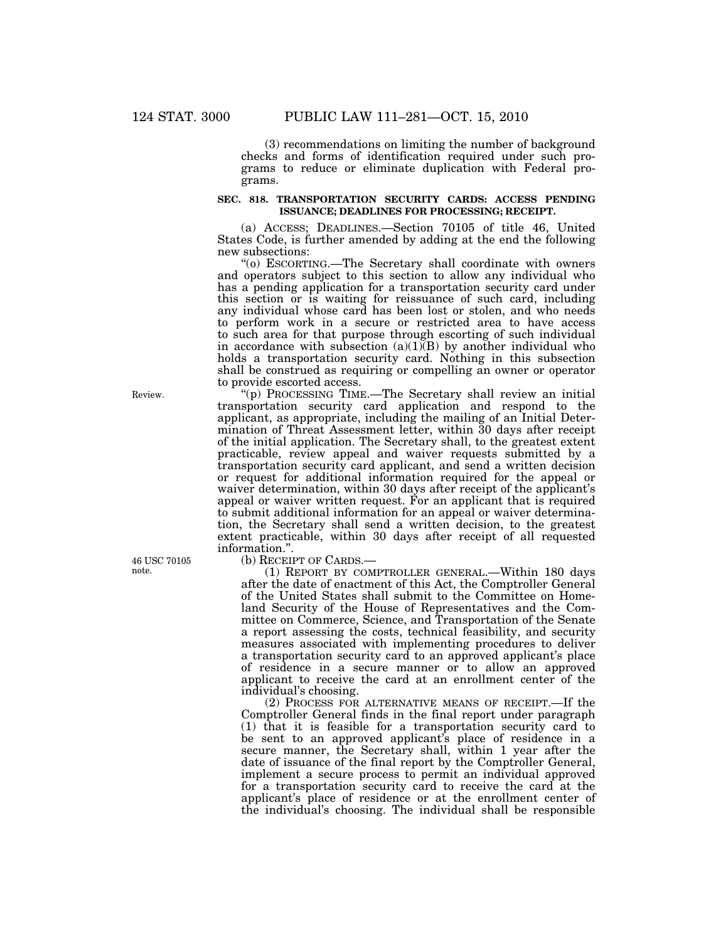(3) recommendations on limiting the number of background checks and forms of identification required under such programs to reduce or eliminate duplication with Federal programs.

### **SEC. 818. TRANSPORTATION SECURITY CARDS: ACCESS PENDING ISSUANCE; DEADLINES FOR PROCESSING; RECEIPT.**

(a) ACCESS; DEADLINES.—Section 70105 of title 46, United States Code, is further amended by adding at the end the following new subsections:

''(o) ESCORTING.—The Secretary shall coordinate with owners and operators subject to this section to allow any individual who has a pending application for a transportation security card under this section or is waiting for reissuance of such card, including any individual whose card has been lost or stolen, and who needs to perform work in a secure or restricted area to have access to such area for that purpose through escorting of such individual in accordance with subsection  $(a)(1)(B)$  by another individual who holds a transportation security card. Nothing in this subsection shall be construed as requiring or compelling an owner or operator to provide escorted access.

''(p) PROCESSING TIME.—The Secretary shall review an initial transportation security card application and respond to the applicant, as appropriate, including the mailing of an Initial Determination of Threat Assessment letter, within 30 days after receipt of the initial application. The Secretary shall, to the greatest extent practicable, review appeal and waiver requests submitted by a transportation security card applicant, and send a written decision or request for additional information required for the appeal or waiver determination, within 30 days after receipt of the applicant's appeal or waiver written request. For an applicant that is required to submit additional information for an appeal or waiver determination, the Secretary shall send a written decision, to the greatest extent practicable, within 30 days after receipt of all requested information.''.

(b) RECEIPT OF CARDS.—

(1) REPORT BY COMPTROLLER GENERAL.—Within 180 days after the date of enactment of this Act, the Comptroller General of the United States shall submit to the Committee on Homeland Security of the House of Representatives and the Committee on Commerce, Science, and Transportation of the Senate a report assessing the costs, technical feasibility, and security measures associated with implementing procedures to deliver a transportation security card to an approved applicant's place of residence in a secure manner or to allow an approved applicant to receive the card at an enrollment center of the individual's choosing.

(2) PROCESS FOR ALTERNATIVE MEANS OF RECEIPT.—If the Comptroller General finds in the final report under paragraph (1) that it is feasible for a transportation security card to be sent to an approved applicant's place of residence in a secure manner, the Secretary shall, within 1 year after the date of issuance of the final report by the Comptroller General, implement a secure process to permit an individual approved for a transportation security card to receive the card at the applicant's place of residence or at the enrollment center of the individual's choosing. The individual shall be responsible

Review.

46 USC 70105 note.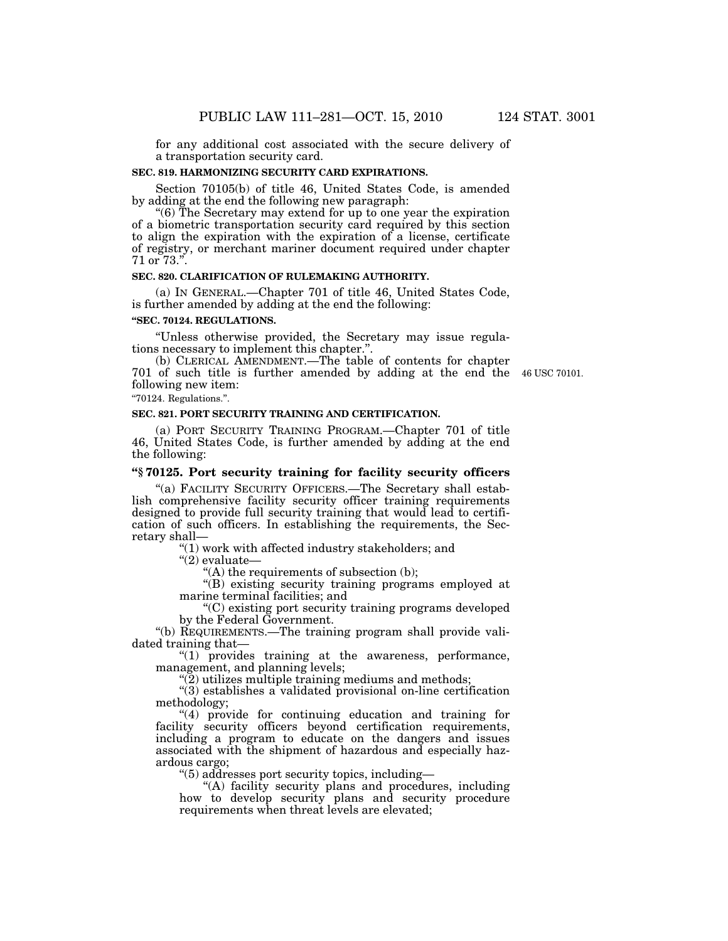for any additional cost associated with the secure delivery of a transportation security card.

#### **SEC. 819. HARMONIZING SECURITY CARD EXPIRATIONS.**

Section 70105(b) of title 46, United States Code, is amended by adding at the end the following new paragraph:

''(6) The Secretary may extend for up to one year the expiration of a biometric transportation security card required by this section to align the expiration with the expiration of a license, certificate of registry, or merchant mariner document required under chapter 71 or 73.''.

## **SEC. 820. CLARIFICATION OF RULEMAKING AUTHORITY.**

(a) IN GENERAL.—Chapter 701 of title 46, United States Code, is further amended by adding at the end the following:

#### **''SEC. 70124. REGULATIONS.**

''Unless otherwise provided, the Secretary may issue regulations necessary to implement this chapter.''.

(b) CLERICAL AMENDMENT.—The table of contents for chapter 701 of such title is further amended by adding at the end the 46 USC 70101. following new item:

''70124. Regulations.''.

#### **SEC. 821. PORT SECURITY TRAINING AND CERTIFICATION.**

(a) PORT SECURITY TRAINING PROGRAM.—Chapter 701 of title 46, United States Code, is further amended by adding at the end the following:

## **''§ 70125. Port security training for facility security officers**

''(a) FACILITY SECURITY OFFICERS.—The Secretary shall establish comprehensive facility security officer training requirements designed to provide full security training that would lead to certification of such officers. In establishing the requirements, the Secretary shall—

''(1) work with affected industry stakeholders; and

 $''(2)$  evaluate-

"(A) the requirements of subsection (b);

''(B) existing security training programs employed at marine terminal facilities; and

''(C) existing port security training programs developed by the Federal Government.

''(b) REQUIREMENTS.—The training program shall provide validated training that—

"(1) provides training at the awareness, performance, management, and planning levels;

 $(2)$  utilizes multiple training mediums and methods;

''(3) establishes a validated provisional on-line certification methodology;

''(4) provide for continuing education and training for facility security officers beyond certification requirements, including a program to educate on the dangers and issues associated with the shipment of hazardous and especially hazardous cargo;

''(5) addresses port security topics, including—

''(A) facility security plans and procedures, including how to develop security plans and security procedure requirements when threat levels are elevated;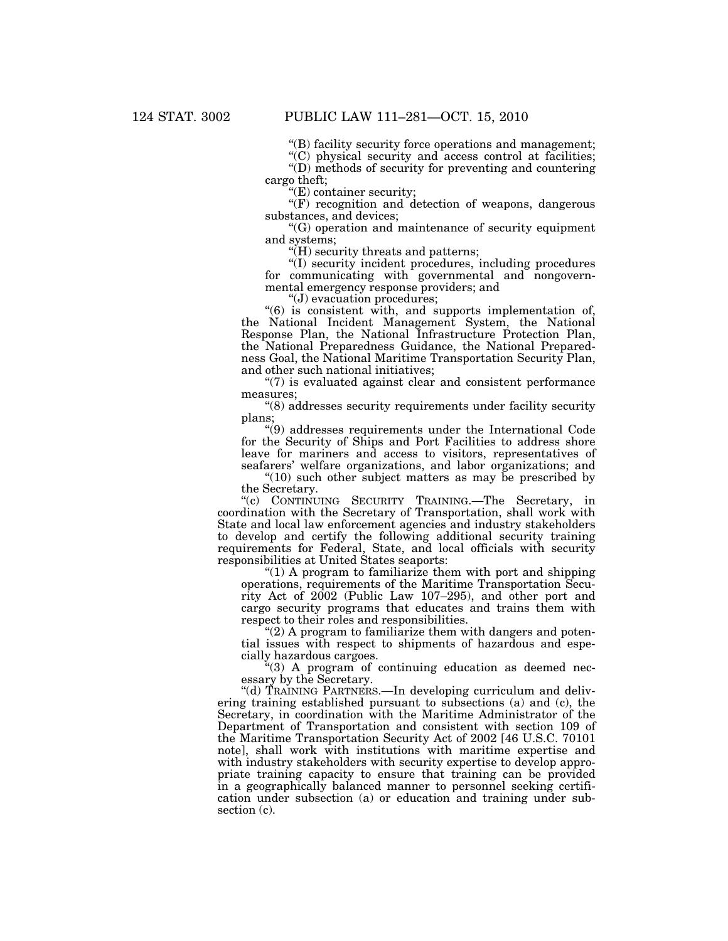''(B) facility security force operations and management;

 $(C)$  physical security and access control at facilities;

''(D) methods of security for preventing and countering

cargo theft;

''(E) container security;

"(F) recognition and detection of weapons, dangerous substances, and devices;

 $(C)$  operation and maintenance of security equipment and systems;

"(H) security threats and patterns;

"(I) security incident procedures, including procedures for communicating with governmental and nongovernmental emergency response providers; and

''(J) evacuation procedures;

''(6) is consistent with, and supports implementation of, the National Incident Management System, the National Response Plan, the National Infrastructure Protection Plan, the National Preparedness Guidance, the National Preparedness Goal, the National Maritime Transportation Security Plan, and other such national initiatives;

''(7) is evaluated against clear and consistent performance measures;

''(8) addresses security requirements under facility security plans;

''(9) addresses requirements under the International Code for the Security of Ships and Port Facilities to address shore leave for mariners and access to visitors, representatives of seafarers' welfare organizations, and labor organizations; and

" $(10)$  such other subject matters as may be prescribed by the Secretary.

''(c) CONTINUING SECURITY TRAINING.—The Secretary, in coordination with the Secretary of Transportation, shall work with State and local law enforcement agencies and industry stakeholders to develop and certify the following additional security training requirements for Federal, State, and local officials with security responsibilities at United States seaports:

" $(1)$  A program to familiarize them with port and shipping operations, requirements of the Maritime Transportation Security Act of 2002 (Public Law 107–295), and other port and cargo security programs that educates and trains them with respect to their roles and responsibilities.

 $"(2)$  A program to familiarize them with dangers and potential issues with respect to shipments of hazardous and especially hazardous cargoes.

 $\cdot$ (3) A program of continuing education as deemed necessary by the Secretary.

''(d) TRAINING PARTNERS.—In developing curriculum and delivering training established pursuant to subsections (a) and (c), the Secretary, in coordination with the Maritime Administrator of the Department of Transportation and consistent with section 109 of the Maritime Transportation Security Act of 2002 [46 U.S.C. 70101 note], shall work with institutions with maritime expertise and with industry stakeholders with security expertise to develop appropriate training capacity to ensure that training can be provided in a geographically balanced manner to personnel seeking certification under subsection (a) or education and training under subsection  $(c)$ .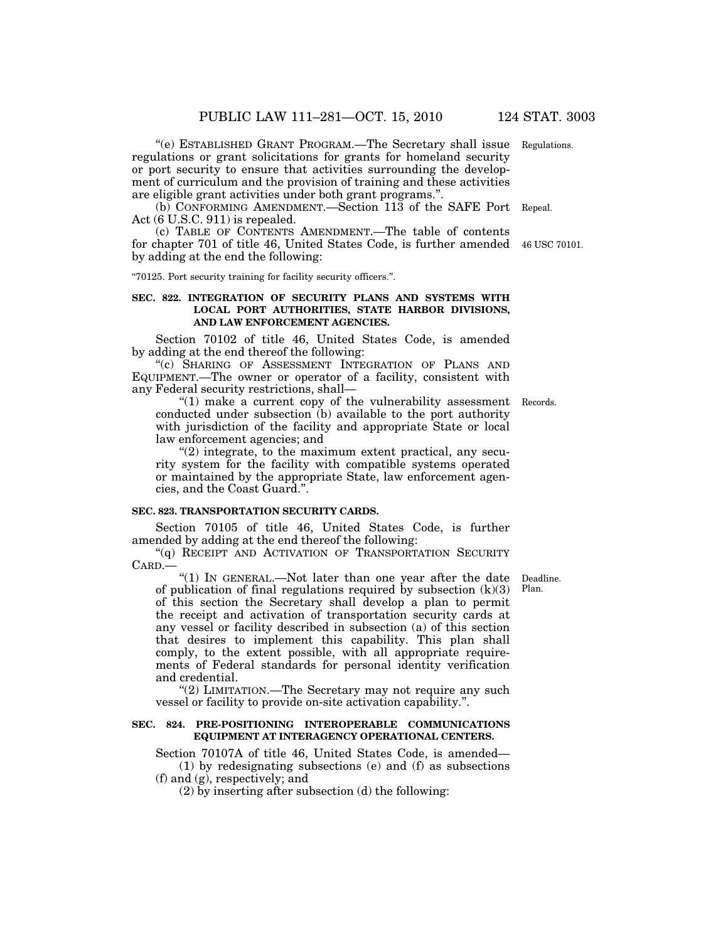''(e) ESTABLISHED GRANT PROGRAM.—The Secretary shall issue Regulations. regulations or grant solicitations for grants for homeland security or port security to ensure that activities surrounding the development of curriculum and the provision of training and these activities are eligible grant activities under both grant programs.''.

(b) CONFORMING AMENDMENT.—Section 113 of the SAFE Port Repeal. Act (6 U.S.C. 911) is repealed.

(c) TABLE OF CONTENTS AMENDMENT.—The table of contents for chapter 701 of title 46, United States Code, is further amended 46 USC 70101. by adding at the end the following:

''70125. Port security training for facility security officers.''.

## **SEC. 822. INTEGRATION OF SECURITY PLANS AND SYSTEMS WITH LOCAL PORT AUTHORITIES, STATE HARBOR DIVISIONS, AND LAW ENFORCEMENT AGENCIES.**

Section 70102 of title 46, United States Code, is amended by adding at the end thereof the following:

''(c) SHARING OF ASSESSMENT INTEGRATION OF PLANS AND EQUIPMENT.—The owner or operator of a facility, consistent with any Federal security restrictions, shall—

"(1) make a current copy of the vulnerability assessment Records. conducted under subsection (b) available to the port authority with jurisdiction of the facility and appropriate State or local law enforcement agencies; and

 $''(2)$  integrate, to the maximum extent practical, any security system for the facility with compatible systems operated or maintained by the appropriate State, law enforcement agencies, and the Coast Guard.''.

#### **SEC. 823. TRANSPORTATION SECURITY CARDS.**

Section 70105 of title 46, United States Code, is further amended by adding at the end thereof the following:

"(q) RECEIPT AND ACTIVATION OF TRANSPORTATION SECURITY CARD.—

"(1) IN GENERAL.—Not later than one year after the date of publication of final regulations required by subsection  $(k)(3)$ of this section the Secretary shall develop a plan to permit the receipt and activation of transportation security cards at any vessel or facility described in subsection (a) of this section that desires to implement this capability. This plan shall comply, to the extent possible, with all appropriate requirements of Federal standards for personal identity verification and credential.

"(2) LIMITATION.—The Secretary may not require any such vessel or facility to provide on-site activation capability.''.

## **SEC. 824. PRE-POSITIONING INTEROPERABLE COMMUNICATIONS EQUIPMENT AT INTERAGENCY OPERATIONAL CENTERS.**

Section 70107A of title 46, United States Code, is amended— (1) by redesignating subsections (e) and (f) as subsections

(f) and (g), respectively; and

(2) by inserting after subsection (d) the following:

Deadline. Plan.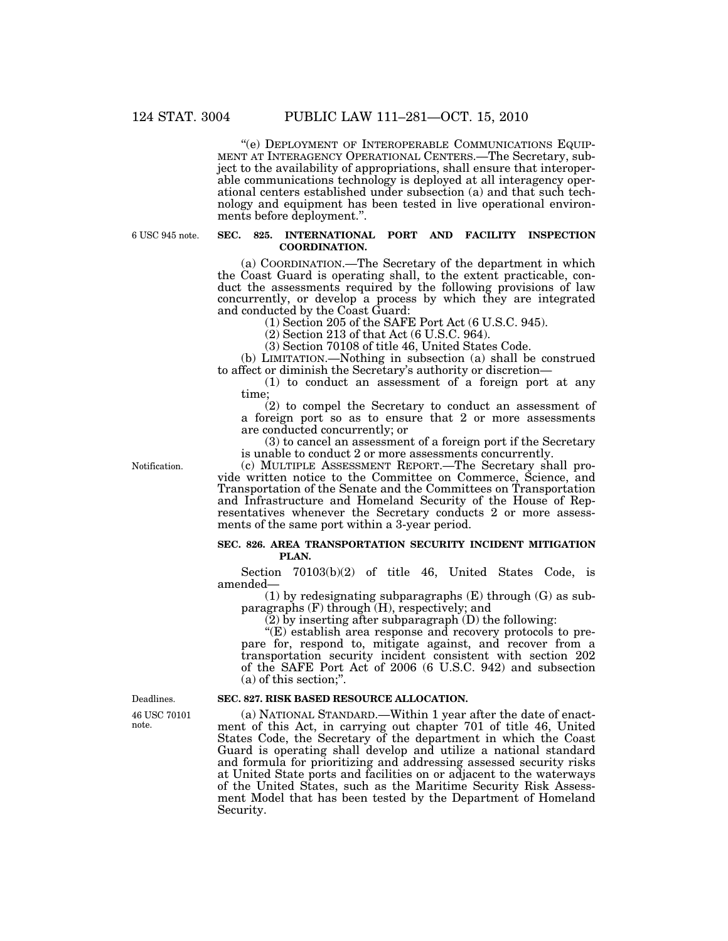"(e) DEPLOYMENT OF INTEROPERABLE COMMUNICATIONS EQUIP-MENT AT INTERAGENCY OPERATIONAL CENTERS.—The Secretary, subject to the availability of appropriations, shall ensure that interoperable communications technology is deployed at all interagency operational centers established under subsection (a) and that such technology and equipment has been tested in live operational environments before deployment.''.

6 USC 945 note.

#### **SEC. 825. INTERNATIONAL PORT AND FACILITY INSPECTION COORDINATION.**

(a) COORDINATION.—The Secretary of the department in which the Coast Guard is operating shall, to the extent practicable, conduct the assessments required by the following provisions of law concurrently, or develop a process by which they are integrated and conducted by the Coast Guard:

(1) Section 205 of the SAFE Port Act (6 U.S.C. 945).

(2) Section 213 of that Act (6 U.S.C. 964).

(3) Section 70108 of title 46, United States Code.

(b) LIMITATION.—Nothing in subsection (a) shall be construed to affect or diminish the Secretary's authority or discretion—

(1) to conduct an assessment of a foreign port at any time;

(2) to compel the Secretary to conduct an assessment of a foreign port so as to ensure that 2 or more assessments are conducted concurrently; or

(3) to cancel an assessment of a foreign port if the Secretary is unable to conduct 2 or more assessments concurrently.

(c) MULTIPLE ASSESSMENT REPORT.—The Secretary shall provide written notice to the Committee on Commerce, Science, and Transportation of the Senate and the Committees on Transportation and Infrastructure and Homeland Security of the House of Representatives whenever the Secretary conducts 2 or more assessments of the same port within a 3-year period.

## **SEC. 826. AREA TRANSPORTATION SECURITY INCIDENT MITIGATION PLAN.**

Section 70103(b)(2) of title 46, United States Code, is amended—

(1) by redesignating subparagraphs  $(E)$  through  $(G)$  as subparagraphs (F) through (H), respectively; and

(2) by inserting after subparagraph (D) the following:

''(E) establish area response and recovery protocols to prepare for, respond to, mitigate against, and recover from a transportation security incident consistent with section 202 of the SAFE Port Act of 2006 (6 U.S.C. 942) and subsection (a) of this section;''.

#### **SEC. 827. RISK BASED RESOURCE ALLOCATION.**

(a) NATIONAL STANDARD.—Within 1 year after the date of enactment of this Act, in carrying out chapter 701 of title 46, United States Code, the Secretary of the department in which the Coast Guard is operating shall develop and utilize a national standard and formula for prioritizing and addressing assessed security risks at United State ports and facilities on or adjacent to the waterways of the United States, such as the Maritime Security Risk Assessment Model that has been tested by the Department of Homeland Security.

Notification.

Deadlines.

46 USC 70101 note.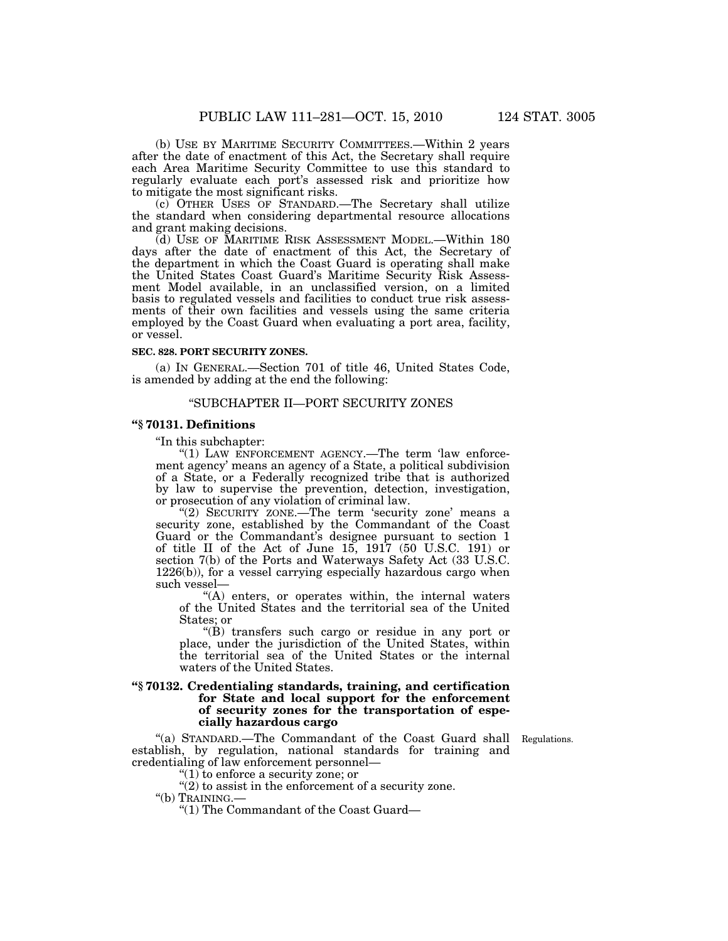(b) USE BY MARITIME SECURITY COMMITTEES.—Within 2 years after the date of enactment of this Act, the Secretary shall require each Area Maritime Security Committee to use this standard to regularly evaluate each port's assessed risk and prioritize how to mitigate the most significant risks.

(c) OTHER USES OF STANDARD.—The Secretary shall utilize the standard when considering departmental resource allocations and grant making decisions.

(d) USE OF MARITIME RISK ASSESSMENT MODEL.—Within 180 days after the date of enactment of this Act, the Secretary of the department in which the Coast Guard is operating shall make the United States Coast Guard's Maritime Security Risk Assessment Model available, in an unclassified version, on a limited basis to regulated vessels and facilities to conduct true risk assessments of their own facilities and vessels using the same criteria employed by the Coast Guard when evaluating a port area, facility, or vessel.

#### **SEC. 828. PORT SECURITY ZONES.**

(a) IN GENERAL.—Section 701 of title 46, United States Code, is amended by adding at the end the following:

## ''SUBCHAPTER II—PORT SECURITY ZONES

## **''§ 70131. Definitions**

''In this subchapter:

"(1) LAW ENFORCEMENT AGENCY.—The term 'law enforcement agency' means an agency of a State, a political subdivision of a State, or a Federally recognized tribe that is authorized by law to supervise the prevention, detection, investigation, or prosecution of any violation of criminal law.

"(2) SECURITY ZONE.—The term 'security zone' means a security zone, established by the Commandant of the Coast Guard or the Commandant's designee pursuant to section 1 of title II of the Act of June 15, 1917 (50 U.S.C. 191) or section 7(b) of the Ports and Waterways Safety Act (33 U.S.C. 1226(b)), for a vessel carrying especially hazardous cargo when such vessel—

''(A) enters, or operates within, the internal waters of the United States and the territorial sea of the United States; or

''(B) transfers such cargo or residue in any port or place, under the jurisdiction of the United States, within the territorial sea of the United States or the internal waters of the United States.

## **''§ 70132. Credentialing standards, training, and certification for State and local support for the enforcement of security zones for the transportation of especially hazardous cargo**

''(a) STANDARD.—The Commandant of the Coast Guard shall Regulations. establish, by regulation, national standards for training and credentialing of law enforcement personnel—

 $''(1)$  to enforce a security zone; or

 $''(2)$  to assist in the enforcement of a security zone.

''(b) TRAINING.—

''(1) The Commandant of the Coast Guard—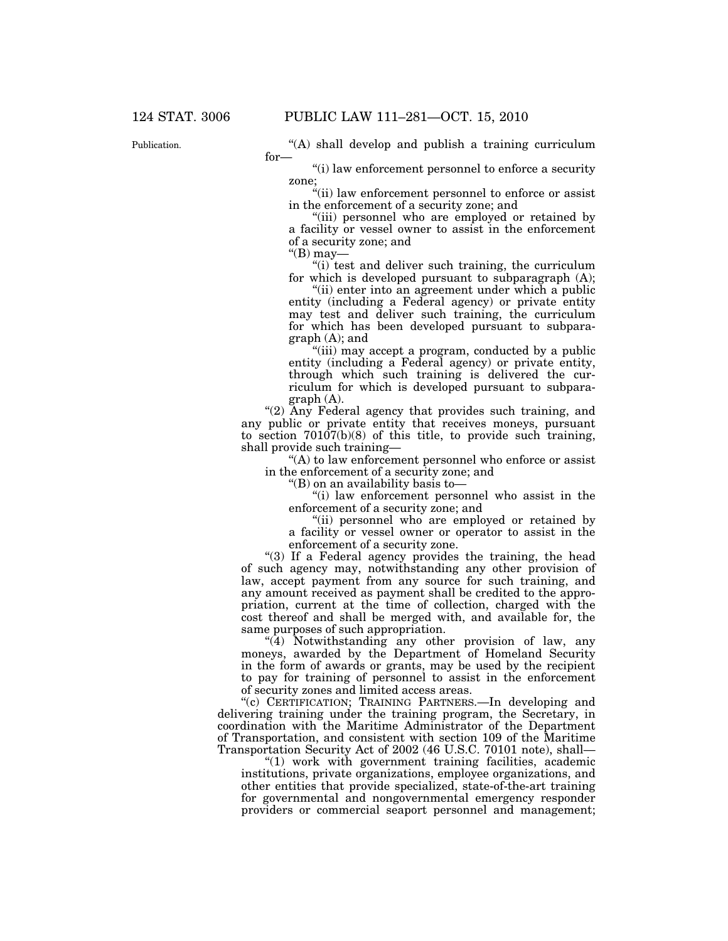Publication.

''(A) shall develop and publish a training curriculum for—

''(i) law enforcement personnel to enforce a security zone;

''(ii) law enforcement personnel to enforce or assist in the enforcement of a security zone; and

"(iii) personnel who are employed or retained by a facility or vessel owner to assist in the enforcement of a security zone; and

" $(B)$  may-

''(i) test and deliver such training, the curriculum for which is developed pursuant to subparagraph (A);

"(ii) enter into an agreement under which a public entity (including a Federal agency) or private entity may test and deliver such training, the curriculum for which has been developed pursuant to subparagraph (A); and

"(iii) may accept a program, conducted by a public entity (including a Federal agency) or private entity, through which such training is delivered the curriculum for which is developed pursuant to subparagraph (A).

" $(2)$  Any Federal agency that provides such training, and any public or private entity that receives moneys, pursuant to section  $70107(b)(8)$  of this title, to provide such training, shall provide such training—

"(A) to law enforcement personnel who enforce or assist in the enforcement of a security zone; and

''(B) on an availability basis to—

''(i) law enforcement personnel who assist in the enforcement of a security zone; and

''(ii) personnel who are employed or retained by a facility or vessel owner or operator to assist in the enforcement of a security zone.

"(3) If a Federal agency provides the training, the head of such agency may, notwithstanding any other provision of law, accept payment from any source for such training, and any amount received as payment shall be credited to the appropriation, current at the time of collection, charged with the cost thereof and shall be merged with, and available for, the same purposes of such appropriation.

 $\sqrt[4]{(4)}$  Notwithstanding any other provision of law, any moneys, awarded by the Department of Homeland Security in the form of awards or grants, may be used by the recipient to pay for training of personnel to assist in the enforcement of security zones and limited access areas.

''(c) CERTIFICATION; TRAINING PARTNERS.—In developing and delivering training under the training program, the Secretary, in coordination with the Maritime Administrator of the Department of Transportation, and consistent with section 109 of the Maritime Transportation Security Act of 2002 (46 U.S.C. 70101 note), shall—

 $''(1)$  work with government training facilities, academic institutions, private organizations, employee organizations, and other entities that provide specialized, state-of-the-art training for governmental and nongovernmental emergency responder providers or commercial seaport personnel and management;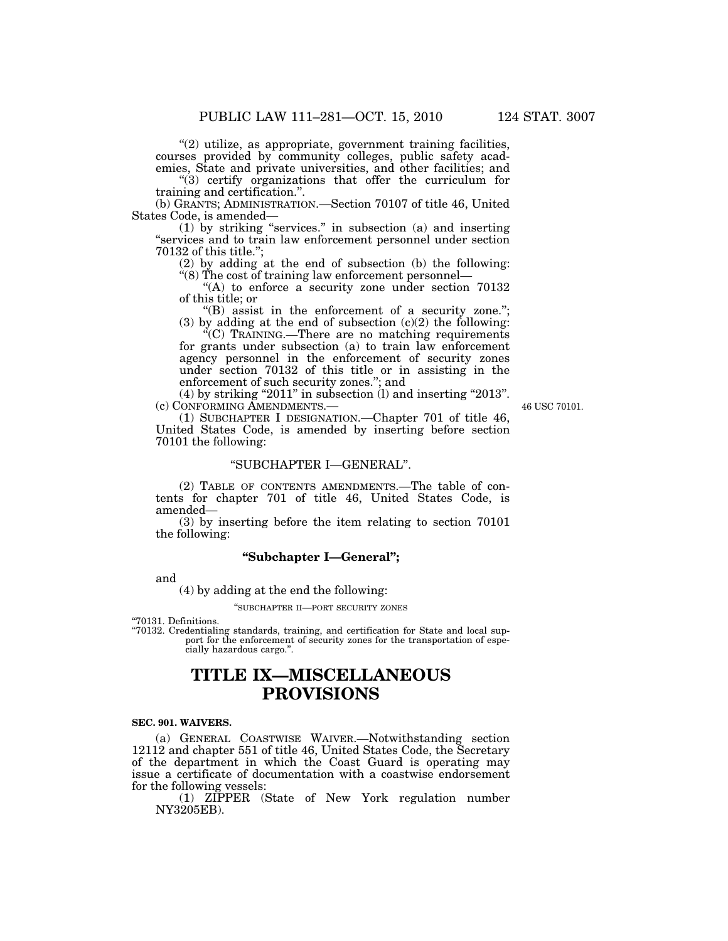$''(2)$  utilize, as appropriate, government training facilities, courses provided by community colleges, public safety academies, State and private universities, and other facilities; and

''(3) certify organizations that offer the curriculum for training and certification.''.

(b) GRANTS; ADMINISTRATION.—Section 70107 of title 46, United States Code, is amended—

(1) by striking ''services.'' in subsection (a) and inserting ''services and to train law enforcement personnel under section 70132 of this title.'';

(2) by adding at the end of subsection (b) the following: ''(8) The cost of training law enforcement personnel—

"(A) to enforce a security zone under section  $70132$ of this title; or

''(B) assist in the enforcement of a security zone.''; (3) by adding at the end of subsection  $(c)(2)$  the following:

''(C) TRAINING.—There are no matching requirements for grants under subsection (a) to train law enforcement agency personnel in the enforcement of security zones under section 70132 of this title or in assisting in the enforcement of such security zones.''; and

 $(4)$  by striking "2011" in subsection  $(l)$  and inserting "2013". (c) CONFORMING AMENDMENTS.—

46 USC 70101.

(1) SUBCHAPTER I DESIGNATION.—Chapter 701 of title 46, United States Code, is amended by inserting before section 70101 the following:

## ''SUBCHAPTER I—GENERAL''.

(2) TABLE OF CONTENTS AMENDMENTS.—The table of contents for chapter 701 of title 46, United States Code, is amended—

(3) by inserting before the item relating to section 70101 the following:

## **''Subchapter I—General'';**

and

(4) by adding at the end the following:

''SUBCHAPTER II—PORT SECURITY ZONES

''70131. Definitions.

''70132. Credentialing standards, training, and certification for State and local support for the enforcement of security zones for the transportation of especially hazardous cargo.''.

# **TITLE IX—MISCELLANEOUS PROVISIONS**

## **SEC. 901. WAIVERS.**

(a) GENERAL COASTWISE WAIVER.—Notwithstanding section 12112 and chapter 551 of title 46, United States Code, the Secretary of the department in which the Coast Guard is operating may issue a certificate of documentation with a coastwise endorsement for the following vessels:

(1) ZIPPER (State of New York regulation number NY3205EB).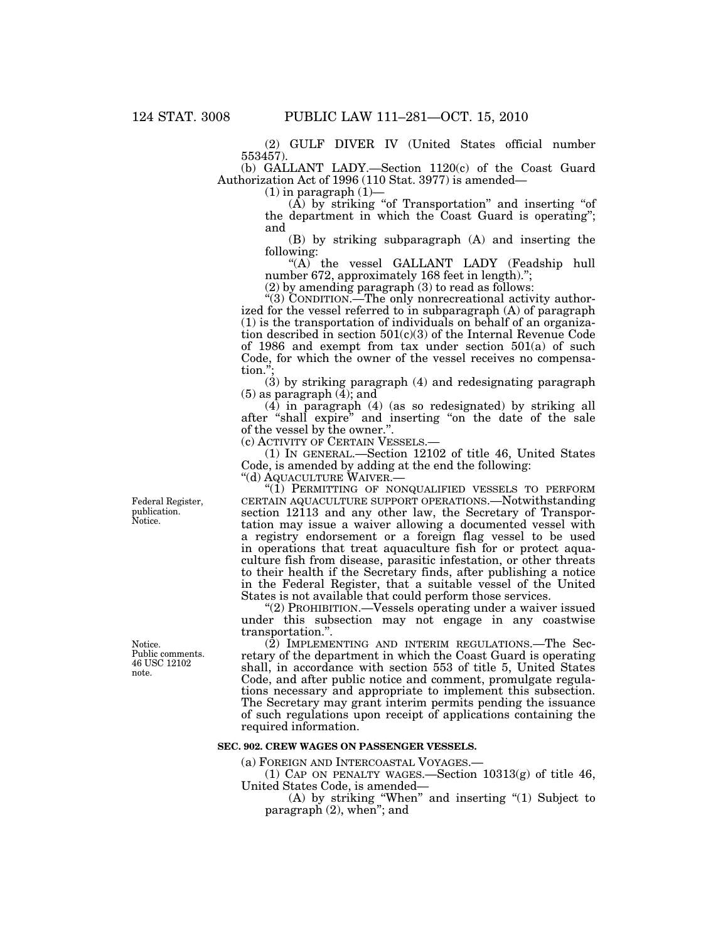(2) GULF DIVER IV (United States official number 553457).

(b) GALLANT LADY.—Section 1120(c) of the Coast Guard Authorization Act of 1996 (110 Stat. 3977) is amended—

 $(1)$  in paragraph  $(1)$ —

 $(A)$  by striking "of Transportation" and inserting "of the department in which the Coast Guard is operating''; and

(B) by striking subparagraph (A) and inserting the following:

"(A) the vessel GALLANT LADY (Feadship hull number 672, approximately 168 feet in length).";

(2) by amending paragraph (3) to read as follows:

''(3) CONDITION.—The only nonrecreational activity authorized for the vessel referred to in subparagraph (A) of paragraph (1) is the transportation of individuals on behalf of an organization described in section  $501(c)(3)$  of the Internal Revenue Code of 1986 and exempt from tax under section 501(a) of such Code, for which the owner of the vessel receives no compensation.'

(3) by striking paragraph (4) and redesignating paragraph (5) as paragraph (4); and

(4) in paragraph (4) (as so redesignated) by striking all after ''shall expire'' and inserting ''on the date of the sale of the vessel by the owner.''.

(c) ACTIVITY OF CERTAIN VESSELS.—

(1) IN GENERAL.—Section 12102 of title 46, United States Code, is amended by adding at the end the following:

''(d) AQUACULTURE WAIVER.—

''(1) PERMITTING OF NONQUALIFIED VESSELS TO PERFORM CERTAIN AQUACULTURE SUPPORT OPERATIONS.—Notwithstanding section 12113 and any other law, the Secretary of Transportation may issue a waiver allowing a documented vessel with a registry endorsement or a foreign flag vessel to be used in operations that treat aquaculture fish for or protect aquaculture fish from disease, parasitic infestation, or other threats to their health if the Secretary finds, after publishing a notice in the Federal Register, that a suitable vessel of the United States is not available that could perform those services.

''(2) PROHIBITION.—Vessels operating under a waiver issued under this subsection may not engage in any coastwise transportation.''.

(2) IMPLEMENTING AND INTERIM REGULATIONS.—The Secretary of the department in which the Coast Guard is operating shall, in accordance with section 553 of title 5, United States Code, and after public notice and comment, promulgate regulations necessary and appropriate to implement this subsection. The Secretary may grant interim permits pending the issuance of such regulations upon receipt of applications containing the required information.

#### **SEC. 902. CREW WAGES ON PASSENGER VESSELS.**

(a) FOREIGN AND INTERCOASTAL VOYAGES.—

(1) CAP ON PENALTY WAGES.—Section  $10313(g)$  of title 46, United States Code, is amended—

(A) by striking "When" and inserting "(1) Subject to paragraph (2), when''; and

Federal Register, publication. Notice.

Notice. Public comments. 46 USC 12102 note.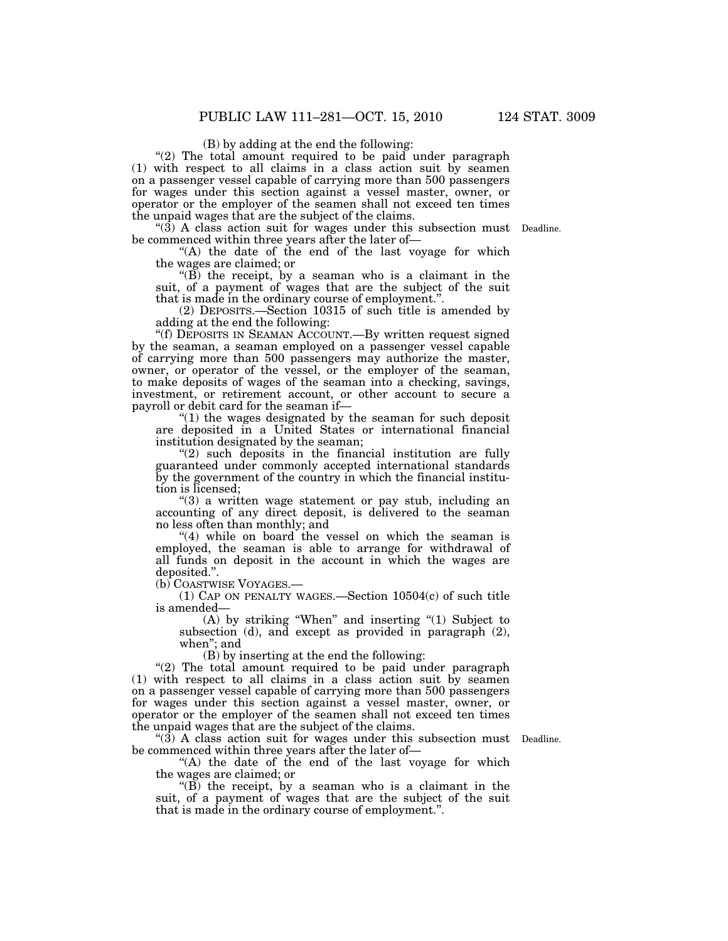(B) by adding at the end the following:

" $(2)$  The total amount required to be paid under paragraph (1) with respect to all claims in a class action suit by seamen on a passenger vessel capable of carrying more than 500 passengers for wages under this section against a vessel master, owner, or operator or the employer of the seamen shall not exceed ten times the unpaid wages that are the subject of the claims.

''(3) A class action suit for wages under this subsection must Deadline. be commenced within three years after the later of—

"(A) the date of the end of the last voyage for which the wages are claimed; or

 $E(E)$  the receipt, by a seaman who is a claimant in the suit, of a payment of wages that are the subject of the suit that is made in the ordinary course of employment.''.

(2) DEPOSITS.—Section 10315 of such title is amended by adding at the end the following:

''(f) DEPOSITS IN SEAMAN ACCOUNT.—By written request signed by the seaman, a seaman employed on a passenger vessel capable of carrying more than 500 passengers may authorize the master, owner, or operator of the vessel, or the employer of the seaman, to make deposits of wages of the seaman into a checking, savings, investment, or retirement account, or other account to secure a payroll or debit card for the seaman if—

 $''(1)$  the wages designated by the seaman for such deposit are deposited in a United States or international financial institution designated by the seaman;

 $(2)$  such deposits in the financial institution are fully guaranteed under commonly accepted international standards by the government of the country in which the financial institution is licensed;

" $(3)$  a written wage statement or pay stub, including an accounting of any direct deposit, is delivered to the seaman no less often than monthly; and

"(4) while on board the vessel on which the seaman is employed, the seaman is able to arrange for withdrawal of all funds on deposit in the account in which the wages are deposited.''.

(b) COASTWISE VOYAGES.—

(1) CAP ON PENALTY WAGES.—Section 10504(c) of such title is amended—

(A) by striking ''When'' and inserting ''(1) Subject to subsection (d), and except as provided in paragraph (2), when''; and

(B) by inserting at the end the following:

" $(2)$  The total amount required to be paid under paragraph (1) with respect to all claims in a class action suit by seamen on a passenger vessel capable of carrying more than 500 passengers for wages under this section against a vessel master, owner, or operator or the employer of the seamen shall not exceed ten times the unpaid wages that are the subject of the claims.

" $(3)$  A class action suit for wages under this subsection must Deadline. be commenced within three years after the later of—

"(A) the date of the end of the last voyage for which the wages are claimed; or

 $\mathrm{H}(B)$  the receipt, by a seaman who is a claimant in the suit, of a payment of wages that are the subject of the suit that is made in the ordinary course of employment.''.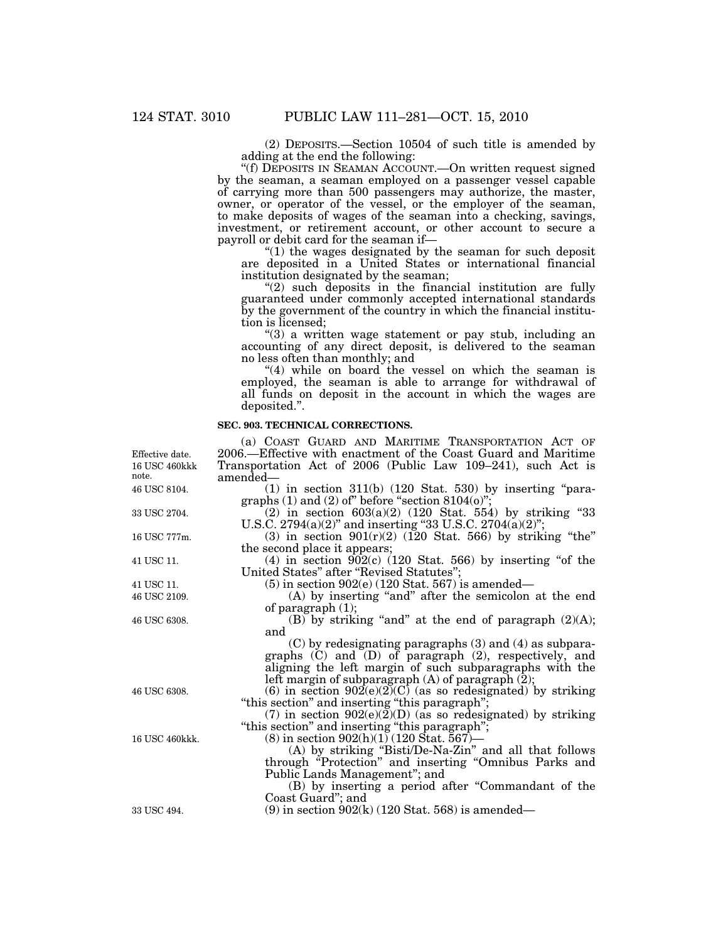(2) DEPOSITS.—Section 10504 of such title is amended by adding at the end the following:

''(f) DEPOSITS IN SEAMAN ACCOUNT.—On written request signed by the seaman, a seaman employed on a passenger vessel capable of carrying more than 500 passengers may authorize, the master, owner, or operator of the vessel, or the employer of the seaman, to make deposits of wages of the seaman into a checking, savings, investment, or retirement account, or other account to secure a payroll or debit card for the seaman if—

"(1) the wages designated by the seaman for such deposit are deposited in a United States or international financial institution designated by the seaman;

" $(2)$  such deposits in the financial institution are fully guaranteed under commonly accepted international standards by the government of the country in which the financial institution is licensed;

''(3) a written wage statement or pay stub, including an accounting of any direct deposit, is delivered to the seaman no less often than monthly; and

"(4) while on board the vessel on which the seaman is employed, the seaman is able to arrange for withdrawal of all funds on deposit in the account in which the wages are deposited.''.

## **SEC. 903. TECHNICAL CORRECTIONS.**

(a) COAST GUARD AND MARITIME TRANSPORTATION ACT OF 2006.—Effective with enactment of the Coast Guard and Maritime Transportation Act of 2006 (Public Law 109–241), such Act is amended—

 $(1)$  in section 311(b) (120 Stat. 530) by inserting "paragraphs  $(1)$  and  $(2)$  of" before "section  $8104(0)$ ";

(2) in section 603(a)(2) (120 Stat. 554) by striking ''33 U.S.C. 2794(a)(2)" and inserting "33 U.S.C. 2704(a)(2)";

(3) in section  $901(r)(2)$  (120 Stat. 566) by striking "the" the second place it appears;

(4) in section  $902(c)$  (120 Stat. 566) by inserting "of the United States'' after ''Revised Statutes'';

(5) in section 902(e) (120 Stat. 567) is amended—

(A) by inserting "and" after the semicolon at the end of paragraph (1);

 $(B)$  by striking "and" at the end of paragraph  $(2)(A)$ ; and

(C) by redesignating paragraphs (3) and (4) as subparagraphs (C) and (D) of paragraph (2), respectively, and aligning the left margin of such subparagraphs with the left margin of subparagraph (A) of paragraph (2);

(6) in section  $902(e)(2)(C)$  (as so redesignated) by striking "this section" and inserting "this paragraph";

(7) in section  $902(e)(2)(D)$  (as so redesignated) by striking ''this section'' and inserting ''this paragraph'';

(8) in section  $902(h)(1)$  (120 Stat. 567)—

(A) by striking ''Bisti/De-Na-Zin'' and all that follows through ''Protection'' and inserting ''Omnibus Parks and Public Lands Management''; and

(B) by inserting a period after ''Commandant of the Coast Guard''; and

33 USC 494. (9) in section 902(k) (120 Stat. 568) is amended—

16 USC 460kkk. 46 USC 6308. 46 USC 6308. 46 USC 2109. 41 USC 11. 41 USC 11. 16 USC 777m. 33 USC 2704. 46 USC 8104.  $16\:\mathrm{USC}$  460kkk note. Effective date.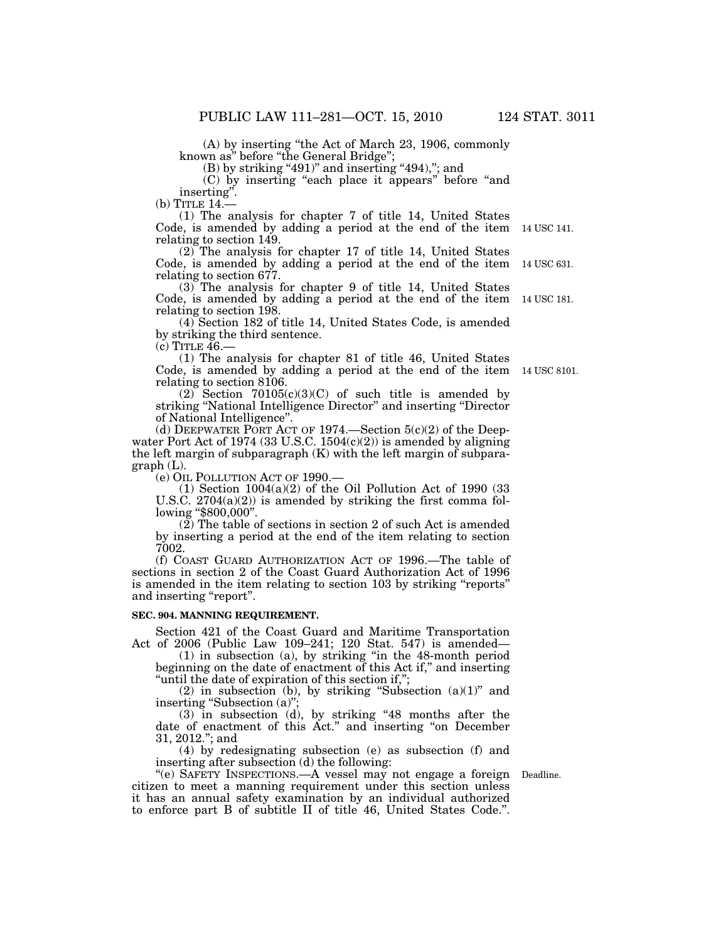(A) by inserting ''the Act of March 23, 1906, commonly known as'' before ''the General Bridge'';

 $(B)$  by striking "491)" and inserting "494),"; and

(C) by inserting ''each place it appears'' before ''and inserting''.

(b) TITLE 14.—

(1) The analysis for chapter 7 of title 14, United States Code, is amended by adding a period at the end of the item 14 USC 141. relating to section 149.

(2) The analysis for chapter 17 of title 14, United States Code, is amended by adding a period at the end of the item relating to section 677.

(3) The analysis for chapter 9 of title 14, United States Code, is amended by adding a period at the end of the item 14 USC 181. relating to section 198.

(4) Section 182 of title 14, United States Code, is amended by striking the third sentence.

 $(c)$  TITLE  $\overline{46}$ .

(1) The analysis for chapter 81 of title 46, United States Code, is amended by adding a period at the end of the item 14 USC 8101. relating to section 8106.

 $(2)$  Section  $70105(c)(3)(C)$  of such title is amended by striking "National Intelligence Director" and inserting "Director of National Intelligence''.

(d) DEEPWATER PORT ACT OF 1974.—Section 5(c)(2) of the Deepwater Port Act of 1974 (33 U.S.C. 1504 $(c)(2)$ ) is amended by aligning the left margin of subparagraph (K) with the left margin of subparagraph (L).

(e) OIL POLLUTION ACT OF 1990.—

(1) Section  $1004(a)(2)$  of the Oil Pollution Act of 1990 (33 U.S.C.  $2704(a)(2)$  is amended by striking the first comma following ''\$800,000''.

(2) The table of sections in section 2 of such Act is amended by inserting a period at the end of the item relating to section 7002.

(f) COAST GUARD AUTHORIZATION ACT OF 1996.—The table of sections in section 2 of the Coast Guard Authorization Act of 1996 is amended in the item relating to section 103 by striking "reports" and inserting "report".

## **SEC. 904. MANNING REQUIREMENT.**

Section 421 of the Coast Guard and Maritime Transportation Act of 2006 (Public Law 109–241; 120 Stat. 547) is amended—

(1) in subsection (a), by striking ''in the 48-month period beginning on the date of enactment of this Act if," and inserting "until the date of expiration of this section if,";

(2) in subsection (b), by striking "Subsection  $(a)(1)$ " and inserting "Subsection (a)";

(3) in subsection (d), by striking ''48 months after the date of enactment of this Act." and inserting "on December 31, 2012.''; and

(4) by redesignating subsection (e) as subsection (f) and inserting after subsection (d) the following:

''(e) SAFETY INSPECTIONS.—A vessel may not engage a foreign Deadline. citizen to meet a manning requirement under this section unless it has an annual safety examination by an individual authorized to enforce part B of subtitle II of title 46, United States Code.''.

14 USC 631.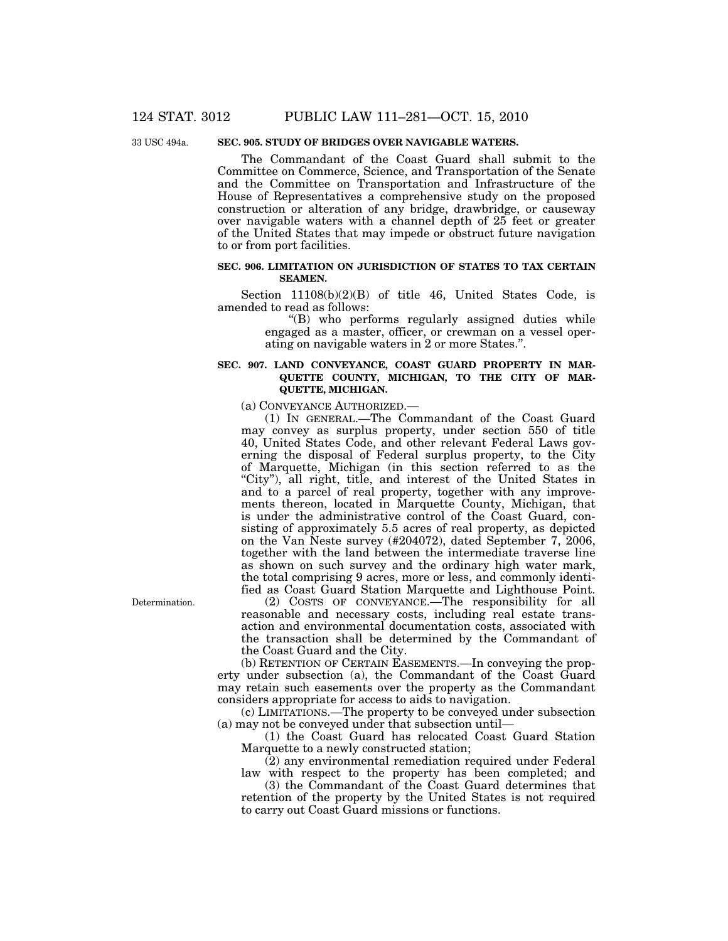33 USC 494a.

## **SEC. 905. STUDY OF BRIDGES OVER NAVIGABLE WATERS.**

The Commandant of the Coast Guard shall submit to the Committee on Commerce, Science, and Transportation of the Senate and the Committee on Transportation and Infrastructure of the House of Representatives a comprehensive study on the proposed construction or alteration of any bridge, drawbridge, or causeway over navigable waters with a channel depth of 25 feet or greater of the United States that may impede or obstruct future navigation to or from port facilities.

## **SEC. 906. LIMITATION ON JURISDICTION OF STATES TO TAX CERTAIN SEAMEN.**

Section 11108(b)(2)(B) of title 46, United States Code, is amended to read as follows:

> ''(B) who performs regularly assigned duties while engaged as a master, officer, or crewman on a vessel operating on navigable waters in 2 or more States.''.

## **SEC. 907. LAND CONVEYANCE, COAST GUARD PROPERTY IN MAR-QUETTE COUNTY, MICHIGAN, TO THE CITY OF MAR-QUETTE, MICHIGAN.**

(a) CONVEYANCE AUTHORIZED.—

(1) IN GENERAL.—The Commandant of the Coast Guard may convey as surplus property, under section 550 of title 40, United States Code, and other relevant Federal Laws governing the disposal of Federal surplus property, to the City of Marquette, Michigan (in this section referred to as the ''City''), all right, title, and interest of the United States in and to a parcel of real property, together with any improvements thereon, located in Marquette County, Michigan, that is under the administrative control of the Coast Guard, consisting of approximately 5.5 acres of real property, as depicted on the Van Neste survey (#204072), dated September 7, 2006, together with the land between the intermediate traverse line as shown on such survey and the ordinary high water mark, the total comprising 9 acres, more or less, and commonly identified as Coast Guard Station Marquette and Lighthouse Point.

(2) COSTS OF CONVEYANCE.—The responsibility for all reasonable and necessary costs, including real estate transaction and environmental documentation costs, associated with the transaction shall be determined by the Commandant of the Coast Guard and the City.

(b) RETENTION OF CERTAIN EASEMENTS.—In conveying the property under subsection (a), the Commandant of the Coast Guard may retain such easements over the property as the Commandant considers appropriate for access to aids to navigation.

(c) LIMITATIONS.—The property to be conveyed under subsection (a) may not be conveyed under that subsection until—

(1) the Coast Guard has relocated Coast Guard Station Marquette to a newly constructed station;

(2) any environmental remediation required under Federal law with respect to the property has been completed; and

(3) the Commandant of the Coast Guard determines that retention of the property by the United States is not required to carry out Coast Guard missions or functions.

Determination.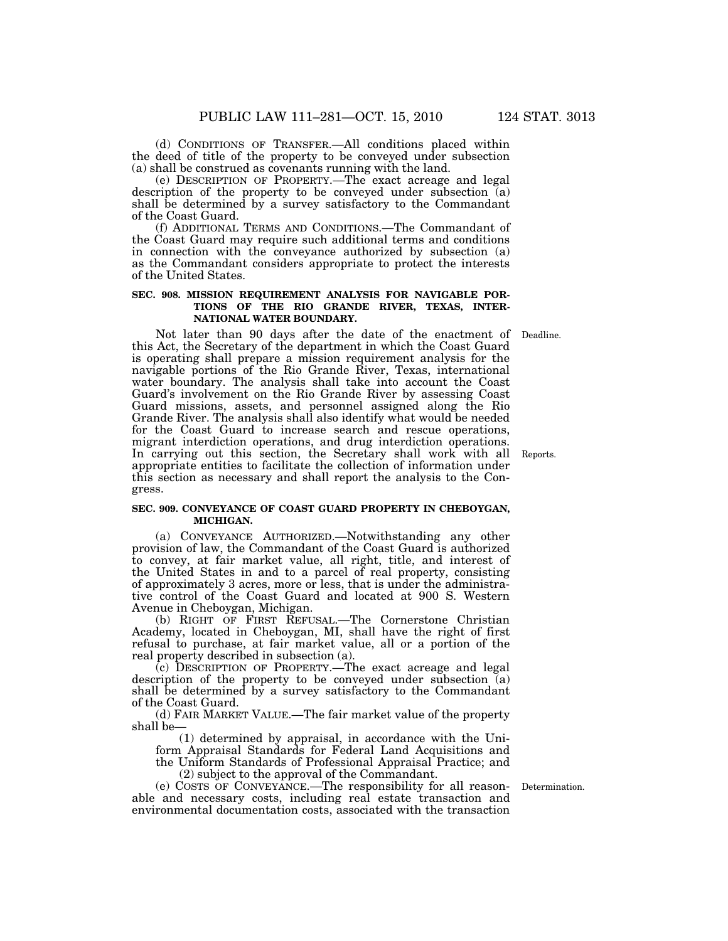(d) CONDITIONS OF TRANSFER.—All conditions placed within the deed of title of the property to be conveyed under subsection (a) shall be construed as covenants running with the land.

(e) DESCRIPTION OF PROPERTY.—The exact acreage and legal description of the property to be conveyed under subsection (a) shall be determined by a survey satisfactory to the Commandant of the Coast Guard.

(f) ADDITIONAL TERMS AND CONDITIONS.—The Commandant of the Coast Guard may require such additional terms and conditions in connection with the conveyance authorized by subsection (a) as the Commandant considers appropriate to protect the interests of the United States.

## **SEC. 908. MISSION REQUIREMENT ANALYSIS FOR NAVIGABLE POR-TIONS OF THE RIO GRANDE RIVER, TEXAS, INTER-NATIONAL WATER BOUNDARY.**

Not later than 90 days after the date of the enactment of Deadline. this Act, the Secretary of the department in which the Coast Guard is operating shall prepare a mission requirement analysis for the navigable portions of the Rio Grande River, Texas, international water boundary. The analysis shall take into account the Coast Guard's involvement on the Rio Grande River by assessing Coast Guard missions, assets, and personnel assigned along the Rio Grande River. The analysis shall also identify what would be needed for the Coast Guard to increase search and rescue operations, migrant interdiction operations, and drug interdiction operations. In carrying out this section, the Secretary shall work with all Reports. appropriate entities to facilitate the collection of information under this section as necessary and shall report the analysis to the Congress.

## **SEC. 909. CONVEYANCE OF COAST GUARD PROPERTY IN CHEBOYGAN, MICHIGAN.**

(a) CONVEYANCE AUTHORIZED.—Notwithstanding any other provision of law, the Commandant of the Coast Guard is authorized to convey, at fair market value, all right, title, and interest of the United States in and to a parcel of real property, consisting of approximately 3 acres, more or less, that is under the administrative control of the Coast Guard and located at 900 S. Western Avenue in Cheboygan, Michigan.

(b) RIGHT OF FIRST REFUSAL.—The Cornerstone Christian Academy, located in Cheboygan, MI, shall have the right of first refusal to purchase, at fair market value, all or a portion of the real property described in subsection (a).

(c) DESCRIPTION OF PROPERTY.—The exact acreage and legal description of the property to be conveyed under subsection (a) shall be determined by a survey satisfactory to the Commandant of the Coast Guard.

(d) FAIR MARKET VALUE.—The fair market value of the property shall be—

(1) determined by appraisal, in accordance with the Uniform Appraisal Standards for Federal Land Acquisitions and the Uniform Standards of Professional Appraisal Practice; and

(2) subject to the approval of the Commandant.

(e) COSTS OF CONVEYANCE.—The responsibility for all reasonable and necessary costs, including real estate transaction and environmental documentation costs, associated with the transaction

Determination.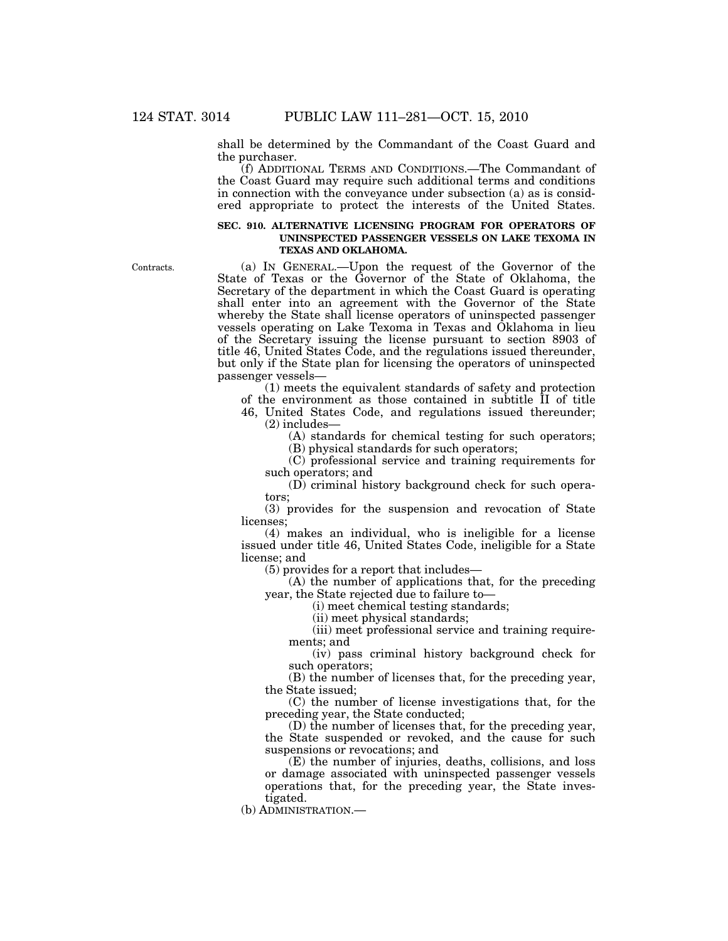shall be determined by the Commandant of the Coast Guard and the purchaser.

(f) ADDITIONAL TERMS AND CONDITIONS.—The Commandant of the Coast Guard may require such additional terms and conditions in connection with the conveyance under subsection (a) as is considered appropriate to protect the interests of the United States.

## **SEC. 910. ALTERNATIVE LICENSING PROGRAM FOR OPERATORS OF UNINSPECTED PASSENGER VESSELS ON LAKE TEXOMA IN TEXAS AND OKLAHOMA.**

(a) IN GENERAL.—Upon the request of the Governor of the State of Texas or the Governor of the State of Oklahoma, the Secretary of the department in which the Coast Guard is operating shall enter into an agreement with the Governor of the State whereby the State shall license operators of uninspected passenger vessels operating on Lake Texoma in Texas and Oklahoma in lieu of the Secretary issuing the license pursuant to section 8903 of title 46, United States Code, and the regulations issued thereunder, but only if the State plan for licensing the operators of uninspected passenger vessels—

> (1) meets the equivalent standards of safety and protection of the environment as those contained in subtitle II of title

> 46, United States Code, and regulations issued thereunder; (2) includes—

(A) standards for chemical testing for such operators; (B) physical standards for such operators;

(C) professional service and training requirements for such operators; and

(D) criminal history background check for such operators;

(3) provides for the suspension and revocation of State licenses;

(4) makes an individual, who is ineligible for a license issued under title 46, United States Code, ineligible for a State license; and

(5) provides for a report that includes—

(A) the number of applications that, for the preceding year, the State rejected due to failure to—

(i) meet chemical testing standards;

(ii) meet physical standards;

(iii) meet professional service and training requirements; and

(iv) pass criminal history background check for such operators;

(B) the number of licenses that, for the preceding year, the State issued;

(C) the number of license investigations that, for the preceding year, the State conducted;

(D) the number of licenses that, for the preceding year, the State suspended or revoked, and the cause for such suspensions or revocations; and

(E) the number of injuries, deaths, collisions, and loss or damage associated with uninspected passenger vessels operations that, for the preceding year, the State investigated.

(b) ADMINISTRATION.—

Contracts.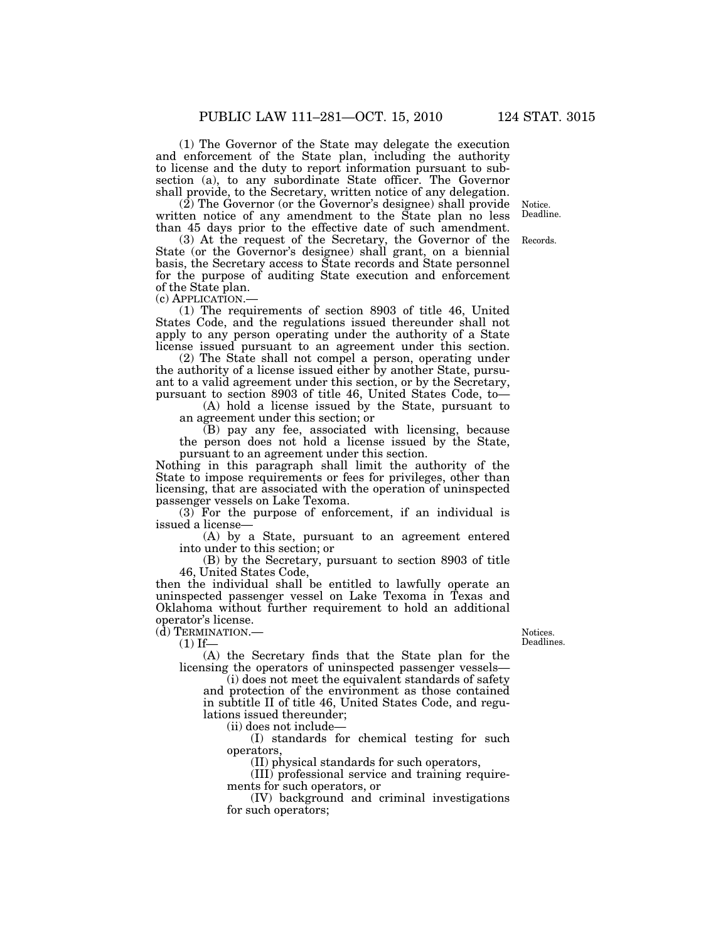(1) The Governor of the State may delegate the execution and enforcement of the State plan, including the authority to license and the duty to report information pursuant to subsection (a), to any subordinate State officer. The Governor shall provide, to the Secretary, written notice of any delegation.

 $(2)$  The Governor (or the Governor's designee) shall provide written notice of any amendment to the State plan no less than 45 days prior to the effective date of such amendment.

(3) At the request of the Secretary, the Governor of the State (or the Governor's designee) shall grant, on a biennial basis, the Secretary access to State records and State personnel for the purpose of auditing State execution and enforcement of the State plan.<br>(c) APPLICATION.

 $(1)$  The requirements of section 8903 of title 46, United States Code, and the regulations issued thereunder shall not apply to any person operating under the authority of a State license issued pursuant to an agreement under this section.

(2) The State shall not compel a person, operating under the authority of a license issued either by another State, pursuant to a valid agreement under this section, or by the Secretary, pursuant to section 8903 of title 46, United States Code, to—

(A) hold a license issued by the State, pursuant to an agreement under this section; or

(B) pay any fee, associated with licensing, because the person does not hold a license issued by the State, pursuant to an agreement under this section.

Nothing in this paragraph shall limit the authority of the State to impose requirements or fees for privileges, other than licensing, that are associated with the operation of uninspected passenger vessels on Lake Texoma.

(3) For the purpose of enforcement, if an individual is issued a license—

(A) by a State, pursuant to an agreement entered into under to this section; or

(B) by the Secretary, pursuant to section 8903 of title 46, United States Code,

then the individual shall be entitled to lawfully operate an uninspected passenger vessel on Lake Texoma in Texas and Oklahoma without further requirement to hold an additional operator's license.

(d) TERMINATION.—

 $(1)$  If-

(A) the Secretary finds that the State plan for the licensing the operators of uninspected passenger vessels—

(i) does not meet the equivalent standards of safety and protection of the environment as those contained in subtitle II of title 46, United States Code, and regulations issued thereunder;

(ii) does not include—

(I) standards for chemical testing for such operators,

(II) physical standards for such operators,

(III) professional service and training requirements for such operators, or

(IV) background and criminal investigations for such operators;

**Notices** Deadlines.

Records.

Notice. Deadline.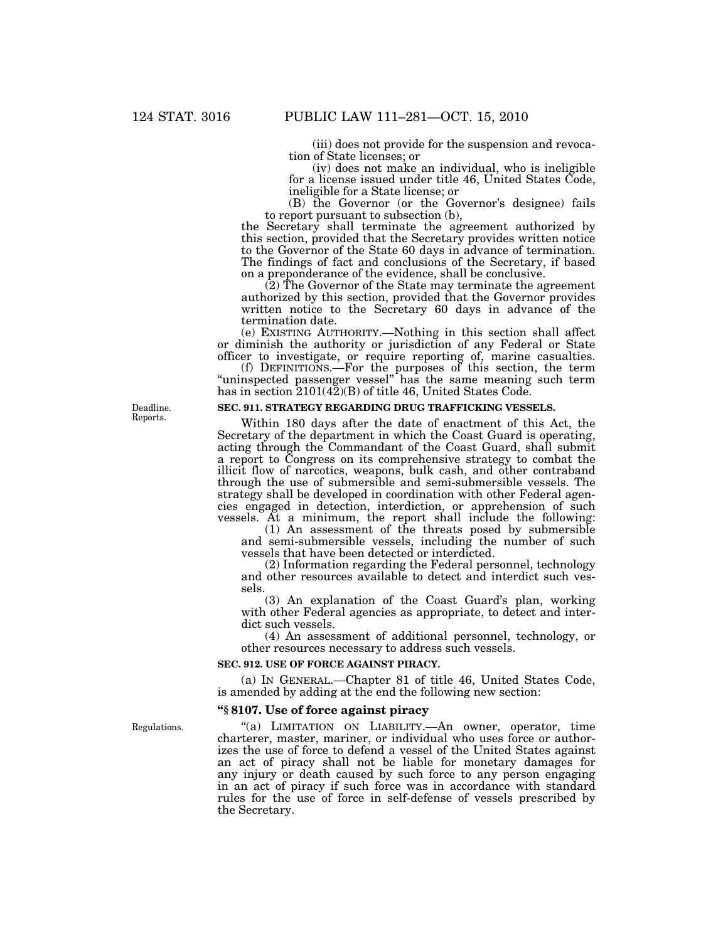(iii) does not provide for the suspension and revocation of State licenses; or

(iv) does not make an individual, who is ineligible for a license issued under title 46, United States Code, ineligible for a State license; or

(B) the Governor (or the Governor's designee) fails to report pursuant to subsection (b),

the Secretary shall terminate the agreement authorized by this section, provided that the Secretary provides written notice to the Governor of the State 60 days in advance of termination. The findings of fact and conclusions of the Secretary, if based on a preponderance of the evidence, shall be conclusive.

(2) The Governor of the State may terminate the agreement authorized by this section, provided that the Governor provides written notice to the Secretary 60 days in advance of the termination date.

(e) EXISTING AUTHORITY.—Nothing in this section shall affect or diminish the authority or jurisdiction of any Federal or State officer to investigate, or require reporting of, marine casualties.

(f) DEFINITIONS.—For the purposes of this section, the term "uninspected passenger vessel" has the same meaning such term has in section  $2101(42)$ (B) of title 46, United States Code.

# **SEC. 911. STRATEGY REGARDING DRUG TRAFFICKING VESSELS.**

Within 180 days after the date of enactment of this Act, the Secretary of the department in which the Coast Guard is operating, acting through the Commandant of the Coast Guard, shall submit a report to Congress on its comprehensive strategy to combat the illicit flow of narcotics, weapons, bulk cash, and other contraband through the use of submersible and semi-submersible vessels. The strategy shall be developed in coordination with other Federal agencies engaged in detection, interdiction, or apprehension of such vessels. At a minimum, the report shall include the following:

(1) An assessment of the threats posed by submersible and semi-submersible vessels, including the number of such vessels that have been detected or interdicted.

(2) Information regarding the Federal personnel, technology and other resources available to detect and interdict such vessels.

(3) An explanation of the Coast Guard's plan, working with other Federal agencies as appropriate, to detect and interdict such vessels.

(4) An assessment of additional personnel, technology, or other resources necessary to address such vessels.

#### **SEC. 912. USE OF FORCE AGAINST PIRACY.**

(a) IN GENERAL.—Chapter 81 of title 46, United States Code, is amended by adding at the end the following new section:

## **''§ 8107. Use of force against piracy**

"(a) LIMITATION ON LIABILITY.- An owner, operator, time charterer, master, mariner, or individual who uses force or authorizes the use of force to defend a vessel of the United States against an act of piracy shall not be liable for monetary damages for any injury or death caused by such force to any person engaging in an act of piracy if such force was in accordance with standard rules for the use of force in self-defense of vessels prescribed by the Secretary.

Deadline. Reports.

Regulations.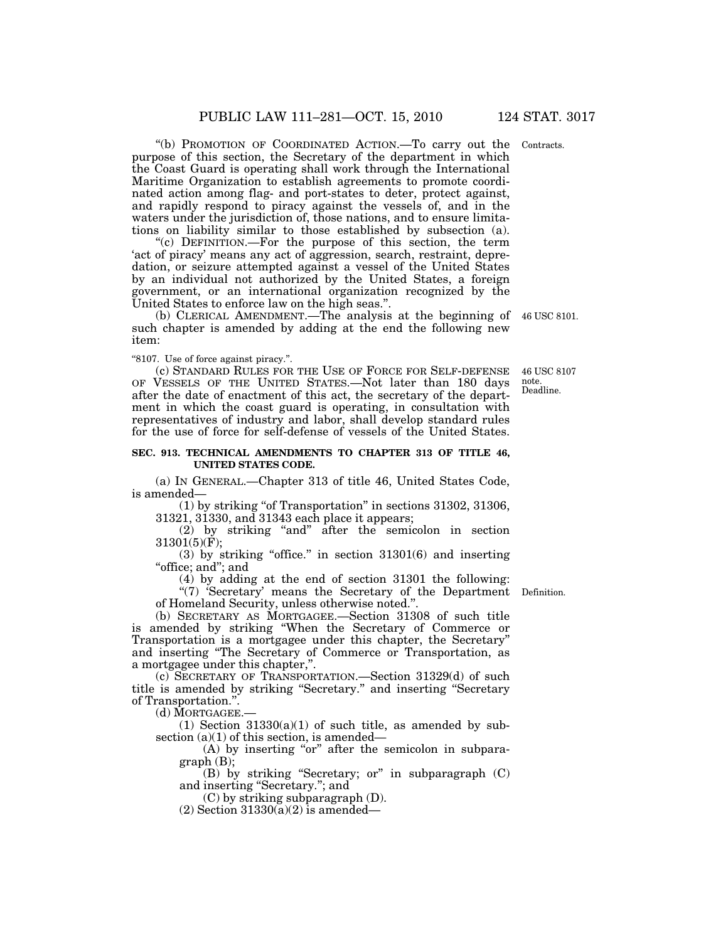''(b) PROMOTION OF COORDINATED ACTION.—To carry out the Contracts. purpose of this section, the Secretary of the department in which the Coast Guard is operating shall work through the International Maritime Organization to establish agreements to promote coordinated action among flag- and port-states to deter, protect against, and rapidly respond to piracy against the vessels of, and in the waters under the jurisdiction of, those nations, and to ensure limitations on liability similar to those established by subsection (a).

''(c) DEFINITION.—For the purpose of this section, the term 'act of piracy' means any act of aggression, search, restraint, depredation, or seizure attempted against a vessel of the United States by an individual not authorized by the United States, a foreign government, or an international organization recognized by the United States to enforce law on the high seas.''.

(b) CLERICAL AMENDMENT.—The analysis at the beginning of 46 USC 8101. such chapter is amended by adding at the end the following new item:

''8107. Use of force against piracy.''.

(c) STANDARD RULES FOR THE USE OF FORCE FOR SELF-DEFENSE OF VESSELS OF THE UNITED STATES.—Not later than 180 days after the date of enactment of this act, the secretary of the department in which the coast guard is operating, in consultation with representatives of industry and labor, shall develop standard rules for the use of force for self-defense of vessels of the United States.

## **SEC. 913. TECHNICAL AMENDMENTS TO CHAPTER 313 OF TITLE 46, UNITED STATES CODE.**

(a) IN GENERAL.—Chapter 313 of title 46, United States Code, is amended—

(1) by striking ''of Transportation'' in sections 31302, 31306, 31321, 31330, and 31343 each place it appears;

(2) by striking ''and'' after the semicolon in section  $31301(5)(\dot{F})$ ;

 $(3)$  by striking "office." in section 31301 $(6)$  and inserting "office; and"; and

(4) by adding at the end of section 31301 the following: "(7) 'Secretary' means the Secretary of the Department Definition.

of Homeland Security, unless otherwise noted.''.

(b) SECRETARY AS MORTGAGEE.—Section 31308 of such title is amended by striking ''When the Secretary of Commerce or Transportation is a mortgagee under this chapter, the Secretary'' and inserting ''The Secretary of Commerce or Transportation, as a mortgagee under this chapter,''.

(c) SECRETARY OF TRANSPORTATION.—Section 31329(d) of such title is amended by striking ''Secretary.'' and inserting ''Secretary of Transportation.''.

(d) MORTGAGEE.—

(1) Section  $31330(a)(1)$  of such title, as amended by subsection  $(a)(1)$  of this section, is amended–

 $(A)$  by inserting "or" after the semicolon in subparagraph (B);

 $(B)$  by striking "Secretary; or" in subparagraph  $(C)$ and inserting "Secretary."; and

(C) by striking subparagraph (D).

(2) Section  $31330(a)(2)$  is amended—

Deadline. 46 USC 8107 note.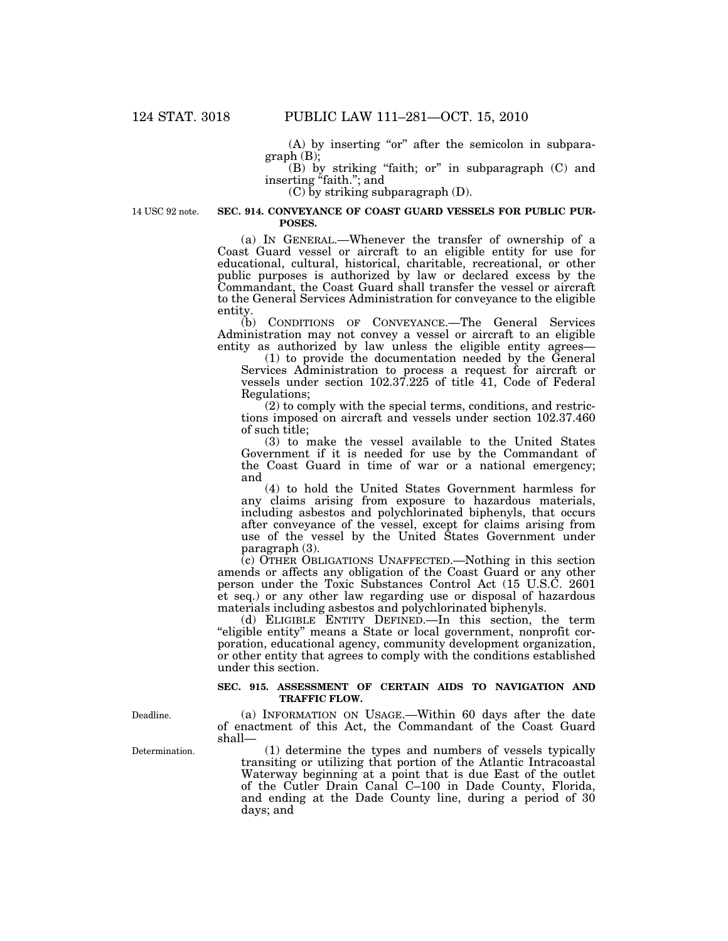(A) by inserting "or" after the semicolon in subparagraph (B);

(B) by striking "faith; or" in subparagraph (C) and inserting "faith."; and

(C) by striking subparagraph (D).

14 USC 92 note.

## **SEC. 914. CONVEYANCE OF COAST GUARD VESSELS FOR PUBLIC PUR-POSES.**

(a) IN GENERAL.—Whenever the transfer of ownership of a Coast Guard vessel or aircraft to an eligible entity for use for educational, cultural, historical, charitable, recreational, or other public purposes is authorized by law or declared excess by the Commandant, the Coast Guard shall transfer the vessel or aircraft to the General Services Administration for conveyance to the eligible entity.

(b) CONDITIONS OF CONVEYANCE.—The General Services Administration may not convey a vessel or aircraft to an eligible entity as authorized by law unless the eligible entity agrees—

(1) to provide the documentation needed by the General Services Administration to process a request for aircraft or vessels under section 102.37.225 of title 41, Code of Federal Regulations;

(2) to comply with the special terms, conditions, and restrictions imposed on aircraft and vessels under section 102.37.460 of such title;

(3) to make the vessel available to the United States Government if it is needed for use by the Commandant of the Coast Guard in time of war or a national emergency; and

(4) to hold the United States Government harmless for any claims arising from exposure to hazardous materials, including asbestos and polychlorinated biphenyls, that occurs after conveyance of the vessel, except for claims arising from use of the vessel by the United States Government under paragraph (3).

(c) OTHER OBLIGATIONS UNAFFECTED.—Nothing in this section amends or affects any obligation of the Coast Guard or any other person under the Toxic Substances Control Act (15 U.S.C. 2601 et seq.) or any other law regarding use or disposal of hazardous materials including asbestos and polychlorinated biphenyls.

(d) ELIGIBLE ENTITY DEFINED.—In this section, the term ''eligible entity'' means a State or local government, nonprofit corporation, educational agency, community development organization, or other entity that agrees to comply with the conditions established under this section.

## **SEC. 915. ASSESSMENT OF CERTAIN AIDS TO NAVIGATION AND TRAFFIC FLOW.**

(a) INFORMATION ON USAGE.—Within 60 days after the date of enactment of this Act, the Commandant of the Coast Guard shall—

(1) determine the types and numbers of vessels typically transiting or utilizing that portion of the Atlantic Intracoastal Waterway beginning at a point that is due East of the outlet of the Cutler Drain Canal C–100 in Dade County, Florida, and ending at the Dade County line, during a period of 30 days; and

Deadline.

Determination.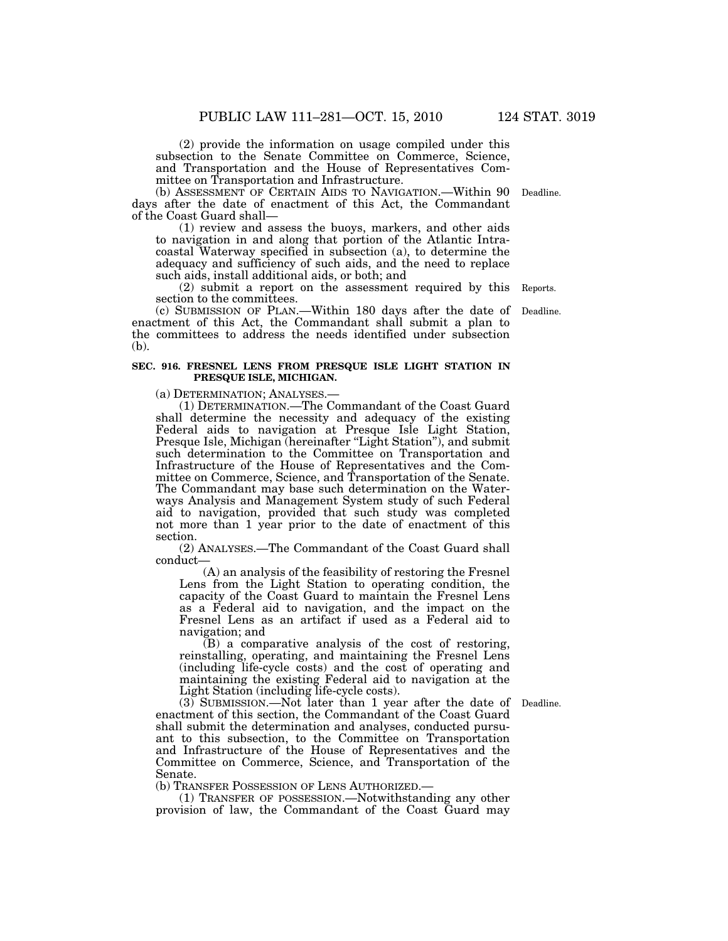(2) provide the information on usage compiled under this subsection to the Senate Committee on Commerce, Science, and Transportation and the House of Representatives Committee on Transportation and Infrastructure.

(b) ASSESSMENT OF CERTAIN AIDS TO NAVIGATION.—Within 90 days after the date of enactment of this Act, the Commandant of the Coast Guard shall— Deadline.

(1) review and assess the buoys, markers, and other aids to navigation in and along that portion of the Atlantic Intracoastal Waterway specified in subsection (a), to determine the adequacy and sufficiency of such aids, and the need to replace such aids, install additional aids, or both; and

(2) submit a report on the assessment required by this section to the committees.

(c) SUBMISSION OF PLAN.—Within 180 days after the date of Deadline. enactment of this Act, the Commandant shall submit a plan to the committees to address the needs identified under subsection (b).

## **SEC. 916. FRESNEL LENS FROM PRESQUE ISLE LIGHT STATION IN PRESQUE ISLE, MICHIGAN.**

(a) DETERMINATION; ANALYSES.—

(1) DETERMINATION.—The Commandant of the Coast Guard shall determine the necessity and adequacy of the existing Federal aids to navigation at Presque Isle Light Station, Presque Isle, Michigan (hereinafter "Light Station"), and submit such determination to the Committee on Transportation and Infrastructure of the House of Representatives and the Committee on Commerce, Science, and Transportation of the Senate. The Commandant may base such determination on the Waterways Analysis and Management System study of such Federal aid to navigation, provided that such study was completed not more than 1 year prior to the date of enactment of this section.

(2) ANALYSES.—The Commandant of the Coast Guard shall conduct—

(A) an analysis of the feasibility of restoring the Fresnel Lens from the Light Station to operating condition, the capacity of the Coast Guard to maintain the Fresnel Lens as a Federal aid to navigation, and the impact on the Fresnel Lens as an artifact if used as a Federal aid to navigation; and

(B) a comparative analysis of the cost of restoring, reinstalling, operating, and maintaining the Fresnel Lens (including life-cycle costs) and the cost of operating and maintaining the existing Federal aid to navigation at the Light Station (including life-cycle costs).

(3) SUBMISSION.—Not later than 1 year after the date of Deadline. enactment of this section, the Commandant of the Coast Guard shall submit the determination and analyses, conducted pursuant to this subsection, to the Committee on Transportation and Infrastructure of the House of Representatives and the Committee on Commerce, Science, and Transportation of the Senate.<br>(b) Transfer Possession of Lens Authorized.—

 $(1)$  TRANSFER OF POSSESSION.—Notwithstanding any other provision of law, the Commandant of the Coast Guard may

Reports.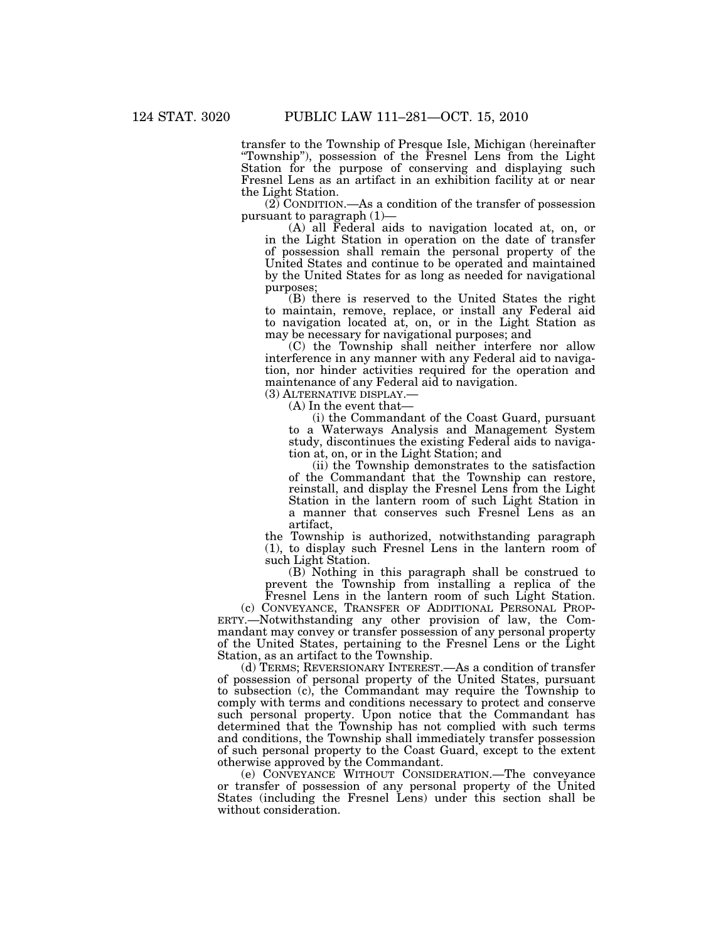transfer to the Township of Presque Isle, Michigan (hereinafter ''Township''), possession of the Fresnel Lens from the Light Station for the purpose of conserving and displaying such Fresnel Lens as an artifact in an exhibition facility at or near the Light Station.

 $(2)$  CONDITION.—As a condition of the transfer of possession pursuant to paragraph (1)—

(A) all Federal aids to navigation located at, on, or in the Light Station in operation on the date of transfer of possession shall remain the personal property of the United States and continue to be operated and maintained by the United States for as long as needed for navigational purposes;

(B) there is reserved to the United States the right to maintain, remove, replace, or install any Federal aid to navigation located at, on, or in the Light Station as may be necessary for navigational purposes; and

(C) the Township shall neither interfere nor allow interference in any manner with any Federal aid to navigation, nor hinder activities required for the operation and maintenance of any Federal aid to navigation.

(3) ALTERNATIVE DISPLAY.—

(A) In the event that—

(i) the Commandant of the Coast Guard, pursuant to a Waterways Analysis and Management System study, discontinues the existing Federal aids to navigation at, on, or in the Light Station; and

(ii) the Township demonstrates to the satisfaction of the Commandant that the Township can restore, reinstall, and display the Fresnel Lens from the Light Station in the lantern room of such Light Station in a manner that conserves such Fresnel Lens as an artifact,

the Township is authorized, notwithstanding paragraph (1), to display such Fresnel Lens in the lantern room of such Light Station.

(B) Nothing in this paragraph shall be construed to prevent the Township from installing a replica of the Fresnel Lens in the lantern room of such Light Station.

(c) CONVEYANCE, TRANSFER OF ADDITIONAL PERSONAL PROP-ERTY.—Notwithstanding any other provision of law, the Commandant may convey or transfer possession of any personal property of the United States, pertaining to the Fresnel Lens or the Light Station, as an artifact to the Township.

(d) TERMS; REVERSIONARY INTEREST.—As a condition of transfer of possession of personal property of the United States, pursuant to subsection (c), the Commandant may require the Township to comply with terms and conditions necessary to protect and conserve such personal property. Upon notice that the Commandant has determined that the Township has not complied with such terms and conditions, the Township shall immediately transfer possession of such personal property to the Coast Guard, except to the extent otherwise approved by the Commandant.

(e) CONVEYANCE WITHOUT CONSIDERATION.—The conveyance or transfer of possession of any personal property of the United States (including the Fresnel Lens) under this section shall be without consideration.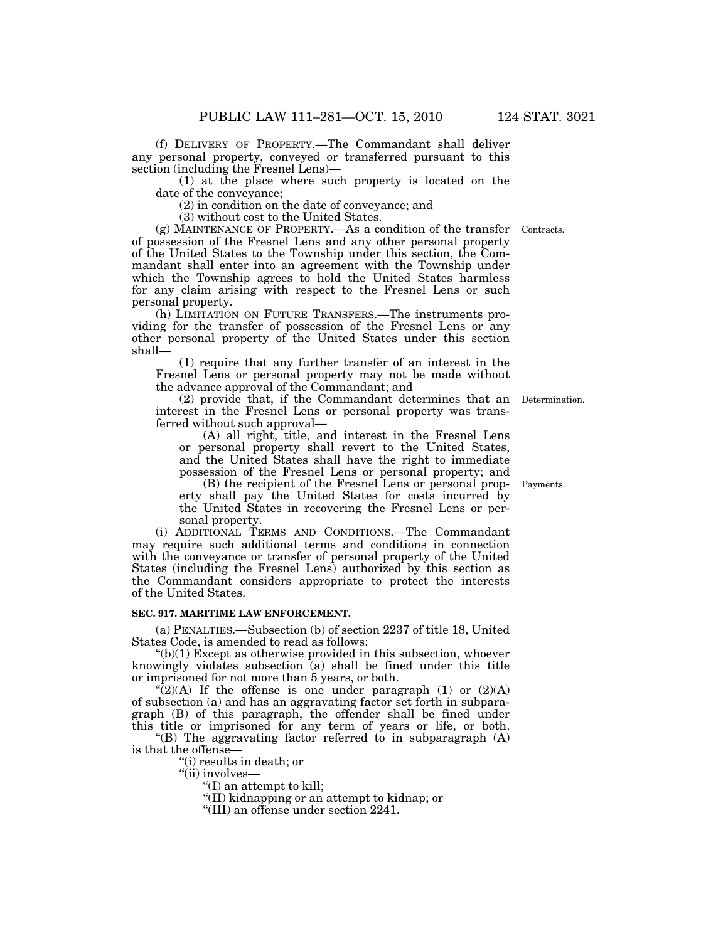(f) DELIVERY OF PROPERTY.—The Commandant shall deliver any personal property, conveyed or transferred pursuant to this section (including the Fresnel Lens)—

(1) at the place where such property is located on the date of the conveyance;

(2) in condition on the date of conveyance; and

(3) without cost to the United States.

(g) MAINTENANCE OF PROPERTY.—As a condition of the transfer Contracts. of possession of the Fresnel Lens and any other personal property of the United States to the Township under this section, the Commandant shall enter into an agreement with the Township under which the Township agrees to hold the United States harmless for any claim arising with respect to the Fresnel Lens or such personal property.

(h) LIMITATION ON FUTURE TRANSFERS.—The instruments providing for the transfer of possession of the Fresnel Lens or any other personal property of the United States under this section shall—

(1) require that any further transfer of an interest in the Fresnel Lens or personal property may not be made without the advance approval of the Commandant; and

(2) provide that, if the Commandant determines that an Determination. interest in the Fresnel Lens or personal property was transferred without such approval—

(A) all right, title, and interest in the Fresnel Lens or personal property shall revert to the United States, and the United States shall have the right to immediate possession of the Fresnel Lens or personal property; and

(B) the recipient of the Fresnel Lens or personal prop-Payments. erty shall pay the United States for costs incurred by the United States in recovering the Fresnel Lens or personal property.

(i) ADDITIONAL TERMS AND CONDITIONS.—The Commandant may require such additional terms and conditions in connection with the conveyance or transfer of personal property of the United States (including the Fresnel Lens) authorized by this section as the Commandant considers appropriate to protect the interests of the United States.

### **SEC. 917. MARITIME LAW ENFORCEMENT.**

(a) PENALTIES.—Subsection (b) of section 2237 of title 18, United States Code, is amended to read as follows:

" $(b)(1)$  Except as otherwise provided in this subsection, whoever knowingly violates subsection (a) shall be fined under this title or imprisoned for not more than 5 years, or both.

" $(2)(A)$  If the offense is one under paragraph  $(1)$  or  $(2)(A)$ of subsection (a) and has an aggravating factor set forth in subparagraph (B) of this paragraph, the offender shall be fined under this title or imprisoned for any term of years or life, or both.

"(B) The aggravating factor referred to in subparagraph  $(A)$ is that the offense—

''(i) results in death; or

"(ii) involves-

''(I) an attempt to kill;

''(II) kidnapping or an attempt to kidnap; or

''(III) an offense under section 2241.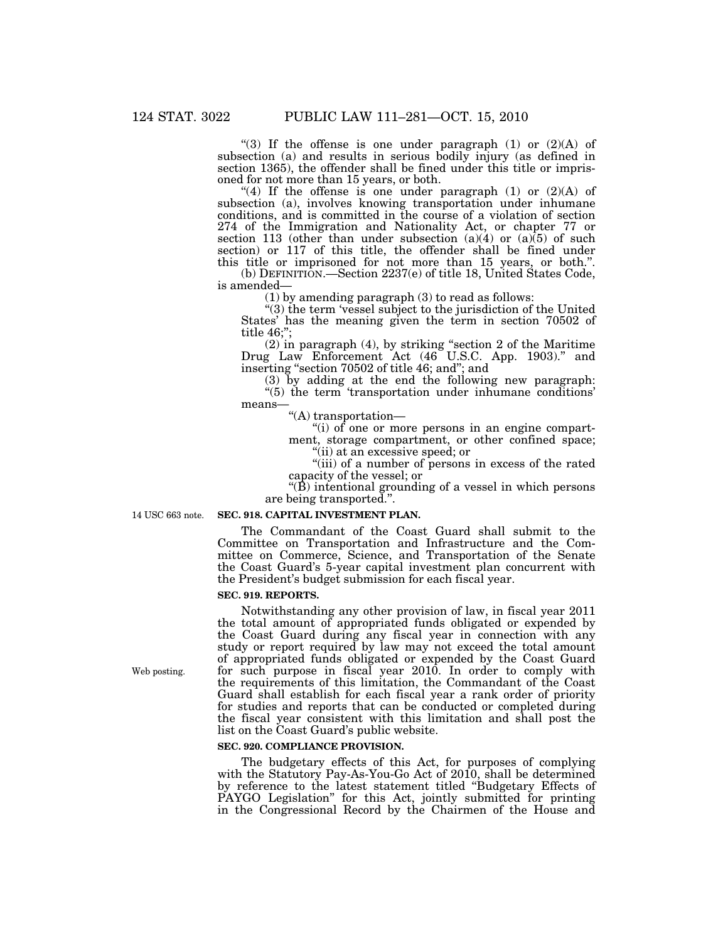"(3) If the offense is one under paragraph  $(1)$  or  $(2)(A)$  of subsection (a) and results in serious bodily injury (as defined in section 1365), the offender shall be fined under this title or imprisoned for not more than 15 years, or both.

"(4) If the offense is one under paragraph  $(1)$  or  $(2)(A)$  of subsection (a), involves knowing transportation under inhumane conditions, and is committed in the course of a violation of section 274 of the Immigration and Nationality Act, or chapter 77 or section 113 (other than under subsection  $(a)(4)$  or  $(a)(5)$  of such section) or 117 of this title, the offender shall be fined under this title or imprisoned for not more than 15 years, or both.''.

(b) DEFINITION.—Section 2237(e) of title 18, United States Code, is amended—

(1) by amending paragraph (3) to read as follows:

''(3) the term 'vessel subject to the jurisdiction of the United States' has the meaning given the term in section 70502 of title 46;'';

(2) in paragraph (4), by striking ''section 2 of the Maritime Drug Law Enforcement Act (46 U.S.C. App. 1903)." and inserting ''section 70502 of title 46; and''; and

(3) by adding at the end the following new paragraph: ''(5) the term 'transportation under inhumane conditions' means—

''(A) transportation—

''(i) of one or more persons in an engine compartment, storage compartment, or other confined space;

''(ii) at an excessive speed; or

''(iii) of a number of persons in excess of the rated capacity of the vessel; or

 $\operatorname{``}(\dot{B})$  intentional grounding of a vessel in which persons are being transported.''.

14 USC 663 note.

## **SEC. 918. CAPITAL INVESTMENT PLAN.**

The Commandant of the Coast Guard shall submit to the Committee on Transportation and Infrastructure and the Committee on Commerce, Science, and Transportation of the Senate the Coast Guard's 5-year capital investment plan concurrent with the President's budget submission for each fiscal year.

### **SEC. 919. REPORTS.**

Notwithstanding any other provision of law, in fiscal year 2011 the total amount of appropriated funds obligated or expended by the Coast Guard during any fiscal year in connection with any study or report required by law may not exceed the total amount of appropriated funds obligated or expended by the Coast Guard for such purpose in fiscal year 2010. In order to comply with the requirements of this limitation, the Commandant of the Coast Guard shall establish for each fiscal year a rank order of priority for studies and reports that can be conducted or completed during the fiscal year consistent with this limitation and shall post the list on the Coast Guard's public website.

## **SEC. 920. COMPLIANCE PROVISION.**

The budgetary effects of this Act, for purposes of complying with the Statutory Pay-As-You-Go Act of 2010, shall be determined by reference to the latest statement titled ''Budgetary Effects of PAYGO Legislation'' for this Act, jointly submitted for printing in the Congressional Record by the Chairmen of the House and

Web posting.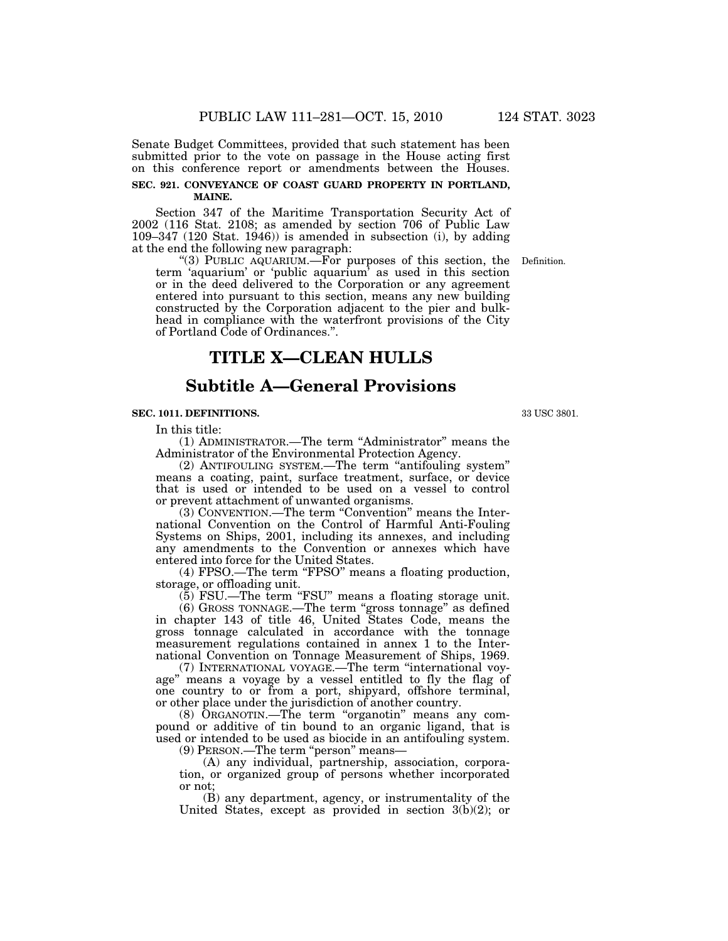Senate Budget Committees, provided that such statement has been submitted prior to the vote on passage in the House acting first on this conference report or amendments between the Houses.

# **SEC. 921. CONVEYANCE OF COAST GUARD PROPERTY IN PORTLAND, MAINE.**

Section 347 of the Maritime Transportation Security Act of 2002 (116 Stat. 2108; as amended by section 706 of Public Law 109–347 (120 Stat. 1946)) is amended in subsection (i), by adding at the end the following new paragraph:

Definition.

''(3) PUBLIC AQUARIUM.—For purposes of this section, the term 'aquarium' or 'public aquarium' as used in this section or in the deed delivered to the Corporation or any agreement entered into pursuant to this section, means any new building constructed by the Corporation adjacent to the pier and bulkhead in compliance with the waterfront provisions of the City of Portland Code of Ordinances.''.

# **TITLE X—CLEAN HULLS**

# **Subtitle A—General Provisions**

# **SEC. 1011. DEFINITIONS.**

In this title:

(1) ADMINISTRATOR.—The term ''Administrator'' means the Administrator of the Environmental Protection Agency.

(2) ANTIFOULING SYSTEM.—The term ''antifouling system'' means a coating, paint, surface treatment, surface, or device that is used or intended to be used on a vessel to control or prevent attachment of unwanted organisms.

(3) CONVENTION.—The term "Convention" means the International Convention on the Control of Harmful Anti-Fouling Systems on Ships, 2001, including its annexes, and including any amendments to the Convention or annexes which have entered into force for the United States.

(4) FPSO.—The term "FPSO" means a floating production, storage, or offloading unit.

(5) FSU.—The term ''FSU'' means a floating storage unit.

(6) GROSS TONNAGE.—The term ''gross tonnage'' as defined in chapter 143 of title 46, United States Code, means the gross tonnage calculated in accordance with the tonnage measurement regulations contained in annex 1 to the International Convention on Tonnage Measurement of Ships, 1969.

(7) INTERNATIONAL VOYAGE.—The term ''international voyage'' means a voyage by a vessel entitled to fly the flag of one country to or from a port, shipyard, offshore terminal, or other place under the jurisdiction of another country.

(8) ORGANOTIN.—The term ''organotin'' means any compound or additive of tin bound to an organic ligand, that is used or intended to be used as biocide in an antifouling system. (9) PERSON.—The term ''person'' means—

(A) any individual, partnership, association, corpora-

tion, or organized group of persons whether incorporated or not;

(B) any department, agency, or instrumentality of the United States, except as provided in section  $3(b)(2)$ ; or

33 USC 3801.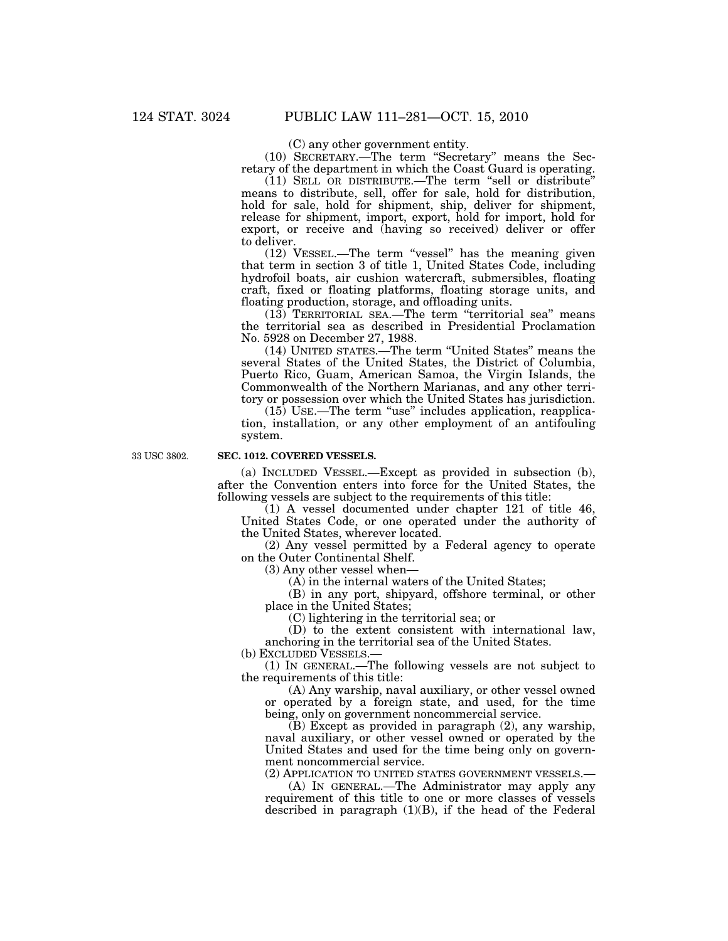(C) any other government entity.

(10) SECRETARY.—The term ''Secretary'' means the Secretary of the department in which the Coast Guard is operating.

(11) SELL OR DISTRIBUTE.—The term ''sell or distribute'' means to distribute, sell, offer for sale, hold for distribution, hold for sale, hold for shipment, ship, deliver for shipment, release for shipment, import, export, hold for import, hold for export, or receive and (having so received) deliver or offer to deliver.

(12) VESSEL.—The term ''vessel'' has the meaning given that term in section 3 of title 1, United States Code, including hydrofoil boats, air cushion watercraft, submersibles, floating craft, fixed or floating platforms, floating storage units, and floating production, storage, and offloading units.

 $(13)$  TERRITORIAL SEA.—The term "territorial sea" means the territorial sea as described in Presidential Proclamation No. 5928 on December 27, 1988.

(14) UNITED STATES.—The term ''United States'' means the several States of the United States, the District of Columbia, Puerto Rico, Guam, American Samoa, the Virgin Islands, the Commonwealth of the Northern Marianas, and any other territory or possession over which the United States has jurisdiction.

 $(15)$  USE.—The term "use" includes application, reapplication, installation, or any other employment of an antifouling system.

33 USC 3802.

## **SEC. 1012. COVERED VESSELS.**

(a) INCLUDED VESSEL.—Except as provided in subsection (b), after the Convention enters into force for the United States, the following vessels are subject to the requirements of this title:

(1) A vessel documented under chapter 121 of title 46, United States Code, or one operated under the authority of the United States, wherever located.

(2) Any vessel permitted by a Federal agency to operate on the Outer Continental Shelf.

(3) Any other vessel when—

(A) in the internal waters of the United States;

(B) in any port, shipyard, offshore terminal, or other place in the United States;

(C) lightering in the territorial sea; or

(D) to the extent consistent with international law, anchoring in the territorial sea of the United States.

(b) EXCLUDED VESSELS.—

(1) IN GENERAL.—The following vessels are not subject to the requirements of this title:

(A) Any warship, naval auxiliary, or other vessel owned or operated by a foreign state, and used, for the time being, only on government noncommercial service.

(B) Except as provided in paragraph (2), any warship, naval auxiliary, or other vessel owned or operated by the United States and used for the time being only on government noncommercial service.

(2) APPLICATION TO UNITED STATES GOVERNMENT VESSELS.—

(A) IN GENERAL.—The Administrator may apply any requirement of this title to one or more classes of vessels described in paragraph  $(1)(B)$ , if the head of the Federal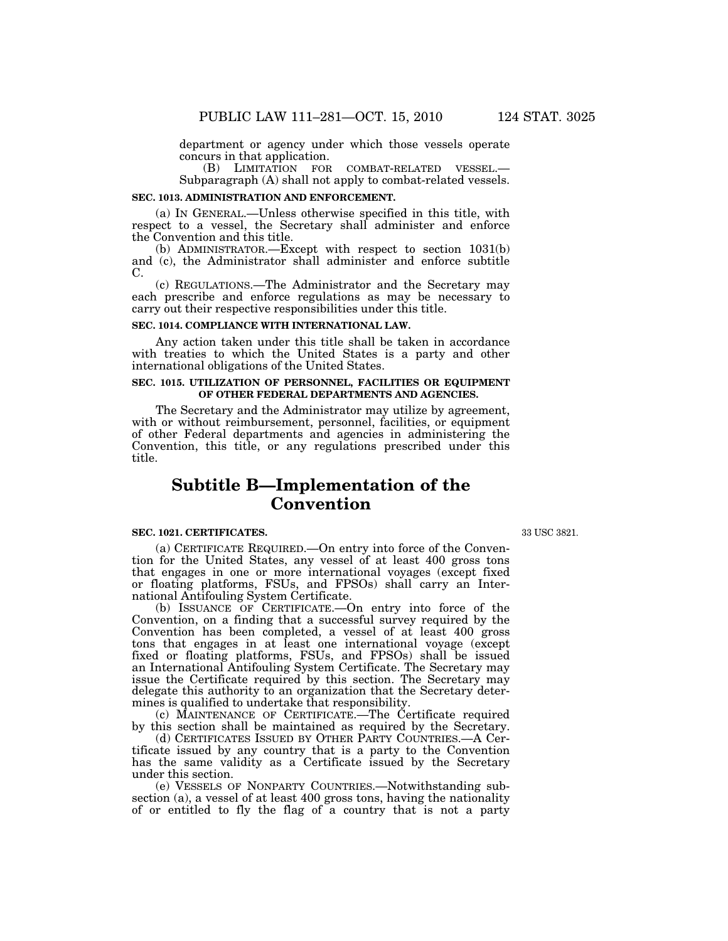department or agency under which those vessels operate concurs in that application.

(B) LIMITATION FOR COMBAT-RELATED VESSEL.— Subparagraph (A) shall not apply to combat-related vessels.

## **SEC. 1013. ADMINISTRATION AND ENFORCEMENT.**

(a) IN GENERAL.—Unless otherwise specified in this title, with respect to a vessel, the Secretary shall administer and enforce the Convention and this title.

(b) ADMINISTRATOR.—Except with respect to section 1031(b) and (c), the Administrator shall administer and enforce subtitle C.

(c) REGULATIONS.—The Administrator and the Secretary may each prescribe and enforce regulations as may be necessary to carry out their respective responsibilities under this title.

## **SEC. 1014. COMPLIANCE WITH INTERNATIONAL LAW.**

Any action taken under this title shall be taken in accordance with treaties to which the United States is a party and other international obligations of the United States.

## **SEC. 1015. UTILIZATION OF PERSONNEL, FACILITIES OR EQUIPMENT OF OTHER FEDERAL DEPARTMENTS AND AGENCIES.**

The Secretary and the Administrator may utilize by agreement, with or without reimbursement, personnel, facilities, or equipment of other Federal departments and agencies in administering the Convention, this title, or any regulations prescribed under this title.

# **Subtitle B—Implementation of the Convention**

### **SEC. 1021. CERTIFICATES.**

33 USC 3821.

(a) CERTIFICATE REQUIRED.—On entry into force of the Convention for the United States, any vessel of at least 400 gross tons that engages in one or more international voyages (except fixed or floating platforms, FSUs, and FPSOs) shall carry an International Antifouling System Certificate.

(b) ISSUANCE OF CERTIFICATE.—On entry into force of the Convention, on a finding that a successful survey required by the Convention has been completed, a vessel of at least 400 gross tons that engages in at least one international voyage (except fixed or floating platforms, FSUs, and FPSOs) shall be issued an International Antifouling System Certificate. The Secretary may issue the Certificate required by this section. The Secretary may delegate this authority to an organization that the Secretary determines is qualified to undertake that responsibility.

(c) MAINTENANCE OF CERTIFICATE.—The Certificate required by this section shall be maintained as required by the Secretary.

(d) CERTIFICATES ISSUED BY OTHER PARTY COUNTRIES.—A Certificate issued by any country that is a party to the Convention has the same validity as a Certificate issued by the Secretary under this section.

(e) VESSELS OF NONPARTY COUNTRIES.—Notwithstanding subsection (a), a vessel of at least 400 gross tons, having the nationality of or entitled to fly the flag of a country that is not a party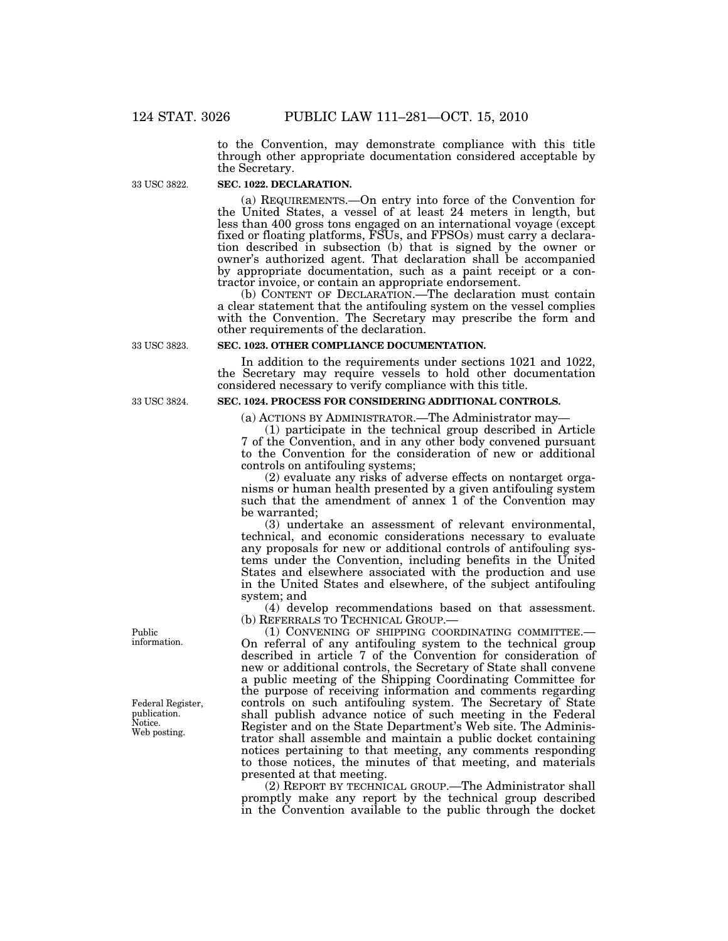to the Convention, may demonstrate compliance with this title through other appropriate documentation considered acceptable by the Secretary.

33 USC 3822.

# **SEC. 1022. DECLARATION.**

(a) REQUIREMENTS.—On entry into force of the Convention for the United States, a vessel of at least 24 meters in length, but less than 400 gross tons engaged on an international voyage (except fixed or floating platforms, FSUs, and FPSOs) must carry a declaration described in subsection (b) that is signed by the owner or owner's authorized agent. That declaration shall be accompanied by appropriate documentation, such as a paint receipt or a contractor invoice, or contain an appropriate endorsement.

(b) CONTENT OF DECLARATION.—The declaration must contain a clear statement that the antifouling system on the vessel complies with the Convention. The Secretary may prescribe the form and other requirements of the declaration.

## **SEC. 1023. OTHER COMPLIANCE DOCUMENTATION.**

In addition to the requirements under sections 1021 and 1022, the Secretary may require vessels to hold other documentation considered necessary to verify compliance with this title.

## **SEC. 1024. PROCESS FOR CONSIDERING ADDITIONAL CONTROLS.**

(a) ACTIONS BY ADMINISTRATOR.—The Administrator may—

(1) participate in the technical group described in Article 7 of the Convention, and in any other body convened pursuant to the Convention for the consideration of new or additional controls on antifouling systems;

(2) evaluate any risks of adverse effects on nontarget organisms or human health presented by a given antifouling system such that the amendment of annex 1 of the Convention may be warranted;

(3) undertake an assessment of relevant environmental, technical, and economic considerations necessary to evaluate any proposals for new or additional controls of antifouling systems under the Convention, including benefits in the United States and elsewhere associated with the production and use in the United States and elsewhere, of the subject antifouling system; and

(4) develop recommendations based on that assessment. (b) REFERRALS TO TECHNICAL GROUP.—

(1) CONVENING OF SHIPPING COORDINATING COMMITTEE.— On referral of any antifouling system to the technical group described in article 7 of the Convention for consideration of new or additional controls, the Secretary of State shall convene a public meeting of the Shipping Coordinating Committee for the purpose of receiving information and comments regarding controls on such antifouling system. The Secretary of State shall publish advance notice of such meeting in the Federal Register and on the State Department's Web site. The Administrator shall assemble and maintain a public docket containing notices pertaining to that meeting, any comments responding to those notices, the minutes of that meeting, and materials presented at that meeting.

(2) REPORT BY TECHNICAL GROUP.—The Administrator shall promptly make any report by the technical group described in the Convention available to the public through the docket

33 USC 3823.

33 USC 3824.

Public information.

Federal Register, publication. Notice. Web posting.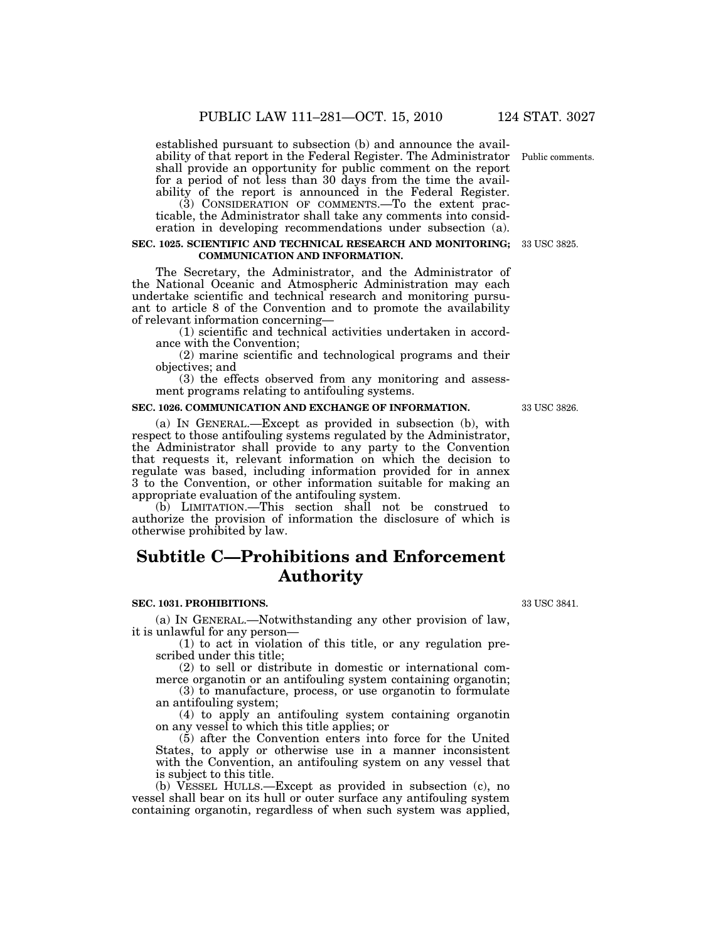established pursuant to subsection (b) and announce the availability of that report in the Federal Register. The Administrator shall provide an opportunity for public comment on the report for a period of not less than 30 days from the time the availability of the report is announced in the Federal Register.

(3) CONSIDERATION OF COMMENTS.—To the extent practicable, the Administrator shall take any comments into consideration in developing recommendations under subsection (a).

#### **SEC. 1025. SCIENTIFIC AND TECHNICAL RESEARCH AND MONITORING;**  33 USC 3825. **COMMUNICATION AND INFORMATION.**

The Secretary, the Administrator, and the Administrator of the National Oceanic and Atmospheric Administration may each undertake scientific and technical research and monitoring pursuant to article 8 of the Convention and to promote the availability of relevant information concerning—

(1) scientific and technical activities undertaken in accordance with the Convention;

(2) marine scientific and technological programs and their objectives; and

(3) the effects observed from any monitoring and assessment programs relating to antifouling systems.

### **SEC. 1026. COMMUNICATION AND EXCHANGE OF INFORMATION.**

(a) IN GENERAL.—Except as provided in subsection (b), with respect to those antifouling systems regulated by the Administrator, the Administrator shall provide to any party to the Convention that requests it, relevant information on which the decision to regulate was based, including information provided for in annex 3 to the Convention, or other information suitable for making an appropriate evaluation of the antifouling system.

(b) LIMITATION.—This section shall not be construed to authorize the provision of information the disclosure of which is otherwise prohibited by law.

# **Subtitle C—Prohibitions and Enforcement Authority**

## **SEC. 1031. PROHIBITIONS.**

(a) IN GENERAL.—Notwithstanding any other provision of law, it is unlawful for any person—

(1) to act in violation of this title, or any regulation prescribed under this title;

(2) to sell or distribute in domestic or international commerce organotin or an antifouling system containing organotin;

(3) to manufacture, process, or use organotin to formulate an antifouling system;

(4) to apply an antifouling system containing organotin on any vessel to which this title applies; or

(5) after the Convention enters into force for the United States, to apply or otherwise use in a manner inconsistent with the Convention, an antifouling system on any vessel that is subject to this title.

(b) VESSEL HULLS.—Except as provided in subsection (c), no vessel shall bear on its hull or outer surface any antifouling system containing organotin, regardless of when such system was applied,

33 USC 3841.

33 USC 3826.

Public comments.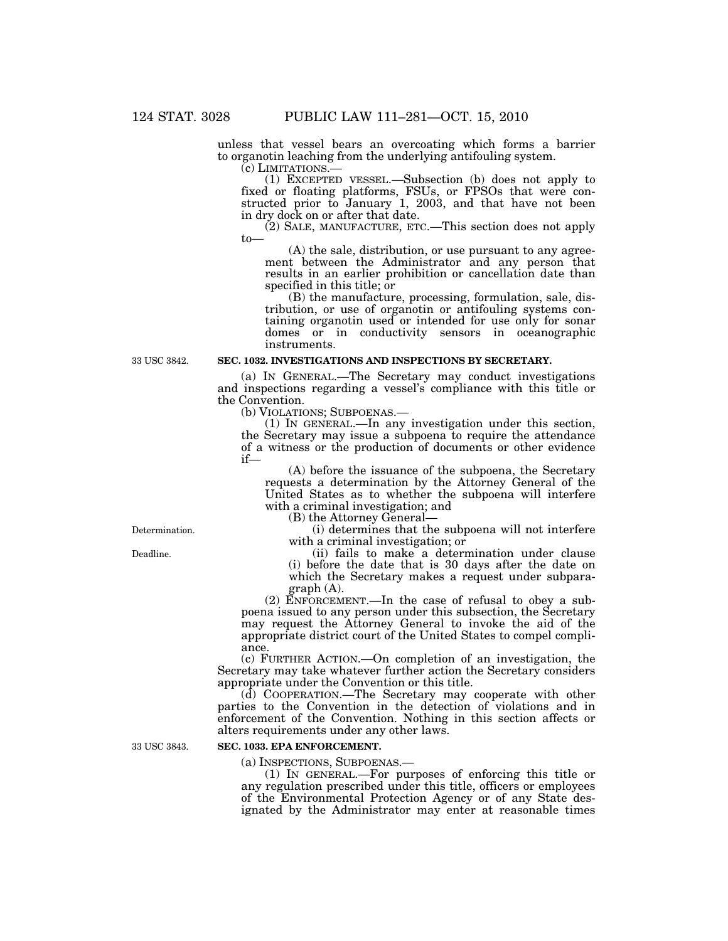unless that vessel bears an overcoating which forms a barrier to organotin leaching from the underlying antifouling system.

(1) EXCEPTED VESSEL.—Subsection (b) does not apply to fixed or floating platforms, FSUs, or FPSOs that were constructed prior to January 1, 2003, and that have not been in dry dock on or after that date.

(2) SALE, MANUFACTURE, ETC.—This section does not apply to—

(A) the sale, distribution, or use pursuant to any agreement between the Administrator and any person that results in an earlier prohibition or cancellation date than specified in this title; or

(B) the manufacture, processing, formulation, sale, distribution, or use of organotin or antifouling systems containing organotin used or intended for use only for sonar domes or in conductivity sensors in oceanographic instruments.

33 USC 3842.

# **SEC. 1032. INVESTIGATIONS AND INSPECTIONS BY SECRETARY.**

(a) IN GENERAL.—The Secretary may conduct investigations and inspections regarding a vessel's compliance with this title or the Convention.<br>(b) VIOLATIONS; SUBPOENAS.—

 $(1)$  In GENERAL.—In any investigation under this section, the Secretary may issue a subpoena to require the attendance of a witness or the production of documents or other evidence if—

(A) before the issuance of the subpoena, the Secretary requests a determination by the Attorney General of the United States as to whether the subpoena will interfere with a criminal investigation; and

(B) the Attorney General—

(i) determines that the subpoena will not interfere with a criminal investigation; or

(ii) fails to make a determination under clause (i) before the date that is 30 days after the date on which the Secretary makes a request under subparagraph (A).

(2) ENFORCEMENT.—In the case of refusal to obey a subpoena issued to any person under this subsection, the Secretary may request the Attorney General to invoke the aid of the appropriate district court of the United States to compel compliance.

(c) FURTHER ACTION.—On completion of an investigation, the Secretary may take whatever further action the Secretary considers appropriate under the Convention or this title.

(d) COOPERATION.—The Secretary may cooperate with other parties to the Convention in the detection of violations and in enforcement of the Convention. Nothing in this section affects or alters requirements under any other laws.

## 33 USC 3843.

# **SEC. 1033. EPA ENFORCEMENT.**

(a) INSPECTIONS, SUBPOENAS.—

(1) IN GENERAL.—For purposes of enforcing this title or any regulation prescribed under this title, officers or employees of the Environmental Protection Agency or of any State designated by the Administrator may enter at reasonable times

Determination.

Deadline.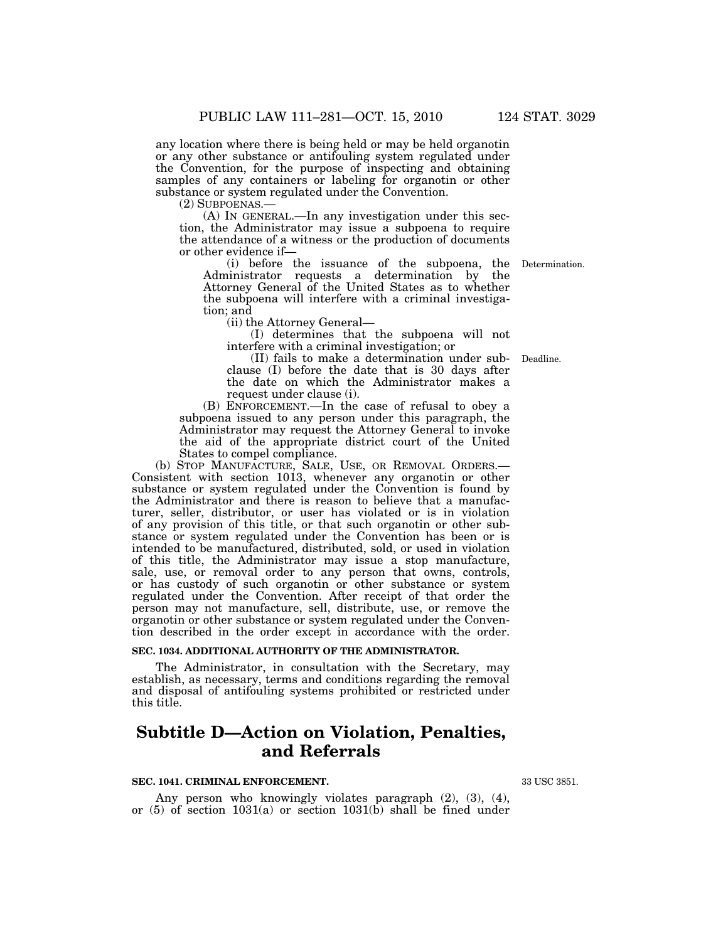any location where there is being held or may be held organotin or any other substance or antifouling system regulated under the Convention, for the purpose of inspecting and obtaining samples of any containers or labeling for organotin or other substance or system regulated under the Convention.<br>(2) SUBPOENAS.—

 $(A)$  In GENERAL.—In any investigation under this section, the Administrator may issue a subpoena to require the attendance of a witness or the production of documents or other evidence if—

(i) before the issuance of the subpoena, the Administrator requests a determination by the Attorney General of the United States as to whether the subpoena will interfere with a criminal investigation; and

(ii) the Attorney General—

(I) determines that the subpoena will not interfere with a criminal investigation; or

(II) fails to make a determination under sub-Deadline. clause (I) before the date that is 30 days after the date on which the Administrator makes a request under clause (i).

(B) ENFORCEMENT.—In the case of refusal to obey a subpoena issued to any person under this paragraph, the Administrator may request the Attorney General to invoke the aid of the appropriate district court of the United States to compel compliance.

(b) STOP MANUFACTURE, SALE, USE, OR REMOVAL ORDERS.— Consistent with section 1013, whenever any organotin or other substance or system regulated under the Convention is found by the Administrator and there is reason to believe that a manufacturer, seller, distributor, or user has violated or is in violation of any provision of this title, or that such organotin or other substance or system regulated under the Convention has been or is intended to be manufactured, distributed, sold, or used in violation of this title, the Administrator may issue a stop manufacture, sale, use, or removal order to any person that owns, controls, or has custody of such organotin or other substance or system regulated under the Convention. After receipt of that order the person may not manufacture, sell, distribute, use, or remove the organotin or other substance or system regulated under the Convention described in the order except in accordance with the order.

#### **SEC. 1034. ADDITIONAL AUTHORITY OF THE ADMINISTRATOR.**

The Administrator, in consultation with the Secretary, may establish, as necessary, terms and conditions regarding the removal and disposal of antifouling systems prohibited or restricted under this title.

# **Subtitle D—Action on Violation, Penalties, and Referrals**

### **SEC. 1041. CRIMINAL ENFORCEMENT.**

Any person who knowingly violates paragraph (2), (3), (4), or  $(5)$  of section  $1031(a)$  or section  $1031(b)$  shall be fined under

33 USC 3851.

Determination.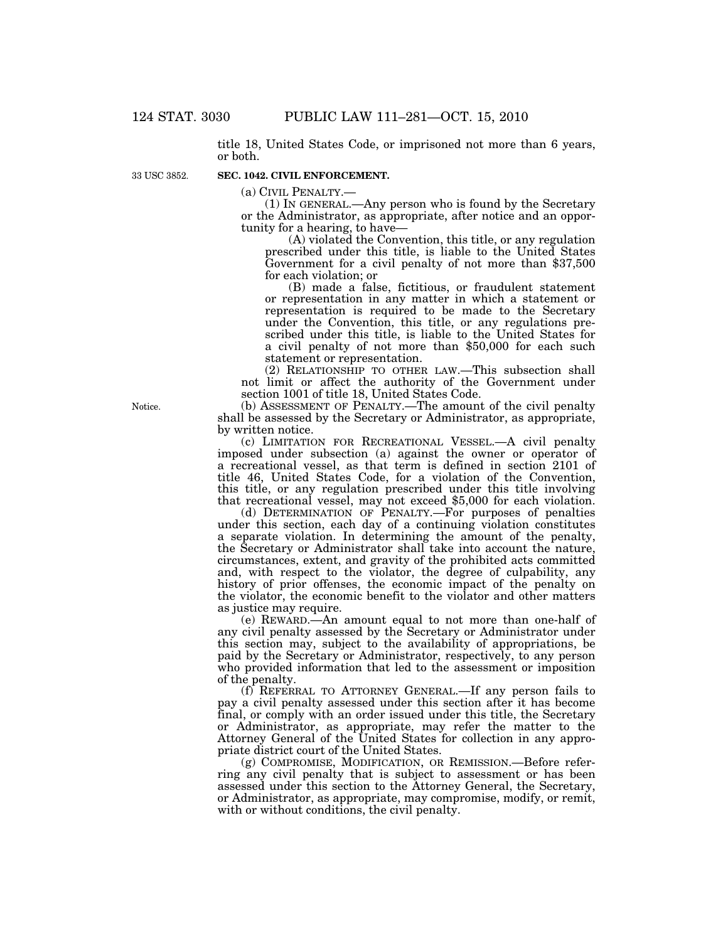title 18, United States Code, or imprisoned not more than 6 years, or both.

33 USC 3852.

# **SEC. 1042. CIVIL ENFORCEMENT.**

(a) CIVIL PENALTY.— $(1)$  In GENERAL.—Any person who is found by the Secretary or the Administrator, as appropriate, after notice and an opportunity for a hearing, to have—

(A) violated the Convention, this title, or any regulation prescribed under this title, is liable to the United States Government for a civil penalty of not more than \$37,500 for each violation; or

(B) made a false, fictitious, or fraudulent statement or representation in any matter in which a statement or representation is required to be made to the Secretary under the Convention, this title, or any regulations prescribed under this title, is liable to the United States for a civil penalty of not more than \$50,000 for each such statement or representation.

(2) RELATIONSHIP TO OTHER LAW.—This subsection shall not limit or affect the authority of the Government under section 1001 of title 18, United States Code.

(b) ASSESSMENT OF PENALTY.—The amount of the civil penalty shall be assessed by the Secretary or Administrator, as appropriate, by written notice.

(c) LIMITATION FOR RECREATIONAL VESSEL.—A civil penalty imposed under subsection (a) against the owner or operator of a recreational vessel, as that term is defined in section 2101 of title 46, United States Code, for a violation of the Convention, this title, or any regulation prescribed under this title involving that recreational vessel, may not exceed \$5,000 for each violation.

(d) DETERMINATION OF PENALTY.—For purposes of penalties under this section, each day of a continuing violation constitutes a separate violation. In determining the amount of the penalty, the Secretary or Administrator shall take into account the nature, circumstances, extent, and gravity of the prohibited acts committed and, with respect to the violator, the degree of culpability, any history of prior offenses, the economic impact of the penalty on the violator, the economic benefit to the violator and other matters as justice may require.

(e) REWARD.—An amount equal to not more than one-half of any civil penalty assessed by the Secretary or Administrator under this section may, subject to the availability of appropriations, be paid by the Secretary or Administrator, respectively, to any person who provided information that led to the assessment or imposition of the penalty.

(f) REFERRAL TO ATTORNEY GENERAL.—If any person fails to pay a civil penalty assessed under this section after it has become final, or comply with an order issued under this title, the Secretary or Administrator, as appropriate, may refer the matter to the Attorney General of the United States for collection in any appropriate district court of the United States.

(g) COMPROMISE, MODIFICATION, OR REMISSION.—Before referring any civil penalty that is subject to assessment or has been assessed under this section to the Attorney General, the Secretary, or Administrator, as appropriate, may compromise, modify, or remit, with or without conditions, the civil penalty.

Notice.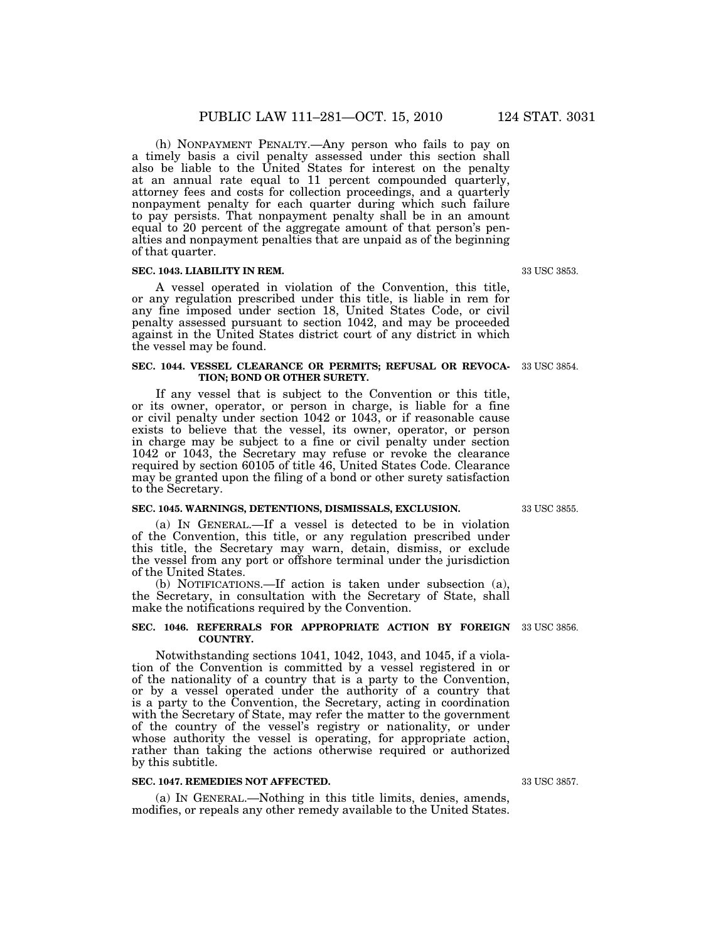(h) NONPAYMENT PENALTY.—Any person who fails to pay on a timely basis a civil penalty assessed under this section shall also be liable to the United States for interest on the penalty at an annual rate equal to 11 percent compounded quarterly, attorney fees and costs for collection proceedings, and a quarterly nonpayment penalty for each quarter during which such failure to pay persists. That nonpayment penalty shall be in an amount equal to 20 percent of the aggregate amount of that person's penalties and nonpayment penalties that are unpaid as of the beginning of that quarter.

## **SEC. 1043. LIABILITY IN REM.**

A vessel operated in violation of the Convention, this title, or any regulation prescribed under this title, is liable in rem for any fine imposed under section 18, United States Code, or civil penalty assessed pursuant to section 1042, and may be proceeded against in the United States district court of any district in which the vessel may be found.

#### **SEC. 1044. VESSEL CLEARANCE OR PERMITS; REFUSAL OR REVOCA-**33 USC 3854. **TION; BOND OR OTHER SURETY.**

If any vessel that is subject to the Convention or this title, or its owner, operator, or person in charge, is liable for a fine or civil penalty under section 1042 or 1043, or if reasonable cause exists to believe that the vessel, its owner, operator, or person in charge may be subject to a fine or civil penalty under section 1042 or 1043, the Secretary may refuse or revoke the clearance required by section 60105 of title 46, United States Code. Clearance may be granted upon the filing of a bond or other surety satisfaction to the Secretary.

## **SEC. 1045. WARNINGS, DETENTIONS, DISMISSALS, EXCLUSION.**

(a) IN GENERAL.—If a vessel is detected to be in violation of the Convention, this title, or any regulation prescribed under this title, the Secretary may warn, detain, dismiss, or exclude the vessel from any port or offshore terminal under the jurisdiction of the United States.

(b) NOTIFICATIONS.—If action is taken under subsection (a), the Secretary, in consultation with the Secretary of State, shall make the notifications required by the Convention.

#### **SEC. 1046. REFERRALS FOR APPROPRIATE ACTION BY FOREIGN**  33 USC 3856. **COUNTRY.**

Notwithstanding sections 1041, 1042, 1043, and 1045, if a violation of the Convention is committed by a vessel registered in or of the nationality of a country that is a party to the Convention, or by a vessel operated under the authority of a country that is a party to the Convention, the Secretary, acting in coordination with the Secretary of State, may refer the matter to the government of the country of the vessel's registry or nationality, or under whose authority the vessel is operating, for appropriate action, rather than taking the actions otherwise required or authorized by this subtitle.

### **SEC. 1047. REMEDIES NOT AFFECTED.**

(a) IN GENERAL.—Nothing in this title limits, denies, amends, modifies, or repeals any other remedy available to the United States.

33 USC 3857.

33 USC 3855.

33 USC 3853.